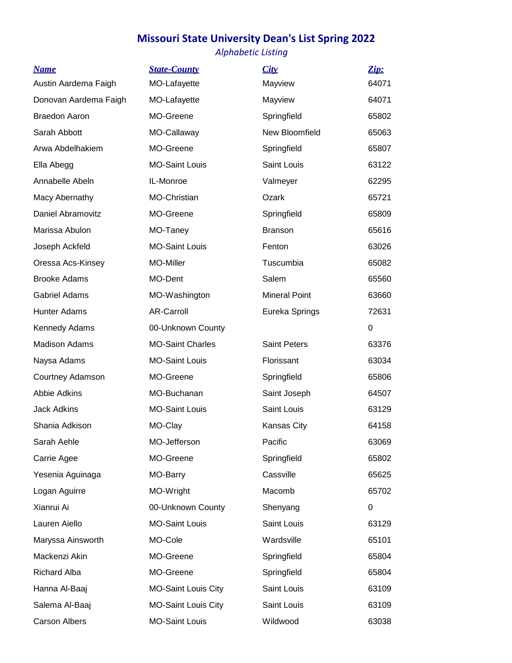## **Missouri State University Dean's List Spring 2022**

## *Alphabetic Listing*

| <b>Name</b>           | <b>State-County</b>        | City                 | Zip:  |
|-----------------------|----------------------------|----------------------|-------|
| Austin Aardema Faigh  | MO-Lafayette               | Mayview              | 64071 |
| Donovan Aardema Faigh | MO-Lafayette               | Mayview              | 64071 |
| <b>Braedon Aaron</b>  | MO-Greene                  | Springfield          | 65802 |
| Sarah Abbott          | MO-Callaway                | New Bloomfield       | 65063 |
| Arwa Abdelhakiem      | MO-Greene                  | Springfield          | 65807 |
| Ella Abegg            | <b>MO-Saint Louis</b>      | Saint Louis          | 63122 |
| Annabelle Abeln       | IL-Monroe                  | Valmeyer             | 62295 |
| Macy Abernathy        | MO-Christian               | Ozark                | 65721 |
| Daniel Abramovitz     | MO-Greene                  | Springfield          | 65809 |
| Marissa Abulon        | MO-Taney                   | <b>Branson</b>       | 65616 |
| Joseph Ackfeld        | <b>MO-Saint Louis</b>      | Fenton               | 63026 |
| Oressa Acs-Kinsey     | MO-Miller                  | Tuscumbia            | 65082 |
| <b>Brooke Adams</b>   | MO-Dent                    | Salem                | 65560 |
| <b>Gabriel Adams</b>  | MO-Washington              | <b>Mineral Point</b> | 63660 |
| <b>Hunter Adams</b>   | <b>AR-Carroll</b>          | Eureka Springs       | 72631 |
| Kennedy Adams         | 00-Unknown County          |                      | 0     |
| <b>Madison Adams</b>  | <b>MO-Saint Charles</b>    | <b>Saint Peters</b>  | 63376 |
| Naysa Adams           | <b>MO-Saint Louis</b>      | Florissant           | 63034 |
| Courtney Adamson      | MO-Greene                  | Springfield          | 65806 |
| <b>Abbie Adkins</b>   | MO-Buchanan                | Saint Joseph         | 64507 |
| <b>Jack Adkins</b>    | <b>MO-Saint Louis</b>      | Saint Louis          | 63129 |
| Shania Adkison        | MO-Clay                    | Kansas City          | 64158 |
| Sarah Aehle           | MO-Jefferson               | Pacific              | 63069 |
| Carrie Agee           | MO-Greene                  | Springfield          | 65802 |
| Yesenia Aguinaga      | MO-Barry                   | Cassville            | 65625 |
| Logan Aguirre         | MO-Wright                  | Macomb               | 65702 |
| Xianrui Ai            | 00-Unknown County          | Shenyang             | 0     |
| Lauren Aiello         | <b>MO-Saint Louis</b>      | Saint Louis          | 63129 |
| Maryssa Ainsworth     | MO-Cole                    | Wardsville           | 65101 |
| Mackenzi Akin         | MO-Greene                  | Springfield          | 65804 |
| <b>Richard Alba</b>   | MO-Greene                  | Springfield          | 65804 |
| Hanna Al-Baaj         | <b>MO-Saint Louis City</b> | Saint Louis          | 63109 |
| Salema Al-Baaj        | <b>MO-Saint Louis City</b> | Saint Louis          | 63109 |
| <b>Carson Albers</b>  | <b>MO-Saint Louis</b>      | Wildwood             | 63038 |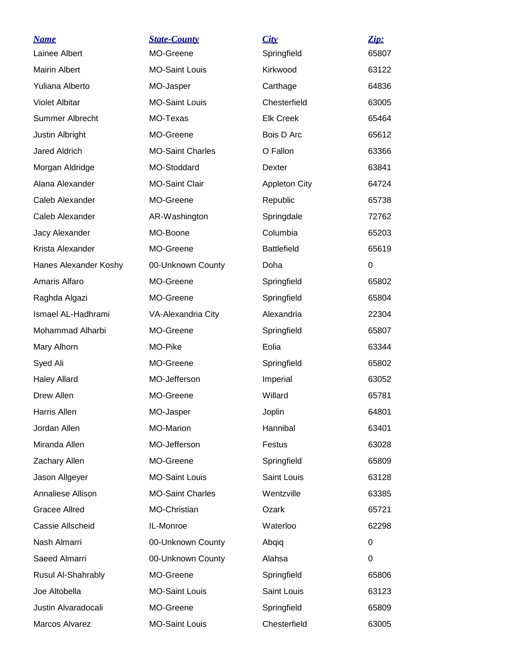| <u>Name</u>           | <b>State-County</b>     | City                 | Zip:  |
|-----------------------|-------------------------|----------------------|-------|
| Lainee Albert         | MO-Greene               | Springfield          | 65807 |
| <b>Mairin Albert</b>  | <b>MO-Saint Louis</b>   | Kirkwood             | 63122 |
| Yuliana Alberto       | MO-Jasper               | Carthage             | 64836 |
| <b>Violet Albitar</b> | <b>MO-Saint Louis</b>   | Chesterfield         | 63005 |
| Summer Albrecht       | MO-Texas                | <b>Elk Creek</b>     | 65464 |
| Justin Albright       | MO-Greene               | Bois D Arc           | 65612 |
| <b>Jared Aldrich</b>  | <b>MO-Saint Charles</b> | O Fallon             | 63366 |
| Morgan Aldridge       | MO-Stoddard             | Dexter               | 63841 |
| Alana Alexander       | <b>MO-Saint Clair</b>   | <b>Appleton City</b> | 64724 |
| Caleb Alexander       | MO-Greene               | Republic             | 65738 |
| Caleb Alexander       | AR-Washington           | Springdale           | 72762 |
| Jacy Alexander        | MO-Boone                | Columbia             | 65203 |
| Krista Alexander      | MO-Greene               | <b>Battlefield</b>   | 65619 |
| Hanes Alexander Koshy | 00-Unknown County       | Doha                 | 0     |
| Amaris Alfaro         | MO-Greene               | Springfield          | 65802 |
| Raghda Algazi         | MO-Greene               | Springfield          | 65804 |
| Ismael AL-Hadhrami    | VA-Alexandria City      | Alexandria           | 22304 |
| Mohammad Alharbi      | MO-Greene               | Springfield          | 65807 |
| Mary Alhorn           | MO-Pike                 | Eolia                | 63344 |
| Syed Ali              | MO-Greene               | Springfield          | 65802 |
| <b>Haley Allard</b>   | MO-Jefferson            | Imperial             | 63052 |
| Drew Allen            | MO-Greene               | Willard              | 65781 |
| <b>Harris Allen</b>   | MO-Jasper               | Joplin               | 64801 |
| Jordan Allen          | <b>MO-Marion</b>        | Hannibal             | 63401 |
| Miranda Allen         | MO-Jefferson            | Festus               | 63028 |
| Zachary Allen         | MO-Greene               | Springfield          | 65809 |
| Jason Allgeyer        | <b>MO-Saint Louis</b>   | Saint Louis          | 63128 |
| Annaliese Allison     | <b>MO-Saint Charles</b> | Wentzville           | 63385 |
| <b>Gracee Allred</b>  | MO-Christian            | Ozark                | 65721 |
| Cassie Allscheid      | IL-Monroe               | Waterloo             | 62298 |
| Nash Almarri          | 00-Unknown County       | Abqiq                | 0     |
| Saeed Almarri         | 00-Unknown County       | Alahsa               | 0     |
| Rusul Al-Shahrably    | MO-Greene               | Springfield          | 65806 |
| Joe Altobella         | <b>MO-Saint Louis</b>   | Saint Louis          | 63123 |
| Justin Alvaradocali   | MO-Greene               | Springfield          | 65809 |
| Marcos Alvarez        | <b>MO-Saint Louis</b>   | Chesterfield         | 63005 |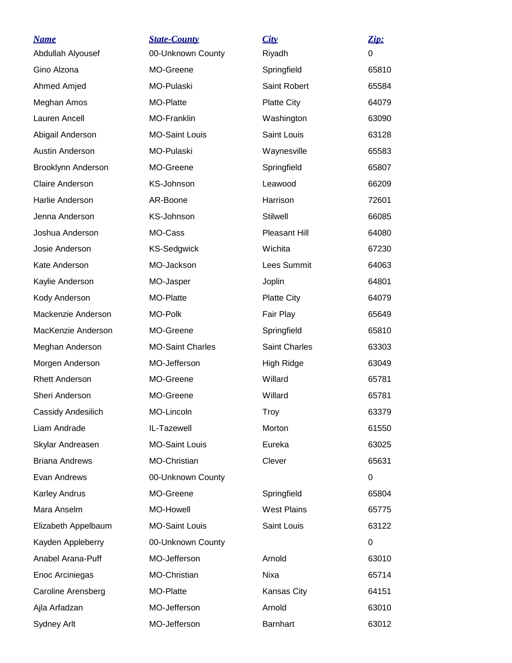| <b>Name</b>               | <b>State-County</b>     | City                | Zip:     |
|---------------------------|-------------------------|---------------------|----------|
| Abdullah Alyousef         | 00-Unknown County       | Riyadh              | $\Omega$ |
| Gino Alzona               | MO-Greene               | Springfield         | 65810    |
| Ahmed Amjed               | MO-Pulaski              | <b>Saint Robert</b> | 65584    |
| Meghan Amos               | MO-Platte               | <b>Platte City</b>  | 64079    |
| Lauren Ancell             | MO-Franklin             | Washington          | 63090    |
| Abigail Anderson          | <b>MO-Saint Louis</b>   | Saint Louis         | 63128    |
| <b>Austin Anderson</b>    | MO-Pulaski              | Waynesville         | 65583    |
| Brooklynn Anderson        | MO-Greene               | Springfield         | 65807    |
| <b>Claire Anderson</b>    | KS-Johnson              | Leawood             | 66209    |
| Harlie Anderson           | AR-Boone                | Harrison            | 72601    |
| Jenna Anderson            | KS-Johnson              | <b>Stilwell</b>     | 66085    |
| Joshua Anderson           | MO-Cass                 | Pleasant Hill       | 64080    |
| Josie Anderson            | <b>KS-Sedgwick</b>      | Wichita             | 67230    |
| Kate Anderson             | MO-Jackson              | Lees Summit         | 64063    |
| Kaylie Anderson           | MO-Jasper               | Joplin              | 64801    |
| Kody Anderson             | MO-Platte               | <b>Platte City</b>  | 64079    |
| Mackenzie Anderson        | MO-Polk                 | Fair Play           | 65649    |
| MacKenzie Anderson        | MO-Greene               | Springfield         | 65810    |
| Meghan Anderson           | <b>MO-Saint Charles</b> | Saint Charles       | 63303    |
| Morgen Anderson           | MO-Jefferson            | High Ridge          | 63049    |
| <b>Rhett Anderson</b>     | MO-Greene               | Willard             | 65781    |
| Sheri Anderson            | MO-Greene               | Willard             | 65781    |
| Cassidy Andesilich        | MO-Lincoln              | Troy                | 63379    |
| Liam Andrade              | IL-Tazewell             | Morton              | 61550    |
| Skylar Andreasen          | <b>MO-Saint Louis</b>   | Eureka              | 63025    |
| <b>Briana Andrews</b>     | MO-Christian            | Clever              | 65631    |
| Evan Andrews              | 00-Unknown County       |                     | 0        |
| <b>Karley Andrus</b>      | MO-Greene               | Springfield         | 65804    |
| Mara Anselm               | MO-Howell               | <b>West Plains</b>  | 65775    |
| Elizabeth Appelbaum       | <b>MO-Saint Louis</b>   | Saint Louis         | 63122    |
| Kayden Appleberry         | 00-Unknown County       |                     | 0        |
| Anabel Arana-Puff         | MO-Jefferson            | Arnold              | 63010    |
| Enoc Arciniegas           | MO-Christian            | Nixa                | 65714    |
| <b>Caroline Arensberg</b> | MO-Platte               | Kansas City         | 64151    |
| Ajla Arfadzan             | MO-Jefferson            | Arnold              | 63010    |
| Sydney Arlt               | MO-Jefferson            | <b>Barnhart</b>     | 63012    |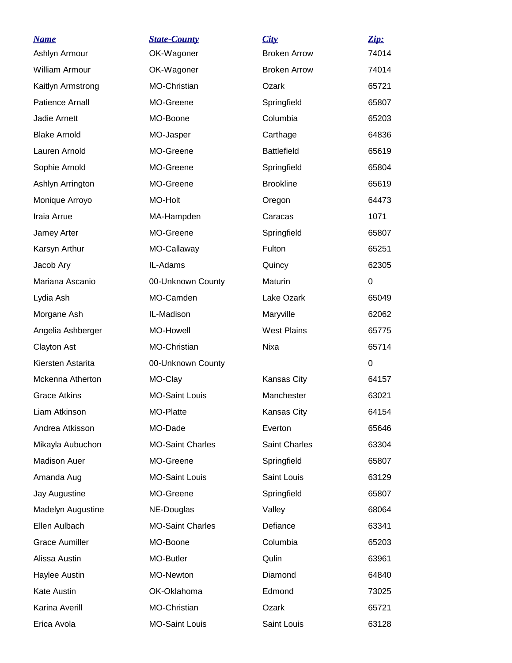| <u>Name</u>            | <b>State-County</b>     | City                | Zip:        |
|------------------------|-------------------------|---------------------|-------------|
| Ashlyn Armour          | OK-Wagoner              | <b>Broken Arrow</b> | 74014       |
| <b>William Armour</b>  | OK-Wagoner              | <b>Broken Arrow</b> | 74014       |
| Kaitlyn Armstrong      | MO-Christian            | Ozark               | 65721       |
| <b>Patience Arnall</b> | MO-Greene               | Springfield         | 65807       |
| Jadie Arnett           | MO-Boone                | Columbia            | 65203       |
| <b>Blake Arnold</b>    | MO-Jasper               | Carthage            | 64836       |
| Lauren Arnold          | MO-Greene               | <b>Battlefield</b>  | 65619       |
| Sophie Arnold          | MO-Greene               | Springfield         | 65804       |
| Ashlyn Arrington       | MO-Greene               | <b>Brookline</b>    | 65619       |
| Monique Arroyo         | MO-Holt                 | Oregon              | 64473       |
| Iraia Arrue            | MA-Hampden              | Caracas             | 1071        |
| Jamey Arter            | MO-Greene               | Springfield         | 65807       |
| Karsyn Arthur          | MO-Callaway             | Fulton              | 65251       |
| Jacob Ary              | IL-Adams                | Quincy              | 62305       |
| Mariana Ascanio        | 00-Unknown County       | Maturin             | $\Omega$    |
| Lydia Ash              | MO-Camden               | Lake Ozark          | 65049       |
| Morgane Ash            | IL-Madison              | Maryville           | 62062       |
| Angelia Ashberger      | MO-Howell               | <b>West Plains</b>  | 65775       |
| Clayton Ast            | MO-Christian            | Nixa                | 65714       |
| Kiersten Astarita      | 00-Unknown County       |                     | $\mathbf 0$ |
| Mckenna Atherton       | MO-Clay                 | Kansas City         | 64157       |
| <b>Grace Atkins</b>    | <b>MO-Saint Louis</b>   | Manchester          | 63021       |
| Liam Atkinson          | MO-Platte               | Kansas City         | 64154       |
| Andrea Atkisson        | MO-Dade                 | Everton             | 65646       |
| Mikayla Aubuchon       | <b>MO-Saint Charles</b> | Saint Charles       | 63304       |
| <b>Madison Auer</b>    | MO-Greene               | Springfield         | 65807       |
| Amanda Aug             | <b>MO-Saint Louis</b>   | Saint Louis         | 63129       |
| Jay Augustine          | MO-Greene               | Springfield         | 65807       |
| Madelyn Augustine      | NE-Douglas              | Valley              | 68064       |
| Ellen Aulbach          | <b>MO-Saint Charles</b> | Defiance            | 63341       |
| <b>Grace Aumiller</b>  | MO-Boone                | Columbia            | 65203       |
| Alissa Austin          | MO-Butler               | Qulin               | 63961       |
| Haylee Austin          | MO-Newton               | Diamond             | 64840       |
| <b>Kate Austin</b>     | OK-Oklahoma             | Edmond              | 73025       |
| Karina Averill         | MO-Christian            | Ozark               | 65721       |
| Erica Avola            | <b>MO-Saint Louis</b>   | Saint Louis         | 63128       |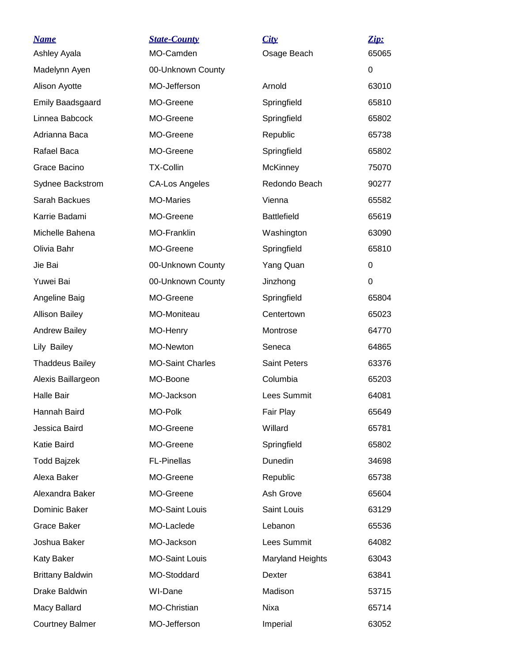| <u>Name</u><br>Ashley Ayala | <b>State-County</b><br>MO-Camden | City<br>Osage Beach | $\mathbf{Zip:}$<br>65065 |
|-----------------------------|----------------------------------|---------------------|--------------------------|
| Madelynn Ayen               | 00-Unknown County                |                     | 0                        |
| Alison Ayotte               | MO-Jefferson                     | Arnold              | 63010                    |
| <b>Emily Baadsgaard</b>     | MO-Greene                        | Springfield         | 65810                    |
| Linnea Babcock              | MO-Greene                        | Springfield         | 65802                    |
| Adrianna Baca               | MO-Greene                        | Republic            | 65738                    |
| Rafael Baca                 | MO-Greene                        | Springfield         | 65802                    |
| Grace Bacino                | <b>TX-Collin</b>                 | <b>McKinney</b>     | 75070                    |
| Sydnee Backstrom            | <b>CA-Los Angeles</b>            | Redondo Beach       | 90277                    |
| Sarah Backues               | <b>MO-Maries</b>                 | Vienna              | 65582                    |
| Karrie Badami               | MO-Greene                        | <b>Battlefield</b>  | 65619                    |
| Michelle Bahena             | MO-Franklin                      | Washington          | 63090                    |
| Olivia Bahr                 | MO-Greene                        | Springfield         | 65810                    |
| Jie Bai                     | 00-Unknown County                | Yang Quan           | 0                        |
| Yuwei Bai                   | 00-Unknown County                | Jinzhong            | $\Omega$                 |
| Angeline Baig               | MO-Greene                        | Springfield         | 65804                    |
| <b>Allison Bailey</b>       | MO-Moniteau                      | Centertown          | 65023                    |
| <b>Andrew Bailey</b>        | MO-Henry                         | Montrose            | 64770                    |
| Lily Bailey                 | MO-Newton                        | Seneca              | 64865                    |
| <b>Thaddeus Bailey</b>      | <b>MO-Saint Charles</b>          | <b>Saint Peters</b> | 63376                    |
| Alexis Baillargeon          | MO-Boone                         | Columbia            | 65203                    |
| <b>Halle Bair</b>           | MO-Jackson                       | Lees Summit         | 64081                    |
| Hannah Baird                | MO-Polk                          | Fair Play           | 65649                    |
| Jessica Baird               | MO-Greene                        | Willard             | 65781                    |
| Katie Baird                 | MO-Greene                        | Springfield         | 65802                    |
| Todd Bajzek                 | <b>FL-Pinellas</b>               | Dunedin             | 34698                    |
| Alexa Baker                 | MO-Greene                        | Republic            | 65738                    |
| Alexandra Baker             | MO-Greene                        | Ash Grove           | 65604                    |
| Dominic Baker               | <b>MO-Saint Louis</b>            | Saint Louis         | 63129                    |
| <b>Grace Baker</b>          | MO-Laclede                       | Lebanon             | 65536                    |
| Joshua Baker                | MO-Jackson                       | Lees Summit         | 64082                    |
| <b>Katy Baker</b>           | <b>MO-Saint Louis</b>            | Maryland Heights    | 63043                    |
| <b>Brittany Baldwin</b>     | MO-Stoddard                      | Dexter              | 63841                    |
| Drake Baldwin               | WI-Dane                          | Madison             | 53715                    |
| Macy Ballard                | MO-Christian                     | Nixa                | 65714                    |
| <b>Courtney Balmer</b>      | MO-Jefferson                     | Imperial            | 63052                    |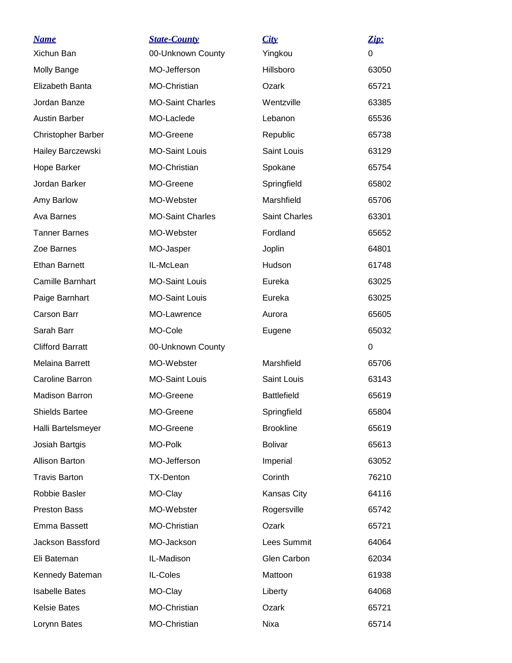| <u>Name</u>               | <b>State-County</b>     | City                 | Zip:     |
|---------------------------|-------------------------|----------------------|----------|
| Xichun Ban                | 00-Unknown County       | Yingkou              | $\Omega$ |
| Molly Bange               | MO-Jefferson            | Hillsboro            | 63050    |
| Elizabeth Banta           | MO-Christian            | Ozark                | 65721    |
| Jordan Banze              | <b>MO-Saint Charles</b> | Wentzville           | 63385    |
| <b>Austin Barber</b>      | MO-Laclede              | Lebanon              | 65536    |
| <b>Christopher Barber</b> | MO-Greene               | Republic             | 65738    |
| Hailey Barczewski         | <b>MO-Saint Louis</b>   | Saint Louis          | 63129    |
| Hope Barker               | MO-Christian            | Spokane              | 65754    |
| Jordan Barker             | MO-Greene               | Springfield          | 65802    |
| Amy Barlow                | MO-Webster              | Marshfield           | 65706    |
| Ava Barnes                | <b>MO-Saint Charles</b> | <b>Saint Charles</b> | 63301    |
| <b>Tanner Barnes</b>      | MO-Webster              | Fordland             | 65652    |
| Zoe Barnes                | MO-Jasper               | Joplin               | 64801    |
| <b>Ethan Barnett</b>      | IL-McLean               | Hudson               | 61748    |
| Camille Barnhart          | <b>MO-Saint Louis</b>   | Eureka               | 63025    |
| Paige Barnhart            | <b>MO-Saint Louis</b>   | Eureka               | 63025    |
| Carson Barr               | MO-Lawrence             | Aurora               | 65605    |
| Sarah Barr                | MO-Cole                 | Eugene               | 65032    |
| <b>Clifford Barratt</b>   | 00-Unknown County       |                      | $\Omega$ |
| Melaina Barrett           | MO-Webster              | Marshfield           | 65706    |
| Caroline Barron           | <b>MO-Saint Louis</b>   | Saint Louis          | 63143    |
| <b>Madison Barron</b>     | MO-Greene               | <b>Battlefield</b>   | 65619    |
| <b>Shields Bartee</b>     | MO-Greene               | Springfield          | 65804    |
| Halli Bartelsmeyer        | MO-Greene               | <b>Brookline</b>     | 65619    |
| Josiah Bartgis            | MO-Polk                 | <b>Bolivar</b>       | 65613    |
| <b>Allison Barton</b>     | MO-Jefferson            | Imperial             | 63052    |
| <b>Travis Barton</b>      | <b>TX-Denton</b>        | Corinth              | 76210    |
| Robbie Basler             | MO-Clay                 | Kansas City          | 64116    |
| <b>Preston Bass</b>       | MO-Webster              | Rogersville          | 65742    |
| Emma Bassett              | <b>MO-Christian</b>     | Ozark                | 65721    |
| Jackson Bassford          | MO-Jackson              | Lees Summit          | 64064    |
| Eli Bateman               | IL-Madison              | Glen Carbon          | 62034    |
| Kennedy Bateman           | IL-Coles                | Mattoon              | 61938    |
| <b>Isabelle Bates</b>     | MO-Clay                 | Liberty              | 64068    |
| <b>Kelsie Bates</b>       | MO-Christian            | Ozark                | 65721    |
| Lorynn Bates              | MO-Christian            | Nixa                 | 65714    |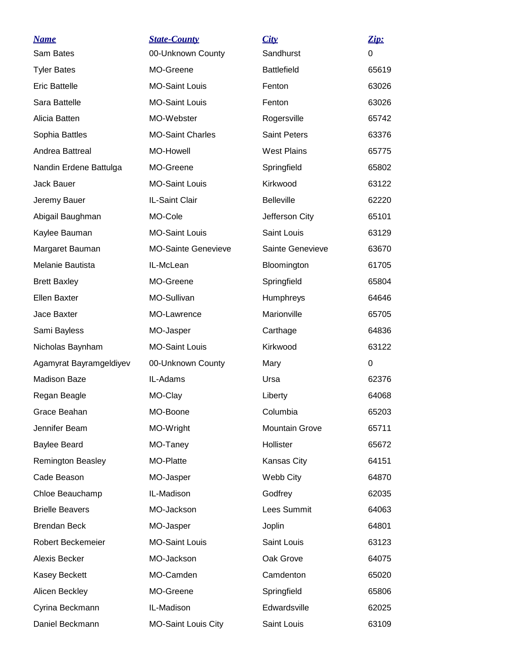| <b>Name</b>              | <b>State-County</b>        | City                  | Zip:  |
|--------------------------|----------------------------|-----------------------|-------|
| Sam Bates                | 00-Unknown County          | Sandhurst             | 0     |
| <b>Tyler Bates</b>       | MO-Greene                  | <b>Battlefield</b>    | 65619 |
| <b>Eric Battelle</b>     | <b>MO-Saint Louis</b>      | Fenton                | 63026 |
| Sara Battelle            | <b>MO-Saint Louis</b>      | Fenton                | 63026 |
| Alicia Batten            | MO-Webster                 | Rogersville           | 65742 |
| Sophia Battles           | <b>MO-Saint Charles</b>    | <b>Saint Peters</b>   | 63376 |
| Andrea Battreal          | <b>MO-Howell</b>           | <b>West Plains</b>    | 65775 |
| Nandin Erdene Battulga   | MO-Greene                  | Springfield           | 65802 |
| Jack Bauer               | <b>MO-Saint Louis</b>      | Kirkwood              | 63122 |
| Jeremy Bauer             | IL-Saint Clair             | <b>Belleville</b>     | 62220 |
| Abigail Baughman         | MO-Cole                    | Jefferson City        | 65101 |
| Kaylee Bauman            | <b>MO-Saint Louis</b>      | Saint Louis           | 63129 |
| Margaret Bauman          | <b>MO-Sainte Genevieve</b> | Sainte Genevieve      | 63670 |
| Melanie Bautista         | IL-McLean                  | Bloomington           | 61705 |
| <b>Brett Baxley</b>      | MO-Greene                  | Springfield           | 65804 |
| <b>Ellen Baxter</b>      | MO-Sullivan                | Humphreys             | 64646 |
| Jace Baxter              | MO-Lawrence                | Marionville           | 65705 |
| Sami Bayless             | MO-Jasper                  | Carthage              | 64836 |
| Nicholas Baynham         | <b>MO-Saint Louis</b>      | Kirkwood              | 63122 |
| Agamyrat Bayramgeldiyev  | 00-Unknown County          | Mary                  | 0     |
| <b>Madison Baze</b>      | IL-Adams                   | Ursa                  | 62376 |
| Regan Beagle             | MO-Clay                    | Liberty               | 64068 |
| Grace Beahan             | MO-Boone                   | Columbia              | 65203 |
| Jennifer Beam            | MO-Wright                  | <b>Mountain Grove</b> | 65711 |
| <b>Baylee Beard</b>      | MO-Taney                   | Hollister             | 65672 |
| <b>Remington Beasley</b> | MO-Platte                  | Kansas City           | 64151 |
| Cade Beason              | MO-Jasper                  | Webb City             | 64870 |
| Chloe Beauchamp          | IL-Madison                 | Godfrey               | 62035 |
| <b>Brielle Beavers</b>   | MO-Jackson                 | Lees Summit           | 64063 |
| <b>Brendan Beck</b>      | MO-Jasper                  | Joplin                | 64801 |
| <b>Robert Beckemeier</b> | <b>MO-Saint Louis</b>      | Saint Louis           | 63123 |
| Alexis Becker            | MO-Jackson                 | Oak Grove             | 64075 |
| Kasey Beckett            | MO-Camden                  | Camdenton             | 65020 |
| Alicen Beckley           | MO-Greene                  | Springfield           | 65806 |
| Cyrina Beckmann          | IL-Madison                 | Edwardsville          | 62025 |
| Daniel Beckmann          | <b>MO-Saint Louis City</b> | Saint Louis           | 63109 |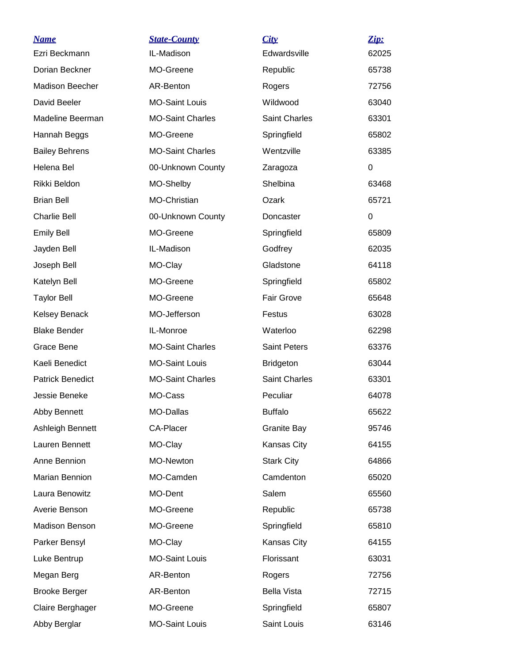| <u>Name</u>             | <b>State-County</b>     | City                 | Zip:  |
|-------------------------|-------------------------|----------------------|-------|
| Ezri Beckmann           | IL-Madison              | Edwardsville         | 62025 |
| Dorian Beckner          | MO-Greene               | Republic             | 65738 |
| Madison Beecher         | AR-Benton               | Rogers               | 72756 |
| David Beeler            | <b>MO-Saint Louis</b>   | Wildwood             | 63040 |
| Madeline Beerman        | <b>MO-Saint Charles</b> | <b>Saint Charles</b> | 63301 |
| Hannah Beggs            | MO-Greene               | Springfield          | 65802 |
| <b>Bailey Behrens</b>   | <b>MO-Saint Charles</b> | Wentzville           | 63385 |
| Helena Bel              | 00-Unknown County       | Zaragoza             | 0     |
| Rikki Beldon            | MO-Shelby               | Shelbina             | 63468 |
| <b>Brian Bell</b>       | MO-Christian            | Ozark                | 65721 |
| <b>Charlie Bell</b>     | 00-Unknown County       | Doncaster            | 0     |
| <b>Emily Bell</b>       | MO-Greene               | Springfield          | 65809 |
| Jayden Bell             | IL-Madison              | Godfrey              | 62035 |
| Joseph Bell             | MO-Clay                 | Gladstone            | 64118 |
| Katelyn Bell            | MO-Greene               | Springfield          | 65802 |
| <b>Taylor Bell</b>      | MO-Greene               | <b>Fair Grove</b>    | 65648 |
| Kelsey Benack           | MO-Jefferson            | Festus               | 63028 |
| <b>Blake Bender</b>     | IL-Monroe               | Waterloo             | 62298 |
| Grace Bene              | <b>MO-Saint Charles</b> | <b>Saint Peters</b>  | 63376 |
| Kaeli Benedict          | <b>MO-Saint Louis</b>   | <b>Bridgeton</b>     | 63044 |
| <b>Patrick Benedict</b> | <b>MO-Saint Charles</b> | <b>Saint Charles</b> | 63301 |
| Jessie Beneke           | MO-Cass                 | Peculiar             | 64078 |
| Abby Bennett            | MO-Dallas               | <b>Buffalo</b>       | 65622 |
| Ashleigh Bennett        | <b>CA-Placer</b>        | Granite Bay          | 95746 |
| Lauren Bennett          | MO-Clay                 | Kansas City          | 64155 |
| Anne Bennion            | MO-Newton               | <b>Stark City</b>    | 64866 |
| Marian Bennion          | MO-Camden               | Camdenton            | 65020 |
| Laura Benowitz          | MO-Dent                 | Salem                | 65560 |
| Averie Benson           | MO-Greene               | Republic             | 65738 |
| Madison Benson          | MO-Greene               | Springfield          | 65810 |
| Parker Bensyl           | MO-Clay                 | Kansas City          | 64155 |
| Luke Bentrup            | <b>MO-Saint Louis</b>   | Florissant           | 63031 |
| Megan Berg              | AR-Benton               | Rogers               | 72756 |
| <b>Brooke Berger</b>    | AR-Benton               | <b>Bella Vista</b>   | 72715 |
| Claire Berghager        | MO-Greene               | Springfield          | 65807 |
| Abby Berglar            | <b>MO-Saint Louis</b>   | Saint Louis          | 63146 |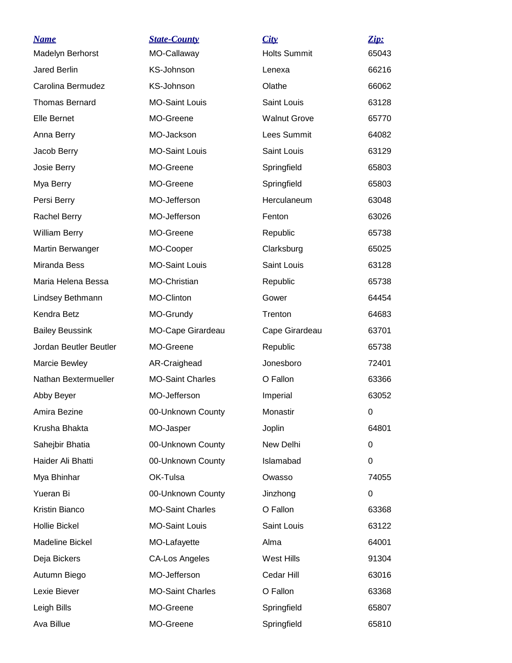| <b>Name</b>            | <b>State-County</b>     | City                | Zip:  |
|------------------------|-------------------------|---------------------|-------|
| Madelyn Berhorst       | MO-Callaway             | <b>Holts Summit</b> | 65043 |
| Jared Berlin           | KS-Johnson              | Lenexa              | 66216 |
| Carolina Bermudez      | KS-Johnson              | Olathe              | 66062 |
| <b>Thomas Bernard</b>  | <b>MO-Saint Louis</b>   | <b>Saint Louis</b>  | 63128 |
| Elle Bernet            | MO-Greene               | <b>Walnut Grove</b> | 65770 |
| Anna Berry             | MO-Jackson              | Lees Summit         | 64082 |
| Jacob Berry            | <b>MO-Saint Louis</b>   | Saint Louis         | 63129 |
| Josie Berry            | MO-Greene               | Springfield         | 65803 |
| Mya Berry              | MO-Greene               | Springfield         | 65803 |
| Persi Berry            | MO-Jefferson            | Herculaneum         | 63048 |
| Rachel Berry           | MO-Jefferson            | Fenton              | 63026 |
| <b>William Berry</b>   | MO-Greene               | Republic            | 65738 |
| Martin Berwanger       | MO-Cooper               | Clarksburg          | 65025 |
| Miranda Bess           | <b>MO-Saint Louis</b>   | Saint Louis         | 63128 |
| Maria Helena Bessa     | <b>MO-Christian</b>     | Republic            | 65738 |
| Lindsey Bethmann       | MO-Clinton              | Gower               | 64454 |
| Kendra Betz            | MO-Grundy               | Trenton             | 64683 |
| <b>Bailey Beussink</b> | MO-Cape Girardeau       | Cape Girardeau      | 63701 |
| Jordan Beutler Beutler | MO-Greene               | Republic            | 65738 |
| Marcie Bewley          | AR-Craighead            | Jonesboro           | 72401 |
| Nathan Bextermueller   | <b>MO-Saint Charles</b> | O Fallon            | 63366 |
| Abby Beyer             | MO-Jefferson            | Imperial            | 63052 |
| Amira Bezine           | 00-Unknown County       | Monastir            | 0     |
| Krusha Bhakta          | MO-Jasper               | Joplin              | 64801 |
| Sahejbir Bhatia        | 00-Unknown County       | New Delhi           | 0     |
| Haider Ali Bhatti      | 00-Unknown County       | Islamabad           | 0     |
| Mya Bhinhar            | OK-Tulsa                | Owasso              | 74055 |
| Yueran Bi              | 00-Unknown County       | Jinzhong            | 0     |
| Kristin Bianco         | <b>MO-Saint Charles</b> | O Fallon            | 63368 |
| <b>Hollie Bickel</b>   | <b>MO-Saint Louis</b>   | Saint Louis         | 63122 |
| Madeline Bickel        | MO-Lafayette            | Alma                | 64001 |
| Deja Bickers           | <b>CA-Los Angeles</b>   | West Hills          | 91304 |
| Autumn Biego           | MO-Jefferson            | Cedar Hill          | 63016 |
| Lexie Biever           | <b>MO-Saint Charles</b> | O Fallon            | 63368 |
| Leigh Bills            | MO-Greene               | Springfield         | 65807 |
| Ava Billue             | MO-Greene               | Springfield         | 65810 |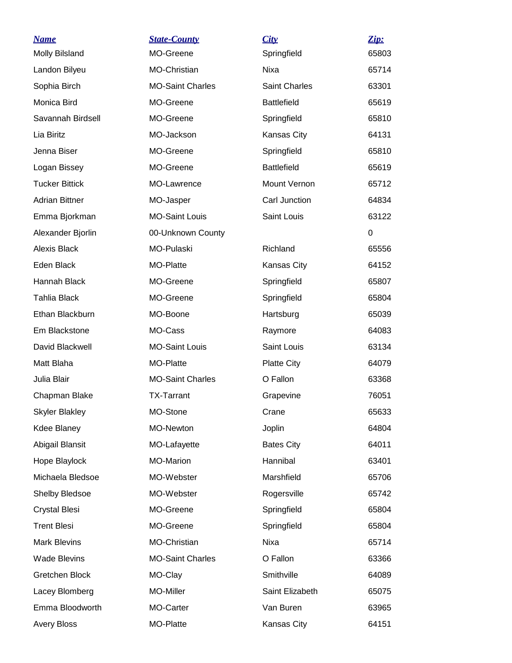| <b>Name</b>           | <b>State-County</b>     | City                 | Zip:  |
|-----------------------|-------------------------|----------------------|-------|
| <b>Molly Bilsland</b> | MO-Greene               | Springfield          | 65803 |
| Landon Bilyeu         | MO-Christian            | Nixa                 | 65714 |
| Sophia Birch          | <b>MO-Saint Charles</b> | <b>Saint Charles</b> | 63301 |
| Monica Bird           | MO-Greene               | <b>Battlefield</b>   | 65619 |
| Savannah Birdsell     | MO-Greene               | Springfield          | 65810 |
| Lia Biritz            | MO-Jackson              | Kansas City          | 64131 |
| Jenna Biser           | MO-Greene               | Springfield          | 65810 |
| Logan Bissey          | MO-Greene               | <b>Battlefield</b>   | 65619 |
| <b>Tucker Bittick</b> | MO-Lawrence             | Mount Vernon         | 65712 |
| <b>Adrian Bittner</b> | MO-Jasper               | Carl Junction        | 64834 |
| Emma Bjorkman         | <b>MO-Saint Louis</b>   | Saint Louis          | 63122 |
| Alexander Bjorlin     | 00-Unknown County       |                      | 0     |
| Alexis Black          | MO-Pulaski              | Richland             | 65556 |
| Eden Black            | MO-Platte               | Kansas City          | 64152 |
| Hannah Black          | MO-Greene               | Springfield          | 65807 |
| <b>Tahlia Black</b>   | MO-Greene               | Springfield          | 65804 |
| Ethan Blackburn       | MO-Boone                | Hartsburg            | 65039 |
| Em Blackstone         | MO-Cass                 | Raymore              | 64083 |
| David Blackwell       | <b>MO-Saint Louis</b>   | Saint Louis          | 63134 |
| Matt Blaha            | MO-Platte               | <b>Platte City</b>   | 64079 |
| Julia Blair           | <b>MO-Saint Charles</b> | O Fallon             | 63368 |
| Chapman Blake         | <b>TX-Tarrant</b>       | Grapevine            | 76051 |
| <b>Skyler Blakley</b> | MO-Stone                | Crane                | 65633 |
| Kdee Blaney           | MO-Newton               | Joplin               | 64804 |
| Abigail Blansit       | MO-Lafayette            | <b>Bates City</b>    | 64011 |
| Hope Blaylock         | MO-Marion               | Hannibal             | 63401 |
| Michaela Bledsoe      | MO-Webster              | Marshfield           | 65706 |
| <b>Shelby Bledsoe</b> | MO-Webster              | Rogersville          | 65742 |
| <b>Crystal Blesi</b>  | MO-Greene               | Springfield          | 65804 |
| <b>Trent Blesi</b>    | MO-Greene               | Springfield          | 65804 |
| <b>Mark Blevins</b>   | MO-Christian            | Nixa                 | 65714 |
| <b>Wade Blevins</b>   | <b>MO-Saint Charles</b> | O Fallon             | 63366 |
| Gretchen Block        | MO-Clay                 | Smithville           | 64089 |
| Lacey Blomberg        | MO-Miller               | Saint Elizabeth      | 65075 |
| Emma Bloodworth       | MO-Carter               | Van Buren            | 63965 |
| <b>Avery Bloss</b>    | MO-Platte               | Kansas City          | 64151 |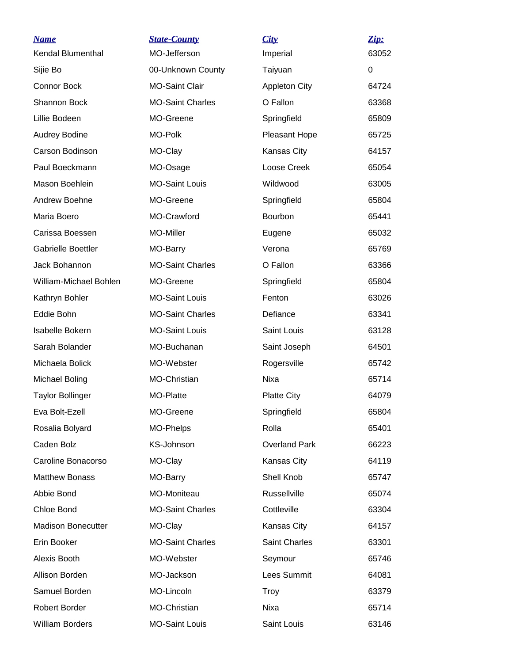| <b>Name</b>               | <b>State-County</b>     | City                 | Zip:  |
|---------------------------|-------------------------|----------------------|-------|
| <b>Kendal Blumenthal</b>  | MO-Jefferson            | Imperial             | 63052 |
| Sijie Bo                  | 00-Unknown County       | Taiyuan              | 0     |
| Connor Bock               | <b>MO-Saint Clair</b>   | <b>Appleton City</b> | 64724 |
| Shannon Bock              | <b>MO-Saint Charles</b> | O Fallon             | 63368 |
| Lillie Bodeen             | MO-Greene               | Springfield          | 65809 |
| Audrey Bodine             | MO-Polk                 | Pleasant Hope        | 65725 |
| Carson Bodinson           | MO-Clay                 | Kansas City          | 64157 |
| Paul Boeckmann            | MO-Osage                | Loose Creek          | 65054 |
| Mason Boehlein            | <b>MO-Saint Louis</b>   | Wildwood             | 63005 |
| Andrew Boehne             | MO-Greene               | Springfield          | 65804 |
| Maria Boero               | MO-Crawford             | Bourbon              | 65441 |
| Carissa Boessen           | MO-Miller               | Eugene               | 65032 |
| Gabrielle Boettler        | MO-Barry                | Verona               | 65769 |
| Jack Bohannon             | <b>MO-Saint Charles</b> | O Fallon             | 63366 |
| William-Michael Bohlen    | MO-Greene               | Springfield          | 65804 |
| Kathryn Bohler            | <b>MO-Saint Louis</b>   | Fenton               | 63026 |
| Eddie Bohn                | <b>MO-Saint Charles</b> | Defiance             | 63341 |
| Isabelle Bokern           | <b>MO-Saint Louis</b>   | Saint Louis          | 63128 |
| Sarah Bolander            | MO-Buchanan             | Saint Joseph         | 64501 |
| Michaela Bolick           | MO-Webster              | Rogersville          | 65742 |
| Michael Boling            | MO-Christian            | Nixa                 | 65714 |
| <b>Taylor Bollinger</b>   | MO-Platte               | <b>Platte City</b>   | 64079 |
| Eva Bolt-Ezell            | MO-Greene               | Springfield          | 65804 |
| Rosalia Bolyard           | MO-Phelps               | Rolla                | 65401 |
| Caden Bolz                | KS-Johnson              | <b>Overland Park</b> | 66223 |
| Caroline Bonacorso        | MO-Clay                 | Kansas City          | 64119 |
| <b>Matthew Bonass</b>     | MO-Barry                | Shell Knob           | 65747 |
| Abbie Bond                | MO-Moniteau             | Russellville         | 65074 |
| Chloe Bond                | <b>MO-Saint Charles</b> | Cottleville          | 63304 |
| <b>Madison Bonecutter</b> | MO-Clay                 | Kansas City          | 64157 |
| Erin Booker               | <b>MO-Saint Charles</b> | <b>Saint Charles</b> | 63301 |
| Alexis Booth              | MO-Webster              | Seymour              | 65746 |
| Allison Borden            | MO-Jackson              | Lees Summit          | 64081 |
| Samuel Borden             | MO-Lincoln              | <b>Troy</b>          | 63379 |
| Robert Border             | MO-Christian            | Nixa                 | 65714 |
| William Borders           | <b>MO-Saint Louis</b>   | Saint Louis          | 63146 |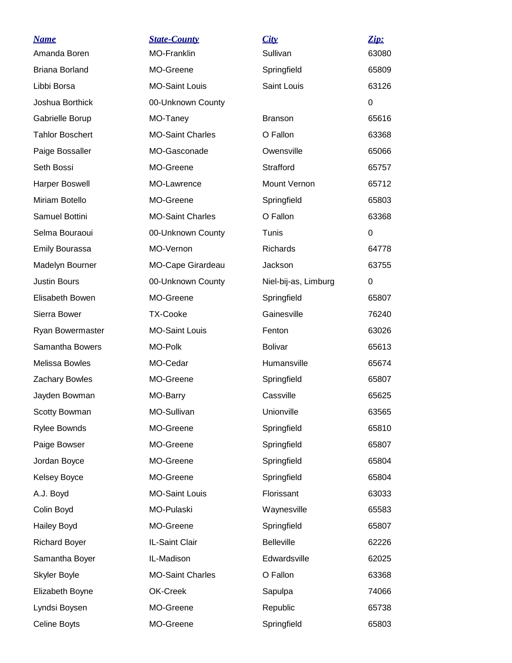| <b>Name</b><br>Amanda Boren | <b>State-County</b><br><b>MO-Franklin</b> | City<br>Sullivan     | Zip:<br>63080 |
|-----------------------------|-------------------------------------------|----------------------|---------------|
| <b>Briana Borland</b>       | MO-Greene                                 | Springfield          | 65809         |
| Libbi Borsa                 | <b>MO-Saint Louis</b>                     | Saint Louis          | 63126         |
| Joshua Borthick             | 00-Unknown County                         |                      | $\Omega$      |
| Gabrielle Borup             | MO-Taney                                  | <b>Branson</b>       | 65616         |
| <b>Tahlor Boschert</b>      | <b>MO-Saint Charles</b>                   | O Fallon             | 63368         |
| Paige Bossaller             | MO-Gasconade                              | Owensville           | 65066         |
| Seth Bossi                  | MO-Greene                                 | Strafford            | 65757         |
| <b>Harper Boswell</b>       | MO-Lawrence                               | Mount Vernon         | 65712         |
| Miriam Botello              | MO-Greene                                 | Springfield          | 65803         |
| Samuel Bottini              | <b>MO-Saint Charles</b>                   | O Fallon             | 63368         |
| Selma Bouraoui              | 00-Unknown County                         | Tunis                | $\Omega$      |
| <b>Emily Bourassa</b>       | MO-Vernon                                 | <b>Richards</b>      | 64778         |
| Madelyn Bourner             | MO-Cape Girardeau                         | Jackson              | 63755         |
| <b>Justin Bours</b>         | 00-Unknown County                         | Niel-bij-as, Limburg | 0             |
| Elisabeth Bowen             | MO-Greene                                 | Springfield          | 65807         |
| Sierra Bower                | <b>TX-Cooke</b>                           | Gainesville          | 76240         |
| Ryan Bowermaster            | <b>MO-Saint Louis</b>                     | Fenton               | 63026         |
| Samantha Bowers             | MO-Polk                                   | <b>Bolivar</b>       | 65613         |
| Melissa Bowles              | MO-Cedar                                  | Humansville          | 65674         |
| Zachary Bowles              | MO-Greene                                 | Springfield          | 65807         |
| Jayden Bowman               | MO-Barry                                  | Cassville            | 65625         |
| Scotty Bowman               | MO-Sullivan                               | Unionville           | 63565         |
| <b>Rylee Bownds</b>         | MO-Greene                                 | Springfield          | 65810         |
| Paige Bowser                | MO-Greene                                 | Springfield          | 65807         |
| Jordan Boyce                | MO-Greene                                 | Springfield          | 65804         |
| <b>Kelsey Boyce</b>         | MO-Greene                                 | Springfield          | 65804         |
| A.J. Boyd                   | <b>MO-Saint Louis</b>                     | Florissant           | 63033         |
| Colin Boyd                  | MO-Pulaski                                | Waynesville          | 65583         |
| <b>Hailey Boyd</b>          | MO-Greene                                 | Springfield          | 65807         |
| <b>Richard Boyer</b>        | IL-Saint Clair                            | <b>Belleville</b>    | 62226         |
| Samantha Boyer              | IL-Madison                                | Edwardsville         | 62025         |
| Skyler Boyle                | <b>MO-Saint Charles</b>                   | O Fallon             | 63368         |
| Elizabeth Boyne             | OK-Creek                                  | Sapulpa              | 74066         |
| Lyndsi Boysen               | MO-Greene                                 | Republic             | 65738         |
| Celine Boyts                | MO-Greene                                 | Springfield          | 65803         |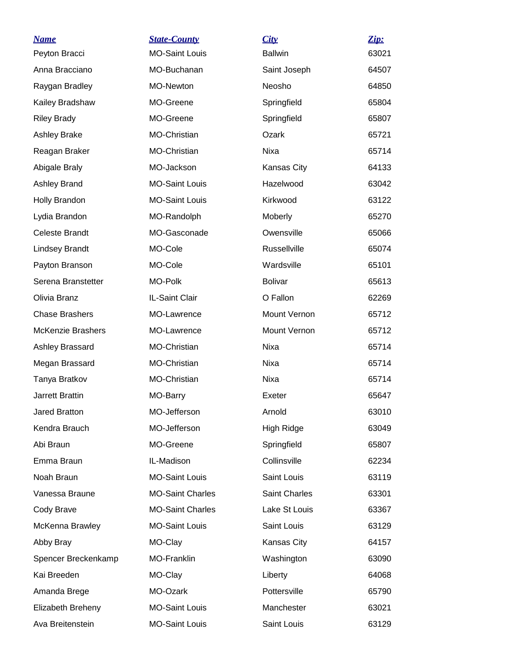| <b>Name</b>              | <b>State-County</b>     | City                 | Zip:  |
|--------------------------|-------------------------|----------------------|-------|
| Peyton Bracci            | <b>MO-Saint Louis</b>   | <b>Ballwin</b>       | 63021 |
| Anna Bracciano           | MO-Buchanan             | Saint Joseph         | 64507 |
| Raygan Bradley           | MO-Newton               | Neosho               | 64850 |
| Kailey Bradshaw          | MO-Greene               | Springfield          | 65804 |
| <b>Riley Brady</b>       | MO-Greene               | Springfield          | 65807 |
| <b>Ashley Brake</b>      | MO-Christian            | Ozark                | 65721 |
| Reagan Braker            | MO-Christian            | Nixa                 | 65714 |
| Abigale Braly            | MO-Jackson              | Kansas City          | 64133 |
| Ashley Brand             | <b>MO-Saint Louis</b>   | Hazelwood            | 63042 |
| Holly Brandon            | <b>MO-Saint Louis</b>   | Kirkwood             | 63122 |
| Lydia Brandon            | MO-Randolph             | Moberly              | 65270 |
| <b>Celeste Brandt</b>    | MO-Gasconade            | Owensville           | 65066 |
| <b>Lindsey Brandt</b>    | MO-Cole                 | Russellville         | 65074 |
| Payton Branson           | MO-Cole                 | Wardsville           | 65101 |
| Serena Branstetter       | MO-Polk                 | <b>Bolivar</b>       | 65613 |
| Olivia Branz             | IL-Saint Clair          | O Fallon             | 62269 |
| <b>Chase Brashers</b>    | MO-Lawrence             | Mount Vernon         | 65712 |
| <b>McKenzie Brashers</b> | MO-Lawrence             | Mount Vernon         | 65712 |
| Ashley Brassard          | MO-Christian            | Nixa                 | 65714 |
| Megan Brassard           | MO-Christian            | Nixa                 | 65714 |
| Tanya Bratkov            | MO-Christian            | Nixa                 | 65714 |
| <b>Jarrett Brattin</b>   | MO-Barry                | Exeter               | 65647 |
| <b>Jared Bratton</b>     | MO-Jefferson            | Arnold               | 63010 |
| Kendra Brauch            | MO-Jefferson            | High Ridge           | 63049 |
| Abi Braun                | MO-Greene               | Springfield          | 65807 |
| Emma Braun               | IL-Madison              | Collinsville         | 62234 |
| Noah Braun               | <b>MO-Saint Louis</b>   | Saint Louis          | 63119 |
| Vanessa Braune           | <b>MO-Saint Charles</b> | <b>Saint Charles</b> | 63301 |
| Cody Brave               | <b>MO-Saint Charles</b> | Lake St Louis        | 63367 |
| McKenna Brawley          | <b>MO-Saint Louis</b>   | Saint Louis          | 63129 |
| Abby Bray                | MO-Clay                 | Kansas City          | 64157 |
| Spencer Breckenkamp      | MO-Franklin             | Washington           | 63090 |
| Kai Breeden              | MO-Clay                 | Liberty              | 64068 |
| Amanda Brege             | MO-Ozark                | Pottersville         | 65790 |
| Elizabeth Breheny        | <b>MO-Saint Louis</b>   | Manchester           | 63021 |
| Ava Breitenstein         | <b>MO-Saint Louis</b>   | Saint Louis          | 63129 |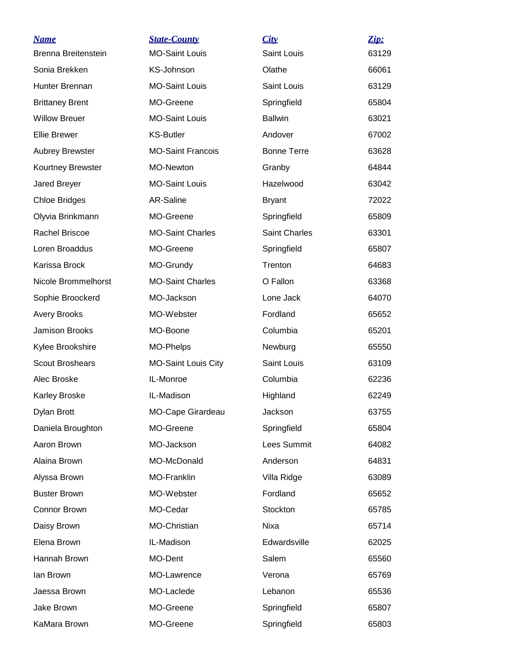| <u>Name</u>            | <b>State-County</b>      | City                 | Zip:  |
|------------------------|--------------------------|----------------------|-------|
| Brenna Breitenstein    | <b>MO-Saint Louis</b>    | Saint Louis          | 63129 |
| Sonia Brekken          | KS-Johnson               | Olathe               | 66061 |
| Hunter Brennan         | <b>MO-Saint Louis</b>    | <b>Saint Louis</b>   | 63129 |
| <b>Brittaney Brent</b> | MO-Greene                | Springfield          | 65804 |
| <b>Willow Breuer</b>   | <b>MO-Saint Louis</b>    | <b>Ballwin</b>       | 63021 |
| <b>Ellie Brewer</b>    | <b>KS-Butler</b>         | Andover              | 67002 |
| <b>Aubrey Brewster</b> | <b>MO-Saint Francois</b> | <b>Bonne Terre</b>   | 63628 |
| Kourtney Brewster      | MO-Newton                | Granby               | 64844 |
| Jared Breyer           | <b>MO-Saint Louis</b>    | Hazelwood            | 63042 |
| <b>Chloe Bridges</b>   | AR-Saline                | <b>Bryant</b>        | 72022 |
| Olyvia Brinkmann       | MO-Greene                | Springfield          | 65809 |
| Rachel Briscoe         | <b>MO-Saint Charles</b>  | <b>Saint Charles</b> | 63301 |
| Loren Broaddus         | MO-Greene                | Springfield          | 65807 |
| Karissa Brock          | MO-Grundy                | Trenton              | 64683 |
| Nicole Brommelhorst    | <b>MO-Saint Charles</b>  | O Fallon             | 63368 |
| Sophie Broockerd       | MO-Jackson               | Lone Jack            | 64070 |
| <b>Avery Brooks</b>    | MO-Webster               | Fordland             | 65652 |
| Jamison Brooks         | MO-Boone                 | Columbia             | 65201 |
| Kylee Brookshire       | MO-Phelps                | Newburg              | 65550 |
| <b>Scout Broshears</b> | MO-Saint Louis City      | Saint Louis          | 63109 |
| Alec Broske            | IL-Monroe                | Columbia             | 62236 |
| Karley Broske          | IL-Madison               | Highland             | 62249 |
| Dylan Brott            | MO-Cape Girardeau        | Jackson              | 63755 |
| Daniela Broughton      | MO-Greene                | Springfield          | 65804 |
| Aaron Brown            | MO-Jackson               | Lees Summit          | 64082 |
| Alaina Brown           | MO-McDonald              | Anderson             | 64831 |
| Alyssa Brown           | MO-Franklin              | Villa Ridge          | 63089 |
| <b>Buster Brown</b>    | MO-Webster               | Fordland             | 65652 |
| Connor Brown           | MO-Cedar                 | Stockton             | 65785 |
| Daisy Brown            | MO-Christian             | Nixa                 | 65714 |
| Elena Brown            | IL-Madison               | Edwardsville         | 62025 |
| Hannah Brown           | MO-Dent                  | Salem                | 65560 |
| lan Brown              | MO-Lawrence              | Verona               | 65769 |
| Jaessa Brown           | MO-Laclede               | Lebanon              | 65536 |
| Jake Brown             | MO-Greene                | Springfield          | 65807 |
| KaMara Brown           | MO-Greene                | Springfield          | 65803 |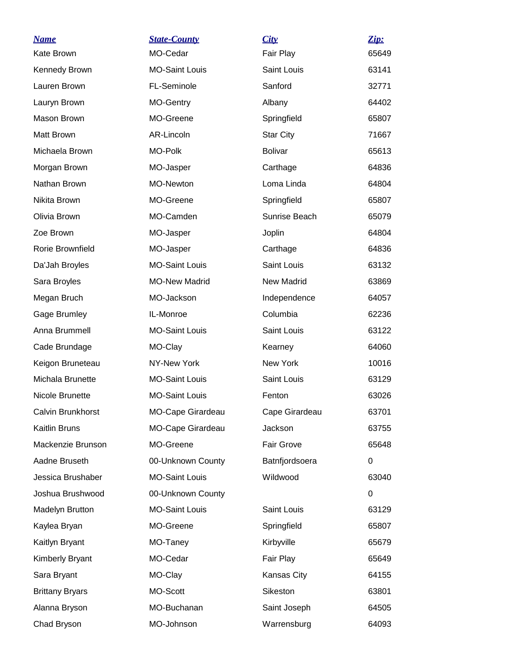| <b>Name</b><br>Kate Brown | <b>State-County</b><br>MO-Cedar | City<br>Fair Play | Zip:<br>65649 |
|---------------------------|---------------------------------|-------------------|---------------|
| Kennedy Brown             | <b>MO-Saint Louis</b>           | Saint Louis       | 63141         |
| Lauren Brown              | FL-Seminole                     | Sanford           | 32771         |
| Lauryn Brown              | MO-Gentry                       | Albany            | 64402         |
| Mason Brown               | MO-Greene                       | Springfield       | 65807         |
| Matt Brown                | AR-Lincoln                      | <b>Star City</b>  | 71667         |
| Michaela Brown            | MO-Polk                         | <b>Bolivar</b>    | 65613         |
| Morgan Brown              | MO-Jasper                       | Carthage          | 64836         |
| Nathan Brown              | MO-Newton                       | Loma Linda        | 64804         |
| Nikita Brown              | MO-Greene                       | Springfield       | 65807         |
| Olivia Brown              | MO-Camden                       | Sunrise Beach     | 65079         |
| Zoe Brown                 | MO-Jasper                       | Joplin            | 64804         |
| Rorie Brownfield          | MO-Jasper                       | Carthage          | 64836         |
| Da'Jah Broyles            | <b>MO-Saint Louis</b>           | Saint Louis       | 63132         |
| Sara Broyles              | <b>MO-New Madrid</b>            | New Madrid        | 63869         |
| Megan Bruch               | MO-Jackson                      | Independence      | 64057         |
| Gage Brumley              | IL-Monroe                       | Columbia          | 62236         |
| Anna Brummell             | <b>MO-Saint Louis</b>           | Saint Louis       | 63122         |
| Cade Brundage             | MO-Clay                         | Kearney           | 64060         |
| Keigon Bruneteau          | NY-New York                     | New York          | 10016         |
| Michala Brunette          | <b>MO-Saint Louis</b>           | Saint Louis       | 63129         |
| Nicole Brunette           | <b>MO-Saint Louis</b>           | Fenton            | 63026         |
| Calvin Brunkhorst         | MO-Cape Girardeau               | Cape Girardeau    | 63701         |
| Kaitlin Bruns             | MO-Cape Girardeau               | Jackson           | 63755         |
| Mackenzie Brunson         | MO-Greene                       | Fair Grove        | 65648         |
| Aadne Bruseth             | 00-Unknown County               | Batnfjordsoera    | 0             |
| Jessica Brushaber         | <b>MO-Saint Louis</b>           | Wildwood          | 63040         |
| Joshua Brushwood          | 00-Unknown County               |                   | 0             |
| <b>Madelyn Brutton</b>    | <b>MO-Saint Louis</b>           | Saint Louis       | 63129         |
| Kaylea Bryan              | MO-Greene                       | Springfield       | 65807         |
| Kaitlyn Bryant            | MO-Taney                        | Kirbyville        | 65679         |
| <b>Kimberly Bryant</b>    | MO-Cedar                        | Fair Play         | 65649         |
| Sara Bryant               | MO-Clay                         | Kansas City       | 64155         |
| <b>Brittany Bryars</b>    | MO-Scott                        | Sikeston          | 63801         |
| Alanna Bryson             | MO-Buchanan                     | Saint Joseph      | 64505         |
| Chad Bryson               | MO-Johnson                      | Warrensburg       | 64093         |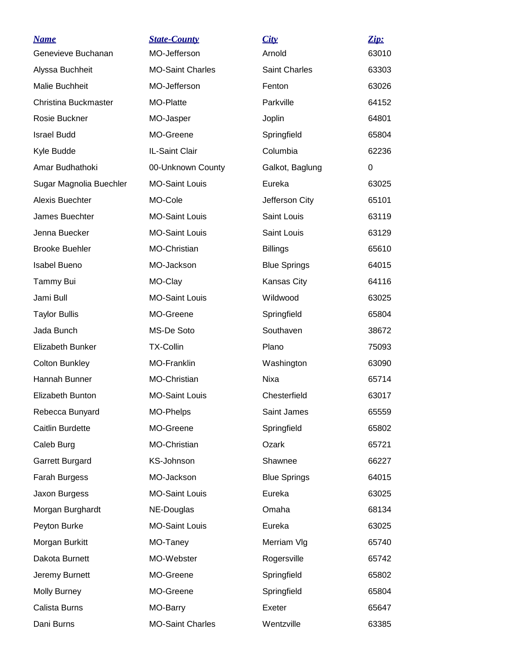| <u>Name</u>                 | <b>State-County</b>     | City                | Zip:  |
|-----------------------------|-------------------------|---------------------|-------|
| Genevieve Buchanan          | MO-Jefferson            | Arnold              | 63010 |
| Alyssa Buchheit             | <b>MO-Saint Charles</b> | Saint Charles       | 63303 |
| Malie Buchheit              | MO-Jefferson            | Fenton              | 63026 |
| <b>Christina Buckmaster</b> | <b>MO-Platte</b>        | Parkville           | 64152 |
| Rosie Buckner               | MO-Jasper               | Joplin              | 64801 |
| <b>Israel Budd</b>          | MO-Greene               | Springfield         | 65804 |
| Kyle Budde                  | IL-Saint Clair          | Columbia            | 62236 |
| Amar Budhathoki             | 00-Unknown County       | Galkot, Baglung     | 0     |
| Sugar Magnolia Buechler     | <b>MO-Saint Louis</b>   | Eureka              | 63025 |
| Alexis Buechter             | MO-Cole                 | Jefferson City      | 65101 |
| James Buechter              | <b>MO-Saint Louis</b>   | Saint Louis         | 63119 |
| Jenna Buecker               | <b>MO-Saint Louis</b>   | <b>Saint Louis</b>  | 63129 |
| <b>Brooke Buehler</b>       | MO-Christian            | <b>Billings</b>     | 65610 |
| <b>Isabel Bueno</b>         | MO-Jackson              | <b>Blue Springs</b> | 64015 |
| Tammy Bui                   | MO-Clay                 | Kansas City         | 64116 |
| Jami Bull                   | <b>MO-Saint Louis</b>   | Wildwood            | 63025 |
| <b>Taylor Bullis</b>        | MO-Greene               | Springfield         | 65804 |
| Jada Bunch                  | MS-De Soto              | Southaven           | 38672 |
| <b>Elizabeth Bunker</b>     | <b>TX-Collin</b>        | Plano               | 75093 |
| <b>Colton Bunkley</b>       | <b>MO-Franklin</b>      | Washington          | 63090 |
| Hannah Bunner               | MO-Christian            | Nixa                | 65714 |
| Elizabeth Bunton            | <b>MO-Saint Louis</b>   | Chesterfield        | 63017 |
| Rebecca Bunyard             | MO-Phelps               | Saint James         | 65559 |
| <b>Caitlin Burdette</b>     | MO-Greene               | Springfield         | 65802 |
| Caleb Burg                  | MO-Christian            | Ozark               | 65721 |
| Garrett Burgard             | KS-Johnson              | Shawnee             | 66227 |
| Farah Burgess               | MO-Jackson              | <b>Blue Springs</b> | 64015 |
| Jaxon Burgess               | <b>MO-Saint Louis</b>   | Eureka              | 63025 |
| Morgan Burghardt            | NE-Douglas              | Omaha               | 68134 |
| Peyton Burke                | <b>MO-Saint Louis</b>   | Eureka              | 63025 |
| Morgan Burkitt              | MO-Taney                | Merriam VIg         | 65740 |
| Dakota Burnett              | MO-Webster              | Rogersville         | 65742 |
| Jeremy Burnett              | MO-Greene               | Springfield         | 65802 |
| <b>Molly Burney</b>         | MO-Greene               | Springfield         | 65804 |
| Calista Burns               | MO-Barry                | Exeter              | 65647 |
| Dani Burns                  | <b>MO-Saint Charles</b> | Wentzville          | 63385 |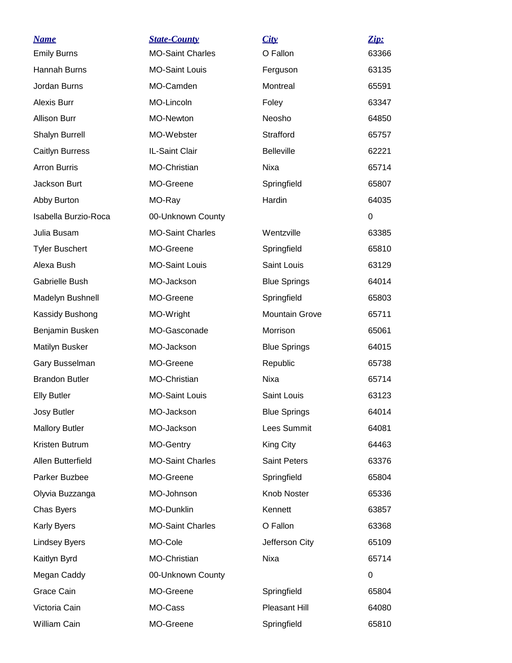| <b>Name</b>           | <b>State-County</b>     | City                  | Zip:  |
|-----------------------|-------------------------|-----------------------|-------|
| <b>Emily Burns</b>    | <b>MO-Saint Charles</b> | O Fallon              | 63366 |
| Hannah Burns          | <b>MO-Saint Louis</b>   | Ferguson              | 63135 |
| Jordan Burns          | MO-Camden               | Montreal              | 65591 |
| <b>Alexis Burr</b>    | MO-Lincoln              | Foley                 | 63347 |
| <b>Allison Burr</b>   | <b>MO-Newton</b>        | Neosho                | 64850 |
| Shalyn Burrell        | MO-Webster              | Strafford             | 65757 |
| Caitlyn Burress       | IL-Saint Clair          | <b>Belleville</b>     | 62221 |
| <b>Arron Burris</b>   | MO-Christian            | Nixa                  | 65714 |
| Jackson Burt          | MO-Greene               | Springfield           | 65807 |
| Abby Burton           | MO-Ray                  | Hardin                | 64035 |
| Isabella Burzio-Roca  | 00-Unknown County       |                       | 0     |
| Julia Busam           | <b>MO-Saint Charles</b> | Wentzville            | 63385 |
| <b>Tyler Buschert</b> | MO-Greene               | Springfield           | 65810 |
| Alexa Bush            | <b>MO-Saint Louis</b>   | Saint Louis           | 63129 |
| Gabrielle Bush        | MO-Jackson              | <b>Blue Springs</b>   | 64014 |
| Madelyn Bushnell      | MO-Greene               | Springfield           | 65803 |
| Kassidy Bushong       | MO-Wright               | <b>Mountain Grove</b> | 65711 |
| Benjamin Busken       | MO-Gasconade            | Morrison              | 65061 |
| Matilyn Busker        | MO-Jackson              | <b>Blue Springs</b>   | 64015 |
| Gary Busselman        | MO-Greene               | Republic              | 65738 |
| <b>Brandon Butler</b> | <b>MO-Christian</b>     | Nixa                  | 65714 |
| <b>Elly Butler</b>    | <b>MO-Saint Louis</b>   | Saint Louis           | 63123 |
| Josy Butler           | MO-Jackson              | <b>Blue Springs</b>   | 64014 |
| <b>Mallory Butler</b> | MO-Jackson              | Lees Summit           | 64081 |
| Kristen Butrum        | MO-Gentry               | King City             | 64463 |
| Allen Butterfield     | <b>MO-Saint Charles</b> | <b>Saint Peters</b>   | 63376 |
| Parker Buzbee         | MO-Greene               | Springfield           | 65804 |
| Olyvia Buzzanga       | MO-Johnson              | Knob Noster           | 65336 |
| Chas Byers            | MO-Dunklin              | Kennett               | 63857 |
| <b>Karly Byers</b>    | <b>MO-Saint Charles</b> | O Fallon              | 63368 |
| <b>Lindsey Byers</b>  | MO-Cole                 | Jefferson City        | 65109 |
| Kaitlyn Byrd          | MO-Christian            | Nixa                  | 65714 |
| Megan Caddy           | 00-Unknown County       |                       | 0     |
| Grace Cain            | MO-Greene               | Springfield           | 65804 |
| Victoria Cain         | MO-Cass                 | Pleasant Hill         | 64080 |
| William Cain          | MO-Greene               | Springfield           | 65810 |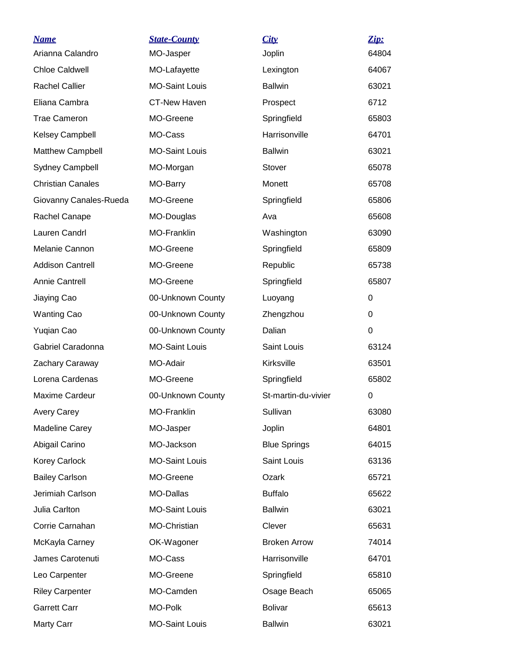| <b>Name</b>              | <b>State-County</b>   | City                | Zip:     |
|--------------------------|-----------------------|---------------------|----------|
| Arianna Calandro         | MO-Jasper             | Joplin              | 64804    |
| <b>Chloe Caldwell</b>    | MO-Lafayette          | Lexington           | 64067    |
| <b>Rachel Callier</b>    | <b>MO-Saint Louis</b> | <b>Ballwin</b>      | 63021    |
| Eliana Cambra            | <b>CT-New Haven</b>   | Prospect            | 6712     |
| <b>Trae Cameron</b>      | MO-Greene             | Springfield         | 65803    |
| <b>Kelsey Campbell</b>   | MO-Cass               | Harrisonville       | 64701    |
| Matthew Campbell         | <b>MO-Saint Louis</b> | <b>Ballwin</b>      | 63021    |
| <b>Sydney Campbell</b>   | MO-Morgan             | Stover              | 65078    |
| <b>Christian Canales</b> | MO-Barry              | Monett              | 65708    |
| Giovanny Canales-Rueda   | MO-Greene             | Springfield         | 65806    |
| Rachel Canape            | MO-Douglas            | Ava                 | 65608    |
| Lauren Candrl            | MO-Franklin           | Washington          | 63090    |
| Melanie Cannon           | MO-Greene             | Springfield         | 65809    |
| <b>Addison Cantrell</b>  | MO-Greene             | Republic            | 65738    |
| <b>Annie Cantrell</b>    | MO-Greene             | Springfield         | 65807    |
| Jiaying Cao              | 00-Unknown County     | Luoyang             | 0        |
| <b>Wanting Cao</b>       | 00-Unknown County     | Zhengzhou           | 0        |
| Yuqian Cao               | 00-Unknown County     | Dalian              | $\Omega$ |
| Gabriel Caradonna        | <b>MO-Saint Louis</b> | Saint Louis         | 63124    |
| Zachary Caraway          | MO-Adair              | Kirksville          | 63501    |
| Lorena Cardenas          | MO-Greene             | Springfield         | 65802    |
| <b>Maxime Cardeur</b>    | 00-Unknown County     | St-martin-du-vivier | 0        |
| <b>Avery Carey</b>       | MO-Franklin           | Sullivan            | 63080    |
| <b>Madeline Carey</b>    | MO-Jasper             | Joplin              | 64801    |
| Abigail Carino           | MO-Jackson            | <b>Blue Springs</b> | 64015    |
| <b>Korey Carlock</b>     | <b>MO-Saint Louis</b> | Saint Louis         | 63136    |
| <b>Bailey Carlson</b>    | MO-Greene             | Ozark               | 65721    |
| Jerimiah Carlson         | MO-Dallas             | <b>Buffalo</b>      | 65622    |
| Julia Carlton            | <b>MO-Saint Louis</b> | <b>Ballwin</b>      | 63021    |
| Corrie Carnahan          | MO-Christian          | Clever              | 65631    |
| McKayla Carney           | OK-Wagoner            | <b>Broken Arrow</b> | 74014    |
| James Carotenuti         | MO-Cass               | Harrisonville       | 64701    |
| Leo Carpenter            | MO-Greene             | Springfield         | 65810    |
| <b>Riley Carpenter</b>   | MO-Camden             | Osage Beach         | 65065    |
| <b>Garrett Carr</b>      | MO-Polk               | <b>Bolivar</b>      | 65613    |
| Marty Carr               | <b>MO-Saint Louis</b> | <b>Ballwin</b>      | 63021    |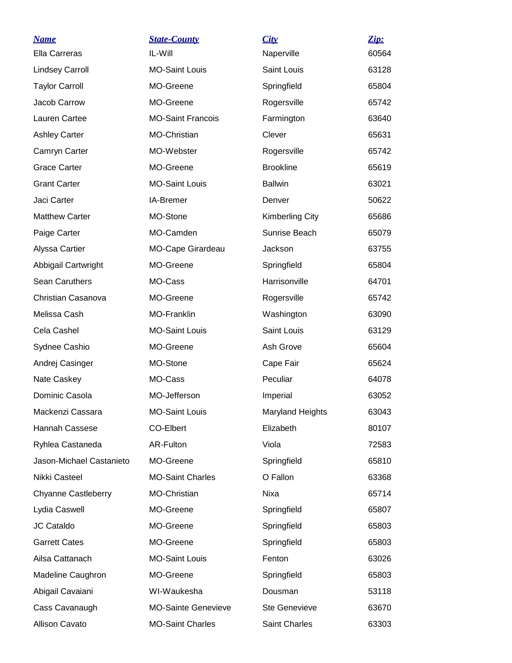| <u>Name</u>                | <b>State-County</b>        | City                    | Zip:  |
|----------------------------|----------------------------|-------------------------|-------|
| Ella Carreras              | IL-Will                    | Naperville              | 60564 |
| <b>Lindsey Carroll</b>     | <b>MO-Saint Louis</b>      | Saint Louis             | 63128 |
| <b>Taylor Carroll</b>      | MO-Greene                  | Springfield             | 65804 |
| Jacob Carrow               | MO-Greene                  | Rogersville             | 65742 |
| Lauren Cartee              | <b>MO-Saint Francois</b>   | Farmington              | 63640 |
| <b>Ashley Carter</b>       | MO-Christian               | Clever                  | 65631 |
| Camryn Carter              | MO-Webster                 | Rogersville             | 65742 |
| <b>Grace Carter</b>        | MO-Greene                  | <b>Brookline</b>        | 65619 |
| <b>Grant Carter</b>        | <b>MO-Saint Louis</b>      | <b>Ballwin</b>          | 63021 |
| Jaci Carter                | <b>IA-Bremer</b>           | Denver                  | 50622 |
| <b>Matthew Carter</b>      | MO-Stone                   | <b>Kimberling City</b>  | 65686 |
| Paige Carter               | MO-Camden                  | Sunrise Beach           | 65079 |
| Alyssa Cartier             | MO-Cape Girardeau          | Jackson                 | 63755 |
| Abbigail Cartwright        | MO-Greene                  | Springfield             | 65804 |
| Sean Caruthers             | MO-Cass                    | Harrisonville           | 64701 |
| Christian Casanova         | MO-Greene                  | Rogersville             | 65742 |
| Melissa Cash               | <b>MO-Franklin</b>         | Washington              | 63090 |
| Cela Cashel                | <b>MO-Saint Louis</b>      | Saint Louis             | 63129 |
| Sydnee Cashio              | MO-Greene                  | Ash Grove               | 65604 |
| Andrej Casinger            | MO-Stone                   | Cape Fair               | 65624 |
| Nate Caskey                | MO-Cass                    | Peculiar                | 64078 |
| Dominic Casola             | MO-Jefferson               | Imperial                | 63052 |
| Mackenzi Cassara           | <b>MO-Saint Louis</b>      | <b>Maryland Heights</b> | 63043 |
| Hannah Cassese             | CO-Elbert                  | Elizabeth               | 80107 |
| Ryhlea Castaneda           | AR-Fulton                  | Viola                   | 72583 |
| Jason-Michael Castanieto   | MO-Greene                  | Springfield             | 65810 |
| Nikki Casteel              | <b>MO-Saint Charles</b>    | O Fallon                | 63368 |
| <b>Chyanne Castleberry</b> | MO-Christian               | Nixa                    | 65714 |
| Lydia Caswell              | MO-Greene                  | Springfield             | 65807 |
| JC Cataldo                 | MO-Greene                  | Springfield             | 65803 |
| <b>Garrett Cates</b>       | MO-Greene                  | Springfield             | 65803 |
| Ailsa Cattanach            | <b>MO-Saint Louis</b>      | Fenton                  | 63026 |
| Madeline Caughron          | MO-Greene                  | Springfield             | 65803 |
| Abigail Cavaiani           | WI-Waukesha                | Dousman                 | 53118 |
| Cass Cavanaugh             | <b>MO-Sainte Genevieve</b> | <b>Ste Genevieve</b>    | 63670 |
| Allison Cavato             | <b>MO-Saint Charles</b>    | Saint Charles           | 63303 |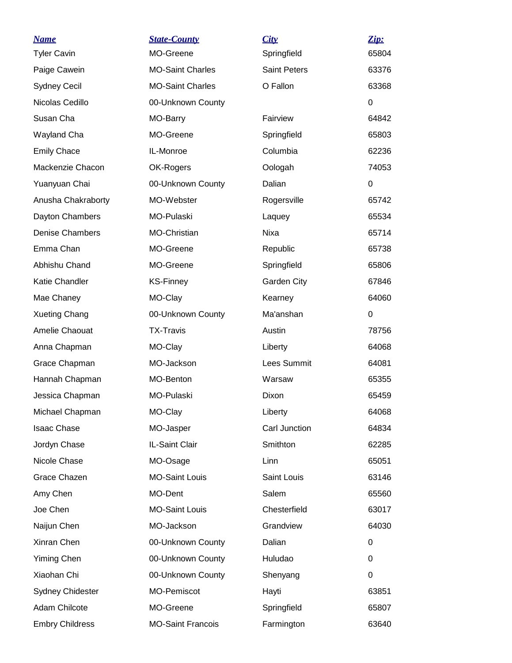| <u>Name</u>             | <b>State-County</b>      | City                | Zip:  |
|-------------------------|--------------------------|---------------------|-------|
| <b>Tyler Cavin</b>      | MO-Greene                | Springfield         | 65804 |
| Paige Cawein            | <b>MO-Saint Charles</b>  | <b>Saint Peters</b> | 63376 |
| <b>Sydney Cecil</b>     | <b>MO-Saint Charles</b>  | O Fallon            | 63368 |
| Nicolas Cedillo         | 00-Unknown County        |                     | 0     |
| Susan Cha               | MO-Barry                 | Fairview            | 64842 |
| Wayland Cha             | MO-Greene                | Springfield         | 65803 |
| <b>Emily Chace</b>      | IL-Monroe                | Columbia            | 62236 |
| Mackenzie Chacon        | OK-Rogers                | Oologah             | 74053 |
| Yuanyuan Chai           | 00-Unknown County        | Dalian              | 0     |
| Anusha Chakraborty      | MO-Webster               | Rogersville         | 65742 |
| Dayton Chambers         | MO-Pulaski               | Laquey              | 65534 |
| <b>Denise Chambers</b>  | MO-Christian             | <b>Nixa</b>         | 65714 |
| Emma Chan               | MO-Greene                | Republic            | 65738 |
| Abhishu Chand           | MO-Greene                | Springfield         | 65806 |
| Katie Chandler          | <b>KS-Finney</b>         | Garden City         | 67846 |
| Mae Chaney              | MO-Clay                  | Kearney             | 64060 |
| <b>Xueting Chang</b>    | 00-Unknown County        | Ma'anshan           | 0     |
| Amelie Chaouat          | <b>TX-Travis</b>         | Austin              | 78756 |
| Anna Chapman            | MO-Clay                  | Liberty             | 64068 |
| Grace Chapman           | MO-Jackson               | Lees Summit         | 64081 |
| Hannah Chapman          | MO-Benton                | Warsaw              | 65355 |
| Jessica Chapman         | MO-Pulaski               | Dixon               | 65459 |
| Michael Chapman         | MO-Clay                  | Liberty             | 64068 |
| <b>Isaac Chase</b>      | MO-Jasper                | Carl Junction       | 64834 |
| Jordyn Chase            | IL-Saint Clair           | Smithton            | 62285 |
| Nicole Chase            | MO-Osage                 | Linn                | 65051 |
| Grace Chazen            | <b>MO-Saint Louis</b>    | Saint Louis         | 63146 |
| Amy Chen                | MO-Dent                  | Salem               | 65560 |
| Joe Chen                | <b>MO-Saint Louis</b>    | Chesterfield        | 63017 |
| Naijun Chen             | MO-Jackson               | Grandview           | 64030 |
| Xinran Chen             | 00-Unknown County        | Dalian              | 0     |
| <b>Yiming Chen</b>      | 00-Unknown County        | Huludao             | 0     |
| Xiaohan Chi             | 00-Unknown County        | Shenyang            | 0     |
| <b>Sydney Chidester</b> | MO-Pemiscot              | Hayti               | 63851 |
| Adam Chilcote           | MO-Greene                | Springfield         | 65807 |
| <b>Embry Childress</b>  | <b>MO-Saint Francois</b> | Farmington          | 63640 |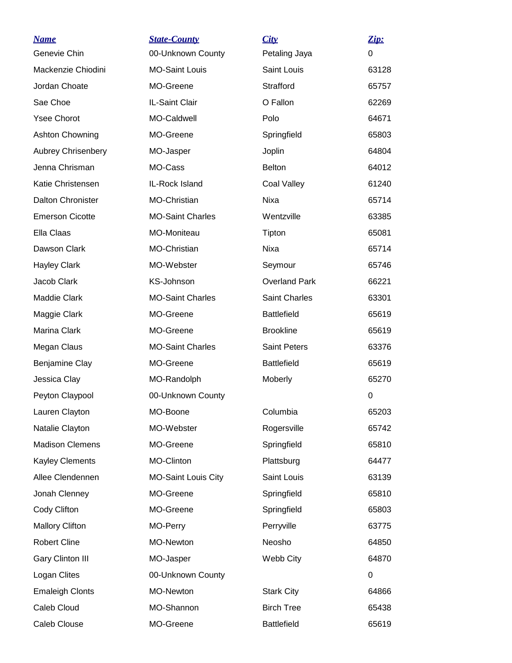| <u>Name</u>               | <b>State-County</b>        | City                 | Zip:             |
|---------------------------|----------------------------|----------------------|------------------|
| Genevie Chin              | 00-Unknown County          | Petaling Jaya        | 0                |
| Mackenzie Chiodini        | <b>MO-Saint Louis</b>      | <b>Saint Louis</b>   | 63128            |
| Jordan Choate             | MO-Greene                  | Strafford            | 65757            |
| Sae Choe                  | IL-Saint Clair             | O Fallon             | 62269            |
| <b>Ysee Chorot</b>        | MO-Caldwell                | Polo                 | 64671            |
| <b>Ashton Chowning</b>    | MO-Greene                  | Springfield          | 65803            |
| <b>Aubrey Chrisenbery</b> | MO-Jasper                  | Joplin               | 64804            |
| Jenna Chrisman            | MO-Cass                    | <b>Belton</b>        | 64012            |
| Katie Christensen         | IL-Rock Island             | Coal Valley          | 61240            |
| <b>Dalton Chronister</b>  | MO-Christian               | <b>Nixa</b>          | 65714            |
| <b>Emerson Cicotte</b>    | <b>MO-Saint Charles</b>    | Wentzville           | 63385            |
| Ella Claas                | MO-Moniteau                | Tipton               | 65081            |
| Dawson Clark              | <b>MO-Christian</b>        | Nixa                 | 65714            |
| <b>Hayley Clark</b>       | MO-Webster                 | Seymour              | 65746            |
| Jacob Clark               | KS-Johnson                 | <b>Overland Park</b> | 66221            |
| <b>Maddie Clark</b>       | <b>MO-Saint Charles</b>    | <b>Saint Charles</b> | 63301            |
| Maggie Clark              | MO-Greene                  | <b>Battlefield</b>   | 65619            |
| Marina Clark              | MO-Greene                  | <b>Brookline</b>     | 65619            |
| Megan Claus               | <b>MO-Saint Charles</b>    | <b>Saint Peters</b>  | 63376            |
| Benjamine Clay            | MO-Greene                  | <b>Battlefield</b>   | 65619            |
| Jessica Clay              | MO-Randolph                | Moberly              | 65270            |
| Peyton Claypool           | 00-Unknown County          |                      | $\boldsymbol{0}$ |
| Lauren Clayton            | MO-Boone                   | Columbia             | 65203            |
| Natalie Clayton           | MO-Webster                 | Rogersville          | 65742            |
| <b>Madison Clemens</b>    | MO-Greene                  | Springfield          | 65810            |
| <b>Kayley Clements</b>    | MO-Clinton                 | Plattsburg           | 64477            |
| Allee Clendennen          | <b>MO-Saint Louis City</b> | Saint Louis          | 63139            |
| Jonah Clenney             | MO-Greene                  | Springfield          | 65810            |
| Cody Clifton              | MO-Greene                  | Springfield          | 65803            |
| <b>Mallory Clifton</b>    | MO-Perry                   | Perryville           | 63775            |
| <b>Robert Cline</b>       | MO-Newton                  | Neosho               | 64850            |
| Gary Clinton III          | MO-Jasper                  | Webb City            | 64870            |
| Logan Clites              | 00-Unknown County          |                      | 0                |
| <b>Emaleigh Clonts</b>    | MO-Newton                  | <b>Stark City</b>    | 64866            |
| Caleb Cloud               | MO-Shannon                 | <b>Birch Tree</b>    | 65438            |
| Caleb Clouse              | MO-Greene                  | <b>Battlefield</b>   | 65619            |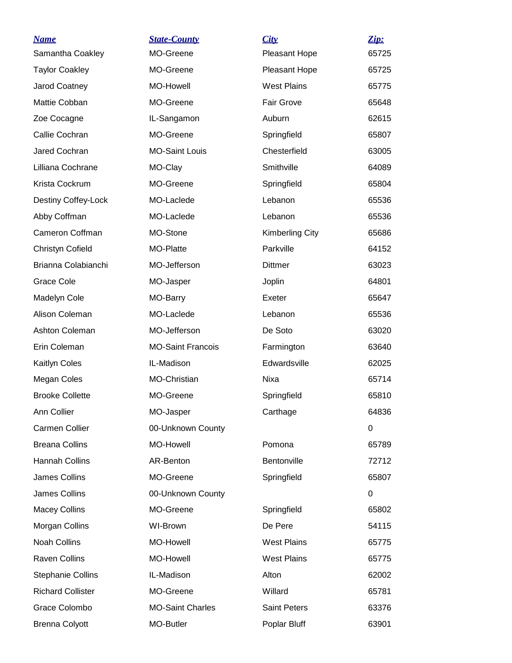| <b>Name</b>              | <b>State-County</b>      | City                   | Zip:  |
|--------------------------|--------------------------|------------------------|-------|
| Samantha Coakley         | MO-Greene                | Pleasant Hope          | 65725 |
| <b>Taylor Coakley</b>    | MO-Greene                | Pleasant Hope          | 65725 |
| Jarod Coatney            | <b>MO-Howell</b>         | <b>West Plains</b>     | 65775 |
| Mattie Cobban            | MO-Greene                | Fair Grove             | 65648 |
| Zoe Cocagne              | IL-Sangamon              | Auburn                 | 62615 |
| Callie Cochran           | MO-Greene                | Springfield            | 65807 |
| Jared Cochran            | <b>MO-Saint Louis</b>    | Chesterfield           | 63005 |
| Lilliana Cochrane        | MO-Clay                  | Smithville             | 64089 |
| Krista Cockrum           | MO-Greene                | Springfield            | 65804 |
| Destiny Coffey-Lock      | MO-Laclede               | Lebanon                | 65536 |
| Abby Coffman             | MO-Laclede               | Lebanon                | 65536 |
| Cameron Coffman          | MO-Stone                 | <b>Kimberling City</b> | 65686 |
| Christyn Cofield         | MO-Platte                | Parkville              | 64152 |
| Brianna Colabianchi      | MO-Jefferson             | <b>Dittmer</b>         | 63023 |
| <b>Grace Cole</b>        | MO-Jasper                | Joplin                 | 64801 |
| Madelyn Cole             | MO-Barry                 | Exeter                 | 65647 |
| Alison Coleman           | MO-Laclede               | Lebanon                | 65536 |
| Ashton Coleman           | MO-Jefferson             | De Soto                | 63020 |
| Erin Coleman             | <b>MO-Saint Francois</b> | Farmington             | 63640 |
| Kaitlyn Coles            | IL-Madison               | Edwardsville           | 62025 |
| Megan Coles              | MO-Christian             | Nixa                   | 65714 |
| <b>Brooke Collette</b>   | MO-Greene                | Springfield            | 65810 |
| Ann Collier              | MO-Jasper                | Carthage               | 64836 |
| <b>Carmen Collier</b>    | 00-Unknown County        |                        | 0     |
| <b>Breana Collins</b>    | MO-Howell                | Pomona                 | 65789 |
| Hannah Collins           | AR-Benton                | Bentonville            | 72712 |
| James Collins            | MO-Greene                | Springfield            | 65807 |
| <b>James Collins</b>     | 00-Unknown County        |                        | 0     |
| <b>Macey Collins</b>     | MO-Greene                | Springfield            | 65802 |
| Morgan Collins           | <b>WI-Brown</b>          | De Pere                | 54115 |
| <b>Noah Collins</b>      | MO-Howell                | <b>West Plains</b>     | 65775 |
| <b>Raven Collins</b>     | MO-Howell                | <b>West Plains</b>     | 65775 |
| <b>Stephanie Collins</b> | IL-Madison               | Alton                  | 62002 |
| <b>Richard Collister</b> | MO-Greene                | Willard                | 65781 |
| Grace Colombo            | <b>MO-Saint Charles</b>  | <b>Saint Peters</b>    | 63376 |
| <b>Brenna Colyott</b>    | MO-Butler                | Poplar Bluff           | 63901 |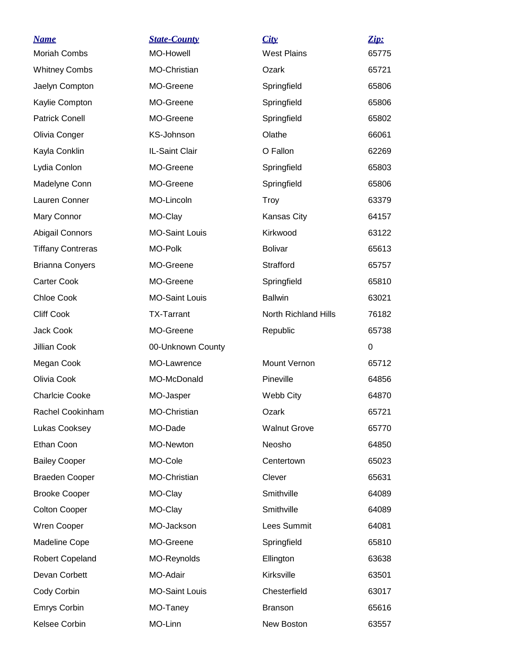| <b>Name</b>              | <b>State-County</b>   | City                 | Zip:  |
|--------------------------|-----------------------|----------------------|-------|
| <b>Moriah Combs</b>      | MO-Howell             | <b>West Plains</b>   | 65775 |
| <b>Whitney Combs</b>     | MO-Christian          | Ozark                | 65721 |
| Jaelyn Compton           | MO-Greene             | Springfield          | 65806 |
| Kaylie Compton           | MO-Greene             | Springfield          | 65806 |
| <b>Patrick Conell</b>    | MO-Greene             | Springfield          | 65802 |
| Olivia Conger            | KS-Johnson            | Olathe               | 66061 |
| Kayla Conklin            | IL-Saint Clair        | O Fallon             | 62269 |
| Lydia Conlon             | MO-Greene             | Springfield          | 65803 |
| Madelyne Conn            | MO-Greene             | Springfield          | 65806 |
| Lauren Conner            | MO-Lincoln            | <b>Troy</b>          | 63379 |
| Mary Connor              | MO-Clay               | Kansas City          | 64157 |
| <b>Abigail Connors</b>   | <b>MO-Saint Louis</b> | Kirkwood             | 63122 |
| <b>Tiffany Contreras</b> | MO-Polk               | <b>Bolivar</b>       | 65613 |
| <b>Brianna Conyers</b>   | MO-Greene             | Strafford            | 65757 |
| <b>Carter Cook</b>       | MO-Greene             | Springfield          | 65810 |
| Chloe Cook               | <b>MO-Saint Louis</b> | <b>Ballwin</b>       | 63021 |
| <b>Cliff Cook</b>        | <b>TX-Tarrant</b>     | North Richland Hills | 76182 |
| Jack Cook                | MO-Greene             | Republic             | 65738 |
| Jillian Cook             | 00-Unknown County     |                      | 0     |
| Megan Cook               | MO-Lawrence           | Mount Vernon         | 65712 |
| Olivia Cook              | MO-McDonald           | Pineville            | 64856 |
| <b>Charlcie Cooke</b>    | MO-Jasper             | Webb City            | 64870 |
| Rachel Cookinham         | MO-Christian          | Ozark                | 65721 |
| Lukas Cooksey            | MO-Dade               | <b>Walnut Grove</b>  | 65770 |
| Ethan Coon               | MO-Newton             | Neosho               | 64850 |
| <b>Bailey Cooper</b>     | MO-Cole               | Centertown           | 65023 |
| <b>Braeden Cooper</b>    | MO-Christian          | Clever               | 65631 |
| <b>Brooke Cooper</b>     | MO-Clay               | Smithville           | 64089 |
| <b>Colton Cooper</b>     | MO-Clay               | Smithville           | 64089 |
| Wren Cooper              | MO-Jackson            | Lees Summit          | 64081 |
| Madeline Cope            | MO-Greene             | Springfield          | 65810 |
| Robert Copeland          | MO-Reynolds           | Ellington            | 63638 |
| Devan Corbett            | MO-Adair              | Kirksville           | 63501 |
| Cody Corbin              | <b>MO-Saint Louis</b> | Chesterfield         | 63017 |
| Emrys Corbin             | MO-Taney              | <b>Branson</b>       | 65616 |
| Kelsee Corbin            | MO-Linn               | New Boston           | 63557 |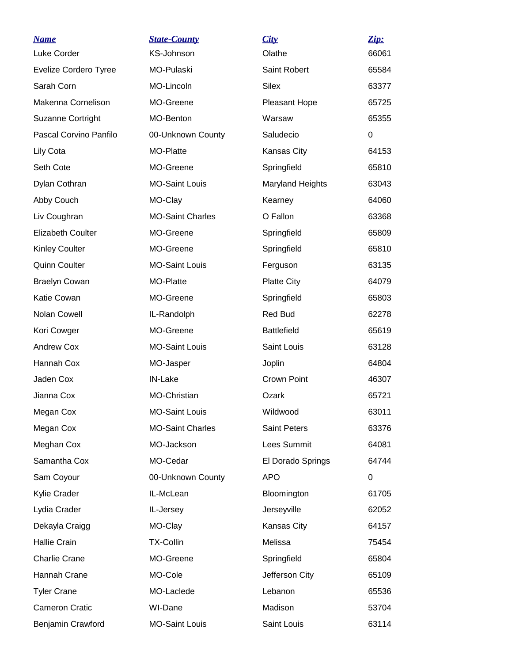| <b>Name</b>              | <b>State-County</b>     | City                    | Zip:        |
|--------------------------|-------------------------|-------------------------|-------------|
| Luke Corder              | KS-Johnson              | Olathe                  | 66061       |
| Evelize Cordero Tyree    | MO-Pulaski              | Saint Robert            | 65584       |
| Sarah Corn               | MO-Lincoln              | <b>Silex</b>            | 63377       |
| Makenna Cornelison       | MO-Greene               | Pleasant Hope           | 65725       |
| <b>Suzanne Cortright</b> | MO-Benton               | Warsaw                  | 65355       |
| Pascal Corvino Panfilo   | 00-Unknown County       | Saludecio               | $\mathbf 0$ |
| Lily Cota                | <b>MO-Platte</b>        | Kansas City             | 64153       |
| Seth Cote                | MO-Greene               | Springfield             | 65810       |
| Dylan Cothran            | <b>MO-Saint Louis</b>   | <b>Maryland Heights</b> | 63043       |
| Abby Couch               | MO-Clay                 | Kearney                 | 64060       |
| Liv Coughran             | <b>MO-Saint Charles</b> | O Fallon                | 63368       |
| <b>Elizabeth Coulter</b> | MO-Greene               | Springfield             | 65809       |
| <b>Kinley Coulter</b>    | MO-Greene               | Springfield             | 65810       |
| <b>Quinn Coulter</b>     | <b>MO-Saint Louis</b>   | Ferguson                | 63135       |
| <b>Braelyn Cowan</b>     | MO-Platte               | <b>Platte City</b>      | 64079       |
| Katie Cowan              | MO-Greene               | Springfield             | 65803       |
| Nolan Cowell             | IL-Randolph             | Red Bud                 | 62278       |
| Kori Cowger              | MO-Greene               | <b>Battlefield</b>      | 65619       |
| <b>Andrew Cox</b>        | <b>MO-Saint Louis</b>   | Saint Louis             | 63128       |
| Hannah Cox               | MO-Jasper               | Joplin                  | 64804       |
| Jaden Cox                | IN-Lake                 | <b>Crown Point</b>      | 46307       |
| Jianna Cox               | MO-Christian            | Ozark                   | 65721       |
| Megan Cox                | <b>MO-Saint Louis</b>   | Wildwood                | 63011       |
| Megan Cox                | <b>MO-Saint Charles</b> | <b>Saint Peters</b>     | 63376       |
| Meghan Cox               | MO-Jackson              | Lees Summit             | 64081       |
| Samantha Cox             | MO-Cedar                | El Dorado Springs       | 64744       |
| Sam Coyour               | 00-Unknown County       | <b>APO</b>              | $\mathbf 0$ |
| Kylie Crader             | IL-McLean               | Bloomington             | 61705       |
| Lydia Crader             | IL-Jersey               | Jerseyville             | 62052       |
| Dekayla Craigg           | MO-Clay                 | Kansas City             | 64157       |
| <b>Hallie Crain</b>      | <b>TX-Collin</b>        | Melissa                 | 75454       |
| <b>Charlie Crane</b>     | MO-Greene               | Springfield             | 65804       |
| Hannah Crane             | MO-Cole                 | Jefferson City          | 65109       |
| <b>Tyler Crane</b>       | MO-Laclede              | Lebanon                 | 65536       |
| <b>Cameron Cratic</b>    | WI-Dane                 | Madison                 | 53704       |
| Benjamin Crawford        | <b>MO-Saint Louis</b>   | Saint Louis             | 63114       |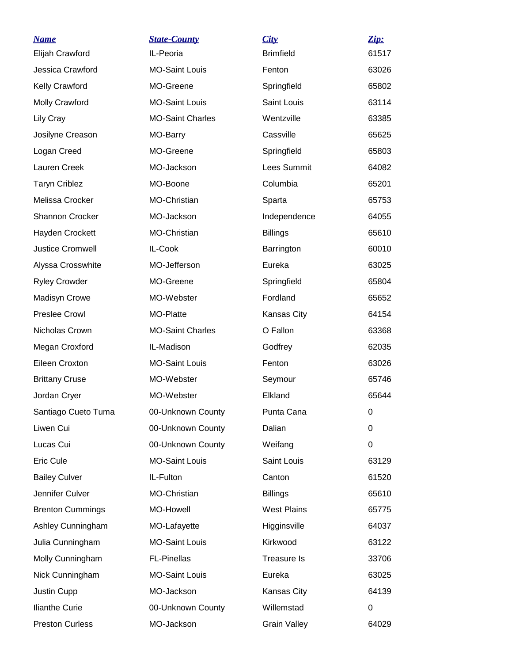| <b>Name</b>             | <b>State-County</b>     | City                | <u>Zip:</u> |
|-------------------------|-------------------------|---------------------|-------------|
| Elijah Crawford         | IL-Peoria               | <b>Brimfield</b>    | 61517       |
| Jessica Crawford        | <b>MO-Saint Louis</b>   | Fenton              | 63026       |
| Kelly Crawford          | MO-Greene               | Springfield         | 65802       |
| <b>Molly Crawford</b>   | <b>MO-Saint Louis</b>   | Saint Louis         | 63114       |
| Lily Cray               | <b>MO-Saint Charles</b> | Wentzville          | 63385       |
| Josilyne Creason        | MO-Barry                | Cassville           | 65625       |
| Logan Creed             | MO-Greene               | Springfield         | 65803       |
| Lauren Creek            | MO-Jackson              | Lees Summit         | 64082       |
| <b>Taryn Criblez</b>    | MO-Boone                | Columbia            | 65201       |
| Melissa Crocker         | MO-Christian            | Sparta              | 65753       |
| <b>Shannon Crocker</b>  | MO-Jackson              | Independence        | 64055       |
| Hayden Crockett         | MO-Christian            | <b>Billings</b>     | 65610       |
| <b>Justice Cromwell</b> | IL-Cook                 | Barrington          | 60010       |
| Alyssa Crosswhite       | MO-Jefferson            | Eureka              | 63025       |
| <b>Ryley Crowder</b>    | MO-Greene               | Springfield         | 65804       |
| <b>Madisyn Crowe</b>    | MO-Webster              | Fordland            | 65652       |
| <b>Preslee Crowl</b>    | MO-Platte               | Kansas City         | 64154       |
| Nicholas Crown          | <b>MO-Saint Charles</b> | O Fallon            | 63368       |
| Megan Croxford          | IL-Madison              | Godfrey             | 62035       |
| Eileen Croxton          | <b>MO-Saint Louis</b>   | Fenton              | 63026       |
| <b>Brittany Cruse</b>   | MO-Webster              | Seymour             | 65746       |
| Jordan Cryer            | MO-Webster              | Elkland             | 65644       |
| Santiago Cueto Tuma     | 00-Unknown County       | Punta Cana          | 0           |
| Liwen Cui               | 00-Unknown County       | Dalian              | 0           |
| Lucas Cui               | 00-Unknown County       | Weifang             | 0           |
| Eric Cule               | <b>MO-Saint Louis</b>   | Saint Louis         | 63129       |
| <b>Bailey Culver</b>    | IL-Fulton               | Canton              | 61520       |
| Jennifer Culver         | MO-Christian            | <b>Billings</b>     | 65610       |
| <b>Brenton Cummings</b> | MO-Howell               | <b>West Plains</b>  | 65775       |
| Ashley Cunningham       | MO-Lafayette            | Higginsville        | 64037       |
| Julia Cunningham        | <b>MO-Saint Louis</b>   | Kirkwood            | 63122       |
| Molly Cunningham        | <b>FL-Pinellas</b>      | Treasure Is         | 33706       |
| Nick Cunningham         | <b>MO-Saint Louis</b>   | Eureka              | 63025       |
| Justin Cupp             | MO-Jackson              | Kansas City         | 64139       |
| <b>Ilianthe Curie</b>   | 00-Unknown County       | Willemstad          | 0           |
| <b>Preston Curless</b>  | MO-Jackson              | <b>Grain Valley</b> | 64029       |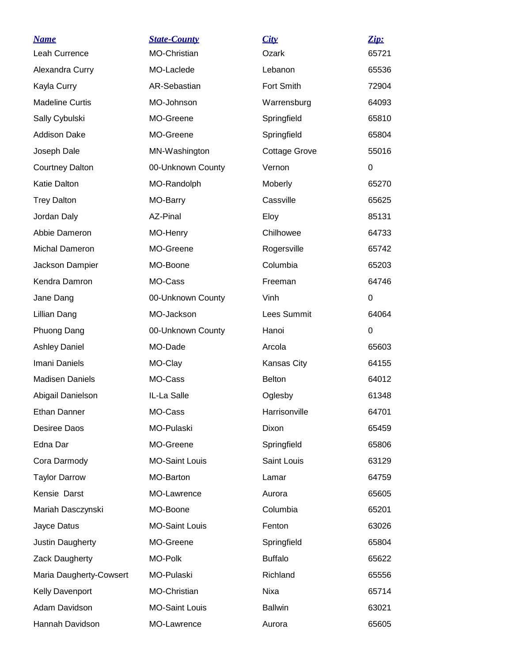| <u>Name</u>             | <b>State-County</b>   | City                 | Zip:        |
|-------------------------|-----------------------|----------------------|-------------|
| Leah Currence           | MO-Christian          | Ozark                | 65721       |
| Alexandra Curry         | MO-Laclede            | Lebanon              | 65536       |
| Kayla Curry             | AR-Sebastian          | Fort Smith           | 72904       |
| <b>Madeline Curtis</b>  | MO-Johnson            | Warrensburg          | 64093       |
| Sally Cybulski          | MO-Greene             | Springfield          | 65810       |
| <b>Addison Dake</b>     | MO-Greene             | Springfield          | 65804       |
| Joseph Dale             | MN-Washington         | <b>Cottage Grove</b> | 55016       |
| <b>Courtney Dalton</b>  | 00-Unknown County     | Vernon               | 0           |
| Katie Dalton            | MO-Randolph           | <b>Moberly</b>       | 65270       |
| <b>Trey Dalton</b>      | MO-Barry              | Cassville            | 65625       |
| Jordan Daly             | AZ-Pinal              | Eloy                 | 85131       |
| Abbie Dameron           | MO-Henry              | Chilhowee            | 64733       |
| <b>Michal Dameron</b>   | MO-Greene             | Rogersville          | 65742       |
| Jackson Dampier         | MO-Boone              | Columbia             | 65203       |
| Kendra Damron           | MO-Cass               | Freeman              | 64746       |
| Jane Dang               | 00-Unknown County     | Vinh                 | 0           |
| Lillian Dang            | MO-Jackson            | Lees Summit          | 64064       |
| Phuong Dang             | 00-Unknown County     | Hanoi                | $\mathbf 0$ |
| <b>Ashley Daniel</b>    | MO-Dade               | Arcola               | 65603       |
| Imani Daniels           | MO-Clay               | Kansas City          | 64155       |
| <b>Madisen Daniels</b>  | MO-Cass               | <b>Belton</b>        | 64012       |
| Abigail Danielson       | IL-La Salle           | Oglesby              | 61348       |
| <b>Ethan Danner</b>     | MO-Cass               | Harrisonville        | 64701       |
| Desiree Daos            | MO-Pulaski            | Dixon                | 65459       |
| Edna Dar                | MO-Greene             | Springfield          | 65806       |
| Cora Darmody            | <b>MO-Saint Louis</b> | Saint Louis          | 63129       |
| <b>Taylor Darrow</b>    | MO-Barton             | Lamar                | 64759       |
| Kensie Darst            | MO-Lawrence           | Aurora               | 65605       |
| Mariah Dasczynski       | MO-Boone              | Columbia             | 65201       |
| Jayce Datus             | <b>MO-Saint Louis</b> | Fenton               | 63026       |
| Justin Daugherty        | MO-Greene             | Springfield          | 65804       |
| Zack Daugherty          | MO-Polk               | <b>Buffalo</b>       | 65622       |
| Maria Daugherty-Cowsert | MO-Pulaski            | Richland             | 65556       |
| Kelly Davenport         | MO-Christian          | Nixa                 | 65714       |
| Adam Davidson           | <b>MO-Saint Louis</b> | <b>Ballwin</b>       | 63021       |
| Hannah Davidson         | MO-Lawrence           | Aurora               | 65605       |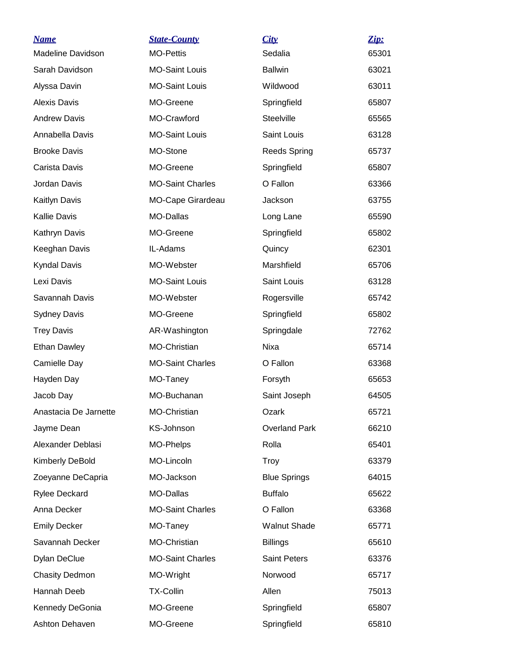| <u>Name</u>              | <b>State-County</b>     | City                 | Zip:  |
|--------------------------|-------------------------|----------------------|-------|
| <b>Madeline Davidson</b> | <b>MO-Pettis</b>        | Sedalia              | 65301 |
| Sarah Davidson           | <b>MO-Saint Louis</b>   | <b>Ballwin</b>       | 63021 |
| Alyssa Davin             | <b>MO-Saint Louis</b>   | Wildwood             | 63011 |
| <b>Alexis Davis</b>      | MO-Greene               | Springfield          | 65807 |
| <b>Andrew Davis</b>      | MO-Crawford             | Steelville           | 65565 |
| Annabella Davis          | <b>MO-Saint Louis</b>   | Saint Louis          | 63128 |
| <b>Brooke Davis</b>      | MO-Stone                | <b>Reeds Spring</b>  | 65737 |
| Carista Davis            | MO-Greene               | Springfield          | 65807 |
| Jordan Davis             | <b>MO-Saint Charles</b> | O Fallon             | 63366 |
| Kaitlyn Davis            | MO-Cape Girardeau       | Jackson              | 63755 |
| <b>Kallie Davis</b>      | <b>MO-Dallas</b>        | Long Lane            | 65590 |
| Kathryn Davis            | MO-Greene               | Springfield          | 65802 |
| Keeghan Davis            | IL-Adams                | Quincy               | 62301 |
| <b>Kyndal Davis</b>      | MO-Webster              | Marshfield           | 65706 |
| Lexi Davis               | <b>MO-Saint Louis</b>   | Saint Louis          | 63128 |
| Savannah Davis           | MO-Webster              | Rogersville          | 65742 |
| <b>Sydney Davis</b>      | MO-Greene               | Springfield          | 65802 |
| <b>Trey Davis</b>        | AR-Washington           | Springdale           | 72762 |
| <b>Ethan Dawley</b>      | <b>MO-Christian</b>     | Nixa                 | 65714 |
| Camielle Day             | <b>MO-Saint Charles</b> | O Fallon             | 63368 |
| Hayden Day               | MO-Taney                | Forsyth              | 65653 |
| Jacob Day                | MO-Buchanan             | Saint Joseph         | 64505 |
| Anastacia De Jarnette    | MO-Christian            | Ozark                | 65721 |
| Jayme Dean               | KS-Johnson              | <b>Overland Park</b> | 66210 |
| Alexander Deblasi        | MO-Phelps               | Rolla                | 65401 |
| Kimberly DeBold          | MO-Lincoln              | <b>Troy</b>          | 63379 |
| Zoeyanne DeCapria        | MO-Jackson              | <b>Blue Springs</b>  | 64015 |
| <b>Rylee Deckard</b>     | MO-Dallas               | <b>Buffalo</b>       | 65622 |
| Anna Decker              | <b>MO-Saint Charles</b> | O Fallon             | 63368 |
| <b>Emily Decker</b>      | MO-Taney                | <b>Walnut Shade</b>  | 65771 |
| Savannah Decker          | <b>MO-Christian</b>     | <b>Billings</b>      | 65610 |
| <b>Dylan DeClue</b>      | <b>MO-Saint Charles</b> | <b>Saint Peters</b>  | 63376 |
| <b>Chasity Dedmon</b>    | MO-Wright               | Norwood              | 65717 |
| Hannah Deeb              | <b>TX-Collin</b>        | Allen                | 75013 |
| Kennedy DeGonia          | MO-Greene               | Springfield          | 65807 |
| Ashton Dehaven           | MO-Greene               | Springfield          | 65810 |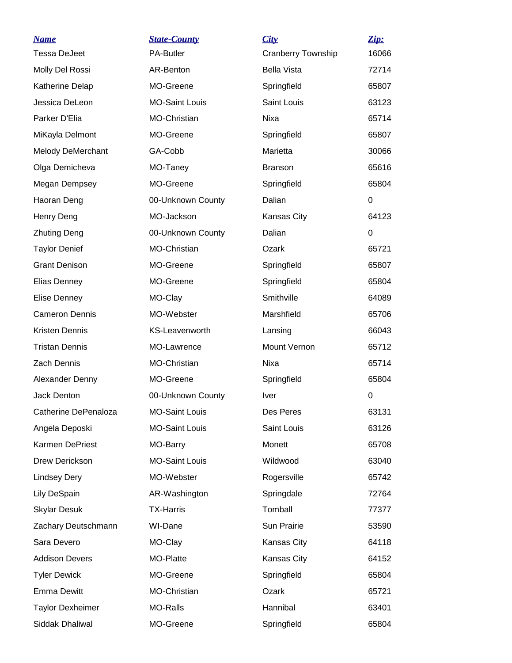| <b>Name</b>             | <b>State-County</b>   | City                      | Zip:        |
|-------------------------|-----------------------|---------------------------|-------------|
| <b>Tessa DeJeet</b>     | <b>PA-Butler</b>      | <b>Cranberry Township</b> | 16066       |
| Molly Del Rossi         | AR-Benton             | <b>Bella Vista</b>        | 72714       |
| Katherine Delap         | MO-Greene             | Springfield               | 65807       |
| Jessica DeLeon          | <b>MO-Saint Louis</b> | Saint Louis               | 63123       |
| Parker D'Elia           | MO-Christian          | Nixa                      | 65714       |
| MiKayla Delmont         | MO-Greene             | Springfield               | 65807       |
| Melody DeMerchant       | GA-Cobb               | Marietta                  | 30066       |
| Olga Demicheva          | MO-Taney              | <b>Branson</b>            | 65616       |
| Megan Dempsey           | MO-Greene             | Springfield               | 65804       |
| Haoran Deng             | 00-Unknown County     | Dalian                    | 0           |
| Henry Deng              | MO-Jackson            | Kansas City               | 64123       |
| <b>Zhuting Deng</b>     | 00-Unknown County     | Dalian                    | 0           |
| <b>Taylor Denief</b>    | MO-Christian          | Ozark                     | 65721       |
| <b>Grant Denison</b>    | MO-Greene             | Springfield               | 65807       |
| Elias Denney            | MO-Greene             | Springfield               | 65804       |
| Elise Denney            | MO-Clay               | Smithville                | 64089       |
| <b>Cameron Dennis</b>   | MO-Webster            | Marshfield                | 65706       |
| Kristen Dennis          | <b>KS-Leavenworth</b> | Lansing                   | 66043       |
| <b>Tristan Dennis</b>   | MO-Lawrence           | Mount Vernon              | 65712       |
| <b>Zach Dennis</b>      | MO-Christian          | Nixa                      | 65714       |
| Alexander Denny         | MO-Greene             | Springfield               | 65804       |
| Jack Denton             | 00-Unknown County     | <b>Iver</b>               | $\mathbf 0$ |
| Catherine DePenaloza    | <b>MO-Saint Louis</b> | Des Peres                 | 63131       |
| Angela Deposki          | <b>MO-Saint Louis</b> | Saint Louis               | 63126       |
| Karmen DePriest         | MO-Barry              | Monett                    | 65708       |
| Drew Derickson          | <b>MO-Saint Louis</b> | Wildwood                  | 63040       |
| <b>Lindsey Dery</b>     | MO-Webster            | Rogersville               | 65742       |
| Lily DeSpain            | AR-Washington         | Springdale                | 72764       |
| <b>Skylar Desuk</b>     | <b>TX-Harris</b>      | Tomball                   | 77377       |
| Zachary Deutschmann     | WI-Dane               | Sun Prairie               | 53590       |
| Sara Devero             | MO-Clay               | Kansas City               | 64118       |
| <b>Addison Devers</b>   | MO-Platte             | Kansas City               | 64152       |
| <b>Tyler Dewick</b>     | MO-Greene             | Springfield               | 65804       |
| <b>Emma Dewitt</b>      | MO-Christian          | Ozark                     | 65721       |
| <b>Taylor Dexheimer</b> | MO-Ralls              | Hannibal                  | 63401       |
| Siddak Dhaliwal         | MO-Greene             | Springfield               | 65804       |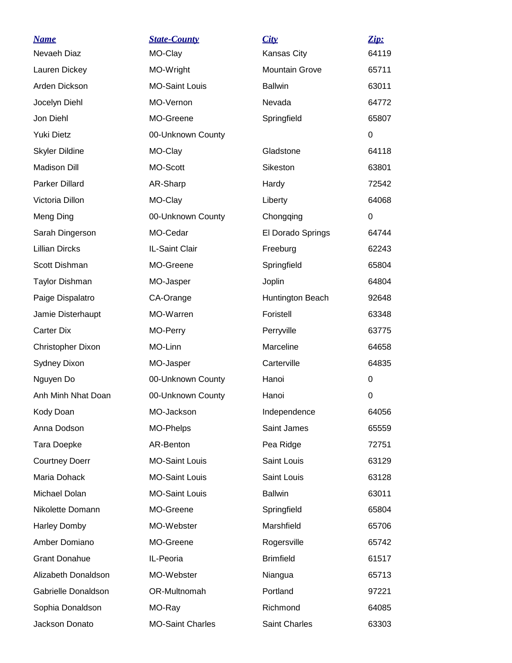| <b>Name</b>           | <b>State-County</b>     | City                  | Zip:     |
|-----------------------|-------------------------|-----------------------|----------|
| Nevaeh Diaz           | MO-Clay                 | Kansas City           | 64119    |
| Lauren Dickey         | MO-Wright               | <b>Mountain Grove</b> | 65711    |
| Arden Dickson         | <b>MO-Saint Louis</b>   | <b>Ballwin</b>        | 63011    |
| Jocelyn Diehl         | MO-Vernon               | Nevada                | 64772    |
| Jon Diehl             | MO-Greene               | Springfield           | 65807    |
| <b>Yuki Dietz</b>     | 00-Unknown County       |                       | 0        |
| <b>Skyler Dildine</b> | MO-Clay                 | Gladstone             | 64118    |
| <b>Madison Dill</b>   | MO-Scott                | Sikeston              | 63801    |
| Parker Dillard        | AR-Sharp                | Hardy                 | 72542    |
| Victoria Dillon       | MO-Clay                 | Liberty               | 64068    |
| Meng Ding             | 00-Unknown County       | Chongqing             | $\Omega$ |
| Sarah Dingerson       | MO-Cedar                | El Dorado Springs     | 64744    |
| <b>Lillian Dircks</b> | IL-Saint Clair          | Freeburg              | 62243    |
| Scott Dishman         | MO-Greene               | Springfield           | 65804    |
| <b>Taylor Dishman</b> | MO-Jasper               | Joplin                | 64804    |
| Paige Dispalatro      | CA-Orange               | Huntington Beach      | 92648    |
| Jamie Disterhaupt     | MO-Warren               | Foristell             | 63348    |
| Carter Dix            | MO-Perry                | Perryville            | 63775    |
| Christopher Dixon     | MO-Linn                 | Marceline             | 64658    |
| <b>Sydney Dixon</b>   | MO-Jasper               | Carterville           | 64835    |
| Nguyen Do             | 00-Unknown County       | Hanoi                 | 0        |
| Anh Minh Nhat Doan    | 00-Unknown County       | Hanoi                 | 0        |
| Kody Doan             | MO-Jackson              | Independence          | 64056    |
| Anna Dodson           | MO-Phelps               | Saint James           | 65559    |
| Tara Doepke           | AR-Benton               | Pea Ridge             | 72751    |
| <b>Courtney Doerr</b> | <b>MO-Saint Louis</b>   | Saint Louis           | 63129    |
| Maria Dohack          | <b>MO-Saint Louis</b>   | Saint Louis           | 63128    |
| Michael Dolan         | <b>MO-Saint Louis</b>   | <b>Ballwin</b>        | 63011    |
| Nikolette Domann      | MO-Greene               | Springfield           | 65804    |
| <b>Harley Domby</b>   | MO-Webster              | Marshfield            | 65706    |
| Amber Domiano         | MO-Greene               | Rogersville           | 65742    |
| <b>Grant Donahue</b>  | IL-Peoria               | <b>Brimfield</b>      | 61517    |
| Alizabeth Donaldson   | MO-Webster              | Niangua               | 65713    |
| Gabrielle Donaldson   | OR-Multnomah            | Portland              | 97221    |
| Sophia Donaldson      | MO-Ray                  | Richmond              | 64085    |
| Jackson Donato        | <b>MO-Saint Charles</b> | Saint Charles         | 63303    |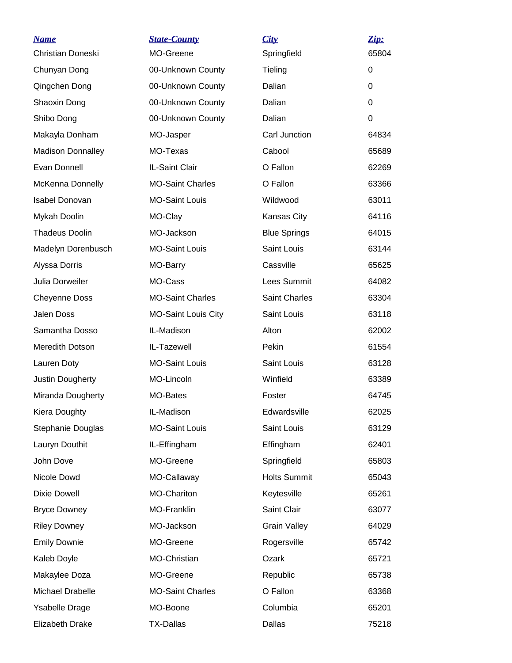| <b>Name</b><br>Christian Doneski          | <b>State-County</b><br>MO-Greene | City<br>Springfield  | Zip:<br>65804 |
|-------------------------------------------|----------------------------------|----------------------|---------------|
| Chunyan Dong                              | 00-Unknown County                | Tieling              | 0             |
| Qingchen Dong                             | 00-Unknown County                | Dalian               | 0             |
| Shaoxin Dong                              | 00-Unknown County                | Dalian               | $\Omega$      |
| Shibo Dong                                | 00-Unknown County                | Dalian               | $\Omega$      |
| Makayla Donham                            | MO-Jasper                        | Carl Junction        | 64834         |
| <b>Madison Donnalley</b>                  | MO-Texas                         | Cabool               | 65689         |
| Evan Donnell                              | IL-Saint Clair                   | O Fallon             | 62269         |
|                                           | <b>MO-Saint Charles</b>          | O Fallon             | 63366         |
| McKenna Donnelly<br><b>Isabel Donovan</b> |                                  |                      |               |
|                                           | <b>MO-Saint Louis</b>            | Wildwood             | 63011         |
| Mykah Doolin                              | MO-Clay<br>MO-Jackson            | Kansas City          | 64116         |
| <b>Thadeus Doolin</b>                     |                                  | <b>Blue Springs</b>  | 64015         |
| Madelyn Dorenbusch                        | <b>MO-Saint Louis</b>            | Saint Louis          | 63144         |
| Alyssa Dorris                             | MO-Barry                         | Cassville            | 65625         |
| Julia Dorweiler                           | MO-Cass                          | Lees Summit          | 64082         |
| <b>Cheyenne Doss</b>                      | <b>MO-Saint Charles</b>          | <b>Saint Charles</b> | 63304         |
| Jalen Doss                                | <b>MO-Saint Louis City</b>       | Saint Louis          | 63118         |
| Samantha Dosso                            | IL-Madison                       | Alton                | 62002         |
| Meredith Dotson                           | IL-Tazewell                      | Pekin                | 61554         |
| Lauren Doty                               | <b>MO-Saint Louis</b>            | Saint Louis          | 63128         |
| Justin Dougherty                          | MO-Lincoln                       | Winfield             | 63389         |
| Miranda Dougherty                         | MO-Bates                         | Foster               | 64745         |
| Kiera Doughty                             | IL-Madison                       | Edwardsville         | 62025         |
| Stephanie Douglas                         | <b>MO-Saint Louis</b>            | Saint Louis          | 63129         |
| Lauryn Douthit                            | IL-Effingham                     | Effingham            | 62401         |
| John Dove                                 | MO-Greene                        | Springfield          | 65803         |
| Nicole Dowd                               | MO-Callaway                      | <b>Holts Summit</b>  | 65043         |
| <b>Dixie Dowell</b>                       | MO-Chariton                      | Keytesville          | 65261         |
| <b>Bryce Downey</b>                       | MO-Franklin                      | Saint Clair          | 63077         |
| <b>Riley Downey</b>                       | MO-Jackson                       | <b>Grain Valley</b>  | 64029         |
| <b>Emily Downie</b>                       | MO-Greene                        | Rogersville          | 65742         |
| Kaleb Doyle                               | MO-Christian                     | Ozark                | 65721         |
| Makaylee Doza                             | MO-Greene                        | Republic             | 65738         |
| Michael Drabelle                          | <b>MO-Saint Charles</b>          | O Fallon             | 63368         |
| <b>Ysabelle Drage</b>                     | MO-Boone                         | Columbia             | 65201         |
| Elizabeth Drake                           | <b>TX-Dallas</b>                 | Dallas               | 75218         |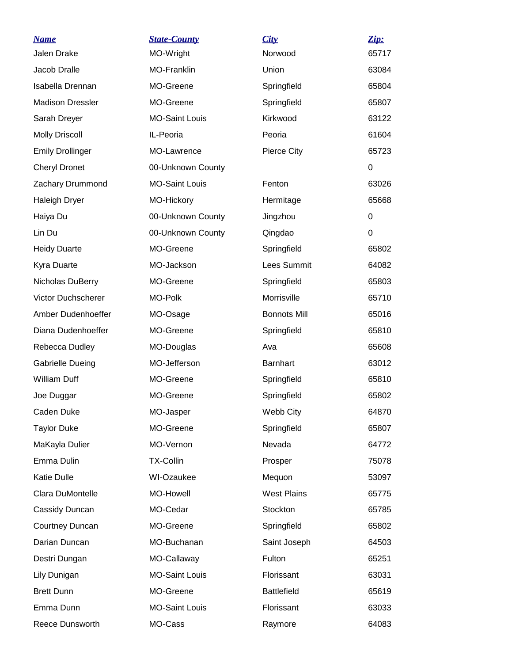| <u>Name</u>             | <b>State-County</b>   | City                | Zip:  |
|-------------------------|-----------------------|---------------------|-------|
| <b>Jalen Drake</b>      | MO-Wright             | Norwood             | 65717 |
| Jacob Dralle            | <b>MO-Franklin</b>    | Union               | 63084 |
| Isabella Drennan        | MO-Greene             | Springfield         | 65804 |
| <b>Madison Dressler</b> | MO-Greene             | Springfield         | 65807 |
| Sarah Dreyer            | <b>MO-Saint Louis</b> | Kirkwood            | 63122 |
| <b>Molly Driscoll</b>   | IL-Peoria             | Peoria              | 61604 |
| <b>Emily Drollinger</b> | MO-Lawrence           | <b>Pierce City</b>  | 65723 |
| <b>Cheryl Dronet</b>    | 00-Unknown County     |                     | 0     |
| Zachary Drummond        | <b>MO-Saint Louis</b> | Fenton              | 63026 |
| <b>Haleigh Dryer</b>    | MO-Hickory            | Hermitage           | 65668 |
| Haiya Du                | 00-Unknown County     | Jingzhou            | 0     |
| Lin Du                  | 00-Unknown County     | Qingdao             | 0     |
| <b>Heidy Duarte</b>     | MO-Greene             | Springfield         | 65802 |
| Kyra Duarte             | MO-Jackson            | Lees Summit         | 64082 |
| Nicholas DuBerry        | MO-Greene             | Springfield         | 65803 |
| Victor Duchscherer      | MO-Polk               | Morrisville         | 65710 |
| Amber Dudenhoeffer      | MO-Osage              | <b>Bonnots Mill</b> | 65016 |
| Diana Dudenhoeffer      | MO-Greene             | Springfield         | 65810 |
| Rebecca Dudley          | MO-Douglas            | Ava                 | 65608 |
| <b>Gabrielle Dueing</b> | MO-Jefferson          | <b>Barnhart</b>     | 63012 |
| <b>William Duff</b>     | MO-Greene             | Springfield         | 65810 |
| Joe Duggar              | MO-Greene             | Springfield         | 65802 |
| Caden Duke              | MO-Jasper             | Webb City           | 64870 |
| <b>Taylor Duke</b>      | MO-Greene             | Springfield         | 65807 |
| MaKayla Dulier          | MO-Vernon             | Nevada              | 64772 |
| Emma Dulin              | <b>TX-Collin</b>      | Prosper             | 75078 |
| <b>Katie Dulle</b>      | WI-Ozaukee            | Mequon              | 53097 |
| Clara DuMontelle        | <b>MO-Howell</b>      | <b>West Plains</b>  | 65775 |
| Cassidy Duncan          | MO-Cedar              | Stockton            | 65785 |
| Courtney Duncan         | MO-Greene             | Springfield         | 65802 |
| Darian Duncan           | MO-Buchanan           | Saint Joseph        | 64503 |
| Destri Dungan           | MO-Callaway           | Fulton              | 65251 |
| Lily Dunigan            | <b>MO-Saint Louis</b> | Florissant          | 63031 |
| <b>Brett Dunn</b>       | MO-Greene             | <b>Battlefield</b>  | 65619 |
| Emma Dunn               | <b>MO-Saint Louis</b> | Florissant          | 63033 |
| Reece Dunsworth         | MO-Cass               | Raymore             | 64083 |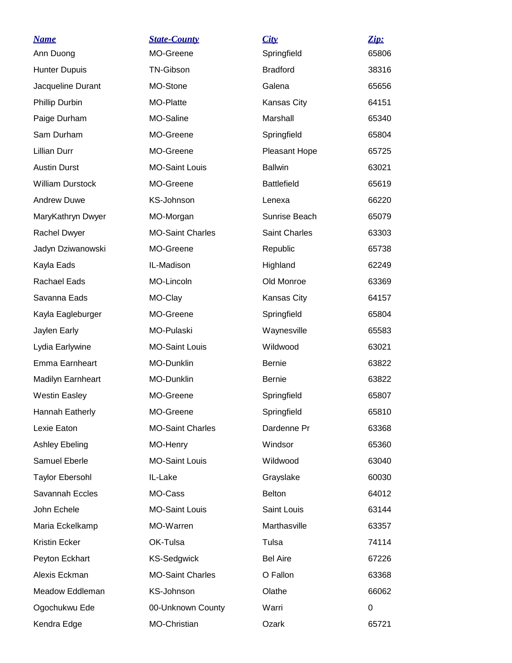| <u>Name</u>             | <b>State-County</b>     | City               | Zip:  |
|-------------------------|-------------------------|--------------------|-------|
| Ann Duong               | MO-Greene               | Springfield        | 65806 |
| <b>Hunter Dupuis</b>    | <b>TN-Gibson</b>        | <b>Bradford</b>    | 38316 |
| Jacqueline Durant       | MO-Stone                | Galena             | 65656 |
| Phillip Durbin          | MO-Platte               | Kansas City        | 64151 |
| Paige Durham            | MO-Saline               | Marshall           | 65340 |
| Sam Durham              | MO-Greene               | Springfield        | 65804 |
| <b>Lillian Durr</b>     | MO-Greene               | Pleasant Hope      | 65725 |
| <b>Austin Durst</b>     | <b>MO-Saint Louis</b>   | <b>Ballwin</b>     | 63021 |
| <b>William Durstock</b> | MO-Greene               | <b>Battlefield</b> | 65619 |
| <b>Andrew Duwe</b>      | <b>KS-Johnson</b>       | Lenexa             | 66220 |
| MaryKathryn Dwyer       | MO-Morgan               | Sunrise Beach      | 65079 |
| Rachel Dwyer            | <b>MO-Saint Charles</b> | Saint Charles      | 63303 |
| Jadyn Dziwanowski       | MO-Greene               | Republic           | 65738 |
| Kayla Eads              | IL-Madison              | Highland           | 62249 |
| Rachael Eads            | MO-Lincoln              | Old Monroe         | 63369 |
| Savanna Eads            | MO-Clay                 | Kansas City        | 64157 |
| Kayla Eagleburger       | MO-Greene               | Springfield        | 65804 |
| Jaylen Early            | MO-Pulaski              | Waynesville        | 65583 |
| Lydia Earlywine         | <b>MO-Saint Louis</b>   | Wildwood           | 63021 |
| Emma Earnheart          | MO-Dunklin              | <b>Bernie</b>      | 63822 |
| Madilyn Earnheart       | MO-Dunklin              | <b>Bernie</b>      | 63822 |
| <b>Westin Easley</b>    | MO-Greene               | Springfield        | 65807 |
| Hannah Eatherly         | MO-Greene               | Springfield        | 65810 |
| Lexie Eaton             | <b>MO-Saint Charles</b> | Dardenne Pr        | 63368 |
| <b>Ashley Ebeling</b>   | MO-Henry                | Windsor            | 65360 |
| Samuel Eberle           | <b>MO-Saint Louis</b>   | Wildwood           | 63040 |
| <b>Taylor Ebersohl</b>  | IL-Lake                 | Grayslake          | 60030 |
| Savannah Eccles         | MO-Cass                 | <b>Belton</b>      | 64012 |
| John Echele             | <b>MO-Saint Louis</b>   | Saint Louis        | 63144 |
| Maria Eckelkamp         | MO-Warren               | Marthasville       | 63357 |
| Kristin Ecker           | OK-Tulsa                | Tulsa              | 74114 |
| Peyton Eckhart          | <b>KS-Sedgwick</b>      | <b>Bel Aire</b>    | 67226 |
| Alexis Eckman           | <b>MO-Saint Charles</b> | O Fallon           | 63368 |
| Meadow Eddleman         | KS-Johnson              | Olathe             | 66062 |
| Ogochukwu Ede           | 00-Unknown County       | Warri              | 0     |
| Kendra Edge             | MO-Christian            | Ozark              | 65721 |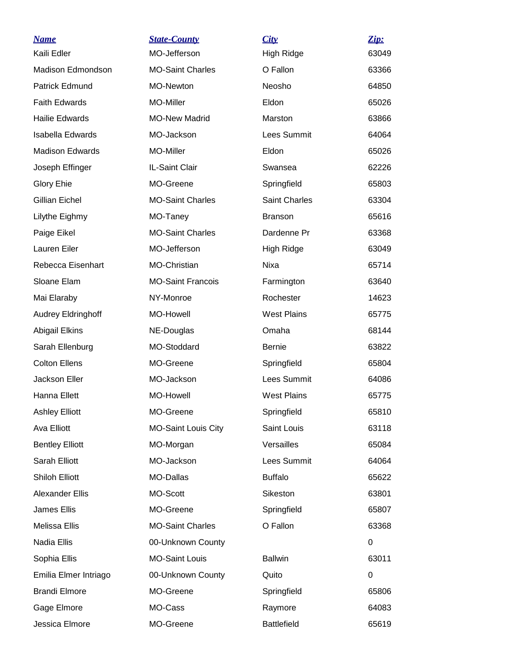| <u>Name</u>               | <u>State-County</u>        | City                 | Zip:  |
|---------------------------|----------------------------|----------------------|-------|
| Kaili Edler               | MO-Jefferson               | High Ridge           | 63049 |
| Madison Edmondson         | <b>MO-Saint Charles</b>    | O Fallon             | 63366 |
| Patrick Edmund            | MO-Newton                  | Neosho               | 64850 |
| <b>Faith Edwards</b>      | MO-Miller                  | Eldon                | 65026 |
| <b>Hailie Edwards</b>     | <b>MO-New Madrid</b>       | Marston              | 63866 |
| Isabella Edwards          | MO-Jackson                 | Lees Summit          | 64064 |
| <b>Madison Edwards</b>    | MO-Miller                  | Eldon                | 65026 |
| Joseph Effinger           | IL-Saint Clair             | Swansea              | 62226 |
| <b>Glory Ehie</b>         | MO-Greene                  | Springfield          | 65803 |
| <b>Gillian Eichel</b>     | <b>MO-Saint Charles</b>    | <b>Saint Charles</b> | 63304 |
| Lilythe Eighmy            | MO-Taney                   | <b>Branson</b>       | 65616 |
| Paige Eikel               | <b>MO-Saint Charles</b>    | Dardenne Pr          | 63368 |
| <b>Lauren Eiler</b>       | MO-Jefferson               | <b>High Ridge</b>    | 63049 |
| Rebecca Eisenhart         | MO-Christian               | Nixa                 | 65714 |
| Sloane Elam               | <b>MO-Saint Francois</b>   | Farmington           | 63640 |
| Mai Elaraby               | NY-Monroe                  | Rochester            | 14623 |
| <b>Audrey Eldringhoff</b> | MO-Howell                  | <b>West Plains</b>   | 65775 |
| <b>Abigail Elkins</b>     | NE-Douglas                 | Omaha                | 68144 |
| Sarah Ellenburg           | MO-Stoddard                | <b>Bernie</b>        | 63822 |
| <b>Colton Ellens</b>      | MO-Greene                  | Springfield          | 65804 |
| Jackson Eller             | MO-Jackson                 | Lees Summit          | 64086 |
| Hanna Ellett              | MO-Howell                  | <b>West Plains</b>   | 65775 |
| <b>Ashley Elliott</b>     | MO-Greene                  | Springfield          | 65810 |
| Ava Elliott               | <b>MO-Saint Louis City</b> | Saint Louis          | 63118 |
| <b>Bentley Elliott</b>    | MO-Morgan                  | Versailles           | 65084 |
| Sarah Elliott             | MO-Jackson                 | Lees Summit          | 64064 |
| <b>Shiloh Elliott</b>     | MO-Dallas                  | <b>Buffalo</b>       | 65622 |
| Alexander Ellis           | MO-Scott                   | Sikeston             | 63801 |
| James Ellis               | MO-Greene                  | Springfield          | 65807 |
| Melissa Ellis             | <b>MO-Saint Charles</b>    | O Fallon             | 63368 |
| Nadia Ellis               | 00-Unknown County          |                      | 0     |
| Sophia Ellis              | <b>MO-Saint Louis</b>      | <b>Ballwin</b>       | 63011 |
| Emilia Elmer Intriago     | 00-Unknown County          | Quito                | 0     |
| <b>Brandi Elmore</b>      | MO-Greene                  | Springfield          | 65806 |
| Gage Elmore               | MO-Cass                    | Raymore              | 64083 |
| Jessica Elmore            | MO-Greene                  | <b>Battlefield</b>   | 65619 |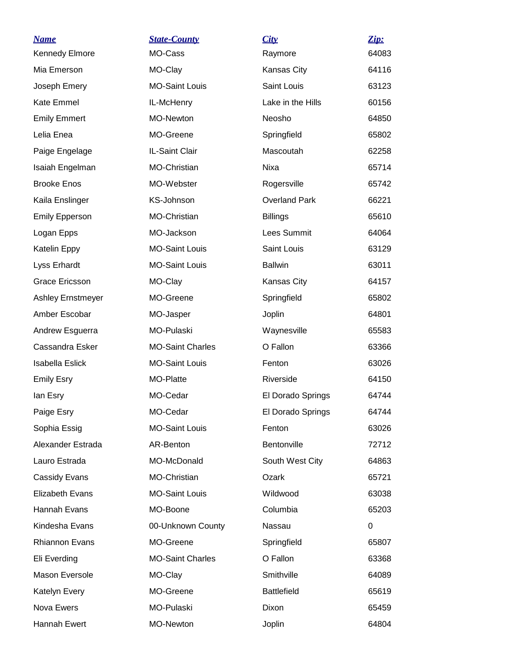| <u>Name</u>              | <b>State-County</b>     | City                 | Zip:  |
|--------------------------|-------------------------|----------------------|-------|
| <b>Kennedy Elmore</b>    | MO-Cass                 | Raymore              | 64083 |
| Mia Emerson              | MO-Clay                 | Kansas City          | 64116 |
| Joseph Emery             | <b>MO-Saint Louis</b>   | Saint Louis          | 63123 |
| <b>Kate Emmel</b>        | IL-McHenry              | Lake in the Hills    | 60156 |
| <b>Emily Emmert</b>      | MO-Newton               | Neosho               | 64850 |
| Lelia Enea               | MO-Greene               | Springfield          | 65802 |
| Paige Engelage           | IL-Saint Clair          | Mascoutah            | 62258 |
| Isaiah Engelman          | MO-Christian            | Nixa                 | 65714 |
| <b>Brooke Enos</b>       | MO-Webster              | Rogersville          | 65742 |
| Kaila Enslinger          | KS-Johnson              | <b>Overland Park</b> | 66221 |
| <b>Emily Epperson</b>    | MO-Christian            | <b>Billings</b>      | 65610 |
| Logan Epps               | MO-Jackson              | Lees Summit          | 64064 |
| Katelin Eppy             | <b>MO-Saint Louis</b>   | Saint Louis          | 63129 |
| Lyss Erhardt             | <b>MO-Saint Louis</b>   | <b>Ballwin</b>       | 63011 |
| Grace Ericsson           | MO-Clay                 | Kansas City          | 64157 |
| <b>Ashley Ernstmeyer</b> | MO-Greene               | Springfield          | 65802 |
| Amber Escobar            | MO-Jasper               | Joplin               | 64801 |
| Andrew Esguerra          | MO-Pulaski              | Waynesville          | 65583 |
| Cassandra Esker          | <b>MO-Saint Charles</b> | O Fallon             | 63366 |
| <b>Isabella Eslick</b>   | <b>MO-Saint Louis</b>   | Fenton               | 63026 |
| <b>Emily Esry</b>        | MO-Platte               | Riverside            | 64150 |
| lan Esry                 | MO-Cedar                | El Dorado Springs    | 64744 |
| Paige Esry               | MO-Cedar                | El Dorado Springs    | 64744 |
| Sophia Essig             | <b>MO-Saint Louis</b>   | Fenton               | 63026 |
| Alexander Estrada        | AR-Benton               | Bentonville          | 72712 |
| Lauro Estrada            | MO-McDonald             | South West City      | 64863 |
| Cassidy Evans            | MO-Christian            | Ozark                | 65721 |
| <b>Elizabeth Evans</b>   | <b>MO-Saint Louis</b>   | Wildwood             | 63038 |
| Hannah Evans             | MO-Boone                | Columbia             | 65203 |
| Kindesha Evans           | 00-Unknown County       | Nassau               | 0     |
| <b>Rhiannon Evans</b>    | MO-Greene               | Springfield          | 65807 |
| Eli Everding             | <b>MO-Saint Charles</b> | O Fallon             | 63368 |
| Mason Eversole           | MO-Clay                 | Smithville           | 64089 |
| Katelyn Every            | MO-Greene               | <b>Battlefield</b>   | 65619 |
| Nova Ewers               | MO-Pulaski              | Dixon                | 65459 |
| Hannah Ewert             | MO-Newton               | Joplin               | 64804 |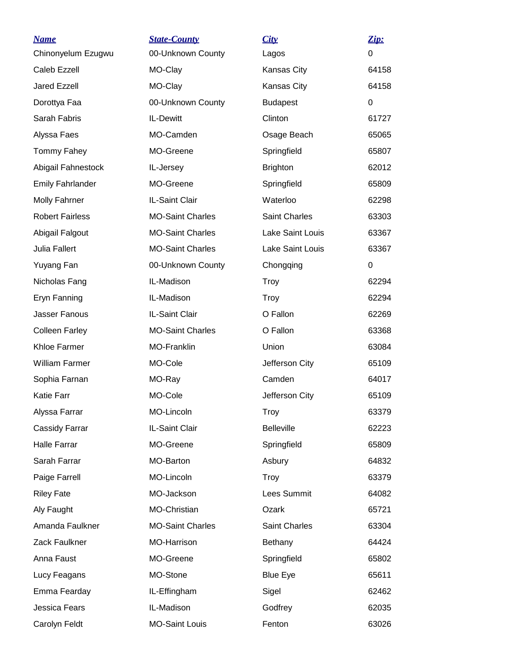| <b>Name</b>             | <b>State-County</b>     | City              | Zip:        |
|-------------------------|-------------------------|-------------------|-------------|
| Chinonyelum Ezugwu      | 00-Unknown County       | Lagos             | $\Omega$    |
| Caleb Ezzell            | MO-Clay                 | Kansas City       | 64158       |
| Jared Ezzell            | MO-Clay                 | Kansas City       | 64158       |
| Dorottya Faa            | 00-Unknown County       | <b>Budapest</b>   | 0           |
| Sarah Fabris            | IL-Dewitt               | Clinton           | 61727       |
| Alyssa Faes             | MO-Camden               | Osage Beach       | 65065       |
| Tommy Fahey             | MO-Greene               | Springfield       | 65807       |
| Abigail Fahnestock      | IL-Jersey               | <b>Brighton</b>   | 62012       |
| <b>Emily Fahrlander</b> | MO-Greene               | Springfield       | 65809       |
| <b>Molly Fahrner</b>    | IL-Saint Clair          | Waterloo          | 62298       |
| <b>Robert Fairless</b>  | <b>MO-Saint Charles</b> | Saint Charles     | 63303       |
| Abigail Falgout         | <b>MO-Saint Charles</b> | Lake Saint Louis  | 63367       |
| Julia Fallert           | <b>MO-Saint Charles</b> | Lake Saint Louis  | 63367       |
| Yuyang Fan              | 00-Unknown County       | Chongqing         | $\mathbf 0$ |
| Nicholas Fang           | IL-Madison              | <b>Troy</b>       | 62294       |
| Eryn Fanning            | IL-Madison              | <b>Troy</b>       | 62294       |
| Jasser Fanous           | IL-Saint Clair          | O Fallon          | 62269       |
| <b>Colleen Farley</b>   | <b>MO-Saint Charles</b> | O Fallon          | 63368       |
| Khloe Farmer            | MO-Franklin             | Union             | 63084       |
| William Farmer          | MO-Cole                 | Jefferson City    | 65109       |
| Sophia Farnan           | MO-Ray                  | Camden            | 64017       |
| <b>Katie Farr</b>       | MO-Cole                 | Jefferson City    | 65109       |
| Alyssa Farrar           | MO-Lincoln              | Troy              | 63379       |
| Cassidy Farrar          | IL-Saint Clair          | <b>Belleville</b> | 62223       |
| <b>Halle Farrar</b>     | MO-Greene               | Springfield       | 65809       |
| Sarah Farrar            | MO-Barton               | Asbury            | 64832       |
| Paige Farrell           | MO-Lincoln              | <b>Troy</b>       | 63379       |
| <b>Riley Fate</b>       | MO-Jackson              | Lees Summit       | 64082       |
| Aly Faught              | MO-Christian            | Ozark             | 65721       |
| Amanda Faulkner         | <b>MO-Saint Charles</b> | Saint Charles     | 63304       |
| Zack Faulkner           | MO-Harrison             | <b>Bethany</b>    | 64424       |
| Anna Faust              | MO-Greene               | Springfield       | 65802       |
| Lucy Feagans            | MO-Stone                | <b>Blue Eye</b>   | 65611       |
| Emma Fearday            | IL-Effingham            | Sigel             | 62462       |
| Jessica Fears           | IL-Madison              | Godfrey           | 62035       |
| Carolyn Feldt           | <b>MO-Saint Louis</b>   | Fenton            | 63026       |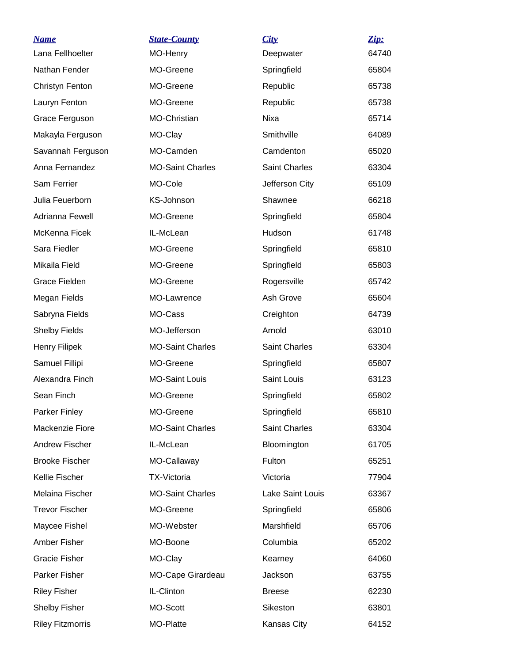| <b>Name</b>             | <b>State-County</b>     | City                 | Zip:  |
|-------------------------|-------------------------|----------------------|-------|
| Lana Fellhoelter        | MO-Henry                | Deepwater            | 64740 |
| Nathan Fender           | MO-Greene               | Springfield          | 65804 |
| Christyn Fenton         | MO-Greene               | Republic             | 65738 |
| Lauryn Fenton           | MO-Greene               | Republic             | 65738 |
| Grace Ferguson          | MO-Christian            | <b>Nixa</b>          | 65714 |
| Makayla Ferguson        | MO-Clay                 | Smithville           | 64089 |
| Savannah Ferguson       | MO-Camden               | Camdenton            | 65020 |
| Anna Fernandez          | <b>MO-Saint Charles</b> | Saint Charles        | 63304 |
| Sam Ferrier             | MO-Cole                 | Jefferson City       | 65109 |
| Julia Feuerborn         | <b>KS-Johnson</b>       | Shawnee              | 66218 |
| Adrianna Fewell         | MO-Greene               | Springfield          | 65804 |
| McKenna Ficek           | IL-McLean               | Hudson               | 61748 |
| Sara Fiedler            | MO-Greene               | Springfield          | 65810 |
| Mikaila Field           | MO-Greene               | Springfield          | 65803 |
| <b>Grace Fielden</b>    | MO-Greene               | Rogersville          | 65742 |
| Megan Fields            | MO-Lawrence             | Ash Grove            | 65604 |
| Sabryna Fields          | MO-Cass                 | Creighton            | 64739 |
| <b>Shelby Fields</b>    | MO-Jefferson            | Arnold               | 63010 |
| <b>Henry Filipek</b>    | <b>MO-Saint Charles</b> | <b>Saint Charles</b> | 63304 |
| Samuel Fillipi          | MO-Greene               | Springfield          | 65807 |
| Alexandra Finch         | <b>MO-Saint Louis</b>   | Saint Louis          | 63123 |
| Sean Finch              | MO-Greene               | Springfield          | 65802 |
| <b>Parker Finley</b>    | MO-Greene               | Springfield          | 65810 |
| Mackenzie Fiore         | <b>MO-Saint Charles</b> | Saint Charles        | 63304 |
| <b>Andrew Fischer</b>   | IL-McLean               | Bloomington          | 61705 |
| <b>Brooke Fischer</b>   | MO-Callaway             | Fulton               | 65251 |
| Kellie Fischer          | <b>TX-Victoria</b>      | Victoria             | 77904 |
| Melaina Fischer         | <b>MO-Saint Charles</b> | Lake Saint Louis     | 63367 |
| <b>Trevor Fischer</b>   | MO-Greene               | Springfield          | 65806 |
| Maycee Fishel           | MO-Webster              | Marshfield           | 65706 |
| Amber Fisher            | MO-Boone                | Columbia             | 65202 |
| <b>Gracie Fisher</b>    | MO-Clay                 | Kearney              | 64060 |
| Parker Fisher           | MO-Cape Girardeau       | Jackson              | 63755 |
| <b>Riley Fisher</b>     | IL-Clinton              | <b>Breese</b>        | 62230 |
| <b>Shelby Fisher</b>    | MO-Scott                | Sikeston             | 63801 |
| <b>Riley Fitzmorris</b> | MO-Platte               | Kansas City          | 64152 |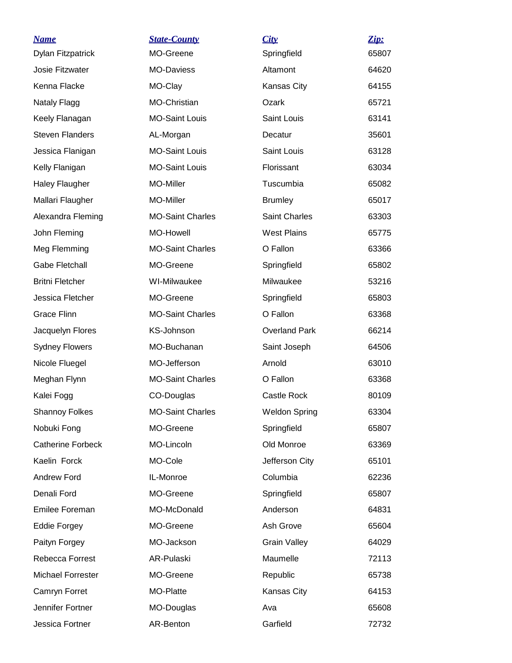| <u>Name</u>              | <b>State-County</b>     | City                 | Zip:  |
|--------------------------|-------------------------|----------------------|-------|
| Dylan Fitzpatrick        | MO-Greene               | Springfield          | 65807 |
| Josie Fitzwater          | <b>MO-Daviess</b>       | Altamont             | 64620 |
| Kenna Flacke             | MO-Clay                 | Kansas City          | 64155 |
| Nataly Flagg             | MO-Christian            | Ozark                | 65721 |
| Keely Flanagan           | <b>MO-Saint Louis</b>   | Saint Louis          | 63141 |
| <b>Steven Flanders</b>   | AL-Morgan               | Decatur              | 35601 |
| Jessica Flanigan         | <b>MO-Saint Louis</b>   | Saint Louis          | 63128 |
| Kelly Flanigan           | <b>MO-Saint Louis</b>   | Florissant           | 63034 |
| <b>Haley Flaugher</b>    | MO-Miller               | Tuscumbia            | 65082 |
| Mallari Flaugher         | MO-Miller               | <b>Brumley</b>       | 65017 |
| Alexandra Fleming        | <b>MO-Saint Charles</b> | <b>Saint Charles</b> | 63303 |
| John Fleming             | <b>MO-Howell</b>        | <b>West Plains</b>   | 65775 |
| Meg Flemming             | <b>MO-Saint Charles</b> | O Fallon             | 63366 |
| <b>Gabe Fletchall</b>    | MO-Greene               | Springfield          | 65802 |
| <b>Britni Fletcher</b>   | WI-Milwaukee            | Milwaukee            | 53216 |
| Jessica Fletcher         | MO-Greene               | Springfield          | 65803 |
| <b>Grace Flinn</b>       | <b>MO-Saint Charles</b> | O Fallon             | 63368 |
| Jacquelyn Flores         | KS-Johnson              | <b>Overland Park</b> | 66214 |
| <b>Sydney Flowers</b>    | MO-Buchanan             | Saint Joseph         | 64506 |
| Nicole Fluegel           | MO-Jefferson            | Arnold               | 63010 |
| Meghan Flynn             | <b>MO-Saint Charles</b> | O Fallon             | 63368 |
| Kalei Fogg               | CO-Douglas              | Castle Rock          | 80109 |
| <b>Shannoy Folkes</b>    | <b>MO-Saint Charles</b> | <b>Weldon Spring</b> | 63304 |
| Nobuki Fong              | MO-Greene               | Springfield          | 65807 |
| <b>Catherine Forbeck</b> | MO-Lincoln              | Old Monroe           | 63369 |
| Kaelin Forck             | MO-Cole                 | Jefferson City       | 65101 |
| <b>Andrew Ford</b>       | IL-Monroe               | Columbia             | 62236 |
| Denali Ford              | MO-Greene               | Springfield          | 65807 |
| Emilee Foreman           | MO-McDonald             | Anderson             | 64831 |
| <b>Eddie Forgey</b>      | MO-Greene               | Ash Grove            | 65604 |
| Paityn Forgey            | MO-Jackson              | <b>Grain Valley</b>  | 64029 |
| Rebecca Forrest          | AR-Pulaski              | Maumelle             | 72113 |
| Michael Forrester        | MO-Greene               | Republic             | 65738 |
| Camryn Forret            | MO-Platte               | Kansas City          | 64153 |
| Jennifer Fortner         | MO-Douglas              | Ava                  | 65608 |
| Jessica Fortner          | AR-Benton               | Garfield             | 72732 |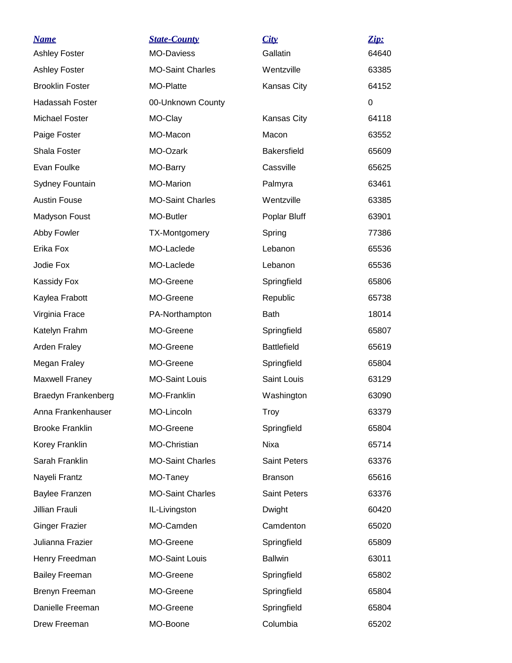| <b>Name</b>                | <b>State-County</b>     | City                | Zip:  |
|----------------------------|-------------------------|---------------------|-------|
| <b>Ashley Foster</b>       | <b>MO-Daviess</b>       | Gallatin            | 64640 |
| <b>Ashley Foster</b>       | <b>MO-Saint Charles</b> | Wentzville          | 63385 |
| <b>Brooklin Foster</b>     | MO-Platte               | Kansas City         | 64152 |
| Hadassah Foster            | 00-Unknown County       |                     | 0     |
| <b>Michael Foster</b>      | MO-Clay                 | Kansas City         | 64118 |
| Paige Foster               | MO-Macon                | Macon               | 63552 |
| Shala Foster               | MO-Ozark                | <b>Bakersfield</b>  | 65609 |
| Evan Foulke                | MO-Barry                | Cassville           | 65625 |
| Sydney Fountain            | <b>MO-Marion</b>        | Palmyra             | 63461 |
| <b>Austin Fouse</b>        | <b>MO-Saint Charles</b> | Wentzville          | 63385 |
| Madyson Foust              | MO-Butler               | Poplar Bluff        | 63901 |
| Abby Fowler                | TX-Montgomery           | Spring              | 77386 |
| Erika Fox                  | MO-Laclede              | Lebanon             | 65536 |
| Jodie Fox                  | MO-Laclede              | Lebanon             | 65536 |
| Kassidy Fox                | MO-Greene               | Springfield         | 65806 |
| Kaylea Frabott             | MO-Greene               | Republic            | 65738 |
| Virginia Frace             | PA-Northampton          | <b>Bath</b>         | 18014 |
| Katelyn Frahm              | MO-Greene               | Springfield         | 65807 |
| <b>Arden Fraley</b>        | MO-Greene               | <b>Battlefield</b>  | 65619 |
| Megan Fraley               | MO-Greene               | Springfield         | 65804 |
| Maxwell Franey             | <b>MO-Saint Louis</b>   | Saint Louis         | 63129 |
| <b>Braedyn Frankenberg</b> | MO-Franklin             | Washington          | 63090 |
| Anna Frankenhauser         | MO-Lincoln              | Troy                | 63379 |
| <b>Brooke Franklin</b>     | MO-Greene               | Springfield         | 65804 |
| Korey Franklin             | MO-Christian            | Nixa                | 65714 |
| Sarah Franklin             | <b>MO-Saint Charles</b> | <b>Saint Peters</b> | 63376 |
| Nayeli Frantz              | MO-Taney                | <b>Branson</b>      | 65616 |
| Baylee Franzen             | <b>MO-Saint Charles</b> | <b>Saint Peters</b> | 63376 |
| Jillian Frauli             | IL-Livingston           | Dwight              | 60420 |
| <b>Ginger Frazier</b>      | MO-Camden               | Camdenton           | 65020 |
| Julianna Frazier           | MO-Greene               | Springfield         | 65809 |
| Henry Freedman             | <b>MO-Saint Louis</b>   | <b>Ballwin</b>      | 63011 |
| <b>Bailey Freeman</b>      | MO-Greene               | Springfield         | 65802 |
| Brenyn Freeman             | MO-Greene               | Springfield         | 65804 |
| Danielle Freeman           | MO-Greene               | Springfield         | 65804 |
| Drew Freeman               | MO-Boone                | Columbia            | 65202 |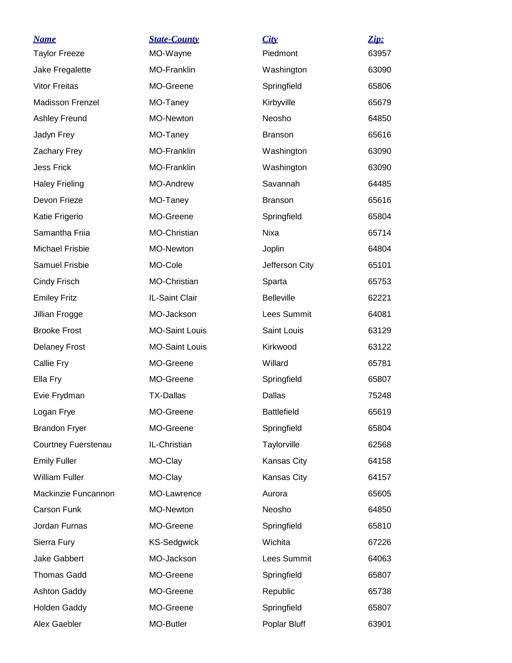| <b>Name</b>             | <b>State-County</b>   | City               | Zip:  |
|-------------------------|-----------------------|--------------------|-------|
| <b>Taylor Freeze</b>    | MO-Wayne              | Piedmont           | 63957 |
| Jake Fregalette         | MO-Franklin           | Washington         | 63090 |
| <b>Vitor Freitas</b>    | MO-Greene             | Springfield        | 65806 |
| <b>Madisson Frenzel</b> | MO-Taney              | Kirbyville         | 65679 |
| <b>Ashley Freund</b>    | <b>MO-Newton</b>      | Neosho             | 64850 |
| Jadyn Frey              | MO-Taney              | <b>Branson</b>     | 65616 |
| <b>Zachary Frey</b>     | <b>MO-Franklin</b>    | Washington         | 63090 |
| <b>Jess Frick</b>       | <b>MO-Franklin</b>    | Washington         | 63090 |
| <b>Haley Frieling</b>   | <b>MO-Andrew</b>      | Savannah           | 64485 |
| Devon Frieze            | MO-Taney              | <b>Branson</b>     | 65616 |
| Katie Frigerio          | MO-Greene             | Springfield        | 65804 |
| Samantha Friia          | MO-Christian          | <b>Nixa</b>        | 65714 |
| <b>Michael Frisbie</b>  | MO-Newton             | Joplin             | 64804 |
| <b>Samuel Frisbie</b>   | MO-Cole               | Jefferson City     | 65101 |
| Cindy Frisch            | MO-Christian          | Sparta             | 65753 |
| <b>Emiley Fritz</b>     | IL-Saint Clair        | <b>Belleville</b>  | 62221 |
| Jillian Frogge          | MO-Jackson            | Lees Summit        | 64081 |
| <b>Brooke Frost</b>     | <b>MO-Saint Louis</b> | Saint Louis        | 63129 |
| <b>Delaney Frost</b>    | <b>MO-Saint Louis</b> | Kirkwood           | 63122 |
| Callie Fry              | MO-Greene             | Willard            | 65781 |
| Ella Fry                | MO-Greene             | Springfield        | 65807 |
| Evie Frydman            | <b>TX-Dallas</b>      | Dallas             | 75248 |
| Logan Frye              | MO-Greene             | <b>Battlefield</b> | 65619 |
| <b>Brandon Fryer</b>    | MO-Greene             | Springfield        | 65804 |
| Courtney Fuerstenau     | IL-Christian          | Taylorville        | 62568 |
| <b>Emily Fuller</b>     | MO-Clay               | Kansas City        | 64158 |
| <b>William Fuller</b>   | MO-Clay               | Kansas City        | 64157 |
| Mackinzie Funcannon     | MO-Lawrence           | Aurora             | 65605 |
| Carson Funk             | MO-Newton             | Neosho             | 64850 |
| Jordan Furnas           | MO-Greene             | Springfield        | 65810 |
| Sierra Fury             | <b>KS-Sedgwick</b>    | Wichita            | 67226 |
| Jake Gabbert            | MO-Jackson            | Lees Summit        | 64063 |
| <b>Thomas Gadd</b>      | MO-Greene             | Springfield        | 65807 |
| <b>Ashton Gaddy</b>     | MO-Greene             | Republic           | 65738 |
| <b>Holden Gaddy</b>     | MO-Greene             | Springfield        | 65807 |
| Alex Gaebler            | MO-Butler             | Poplar Bluff       | 63901 |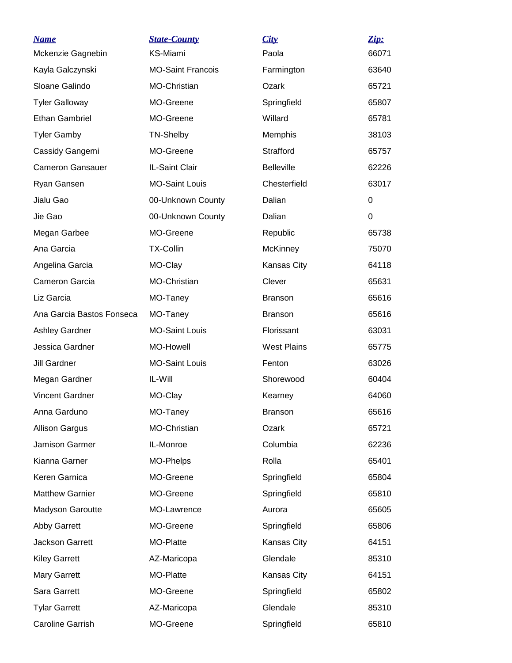| <b>Name</b>               | <b>State-County</b>      | City               | Zip:     |
|---------------------------|--------------------------|--------------------|----------|
| Mckenzie Gagnebin         | KS-Miami                 | Paola              | 66071    |
| Kayla Galczynski          | <b>MO-Saint Francois</b> | Farmington         | 63640    |
| Sloane Galindo            | MO-Christian             | Ozark              | 65721    |
| <b>Tyler Galloway</b>     | MO-Greene                | Springfield        | 65807    |
| <b>Ethan Gambriel</b>     | MO-Greene                | Willard            | 65781    |
| <b>Tyler Gamby</b>        | <b>TN-Shelby</b>         | Memphis            | 38103    |
| Cassidy Gangemi           | MO-Greene                | Strafford          | 65757    |
| <b>Cameron Gansauer</b>   | IL-Saint Clair           | <b>Belleville</b>  | 62226    |
| Ryan Gansen               | <b>MO-Saint Louis</b>    | Chesterfield       | 63017    |
| Jialu Gao                 | 00-Unknown County        | Dalian             | 0        |
| Jie Gao                   | 00-Unknown County        | Dalian             | $\Omega$ |
| Megan Garbee              | MO-Greene                | Republic           | 65738    |
| Ana Garcia                | <b>TX-Collin</b>         | <b>McKinney</b>    | 75070    |
| Angelina Garcia           | MO-Clay                  | Kansas City        | 64118    |
| Cameron Garcia            | MO-Christian             | Clever             | 65631    |
| Liz Garcia                | MO-Taney                 | <b>Branson</b>     | 65616    |
| Ana Garcia Bastos Fonseca | MO-Taney                 | <b>Branson</b>     | 65616    |
| <b>Ashley Gardner</b>     | <b>MO-Saint Louis</b>    | Florissant         | 63031    |
| Jessica Gardner           | <b>MO-Howell</b>         | <b>West Plains</b> | 65775    |
| <b>Jill Gardner</b>       | <b>MO-Saint Louis</b>    | Fenton             | 63026    |
| Megan Gardner             | IL-Will                  | Shorewood          | 60404    |
| <b>Vincent Gardner</b>    | MO-Clay                  | Kearney            | 64060    |
| Anna Garduno              | MO-Taney                 | <b>Branson</b>     | 65616    |
| <b>Allison Gargus</b>     | MO-Christian             | Ozark              | 65721    |
| Jamison Garmer            | IL-Monroe                | Columbia           | 62236    |
| Kianna Garner             | MO-Phelps                | Rolla              | 65401    |
| Keren Garnica             | MO-Greene                | Springfield        | 65804    |
| <b>Matthew Garnier</b>    | MO-Greene                | Springfield        | 65810    |
| Madyson Garoutte          | MO-Lawrence              | Aurora             | 65605    |
| <b>Abby Garrett</b>       | MO-Greene                | Springfield        | 65806    |
| <b>Jackson Garrett</b>    | MO-Platte                | Kansas City        | 64151    |
| <b>Kiley Garrett</b>      | AZ-Maricopa              | Glendale           | 85310    |
| <b>Mary Garrett</b>       | MO-Platte                | Kansas City        | 64151    |
| Sara Garrett              | MO-Greene                | Springfield        | 65802    |
| <b>Tylar Garrett</b>      | AZ-Maricopa              | Glendale           | 85310    |
| Caroline Garrish          | MO-Greene                | Springfield        | 65810    |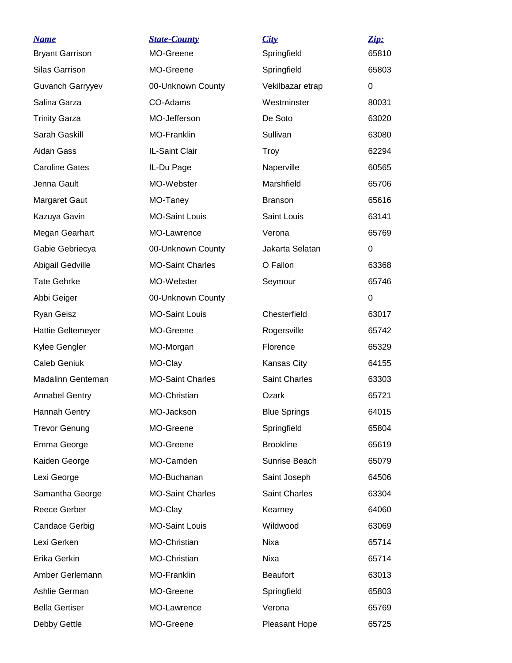| <b>Name</b>              | <b>State-County</b>     | City                 | Zip:  |
|--------------------------|-------------------------|----------------------|-------|
| <b>Bryant Garrison</b>   | MO-Greene               | Springfield          | 65810 |
| Silas Garrison           | MO-Greene               | Springfield          | 65803 |
| <b>Guvanch Garryyev</b>  | 00-Unknown County       | Vekilbazar etrap     | 0     |
| Salina Garza             | CO-Adams                | Westminster          | 80031 |
| <b>Trinity Garza</b>     | MO-Jefferson            | De Soto              | 63020 |
| Sarah Gaskill            | MO-Franklin             | Sullivan             | 63080 |
| Aidan Gass               | IL-Saint Clair          | <b>Troy</b>          | 62294 |
| <b>Caroline Gates</b>    | IL-Du Page              | Naperville           | 60565 |
| Jenna Gault              | MO-Webster              | Marshfield           | 65706 |
| <b>Margaret Gaut</b>     | MO-Taney                | <b>Branson</b>       | 65616 |
| Kazuya Gavin             | <b>MO-Saint Louis</b>   | Saint Louis          | 63141 |
| Megan Gearhart           | MO-Lawrence             | Verona               | 65769 |
| Gabie Gebriecya          | 00-Unknown County       | Jakarta Selatan      | 0     |
| Abigail Gedville         | <b>MO-Saint Charles</b> | O Fallon             | 63368 |
| <b>Tate Gehrke</b>       | MO-Webster              | Seymour              | 65746 |
| Abbi Geiger              | 00-Unknown County       |                      | 0     |
| <b>Ryan Geisz</b>        | <b>MO-Saint Louis</b>   | Chesterfield         | 63017 |
| <b>Hattie Geltemeyer</b> | MO-Greene               | Rogersville          | 65742 |
| Kylee Gengler            | MO-Morgan               | Florence             | 65329 |
| <b>Caleb Geniuk</b>      | MO-Clay                 | Kansas City          | 64155 |
| Madalinn Genteman        | <b>MO-Saint Charles</b> | Saint Charles        | 63303 |
| <b>Annabel Gentry</b>    | MO-Christian            | Ozark                | 65721 |
| Hannah Gentry            | MO-Jackson              | <b>Blue Springs</b>  | 64015 |
| <b>Trevor Genung</b>     | MO-Greene               | Springfield          | 65804 |
| Emma George              | MO-Greene               | <b>Brookline</b>     | 65619 |
| Kaiden George            | MO-Camden               | Sunrise Beach        | 65079 |
| Lexi George              | MO-Buchanan             | Saint Joseph         | 64506 |
| Samantha George          | <b>MO-Saint Charles</b> | <b>Saint Charles</b> | 63304 |
| <b>Reece Gerber</b>      | MO-Clay                 | Kearney              | 64060 |
| <b>Candace Gerbig</b>    | <b>MO-Saint Louis</b>   | Wildwood             | 63069 |
| Lexi Gerken              | MO-Christian            | Nixa                 | 65714 |
| Erika Gerkin             | MO-Christian            | Nixa                 | 65714 |
| Amber Gerlemann          | <b>MO-Franklin</b>      | <b>Beaufort</b>      | 63013 |
| Ashlie German            | MO-Greene               | Springfield          | 65803 |
| <b>Bella Gertiser</b>    | MO-Lawrence             | Verona               | 65769 |
| Debby Gettle             | MO-Greene               | Pleasant Hope        | 65725 |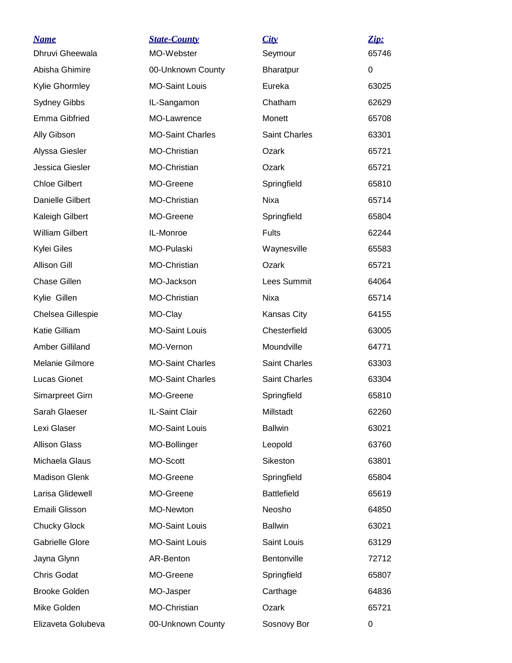| <u>Name</u>             | <b>State-County</b>     | City                 | Zip:  |
|-------------------------|-------------------------|----------------------|-------|
| Dhruvi Gheewala         | MO-Webster              | Seymour              | 65746 |
| Abisha Ghimire          | 00-Unknown County       | <b>Bharatpur</b>     | 0     |
| Kylie Ghormley          | <b>MO-Saint Louis</b>   | Eureka               | 63025 |
| <b>Sydney Gibbs</b>     | IL-Sangamon             | Chatham              | 62629 |
| <b>Emma Gibfried</b>    | MO-Lawrence             | Monett               | 65708 |
| Ally Gibson             | <b>MO-Saint Charles</b> | Saint Charles        | 63301 |
| Alyssa Giesler          | MO-Christian            | Ozark                | 65721 |
| Jessica Giesler         | MO-Christian            | Ozark                | 65721 |
| <b>Chloe Gilbert</b>    | MO-Greene               | Springfield          | 65810 |
| <b>Danielle Gilbert</b> | MO-Christian            | Nixa                 | 65714 |
| Kaleigh Gilbert         | MO-Greene               | Springfield          | 65804 |
| <b>William Gilbert</b>  | IL-Monroe               | <b>Fults</b>         | 62244 |
| Kylei Giles             | MO-Pulaski              | Waynesville          | 65583 |
| <b>Allison Gill</b>     | MO-Christian            | Ozark                | 65721 |
| Chase Gillen            | MO-Jackson              | Lees Summit          | 64064 |
| Kylie Gillen            | MO-Christian            | Nixa                 | 65714 |
| Chelsea Gillespie       | MO-Clay                 | Kansas City          | 64155 |
| Katie Gilliam           | <b>MO-Saint Louis</b>   | Chesterfield         | 63005 |
| Amber Gilliland         | MO-Vernon               | Moundville           | 64771 |
| Melanie Gilmore         | <b>MO-Saint Charles</b> | <b>Saint Charles</b> | 63303 |
| Lucas Gionet            | <b>MO-Saint Charles</b> | <b>Saint Charles</b> | 63304 |
| Simarpreet Girn         | MO-Greene               | Springfield          | 65810 |
| Sarah Glaeser           | IL-Saint Clair          | Millstadt            | 62260 |
| Lexi Glaser             | <b>MO-Saint Louis</b>   | <b>Ballwin</b>       | 63021 |
| <b>Allison Glass</b>    | MO-Bollinger            | Leopold              | 63760 |
| Michaela Glaus          | MO-Scott                | Sikeston             | 63801 |
| <b>Madison Glenk</b>    | MO-Greene               | Springfield          | 65804 |
| Larisa Glidewell        | MO-Greene               | <b>Battlefield</b>   | 65619 |
| Emaili Glisson          | MO-Newton               | Neosho               | 64850 |
| <b>Chucky Glock</b>     | <b>MO-Saint Louis</b>   | <b>Ballwin</b>       | 63021 |
| Gabrielle Glore         | <b>MO-Saint Louis</b>   | Saint Louis          | 63129 |
| Jayna Glynn             | AR-Benton               | Bentonville          | 72712 |
| <b>Chris Godat</b>      | MO-Greene               | Springfield          | 65807 |
| <b>Brooke Golden</b>    | MO-Jasper               | Carthage             | 64836 |
| Mike Golden             | MO-Christian            | Ozark                | 65721 |
| Elizaveta Golubeva      | 00-Unknown County       | Sosnovy Bor          | 0     |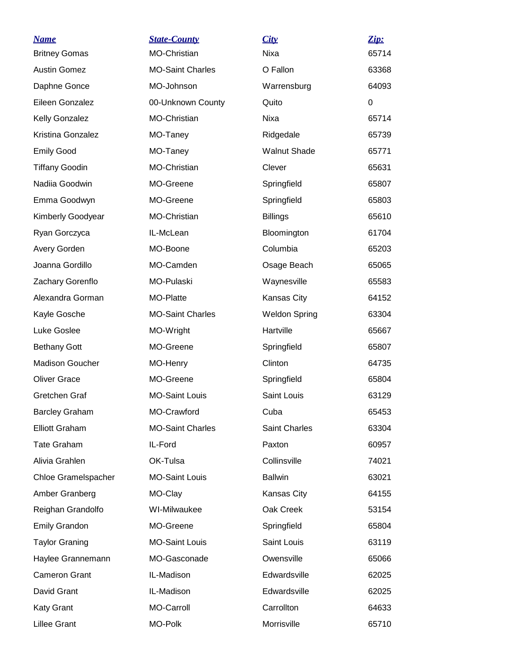| <b>Name</b><br><b>Britney Gomas</b> | <b>State-County</b><br><b>MO-Christian</b> | City<br>Nixa         | Zip:<br>65714 |
|-------------------------------------|--------------------------------------------|----------------------|---------------|
| <b>Austin Gomez</b>                 | <b>MO-Saint Charles</b>                    | O Fallon             | 63368         |
| Daphne Gonce                        | MO-Johnson                                 | Warrensburg          | 64093         |
| Eileen Gonzalez                     | 00-Unknown County                          | Quito                | 0             |
|                                     | <b>MO-Christian</b>                        | <b>Nixa</b>          | 65714         |
| Kelly Gonzalez<br>Kristina Gonzalez |                                            |                      |               |
|                                     | MO-Taney                                   | Ridgedale            | 65739         |
| <b>Emily Good</b>                   | MO-Taney                                   | <b>Walnut Shade</b>  | 65771         |
| <b>Tiffany Goodin</b>               | MO-Christian                               | Clever               | 65631         |
| Nadiia Goodwin                      | MO-Greene                                  | Springfield          | 65807         |
| Emma Goodwyn                        | MO-Greene                                  | Springfield          | 65803         |
| Kimberly Goodyear                   | MO-Christian                               | <b>Billings</b>      | 65610         |
| Ryan Gorczyca                       | IL-McLean                                  | Bloomington          | 61704         |
| Avery Gorden                        | MO-Boone                                   | Columbia             | 65203         |
| Joanna Gordillo                     | MO-Camden                                  | Osage Beach          | 65065         |
| Zachary Gorenflo                    | MO-Pulaski                                 | Waynesville          | 65583         |
| Alexandra Gorman                    | MO-Platte                                  | Kansas City          | 64152         |
| Kayle Gosche                        | <b>MO-Saint Charles</b>                    | <b>Weldon Spring</b> | 63304         |
| Luke Goslee                         | MO-Wright                                  | Hartville            | 65667         |
| <b>Bethany Gott</b>                 | MO-Greene                                  | Springfield          | 65807         |
| <b>Madison Goucher</b>              | MO-Henry                                   | Clinton              | 64735         |
| <b>Oliver Grace</b>                 | MO-Greene                                  | Springfield          | 65804         |
| Gretchen Graf                       | <b>MO-Saint Louis</b>                      | Saint Louis          | 63129         |
| <b>Barcley Graham</b>               | MO-Crawford                                | Cuba                 | 65453         |
| <b>Elliott Graham</b>               | <b>MO-Saint Charles</b>                    | Saint Charles        | 63304         |
| <b>Tate Graham</b>                  | IL-Ford                                    | Paxton               | 60957         |
| Alivia Grahlen                      | OK-Tulsa                                   | Collinsville         | 74021         |
| Chloe Gramelspacher                 | <b>MO-Saint Louis</b>                      | <b>Ballwin</b>       | 63021         |
| Amber Granberg                      | MO-Clay                                    | Kansas City          | 64155         |
| Reighan Grandolfo                   | WI-Milwaukee                               | Oak Creek            | 53154         |
| <b>Emily Grandon</b>                | MO-Greene                                  | Springfield          | 65804         |
| <b>Taylor Graning</b>               | <b>MO-Saint Louis</b>                      | Saint Louis          | 63119         |
| Haylee Grannemann                   | MO-Gasconade                               | Owensville           | 65066         |
| <b>Cameron Grant</b>                | IL-Madison                                 | Edwardsville         | 62025         |
| David Grant                         | IL-Madison                                 | Edwardsville         | 62025         |
| <b>Katy Grant</b>                   | MO-Carroll                                 | Carrollton           | 64633         |
| Lillee Grant                        | MO-Polk                                    | Morrisville          | 65710         |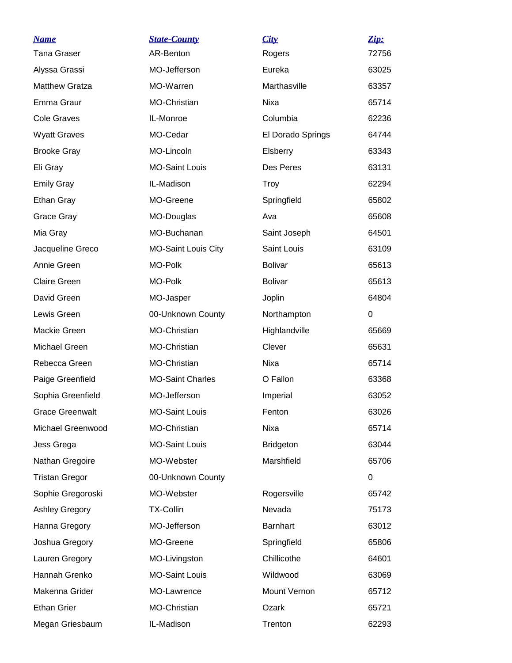| <b>Name</b>            | <b>State-County</b>        | City              | Zip:           |
|------------------------|----------------------------|-------------------|----------------|
| <b>Tana Graser</b>     | AR-Benton                  | Rogers            | 72756          |
| Alyssa Grassi          | MO-Jefferson               | Eureka            | 63025          |
| <b>Matthew Gratza</b>  | MO-Warren                  | Marthasville      | 63357          |
| Emma Graur             | MO-Christian               | Nixa              | 65714          |
| <b>Cole Graves</b>     | IL-Monroe                  | Columbia          | 62236          |
| <b>Wyatt Graves</b>    | MO-Cedar                   | El Dorado Springs | 64744          |
| <b>Brooke Gray</b>     | MO-Lincoln                 | Elsberry          | 63343          |
| Eli Gray               | <b>MO-Saint Louis</b>      | Des Peres         | 63131          |
| <b>Emily Gray</b>      | IL-Madison                 | <b>Troy</b>       | 62294          |
| Ethan Gray             | MO-Greene                  | Springfield       | 65802          |
| Grace Gray             | MO-Douglas                 | Ava               | 65608          |
| Mia Gray               | MO-Buchanan                | Saint Joseph      | 64501          |
| Jacqueline Greco       | <b>MO-Saint Louis City</b> | Saint Louis       | 63109          |
| Annie Green            | MO-Polk                    | <b>Bolivar</b>    | 65613          |
| <b>Claire Green</b>    | MO-Polk                    | <b>Bolivar</b>    | 65613          |
| David Green            | MO-Jasper                  | Joplin            | 64804          |
| Lewis Green            | 00-Unknown County          | Northampton       | $\mathbf 0$    |
| Mackie Green           | MO-Christian               | Highlandville     | 65669          |
| Michael Green          | MO-Christian               | Clever            | 65631          |
| Rebecca Green          | MO-Christian               | <b>Nixa</b>       | 65714          |
| Paige Greenfield       | <b>MO-Saint Charles</b>    | O Fallon          | 63368          |
| Sophia Greenfield      | MO-Jefferson               | Imperial          | 63052          |
| <b>Grace Greenwalt</b> | <b>MO-Saint Louis</b>      | Fenton            | 63026          |
| Michael Greenwood      | MO-Christian               | Nixa              | 65714          |
| Jess Grega             | <b>MO-Saint Louis</b>      | <b>Bridgeton</b>  | 63044          |
| Nathan Gregoire        | MO-Webster                 | Marshfield        | 65706          |
| <b>Tristan Gregor</b>  | 00-Unknown County          |                   | $\overline{0}$ |
| Sophie Gregoroski      | MO-Webster                 | Rogersville       | 65742          |
| <b>Ashley Gregory</b>  | <b>TX-Collin</b>           | Nevada            | 75173          |
| Hanna Gregory          | MO-Jefferson               | <b>Barnhart</b>   | 63012          |
| Joshua Gregory         | MO-Greene                  | Springfield       | 65806          |
| Lauren Gregory         | MO-Livingston              | Chillicothe       | 64601          |
| Hannah Grenko          | <b>MO-Saint Louis</b>      | Wildwood          | 63069          |
| Makenna Grider         | MO-Lawrence                | Mount Vernon      | 65712          |
| <b>Ethan Grier</b>     | MO-Christian               | Ozark             | 65721          |
| Megan Griesbaum        | IL-Madison                 | Trenton           | 62293          |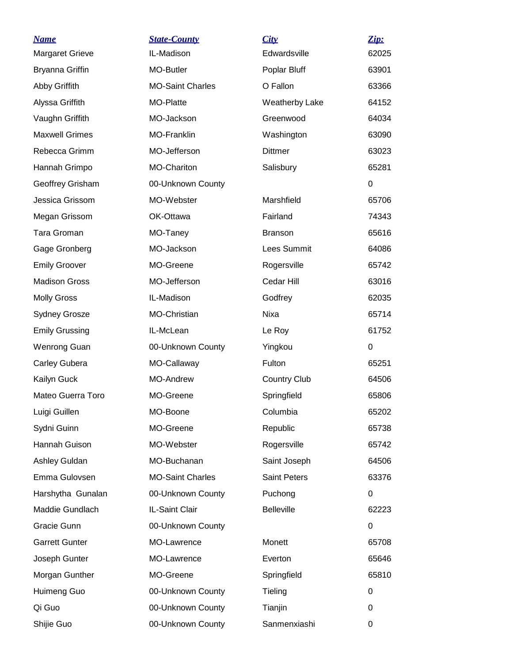| <b>Name</b>            | <b>State-County</b>     | City                  | Zip:     |
|------------------------|-------------------------|-----------------------|----------|
| <b>Margaret Grieve</b> | IL-Madison              | Edwardsville          | 62025    |
| <b>Bryanna Griffin</b> | MO-Butler               | Poplar Bluff          | 63901    |
| Abby Griffith          | <b>MO-Saint Charles</b> | O Fallon              | 63366    |
| Alyssa Griffith        | MO-Platte               | <b>Weatherby Lake</b> | 64152    |
| Vaughn Griffith        | MO-Jackson              | Greenwood             | 64034    |
| <b>Maxwell Grimes</b>  | MO-Franklin             | Washington            | 63090    |
| Rebecca Grimm          | MO-Jefferson            | <b>Dittmer</b>        | 63023    |
| Hannah Grimpo          | MO-Chariton             | Salisbury             | 65281    |
| Geoffrey Grisham       | 00-Unknown County       |                       | 0        |
| Jessica Grissom        | MO-Webster              | Marshfield            | 65706    |
| Megan Grissom          | OK-Ottawa               | Fairland              | 74343    |
| Tara Groman            | MO-Taney                | <b>Branson</b>        | 65616    |
| Gage Gronberg          | MO-Jackson              | Lees Summit           | 64086    |
| <b>Emily Groover</b>   | MO-Greene               | Rogersville           | 65742    |
| <b>Madison Gross</b>   | MO-Jefferson            | Cedar Hill            | 63016    |
| <b>Molly Gross</b>     | IL-Madison              | Godfrey               | 62035    |
| <b>Sydney Grosze</b>   | MO-Christian            | Nixa                  | 65714    |
| <b>Emily Grussing</b>  | IL-McLean               | Le Roy                | 61752    |
| <b>Wenrong Guan</b>    | 00-Unknown County       | Yingkou               | $\Omega$ |
| <b>Carley Gubera</b>   | MO-Callaway             | Fulton                | 65251    |
| Kailyn Guck            | <b>MO-Andrew</b>        | <b>Country Club</b>   | 64506    |
| Mateo Guerra Toro      | MO-Greene               | Springfield           | 65806    |
| Luigi Guillen          | MO-Boone                | Columbia              | 65202    |
| Sydni Guinn            | MO-Greene               | Republic              | 65738    |
| Hannah Guison          | MO-Webster              | Rogersville           | 65742    |
| Ashley Guldan          | MO-Buchanan             | Saint Joseph          | 64506    |
| Emma Gulovsen          | <b>MO-Saint Charles</b> | <b>Saint Peters</b>   | 63376    |
| Harshytha Gunalan      | 00-Unknown County       | Puchong               | 0        |
| Maddie Gundlach        | IL-Saint Clair          | <b>Belleville</b>     | 62223    |
| Gracie Gunn            | 00-Unknown County       |                       | 0        |
| <b>Garrett Gunter</b>  | MO-Lawrence             | Monett                | 65708    |
| Joseph Gunter          | MO-Lawrence             | Everton               | 65646    |
| Morgan Gunther         | MO-Greene               | Springfield           | 65810    |
| Huimeng Guo            | 00-Unknown County       | Tieling               | 0        |
| Qi Guo                 | 00-Unknown County       | Tianjin               | 0        |
| Shijie Guo             | 00-Unknown County       | Sanmenxiashi          | 0        |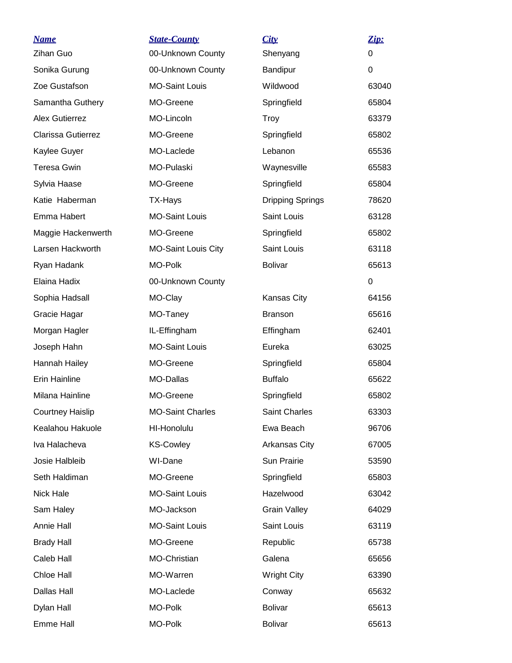| <u>Name</u>               | <b>State-County</b>        | City                    | Zip:  |
|---------------------------|----------------------------|-------------------------|-------|
| Zihan Guo                 | 00-Unknown County          | Shenyang                | 0     |
| Sonika Gurung             | 00-Unknown County          | Bandipur                | 0     |
| Zoe Gustafson             | <b>MO-Saint Louis</b>      | Wildwood                | 63040 |
| Samantha Guthery          | MO-Greene                  | Springfield             | 65804 |
| <b>Alex Gutierrez</b>     | MO-Lincoln                 | Troy                    | 63379 |
| <b>Clarissa Gutierrez</b> | MO-Greene                  | Springfield             | 65802 |
| Kaylee Guyer              | MO-Laclede                 | Lebanon                 | 65536 |
| <b>Teresa Gwin</b>        | MO-Pulaski                 | Waynesville             | 65583 |
| Sylvia Haase              | MO-Greene                  | Springfield             | 65804 |
| Katie Haberman            | TX-Hays                    | <b>Dripping Springs</b> | 78620 |
| Emma Habert               | <b>MO-Saint Louis</b>      | Saint Louis             | 63128 |
| Maggie Hackenwerth        | MO-Greene                  | Springfield             | 65802 |
| Larsen Hackworth          | <b>MO-Saint Louis City</b> | Saint Louis             | 63118 |
| Ryan Hadank               | <b>MO-Polk</b>             | <b>Bolivar</b>          | 65613 |
| Elaina Hadix              | 00-Unknown County          |                         | 0     |
| Sophia Hadsall            | MO-Clay                    | Kansas City             | 64156 |
| Gracie Hagar              | MO-Taney                   | <b>Branson</b>          | 65616 |
| Morgan Hagler             | IL-Effingham               | Effingham               | 62401 |
| Joseph Hahn               | <b>MO-Saint Louis</b>      | Eureka                  | 63025 |
| Hannah Hailey             | MO-Greene                  | Springfield             | 65804 |
| Erin Hainline             | MO-Dallas                  | <b>Buffalo</b>          | 65622 |
| Milana Hainline           | MO-Greene                  | Springfield             | 65802 |
| <b>Courtney Haislip</b>   | <b>MO-Saint Charles</b>    | Saint Charles           | 63303 |
| Kealahou Hakuole          | HI-Honolulu                | Ewa Beach               | 96706 |
| Iva Halacheva             | <b>KS-Cowley</b>           | Arkansas City           | 67005 |
| Josie Halbleib            | WI-Dane                    | Sun Prairie             | 53590 |
| Seth Haldiman             | MO-Greene                  | Springfield             | 65803 |
| Nick Hale                 | <b>MO-Saint Louis</b>      | Hazelwood               | 63042 |
| Sam Haley                 | MO-Jackson                 | <b>Grain Valley</b>     | 64029 |
| Annie Hall                | <b>MO-Saint Louis</b>      | Saint Louis             | 63119 |
| <b>Brady Hall</b>         | MO-Greene                  | Republic                | 65738 |
| Caleb Hall                | MO-Christian               | Galena                  | 65656 |
| Chloe Hall                | MO-Warren                  | <b>Wright City</b>      | 63390 |
| Dallas Hall               | MO-Laclede                 | Conway                  | 65632 |
| Dylan Hall                | <b>MO-Polk</b>             | <b>Bolivar</b>          | 65613 |
| Emme Hall                 | MO-Polk                    | <b>Bolivar</b>          | 65613 |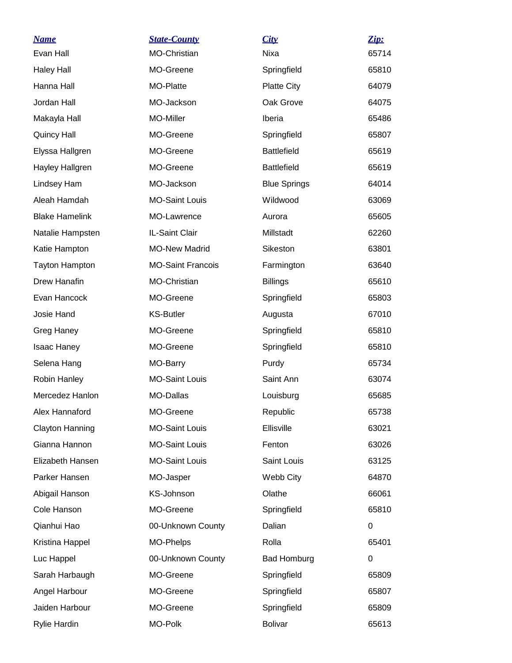| <u>Name</u>           | <b>State-County</b>      | City                | Zip:  |
|-----------------------|--------------------------|---------------------|-------|
| Evan Hall             | MO-Christian             | Nixa                | 65714 |
| <b>Haley Hall</b>     | MO-Greene                | Springfield         | 65810 |
| Hanna Hall            | MO-Platte                | <b>Platte City</b>  | 64079 |
| Jordan Hall           | MO-Jackson               | Oak Grove           | 64075 |
| Makayla Hall          | MO-Miller                | Iberia              | 65486 |
| <b>Quincy Hall</b>    | MO-Greene                | Springfield         | 65807 |
| Elyssa Hallgren       | MO-Greene                | <b>Battlefield</b>  | 65619 |
| Hayley Hallgren       | MO-Greene                | <b>Battlefield</b>  | 65619 |
| Lindsey Ham           | MO-Jackson               | <b>Blue Springs</b> | 64014 |
| Aleah Hamdah          | <b>MO-Saint Louis</b>    | Wildwood            | 63069 |
| <b>Blake Hamelink</b> | MO-Lawrence              | Aurora              | 65605 |
| Natalie Hampsten      | IL-Saint Clair           | Millstadt           | 62260 |
| Katie Hampton         | <b>MO-New Madrid</b>     | Sikeston            | 63801 |
| <b>Tayton Hampton</b> | <b>MO-Saint Francois</b> | Farmington          | 63640 |
| Drew Hanafin          | MO-Christian             | <b>Billings</b>     | 65610 |
| Evan Hancock          | MO-Greene                | Springfield         | 65803 |
| Josie Hand            | <b>KS-Butler</b>         | Augusta             | 67010 |
| Greg Haney            | MO-Greene                | Springfield         | 65810 |
| <b>Isaac Haney</b>    | MO-Greene                | Springfield         | 65810 |
| Selena Hang           | MO-Barry                 | Purdy               | 65734 |
| Robin Hanley          | <b>MO-Saint Louis</b>    | Saint Ann           | 63074 |
| Mercedez Hanlon       | MO-Dallas                | Louisburg           | 65685 |
| Alex Hannaford        | MO-Greene                | Republic            | 65738 |
| Clayton Hanning       | <b>MO-Saint Louis</b>    | Ellisville          | 63021 |
| Gianna Hannon         | MO-Saint Louis           | Fenton              | 63026 |
| Elizabeth Hansen      | <b>MO-Saint Louis</b>    | Saint Louis         | 63125 |
| Parker Hansen         | MO-Jasper                | Webb City           | 64870 |
| Abigail Hanson        | KS-Johnson               | Olathe              | 66061 |
| Cole Hanson           | MO-Greene                | Springfield         | 65810 |
| Qianhui Hao           | 00-Unknown County        | Dalian              | 0     |
| Kristina Happel       | MO-Phelps                | Rolla               | 65401 |
| Luc Happel            | 00-Unknown County        | <b>Bad Homburg</b>  | 0     |
| Sarah Harbaugh        | MO-Greene                | Springfield         | 65809 |
| Angel Harbour         | MO-Greene                | Springfield         | 65807 |
| Jaiden Harbour        | MO-Greene                | Springfield         | 65809 |
| <b>Rylie Hardin</b>   | MO-Polk                  | <b>Bolivar</b>      | 65613 |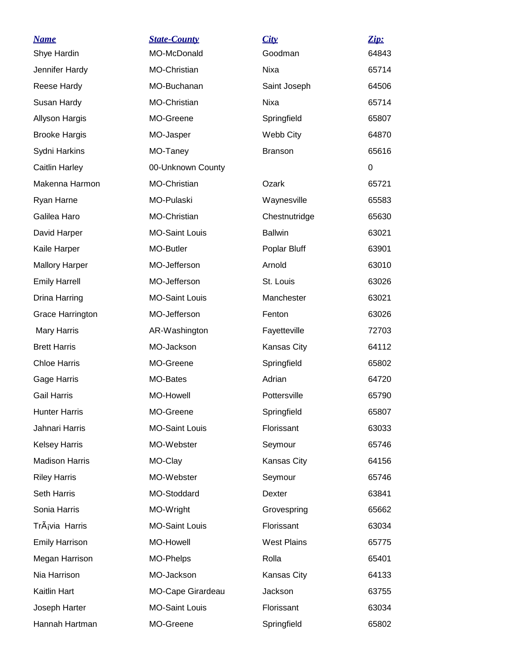| <u>Name</u>           | <b>State-County</b>   | City               | Zip:  |
|-----------------------|-----------------------|--------------------|-------|
| Shye Hardin           | MO-McDonald           | Goodman            | 64843 |
| Jennifer Hardy        | MO-Christian          | Nixa               | 65714 |
| Reese Hardy           | MO-Buchanan           | Saint Joseph       | 64506 |
| Susan Hardy           | MO-Christian          | Nixa               | 65714 |
| Allyson Hargis        | MO-Greene             | Springfield        | 65807 |
| <b>Brooke Hargis</b>  | MO-Jasper             | Webb City          | 64870 |
| Sydni Harkins         | MO-Taney              | <b>Branson</b>     | 65616 |
| Caitlin Harley        | 00-Unknown County     |                    | 0     |
| Makenna Harmon        | MO-Christian          | Ozark              | 65721 |
| Ryan Harne            | MO-Pulaski            | Waynesville        | 65583 |
| Galilea Haro          | MO-Christian          | Chestnutridge      | 65630 |
| David Harper          | <b>MO-Saint Louis</b> | <b>Ballwin</b>     | 63021 |
| Kaile Harper          | MO-Butler             | Poplar Bluff       | 63901 |
| <b>Mallory Harper</b> | MO-Jefferson          | Arnold             | 63010 |
| <b>Emily Harrell</b>  | MO-Jefferson          | St. Louis          | 63026 |
| Drina Harring         | <b>MO-Saint Louis</b> | Manchester         | 63021 |
| Grace Harrington      | MO-Jefferson          | Fenton             | 63026 |
| <b>Mary Harris</b>    | AR-Washington         | Fayetteville       | 72703 |
| <b>Brett Harris</b>   | MO-Jackson            | Kansas City        | 64112 |
| <b>Chloe Harris</b>   | MO-Greene             | Springfield        | 65802 |
| Gage Harris           | MO-Bates              | Adrian             | 64720 |
| <b>Gail Harris</b>    | <b>MO-Howell</b>      | Pottersville       | 65790 |
| <b>Hunter Harris</b>  | MO-Greene             | Springfield        | 65807 |
| Jahnari Harris        | <b>MO-Saint Louis</b> | Florissant         | 63033 |
| <b>Kelsey Harris</b>  | MO-Webster            | Seymour            | 65746 |
| <b>Madison Harris</b> | MO-Clay               | Kansas City        | 64156 |
| <b>Riley Harris</b>   | MO-Webster            | Seymour            | 65746 |
| Seth Harris           | MO-Stoddard           | Dexter             | 63841 |
| Sonia Harris          | MO-Wright             | Grovespring        | 65662 |
| Trávia Harris         | <b>MO-Saint Louis</b> | Florissant         | 63034 |
| <b>Emily Harrison</b> | MO-Howell             | <b>West Plains</b> | 65775 |
| Megan Harrison        | MO-Phelps             | Rolla              | 65401 |
| Nia Harrison          | MO-Jackson            | Kansas City        | 64133 |
| Kaitlin Hart          | MO-Cape Girardeau     | Jackson            | 63755 |
| Joseph Harter         | <b>MO-Saint Louis</b> | Florissant         | 63034 |
| Hannah Hartman        | MO-Greene             | Springfield        | 65802 |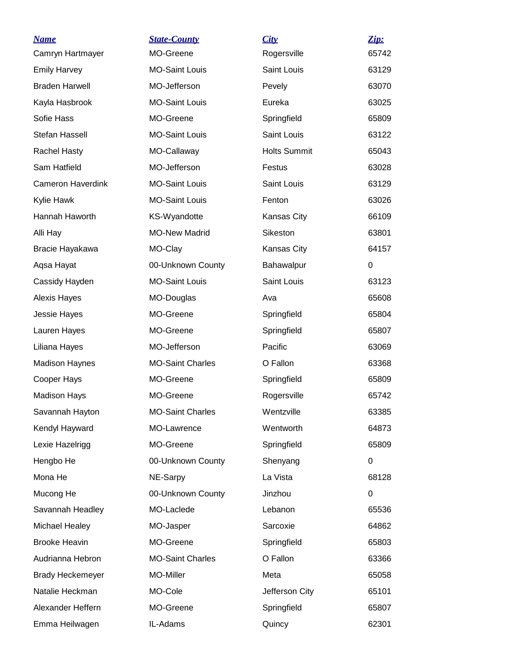| <b>Name</b>              | <b>State-County</b>     | City                       | Zip:        |
|--------------------------|-------------------------|----------------------------|-------------|
| Camryn Hartmayer         | MO-Greene               | Rogersville<br>Saint Louis | 65742       |
| <b>Emily Harvey</b>      | <b>MO-Saint Louis</b>   |                            | 63129       |
| <b>Braden Harwell</b>    | MO-Jefferson            | Pevely                     | 63070       |
| Kayla Hasbrook           | <b>MO-Saint Louis</b>   | Eureka                     | 63025       |
| Sofie Hass               | MO-Greene               | Springfield                | 65809       |
| Stefan Hassell           | <b>MO-Saint Louis</b>   | Saint Louis                | 63122       |
| <b>Rachel Hasty</b>      | MO-Callaway             | <b>Holts Summit</b>        | 65043       |
| Sam Hatfield             | MO-Jefferson            | Festus                     | 63028       |
| <b>Cameron Haverdink</b> | <b>MO-Saint Louis</b>   | Saint Louis                | 63129       |
| Kylie Hawk               | <b>MO-Saint Louis</b>   | Fenton                     | 63026       |
| Hannah Haworth           | <b>KS-Wyandotte</b>     | Kansas City                | 66109       |
| Alli Hay                 | <b>MO-New Madrid</b>    | Sikeston                   | 63801       |
| Bracie Hayakawa          | MO-Clay                 | Kansas City                | 64157       |
| Aqsa Hayat               | 00-Unknown County       | Bahawalpur                 | $\mathbf 0$ |
| Cassidy Hayden           | <b>MO-Saint Louis</b>   | Saint Louis                | 63123       |
| Alexis Hayes             | MO-Douglas              | Ava                        | 65608       |
| Jessie Hayes             | MO-Greene               | Springfield                | 65804       |
| Lauren Hayes             | MO-Greene               | Springfield                | 65807       |
| Liliana Hayes            | MO-Jefferson            | Pacific                    | 63069       |
| <b>Madison Haynes</b>    | <b>MO-Saint Charles</b> | O Fallon                   | 63368       |
| Cooper Hays              | MO-Greene               | Springfield                | 65809       |
| <b>Madison Hays</b>      | MO-Greene               | Rogersville                | 65742       |
| Savannah Hayton          | <b>MO-Saint Charles</b> | Wentzville                 | 63385       |
| Kendyl Hayward           | MO-Lawrence             | Wentworth                  | 64873       |
| Lexie Hazelrigg          | MO-Greene               | Springfield                | 65809       |
| Hengbo He                | 00-Unknown County       | Shenyang                   | 0           |
| Mona He                  | NE-Sarpy                | La Vista                   | 68128       |
| Mucong He                | 00-Unknown County       | Jinzhou                    | 0           |
| Savannah Headley         | MO-Laclede              | Lebanon                    | 65536       |
| Michael Healey           | MO-Jasper               | Sarcoxie                   | 64862       |
| <b>Brooke Heavin</b>     | MO-Greene               | Springfield                | 65803       |
| Audrianna Hebron         | <b>MO-Saint Charles</b> | O Fallon                   | 63366       |
| <b>Brady Heckemeyer</b>  | MO-Miller               | Meta                       | 65058       |
| Natalie Heckman          | MO-Cole                 | Jefferson City             | 65101       |
| Alexander Heffern        | MO-Greene               | Springfield                | 65807       |
| Emma Heilwagen           | IL-Adams                | Quincy                     | 62301       |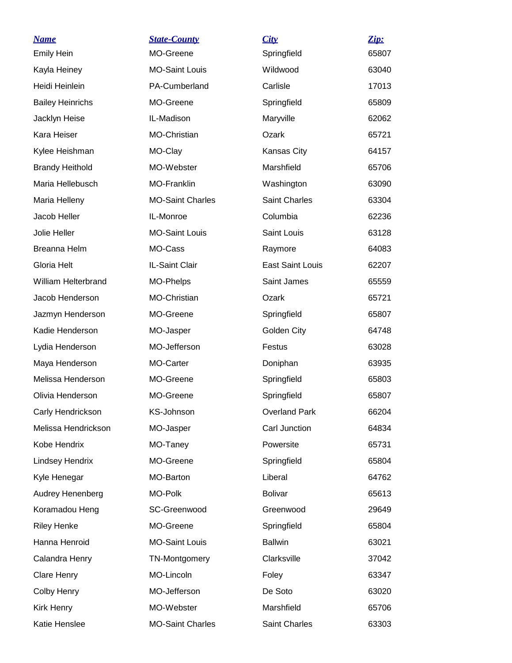| <b>Name</b>             | <b>State-County</b>     | City                    | Zip:  |
|-------------------------|-------------------------|-------------------------|-------|
| <b>Emily Hein</b>       | MO-Greene               | Springfield             | 65807 |
| Kayla Heiney            | <b>MO-Saint Louis</b>   | Wildwood                | 63040 |
| Heidi Heinlein          | PA-Cumberland           | Carlisle                | 17013 |
| <b>Bailey Heinrichs</b> | MO-Greene               | Springfield             | 65809 |
| Jacklyn Heise           | IL-Madison              | Maryville               | 62062 |
| Kara Heiser             | MO-Christian            | Ozark                   | 65721 |
| Kylee Heishman          | MO-Clay                 | Kansas City             | 64157 |
| <b>Brandy Heithold</b>  | MO-Webster              | Marshfield              | 65706 |
| Maria Hellebusch        | MO-Franklin             | Washington              | 63090 |
| Maria Helleny           | <b>MO-Saint Charles</b> | <b>Saint Charles</b>    | 63304 |
| Jacob Heller            | IL-Monroe               | Columbia                | 62236 |
| Jolie Heller            | <b>MO-Saint Louis</b>   | Saint Louis             | 63128 |
| Breanna Helm            | MO-Cass                 | Raymore                 | 64083 |
| Gloria Helt             | IL-Saint Clair          | <b>East Saint Louis</b> | 62207 |
| William Helterbrand     | MO-Phelps               | Saint James             | 65559 |
| Jacob Henderson         | MO-Christian            | Ozark                   | 65721 |
| Jazmyn Henderson        | MO-Greene               | Springfield             | 65807 |
| Kadie Henderson         | MO-Jasper               | Golden City             | 64748 |
| Lydia Henderson         | MO-Jefferson            | Festus                  | 63028 |
| Maya Henderson          | MO-Carter               | Doniphan                | 63935 |
| Melissa Henderson       | MO-Greene               | Springfield             | 65803 |
| Olivia Henderson        | MO-Greene               | Springfield             | 65807 |
| Carly Hendrickson       | KS-Johnson              | <b>Overland Park</b>    | 66204 |
| Melissa Hendrickson     | MO-Jasper               | Carl Junction           | 64834 |
| Kobe Hendrix            | MO-Taney                | Powersite               | 65731 |
| <b>Lindsey Hendrix</b>  | MO-Greene               | Springfield             | 65804 |
| Kyle Henegar            | MO-Barton               | Liberal                 | 64762 |
| Audrey Henenberg        | MO-Polk                 | <b>Bolivar</b>          | 65613 |
| Koramadou Heng          | SC-Greenwood            | Greenwood               | 29649 |
| <b>Riley Henke</b>      | MO-Greene               | Springfield             | 65804 |
| Hanna Henroid           | <b>MO-Saint Louis</b>   | <b>Ballwin</b>          | 63021 |
| Calandra Henry          | TN-Montgomery           | Clarksville             | 37042 |
| Clare Henry             | MO-Lincoln              | Foley                   | 63347 |
| Colby Henry             | MO-Jefferson            | De Soto                 | 63020 |
| Kirk Henry              | MO-Webster              | Marshfield              | 65706 |
| Katie Henslee           | <b>MO-Saint Charles</b> | Saint Charles           | 63303 |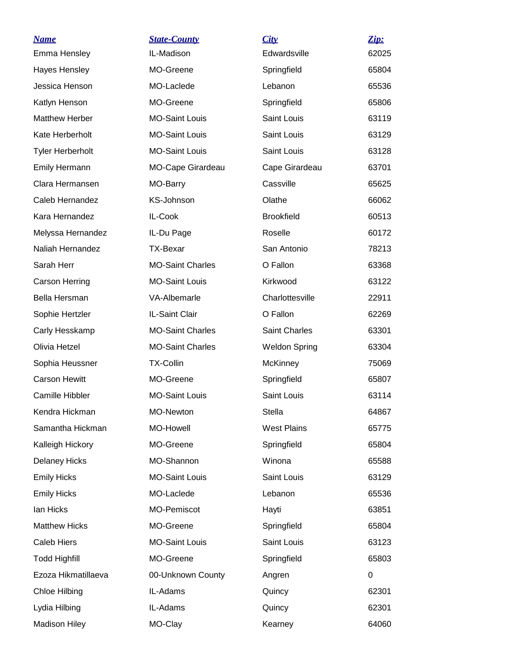| <b>Name</b>             | <b>State-County</b>     | City                 | Zip:  |
|-------------------------|-------------------------|----------------------|-------|
| Emma Hensley            | IL-Madison              | Edwardsville         | 62025 |
| Hayes Hensley           | MO-Greene               | Springfield          | 65804 |
| Jessica Henson          | MO-Laclede              | Lebanon              | 65536 |
| Katlyn Henson           | MO-Greene               | Springfield          | 65806 |
| <b>Matthew Herber</b>   | <b>MO-Saint Louis</b>   | Saint Louis          | 63119 |
| Kate Herberholt         | <b>MO-Saint Louis</b>   | Saint Louis          | 63129 |
| <b>Tyler Herberholt</b> | <b>MO-Saint Louis</b>   | Saint Louis          | 63128 |
| Emily Hermann           | MO-Cape Girardeau       | Cape Girardeau       | 63701 |
| Clara Hermansen         | MO-Barry                | Cassville            | 65625 |
| Caleb Hernandez         | KS-Johnson              | Olathe               | 66062 |
| Kara Hernandez          | IL-Cook                 | <b>Brookfield</b>    | 60513 |
| Melyssa Hernandez       | IL-Du Page              | Roselle              | 60172 |
| Naliah Hernandez        | <b>TX-Bexar</b>         | San Antonio          | 78213 |
| Sarah Herr              | <b>MO-Saint Charles</b> | O Fallon             | 63368 |
| <b>Carson Herring</b>   | <b>MO-Saint Louis</b>   | Kirkwood             | 63122 |
| Bella Hersman           | VA-Albemarle            | Charlottesville      | 22911 |
| Sophie Hertzler         | IL-Saint Clair          | O Fallon             | 62269 |
| Carly Hesskamp          | <b>MO-Saint Charles</b> | Saint Charles        | 63301 |
| Olivia Hetzel           | <b>MO-Saint Charles</b> | <b>Weldon Spring</b> | 63304 |
| Sophia Heussner         | <b>TX-Collin</b>        | <b>McKinney</b>      | 75069 |
| <b>Carson Hewitt</b>    | MO-Greene               | Springfield          | 65807 |
| Camille Hibbler         | <b>MO-Saint Louis</b>   | Saint Louis          | 63114 |
| Kendra Hickman          | MO-Newton               | Stella               | 64867 |
| Samantha Hickman        | MO-Howell               | <b>West Plains</b>   | 65775 |
| Kalleigh Hickory        | MO-Greene               | Springfield          | 65804 |
| <b>Delaney Hicks</b>    | MO-Shannon              | Winona               | 65588 |
| <b>Emily Hicks</b>      | <b>MO-Saint Louis</b>   | Saint Louis          | 63129 |
| <b>Emily Hicks</b>      | MO-Laclede              | Lebanon              | 65536 |
| lan Hicks               | MO-Pemiscot             | Hayti                | 63851 |
| <b>Matthew Hicks</b>    | MO-Greene               | Springfield          | 65804 |
| <b>Caleb Hiers</b>      | <b>MO-Saint Louis</b>   | Saint Louis          | 63123 |
| <b>Todd Highfill</b>    | MO-Greene               | Springfield          | 65803 |
| Ezoza Hikmatillaeva     | 00-Unknown County       | Angren               | 0     |
| Chloe Hilbing           | IL-Adams                | Quincy               | 62301 |
| Lydia Hilbing           | IL-Adams                | Quincy               | 62301 |
| <b>Madison Hiley</b>    | MO-Clay                 | Kearney              | 64060 |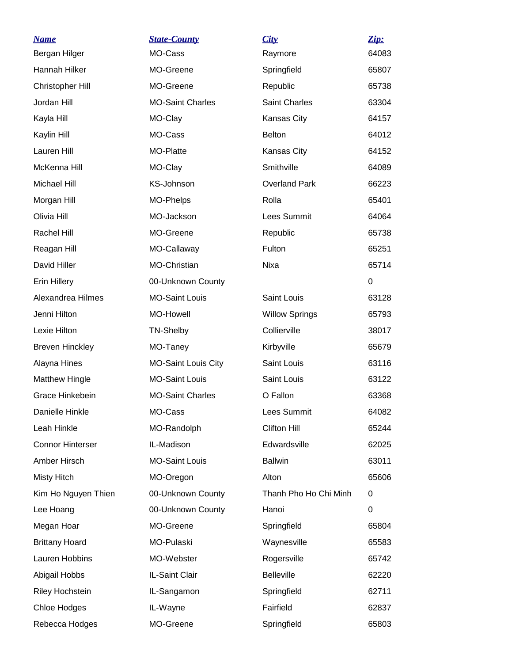| <b>Name</b>             | <b>State-County</b>        | City                  | Zip:        |
|-------------------------|----------------------------|-----------------------|-------------|
| Bergan Hilger           | MO-Cass                    | Raymore               | 64083       |
| Hannah Hilker           | MO-Greene                  | Springfield           | 65807       |
| <b>Christopher Hill</b> | MO-Greene                  | Republic              | 65738       |
| Jordan Hill             | <b>MO-Saint Charles</b>    | <b>Saint Charles</b>  | 63304       |
| Kayla Hill              | MO-Clay                    | Kansas City           | 64157       |
| Kaylin Hill             | MO-Cass                    | <b>Belton</b>         | 64012       |
| Lauren Hill             | MO-Platte                  | Kansas City           | 64152       |
| McKenna Hill            | MO-Clay                    | Smithville            | 64089       |
| Michael Hill            | KS-Johnson                 | <b>Overland Park</b>  | 66223       |
| Morgan Hill             | MO-Phelps                  | Rolla                 | 65401       |
| Olivia Hill             | MO-Jackson                 | Lees Summit           | 64064       |
| Rachel Hill             | MO-Greene                  | Republic              | 65738       |
| Reagan Hill             | MO-Callaway                | Fulton                | 65251       |
| David Hiller            | MO-Christian               | Nixa                  | 65714       |
| <b>Erin Hillery</b>     | 00-Unknown County          |                       | $\mathbf 0$ |
| Alexandrea Hilmes       | <b>MO-Saint Louis</b>      | Saint Louis           | 63128       |
| Jenni Hilton            | <b>MO-Howell</b>           | <b>Willow Springs</b> | 65793       |
| Lexie Hilton            | <b>TN-Shelby</b>           | Collierville          | 38017       |
| <b>Breven Hinckley</b>  | MO-Taney                   | Kirbyville            | 65679       |
| Alayna Hines            | <b>MO-Saint Louis City</b> | Saint Louis           | 63116       |
| <b>Matthew Hingle</b>   | <b>MO-Saint Louis</b>      | Saint Louis           | 63122       |
| Grace Hinkebein         | <b>MO-Saint Charles</b>    | O Fallon              | 63368       |
| Danielle Hinkle         | MO-Cass                    | Lees Summit           | 64082       |
| Leah Hinkle             | MO-Randolph                | <b>Clifton Hill</b>   | 65244       |
| <b>Connor Hinterser</b> | IL-Madison                 | Edwardsville          | 62025       |
| Amber Hirsch            | <b>MO-Saint Louis</b>      | <b>Ballwin</b>        | 63011       |
| <b>Misty Hitch</b>      | MO-Oregon                  | Alton                 | 65606       |
| Kim Ho Nguyen Thien     | 00-Unknown County          | Thanh Pho Ho Chi Minh | 0           |
| Lee Hoang               | 00-Unknown County          | Hanoi                 | 0           |
| Megan Hoar              | MO-Greene                  | Springfield           | 65804       |
| <b>Brittany Hoard</b>   | MO-Pulaski                 | Waynesville           | 65583       |
| Lauren Hobbins          | MO-Webster                 | Rogersville           | 65742       |
| Abigail Hobbs           | IL-Saint Clair             | <b>Belleville</b>     | 62220       |
| Riley Hochstein         | IL-Sangamon                | Springfield           | 62711       |
| Chloe Hodges            | IL-Wayne                   | Fairfield             | 62837       |
| Rebecca Hodges          | MO-Greene                  | Springfield           | 65803       |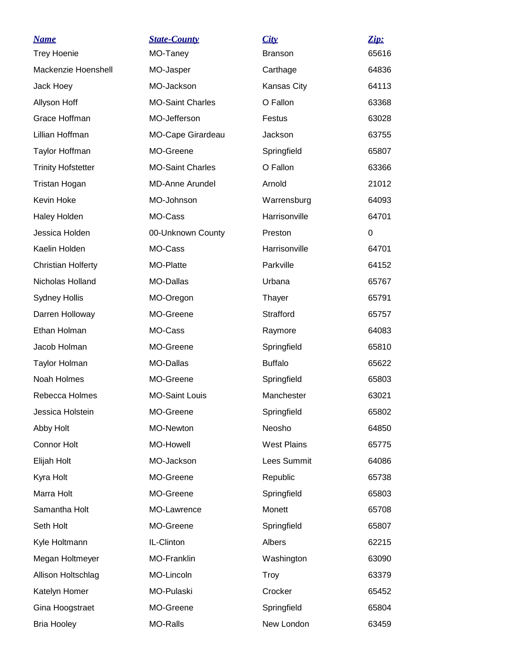| <b>Name</b>               | <b>State-County</b>     | City               | Zip:  |
|---------------------------|-------------------------|--------------------|-------|
| <b>Trey Hoenie</b>        | MO-Taney                | <b>Branson</b>     | 65616 |
| Mackenzie Hoenshell       | MO-Jasper               | Carthage           | 64836 |
| Jack Hoey                 | MO-Jackson              | <b>Kansas City</b> | 64113 |
| Allyson Hoff              | <b>MO-Saint Charles</b> | O Fallon           | 63368 |
| Grace Hoffman             | MO-Jefferson            | Festus             | 63028 |
| Lillian Hoffman           | MO-Cape Girardeau       | Jackson            | 63755 |
| Taylor Hoffman            | MO-Greene               | Springfield        | 65807 |
| <b>Trinity Hofstetter</b> | <b>MO-Saint Charles</b> | O Fallon           | 63366 |
| Tristan Hogan             | <b>MD-Anne Arundel</b>  | Arnold             | 21012 |
| Kevin Hoke                | MO-Johnson              | Warrensburg        | 64093 |
| <b>Haley Holden</b>       | MO-Cass                 | Harrisonville      | 64701 |
| Jessica Holden            | 00-Unknown County       | Preston            | 0     |
| Kaelin Holden             | MO-Cass                 | Harrisonville      | 64701 |
| <b>Christian Holferty</b> | MO-Platte               | Parkville          | 64152 |
| Nicholas Holland          | <b>MO-Dallas</b>        | Urbana             | 65767 |
| <b>Sydney Hollis</b>      | MO-Oregon               | Thayer             | 65791 |
| Darren Holloway           | MO-Greene               | Strafford          | 65757 |
| Ethan Holman              | MO-Cass                 | Raymore            | 64083 |
| Jacob Holman              | MO-Greene               | Springfield        | 65810 |
| <b>Taylor Holman</b>      | <b>MO-Dallas</b>        | <b>Buffalo</b>     | 65622 |
| Noah Holmes               | MO-Greene               | Springfield        | 65803 |
| Rebecca Holmes            | <b>MO-Saint Louis</b>   | Manchester         | 63021 |
| Jessica Holstein          | MO-Greene               | Springfield        | 65802 |
| Abby Holt                 | MO-Newton               | Neosho             | 64850 |
| <b>Connor Holt</b>        | MO-Howell               | <b>West Plains</b> | 65775 |
| Elijah Holt               | MO-Jackson              | Lees Summit        | 64086 |
| Kyra Holt                 | MO-Greene               | Republic           | 65738 |
| Marra Holt                | MO-Greene               | Springfield        | 65803 |
| Samantha Holt             | MO-Lawrence             | Monett             | 65708 |
| Seth Holt                 | MO-Greene               | Springfield        | 65807 |
| Kyle Holtmann             | IL-Clinton              | Albers             | 62215 |
| Megan Holtmeyer           | MO-Franklin             | Washington         | 63090 |
| Allison Holtschlag        | MO-Lincoln              | Troy               | 63379 |
| Katelyn Homer             | MO-Pulaski              | Crocker            | 65452 |
| Gina Hoogstraet           | MO-Greene               | Springfield        | 65804 |
| <b>Bria Hooley</b>        | MO-Ralls                | New London         | 63459 |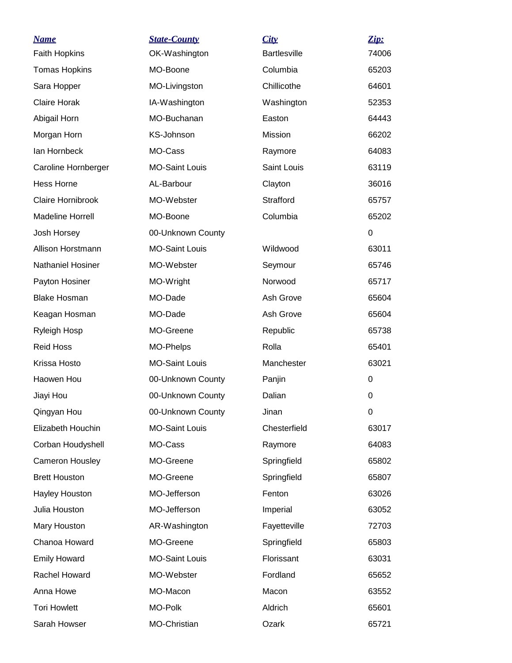| <u>Name</u>              | <b>State-County</b>   | City                | Zip:  |
|--------------------------|-----------------------|---------------------|-------|
| <b>Faith Hopkins</b>     | OK-Washington         | <b>Bartlesville</b> | 74006 |
| <b>Tomas Hopkins</b>     | MO-Boone              | Columbia            | 65203 |
| Sara Hopper              | MO-Livingston         | Chillicothe         | 64601 |
| <b>Claire Horak</b>      | IA-Washington         | Washington          | 52353 |
| Abigail Horn             | MO-Buchanan           | Easton              | 64443 |
| Morgan Horn              | KS-Johnson            | Mission             | 66202 |
| lan Hornbeck             | MO-Cass               | Raymore             | 64083 |
| Caroline Hornberger      | <b>MO-Saint Louis</b> | Saint Louis         | 63119 |
| <b>Hess Horne</b>        | AL-Barbour            | Clayton             | 36016 |
| Claire Hornibrook        | MO-Webster            | Strafford           | 65757 |
| <b>Madeline Horrell</b>  | MO-Boone              | Columbia            | 65202 |
| Josh Horsey              | 00-Unknown County     |                     | 0     |
| Allison Horstmann        | <b>MO-Saint Louis</b> | Wildwood            | 63011 |
| <b>Nathaniel Hosiner</b> | MO-Webster            | Seymour             | 65746 |
| Payton Hosiner           | MO-Wright             | Norwood             | 65717 |
| <b>Blake Hosman</b>      | MO-Dade               | Ash Grove           | 65604 |
| Keagan Hosman            | MO-Dade               | Ash Grove           | 65604 |
| Ryleigh Hosp             | MO-Greene             | Republic            | 65738 |
| <b>Reid Hoss</b>         | MO-Phelps             | Rolla               | 65401 |
| Krissa Hosto             | <b>MO-Saint Louis</b> | Manchester          | 63021 |
| Haowen Hou               | 00-Unknown County     | Panjin              | 0     |
| Jiayi Hou                | 00-Unknown County     | Dalian              | 0     |
| Qingyan Hou              | 00-Unknown County     | Jinan               | 0     |
| Elizabeth Houchin        | <b>MO-Saint Louis</b> | Chesterfield        | 63017 |
| Corban Houdyshell        | MO-Cass               | Raymore             | 64083 |
| Cameron Housley          | MO-Greene             | Springfield         | 65802 |
| <b>Brett Houston</b>     | MO-Greene             | Springfield         | 65807 |
| Hayley Houston           | MO-Jefferson          | Fenton              | 63026 |
| Julia Houston            | MO-Jefferson          | Imperial            | 63052 |
| Mary Houston             | AR-Washington         | Fayetteville        | 72703 |
| Chanoa Howard            | MO-Greene             | Springfield         | 65803 |
| <b>Emily Howard</b>      | <b>MO-Saint Louis</b> | Florissant          | 63031 |
| Rachel Howard            | MO-Webster            | Fordland            | 65652 |
| Anna Howe                | MO-Macon              | Macon               | 63552 |
| <b>Tori Howlett</b>      | MO-Polk               | Aldrich             | 65601 |
| Sarah Howser             | MO-Christian          | Ozark               | 65721 |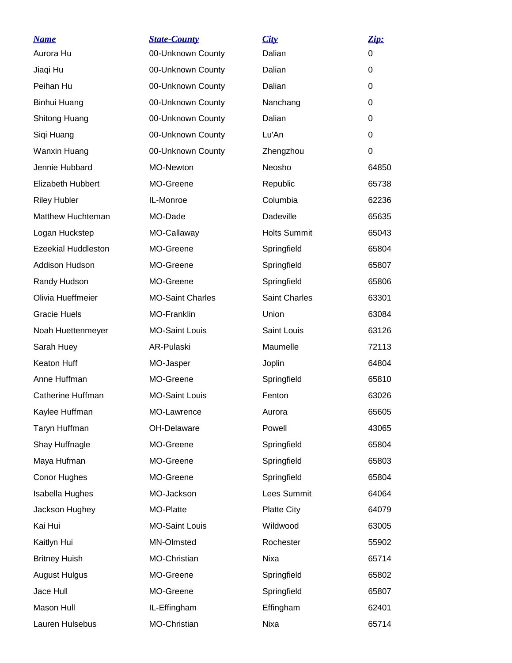| <b>Name</b>                | <b>State-County</b>     | City                 | Zip:  |
|----------------------------|-------------------------|----------------------|-------|
| Aurora Hu                  | 00-Unknown County       | Dalian               | 0     |
| Jiaqi Hu                   | 00-Unknown County       | Dalian               | 0     |
| Peihan Hu                  | 00-Unknown County       | Dalian               | 0     |
| Binhui Huang               | 00-Unknown County       | Nanchang             | 0     |
| Shitong Huang              | 00-Unknown County       | Dalian               | 0     |
| Siqi Huang                 | 00-Unknown County       | Lu'An                | 0     |
| Wanxin Huang               | 00-Unknown County       | Zhengzhou            | 0     |
| Jennie Hubbard             | MO-Newton               | Neosho               | 64850 |
| Elizabeth Hubbert          | MO-Greene               | Republic             | 65738 |
| <b>Riley Hubler</b>        | IL-Monroe               | Columbia             | 62236 |
| Matthew Huchteman          | MO-Dade                 | Dadeville            | 65635 |
| Logan Huckstep             | MO-Callaway             | <b>Holts Summit</b>  | 65043 |
| <b>Ezeekial Huddleston</b> | MO-Greene               | Springfield          | 65804 |
| Addison Hudson             | MO-Greene               | Springfield          | 65807 |
| Randy Hudson               | MO-Greene               | Springfield          | 65806 |
| Olivia Hueffmeier          | <b>MO-Saint Charles</b> | <b>Saint Charles</b> | 63301 |
| <b>Gracie Huels</b>        | MO-Franklin             | Union                | 63084 |
| Noah Huettenmeyer          | <b>MO-Saint Louis</b>   | Saint Louis          | 63126 |
| Sarah Huey                 | AR-Pulaski              | Maumelle             | 72113 |
| <b>Keaton Huff</b>         | MO-Jasper               | Joplin               | 64804 |
| Anne Huffman               | MO-Greene               | Springfield          | 65810 |
| <b>Catherine Huffman</b>   | <b>MO-Saint Louis</b>   | Fenton               | 63026 |
| Kaylee Huffman             | MO-Lawrence             | Aurora               | 65605 |
| Taryn Huffman              | OH-Delaware             | Powell               | 43065 |
| Shay Huffnagle             | MO-Greene               | Springfield          | 65804 |
| Maya Hufman                | MO-Greene               | Springfield          | 65803 |
| Conor Hughes               | MO-Greene               | Springfield          | 65804 |
| Isabella Hughes            | MO-Jackson              | Lees Summit          | 64064 |
| Jackson Hughey             | MO-Platte               | <b>Platte City</b>   | 64079 |
| Kai Hui                    | <b>MO-Saint Louis</b>   | Wildwood             | 63005 |
| Kaitlyn Hui                | MN-Olmsted              | Rochester            | 55902 |
| <b>Britney Huish</b>       | MO-Christian            | Nixa                 | 65714 |
| <b>August Hulgus</b>       | MO-Greene               | Springfield          | 65802 |
| Jace Hull                  | MO-Greene               | Springfield          | 65807 |
| Mason Hull                 | IL-Effingham            | Effingham            | 62401 |
| Lauren Hulsebus            | MO-Christian            | Nixa                 | 65714 |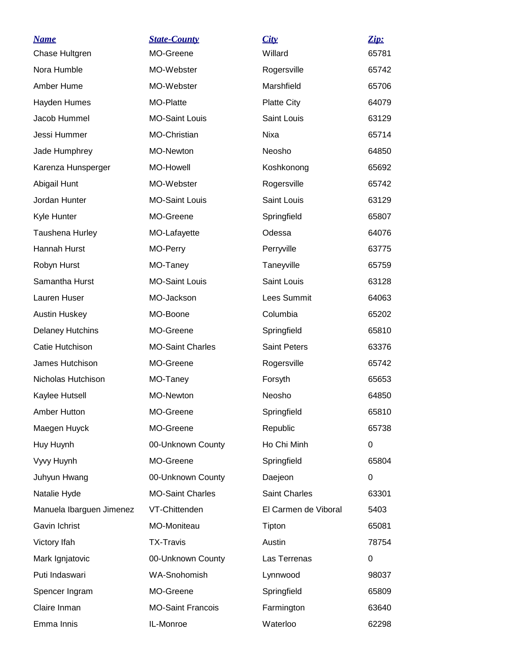| <u>Name</u>              | <b>State-County</b>      | City                 | Zip:  |
|--------------------------|--------------------------|----------------------|-------|
| Chase Hultgren           | MO-Greene                | Willard              | 65781 |
| Nora Humble              | MO-Webster               | Rogersville          | 65742 |
| Amber Hume               | MO-Webster               | Marshfield           | 65706 |
| Hayden Humes             | MO-Platte                | <b>Platte City</b>   | 64079 |
| Jacob Hummel             | <b>MO-Saint Louis</b>    | Saint Louis          | 63129 |
| Jessi Hummer             | MO-Christian             | Nixa                 | 65714 |
| Jade Humphrey            | MO-Newton                | Neosho               | 64850 |
| Karenza Hunsperger       | <b>MO-Howell</b>         | Koshkonong           | 65692 |
| Abigail Hunt             | MO-Webster               | Rogersville          | 65742 |
| Jordan Hunter            | <b>MO-Saint Louis</b>    | Saint Louis          | 63129 |
| Kyle Hunter              | MO-Greene                | Springfield          | 65807 |
| Taushena Hurley          | MO-Lafayette             | Odessa               | 64076 |
| Hannah Hurst             | MO-Perry                 | Perryville           | 63775 |
| Robyn Hurst              | MO-Taney                 | Taneyville           | 65759 |
| Samantha Hurst           | <b>MO-Saint Louis</b>    | Saint Louis          | 63128 |
| Lauren Huser             | MO-Jackson               | Lees Summit          | 64063 |
| <b>Austin Huskey</b>     | MO-Boone                 | Columbia             | 65202 |
| <b>Delaney Hutchins</b>  | MO-Greene                | Springfield          | 65810 |
| Catie Hutchison          | <b>MO-Saint Charles</b>  | <b>Saint Peters</b>  | 63376 |
| James Hutchison          | MO-Greene                | Rogersville          | 65742 |
| Nicholas Hutchison       | MO-Taney                 | Forsyth              | 65653 |
| Kaylee Hutsell           | MO-Newton                | Neosho               | 64850 |
| <b>Amber Hutton</b>      | MO-Greene                | Springfield          | 65810 |
| Maegen Huyck             | MO-Greene                | Republic             | 65738 |
| Huy Huynh                | 00-Unknown County        | Ho Chi Minh          | 0     |
| Vyvy Huynh               | MO-Greene                | Springfield          | 65804 |
| Juhyun Hwang             | 00-Unknown County        | Daejeon              | 0     |
| Natalie Hyde             | <b>MO-Saint Charles</b>  | Saint Charles        | 63301 |
| Manuela Ibarguen Jimenez | VT-Chittenden            | El Carmen de Viboral | 5403  |
| Gavin Ichrist            | MO-Moniteau              | Tipton               | 65081 |
| Victory Ifah             | <b>TX-Travis</b>         | Austin               | 78754 |
| Mark Ignjatovic          | 00-Unknown County        | Las Terrenas         | 0     |
| Puti Indaswari           | WA-Snohomish             | Lynnwood             | 98037 |
| Spencer Ingram           | MO-Greene                | Springfield          | 65809 |
| Claire Inman             | <b>MO-Saint Francois</b> | Farmington           | 63640 |
| Emma Innis               | IL-Monroe                | Waterloo             | 62298 |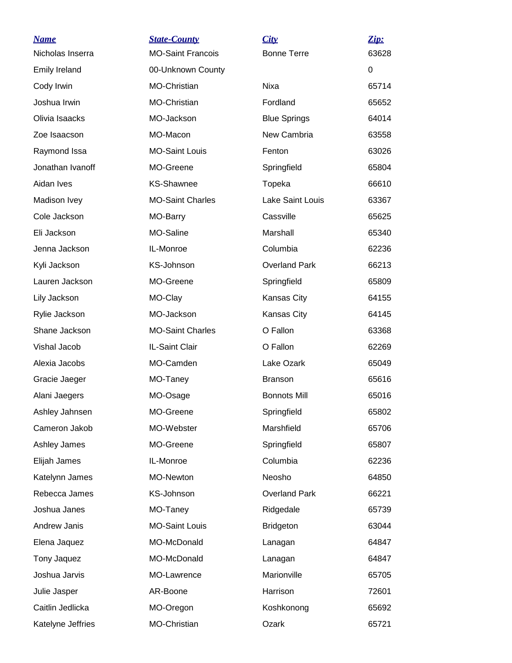| <b>Name</b>          | <b>State-County</b>      | City                    | Zip:  |
|----------------------|--------------------------|-------------------------|-------|
| Nicholas Inserra     | <b>MO-Saint Francois</b> | <b>Bonne Terre</b>      | 63628 |
| <b>Emily Ireland</b> | 00-Unknown County        |                         | 0     |
| Cody Irwin           | MO-Christian             | Nixa                    | 65714 |
| Joshua Irwin         | MO-Christian             | Fordland                | 65652 |
| Olivia Isaacks       | MO-Jackson               | <b>Blue Springs</b>     | 64014 |
| Zoe Isaacson         | MO-Macon                 | New Cambria             | 63558 |
| Raymond Issa         | <b>MO-Saint Louis</b>    | Fenton                  | 63026 |
| Jonathan Ivanoff     | MO-Greene                | Springfield             | 65804 |
| Aidan Ives           | <b>KS-Shawnee</b>        | Topeka                  | 66610 |
| Madison Ivey         | <b>MO-Saint Charles</b>  | <b>Lake Saint Louis</b> | 63367 |
| Cole Jackson         | MO-Barry                 | Cassville               | 65625 |
| Eli Jackson          | MO-Saline                | Marshall                | 65340 |
| Jenna Jackson        | IL-Monroe                | Columbia                | 62236 |
| Kyli Jackson         | KS-Johnson               | <b>Overland Park</b>    | 66213 |
| Lauren Jackson       | MO-Greene                | Springfield             | 65809 |
| Lily Jackson         | MO-Clay                  | Kansas City             | 64155 |
| Rylie Jackson        | MO-Jackson               | Kansas City             | 64145 |
| Shane Jackson        | <b>MO-Saint Charles</b>  | O Fallon                | 63368 |
| Vishal Jacob         | IL-Saint Clair           | O Fallon                | 62269 |
| Alexia Jacobs        | MO-Camden                | Lake Ozark              | 65049 |
| Gracie Jaeger        | MO-Taney                 | <b>Branson</b>          | 65616 |
| Alani Jaegers        | MO-Osage                 | <b>Bonnots Mill</b>     | 65016 |
| Ashley Jahnsen       | MO-Greene                | Springfield             | 65802 |
| Cameron Jakob        | MO-Webster               | Marshfield              | 65706 |
| Ashley James         | MO-Greene                | Springfield             | 65807 |
| Elijah James         | IL-Monroe                | Columbia                | 62236 |
| Katelynn James       | MO-Newton                | Neosho                  | 64850 |
| Rebecca James        | KS-Johnson               | <b>Overland Park</b>    | 66221 |
| Joshua Janes         | MO-Taney                 | Ridgedale               | 65739 |
| Andrew Janis         | <b>MO-Saint Louis</b>    | <b>Bridgeton</b>        | 63044 |
| Elena Jaquez         | MO-McDonald              | Lanagan                 | 64847 |
| Tony Jaquez          | MO-McDonald              | Lanagan                 | 64847 |
| Joshua Jarvis        | MO-Lawrence              | Marionville             | 65705 |
| Julie Jasper         | AR-Boone                 | Harrison                | 72601 |
| Caitlin Jedlicka     | MO-Oregon                | Koshkonong              | 65692 |
| Katelyne Jeffries    | MO-Christian             | Ozark                   | 65721 |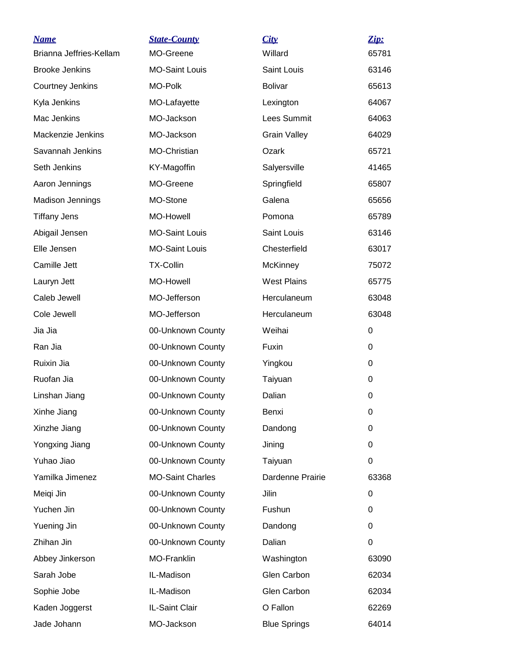| <b>Name</b>             | <b>State-County</b>     | City                | Zip:  |
|-------------------------|-------------------------|---------------------|-------|
| Brianna Jeffries-Kellam | MO-Greene               | Willard             | 65781 |
| <b>Brooke Jenkins</b>   | <b>MO-Saint Louis</b>   | Saint Louis         | 63146 |
| Courtney Jenkins        | MO-Polk                 | <b>Bolivar</b>      | 65613 |
| Kyla Jenkins            | MO-Lafayette            | Lexington           | 64067 |
| Mac Jenkins             | MO-Jackson              | <b>Lees Summit</b>  | 64063 |
| Mackenzie Jenkins       | MO-Jackson              | <b>Grain Valley</b> | 64029 |
| Savannah Jenkins        | MO-Christian            | Ozark               | 65721 |
| Seth Jenkins            | KY-Magoffin             | Salyersville        | 41465 |
| Aaron Jennings          | MO-Greene               | Springfield         | 65807 |
| <b>Madison Jennings</b> | MO-Stone                | Galena              | 65656 |
| <b>Tiffany Jens</b>     | <b>MO-Howell</b>        | Pomona              | 65789 |
| Abigail Jensen          | <b>MO-Saint Louis</b>   | Saint Louis         | 63146 |
| Elle Jensen             | <b>MO-Saint Louis</b>   | Chesterfield        | 63017 |
| Camille Jett            | <b>TX-Collin</b>        | <b>McKinney</b>     | 75072 |
| Lauryn Jett             | MO-Howell               | <b>West Plains</b>  | 65775 |
| Caleb Jewell            | MO-Jefferson            | Herculaneum         | 63048 |
| Cole Jewell             | MO-Jefferson            | Herculaneum         | 63048 |
| Jia Jia                 | 00-Unknown County       | Weihai              | 0     |
| Ran Jia                 | 00-Unknown County       | Fuxin               | 0     |
| Ruixin Jia              | 00-Unknown County       | Yingkou             | 0     |
| Ruofan Jia              | 00-Unknown County       | Taiyuan             | 0     |
| Linshan Jiang           | 00-Unknown County       | Dalian              | 0     |
| Xinhe Jiang             | 00-Unknown County       | Benxi               | 0     |
| Xinzhe Jiang            | 00-Unknown County       | Dandong             | 0     |
| Yongxing Jiang          | 00-Unknown County       | Jining              | 0     |
| Yuhao Jiao              | 00-Unknown County       | Taiyuan             | 0     |
| Yamilka Jimenez         | <b>MO-Saint Charles</b> | Dardenne Prairie    | 63368 |
| Meiqi Jin               | 00-Unknown County       | Jilin               | 0     |
| Yuchen Jin              | 00-Unknown County       | Fushun              | 0     |
| Yuening Jin             | 00-Unknown County       | Dandong             | 0     |
| Zhihan Jin              | 00-Unknown County       | Dalian              | 0     |
| Abbey Jinkerson         | MO-Franklin             | Washington          | 63090 |
| Sarah Jobe              | IL-Madison              | Glen Carbon         | 62034 |
| Sophie Jobe             | IL-Madison              | Glen Carbon         | 62034 |
| Kaden Joggerst          | IL-Saint Clair          | O Fallon            | 62269 |
| Jade Johann             | MO-Jackson              | <b>Blue Springs</b> | 64014 |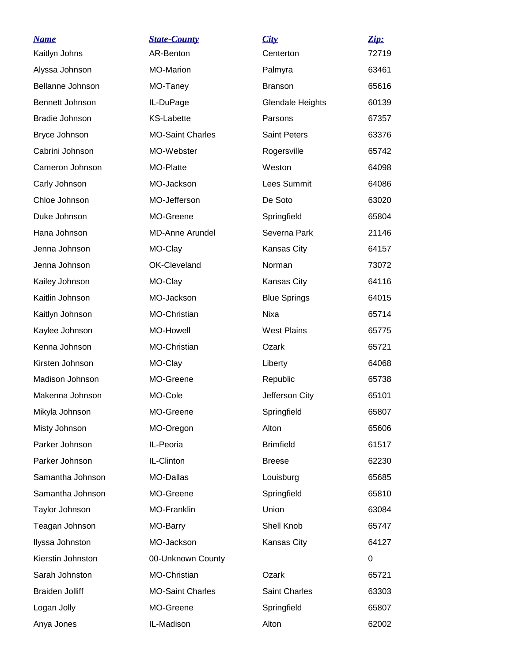| <b>Name</b>            | <b>State-County</b>     | City                    | Zip:  |
|------------------------|-------------------------|-------------------------|-------|
| Kaitlyn Johns          | AR-Benton               | Centerton               | 72719 |
| Alyssa Johnson         | <b>MO-Marion</b>        | Palmyra                 | 63461 |
| Bellanne Johnson       | MO-Taney                | <b>Branson</b>          | 65616 |
| Bennett Johnson        | IL-DuPage               | <b>Glendale Heights</b> | 60139 |
| <b>Bradie Johnson</b>  | <b>KS-Labette</b>       | Parsons                 | 67357 |
| Bryce Johnson          | <b>MO-Saint Charles</b> | <b>Saint Peters</b>     | 63376 |
| Cabrini Johnson        | MO-Webster              | Rogersville             | 65742 |
| Cameron Johnson        | MO-Platte               | Weston                  | 64098 |
| Carly Johnson          | MO-Jackson              | Lees Summit             | 64086 |
| Chloe Johnson          | MO-Jefferson            | De Soto                 | 63020 |
| Duke Johnson           | MO-Greene               | Springfield             | 65804 |
| Hana Johnson           | <b>MD-Anne Arundel</b>  | Severna Park            | 21146 |
| Jenna Johnson          | MO-Clay                 | Kansas City             | 64157 |
| Jenna Johnson          | OK-Cleveland            | Norman                  | 73072 |
| Kailey Johnson         | MO-Clay                 | Kansas City             | 64116 |
| Kaitlin Johnson        | MO-Jackson              | <b>Blue Springs</b>     | 64015 |
| Kaitlyn Johnson        | MO-Christian            | Nixa                    | 65714 |
| Kaylee Johnson         | <b>MO-Howell</b>        | <b>West Plains</b>      | 65775 |
| Kenna Johnson          | MO-Christian            | Ozark                   | 65721 |
| Kirsten Johnson        | MO-Clay                 | Liberty                 | 64068 |
| Madison Johnson        | MO-Greene               | Republic                | 65738 |
| Makenna Johnson        | MO-Cole                 | Jefferson City          | 65101 |
| Mikyla Johnson         | MO-Greene               | Springfield             | 65807 |
| Misty Johnson          | MO-Oregon               | Alton                   | 65606 |
| Parker Johnson         | IL-Peoria               | <b>Brimfield</b>        | 61517 |
| Parker Johnson         | IL-Clinton              | <b>Breese</b>           | 62230 |
| Samantha Johnson       | MO-Dallas               | Louisburg               | 65685 |
| Samantha Johnson       | MO-Greene               | Springfield             | 65810 |
| Taylor Johnson         | MO-Franklin             | Union                   | 63084 |
| Teagan Johnson         | MO-Barry                | Shell Knob              | 65747 |
| Ilyssa Johnston        | MO-Jackson              | Kansas City             | 64127 |
| Kierstin Johnston      | 00-Unknown County       |                         | 0     |
| Sarah Johnston         | MO-Christian            | Ozark                   | 65721 |
| <b>Braiden Jolliff</b> | <b>MO-Saint Charles</b> | Saint Charles           | 63303 |
| Logan Jolly            | MO-Greene               | Springfield             | 65807 |
| Anya Jones             | IL-Madison              | Alton                   | 62002 |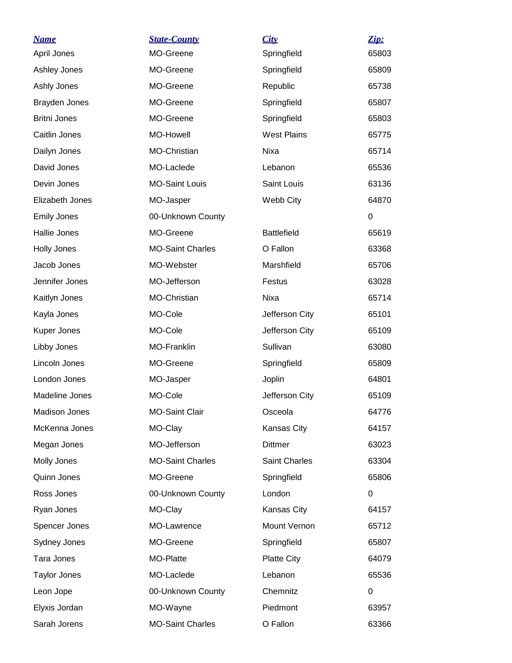| <u>Name</u>          | <b>State-County</b>     | City                 | Zip:        |
|----------------------|-------------------------|----------------------|-------------|
| April Jones          | MO-Greene               | Springfield          | 65803       |
| Ashley Jones         | MO-Greene               | Springfield          | 65809       |
| Ashly Jones          | MO-Greene               | Republic             | 65738       |
| Brayden Jones        | MO-Greene               | Springfield          | 65807       |
| <b>Britni Jones</b>  | MO-Greene               | Springfield          | 65803       |
| Caitlin Jones        | <b>MO-Howell</b>        | <b>West Plains</b>   | 65775       |
| Dailyn Jones         | MO-Christian            | Nixa                 | 65714       |
| David Jones          | MO-Laclede              | Lebanon              | 65536       |
| Devin Jones          | <b>MO-Saint Louis</b>   | Saint Louis          | 63136       |
| Elizabeth Jones      | MO-Jasper               | Webb City            | 64870       |
| <b>Emily Jones</b>   | 00-Unknown County       |                      | 0           |
| Hallie Jones         | MO-Greene               | <b>Battlefield</b>   | 65619       |
| <b>Holly Jones</b>   | <b>MO-Saint Charles</b> | O Fallon             | 63368       |
| Jacob Jones          | MO-Webster              | Marshfield           | 65706       |
| Jennifer Jones       | MO-Jefferson            | Festus               | 63028       |
| Kaitlyn Jones        | MO-Christian            | Nixa                 | 65714       |
| Kayla Jones          | MO-Cole                 | Jefferson City       | 65101       |
| Kuper Jones          | MO-Cole                 | Jefferson City       | 65109       |
| Libby Jones          | <b>MO-Franklin</b>      | Sullivan             | 63080       |
| Lincoln Jones        | MO-Greene               | Springfield          | 65809       |
| London Jones         | MO-Jasper               | Joplin               | 64801       |
| Madeline Jones       | MO-Cole                 | Jefferson City       | 65109       |
| <b>Madison Jones</b> | <b>MO-Saint Clair</b>   | Osceola              | 64776       |
| McKenna Jones        | MO-Clay                 | Kansas City          | 64157       |
| Megan Jones          | MO-Jefferson            | <b>Dittmer</b>       | 63023       |
| Molly Jones          | <b>MO-Saint Charles</b> | <b>Saint Charles</b> | 63304       |
| Quinn Jones          | MO-Greene               | Springfield          | 65806       |
| Ross Jones           | 00-Unknown County       | London               | 0           |
| Ryan Jones           | MO-Clay                 | Kansas City          | 64157       |
| Spencer Jones        | MO-Lawrence             | Mount Vernon         | 65712       |
| Sydney Jones         | MO-Greene               | Springfield          | 65807       |
| Tara Jones           | MO-Platte               | <b>Platte City</b>   | 64079       |
| <b>Taylor Jones</b>  | MO-Laclede              | Lebanon              | 65536       |
| Leon Jope            | 00-Unknown County       | Chemnitz             | $\mathbf 0$ |
| Elyxis Jordan        | MO-Wayne                | Piedmont             | 63957       |
| Sarah Jorens         | <b>MO-Saint Charles</b> | O Fallon             | 63366       |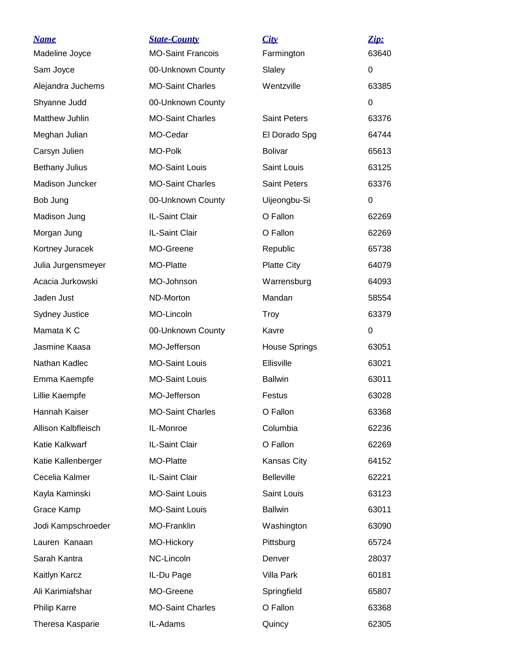| <b>Name</b><br>Madeline Joyce | <b>State-County</b><br><b>MO-Saint Francois</b> | City<br>Farmington   | Zip:<br>63640 |
|-------------------------------|-------------------------------------------------|----------------------|---------------|
| Sam Joyce                     | 00-Unknown County                               | Slaley               | 0             |
| Alejandra Juchems             | <b>MO-Saint Charles</b>                         | Wentzville           | 63385         |
| Shyanne Judd                  | 00-Unknown County                               |                      | 0             |
| Matthew Juhlin                | <b>MO-Saint Charles</b>                         | <b>Saint Peters</b>  | 63376         |
| Meghan Julian                 | MO-Cedar                                        | El Dorado Spg        | 64744         |
| Carsyn Julien                 | MO-Polk                                         | <b>Bolivar</b>       | 65613         |
| <b>Bethany Julius</b>         | <b>MO-Saint Louis</b>                           | Saint Louis          | 63125         |
| Madison Juncker               | <b>MO-Saint Charles</b>                         | <b>Saint Peters</b>  | 63376         |
| Bob Jung                      | 00-Unknown County                               | Uijeongbu-Si         | 0             |
| Madison Jung                  | IL-Saint Clair                                  | O Fallon             | 62269         |
| Morgan Jung                   | IL-Saint Clair                                  | O Fallon             | 62269         |
| Kortney Juracek               | MO-Greene                                       | Republic             | 65738         |
| Julia Jurgensmeyer            | MO-Platte                                       | <b>Platte City</b>   | 64079         |
| Acacia Jurkowski              | MO-Johnson                                      | Warrensburg          | 64093         |
| Jaden Just                    | ND-Morton                                       | Mandan               | 58554         |
| <b>Sydney Justice</b>         | MO-Lincoln                                      | Troy                 | 63379         |
| Mamata K C                    | 00-Unknown County                               | Kavre                | 0             |
| Jasmine Kaasa                 | MO-Jefferson                                    | <b>House Springs</b> | 63051         |
| Nathan Kadlec                 | <b>MO-Saint Louis</b>                           | Ellisville           | 63021         |
| Emma Kaempfe                  | <b>MO-Saint Louis</b>                           | <b>Ballwin</b>       | 63011         |
| Lillie Kaempfe                | MO-Jefferson                                    | Festus               | 63028         |
| Hannah Kaiser                 | <b>MO-Saint Charles</b>                         | O Fallon             | 63368         |
| Allison Kalbfleisch           | IL-Monroe                                       | Columbia             | 62236         |
| Katie Kalkwarf                | IL-Saint Clair                                  | O Fallon             | 62269         |
| Katie Kallenberger            | MO-Platte                                       | Kansas City          | 64152         |
| Cecelia Kalmer                | IL-Saint Clair                                  | <b>Belleville</b>    | 62221         |
| Kayla Kaminski                | <b>MO-Saint Louis</b>                           | Saint Louis          | 63123         |
| Grace Kamp                    | <b>MO-Saint Louis</b>                           | <b>Ballwin</b>       | 63011         |
| Jodi Kampschroeder            | MO-Franklin                                     | Washington           | 63090         |
| Lauren Kanaan                 | MO-Hickory                                      | Pittsburg            | 65724         |
| Sarah Kantra                  | NC-Lincoln                                      | Denver               | 28037         |
| Kaitlyn Karcz                 | IL-Du Page                                      | Villa Park           | 60181         |
| Ali Karimiafshar              | MO-Greene                                       | Springfield          | 65807         |
| <b>Philip Karre</b>           | <b>MO-Saint Charles</b>                         | O Fallon             | 63368         |
| Theresa Kasparie              | IL-Adams                                        | Quincy               | 62305         |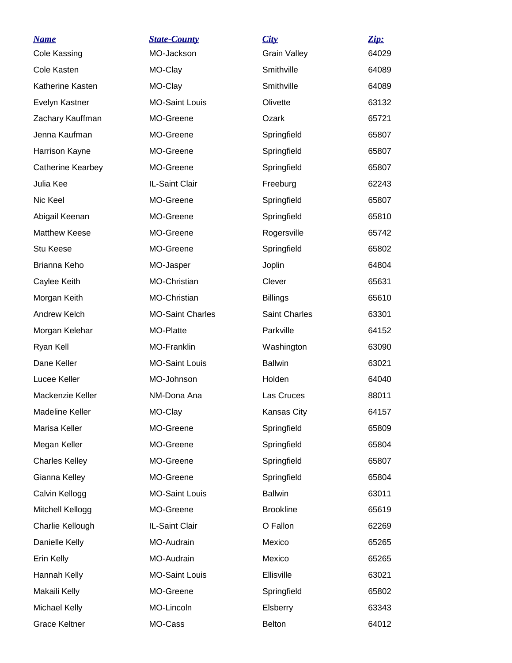| <u>Name</u>              | <b>State-County</b>     | City                | Zip:  |
|--------------------------|-------------------------|---------------------|-------|
| Cole Kassing             | MO-Jackson              | <b>Grain Valley</b> | 64029 |
| Cole Kasten              | MO-Clay                 | Smithville          | 64089 |
| Katherine Kasten         | MO-Clay                 | Smithville          | 64089 |
| Evelyn Kastner           | <b>MO-Saint Louis</b>   | Olivette            | 63132 |
| Zachary Kauffman         | MO-Greene               | Ozark               | 65721 |
| Jenna Kaufman            | MO-Greene               | Springfield         | 65807 |
| Harrison Kayne           | MO-Greene               | Springfield         | 65807 |
| <b>Catherine Kearbey</b> | MO-Greene               | Springfield         | 65807 |
| Julia Kee                | IL-Saint Clair          | Freeburg            | 62243 |
| Nic Keel                 | MO-Greene               | Springfield         | 65807 |
| Abigail Keenan           | MO-Greene               | Springfield         | 65810 |
| <b>Matthew Keese</b>     | MO-Greene               | Rogersville         | 65742 |
| Stu Keese                | MO-Greene               | Springfield         | 65802 |
| Brianna Keho             | MO-Jasper               | Joplin              | 64804 |
| Caylee Keith             | MO-Christian            | Clever              | 65631 |
| Morgan Keith             | MO-Christian            | <b>Billings</b>     | 65610 |
| Andrew Kelch             | <b>MO-Saint Charles</b> | Saint Charles       | 63301 |
| Morgan Kelehar           | MO-Platte               | Parkville           | 64152 |
| Ryan Kell                | MO-Franklin             | Washington          | 63090 |
| Dane Keller              | <b>MO-Saint Louis</b>   | <b>Ballwin</b>      | 63021 |
| Lucee Keller             | MO-Johnson              | Holden              | 64040 |
| Mackenzie Keller         | NM-Dona Ana             | Las Cruces          | 88011 |
| Madeline Keller          | MO-Clay                 | Kansas City         | 64157 |
| Marisa Keller            | MO-Greene               | Springfield         | 65809 |
| Megan Keller             | MO-Greene               | Springfield         | 65804 |
| <b>Charles Kelley</b>    | MO-Greene               | Springfield         | 65807 |
| Gianna Kelley            | MO-Greene               | Springfield         | 65804 |
| Calvin Kellogg           | <b>MO-Saint Louis</b>   | <b>Ballwin</b>      | 63011 |
| Mitchell Kellogg         | MO-Greene               | <b>Brookline</b>    | 65619 |
| Charlie Kellough         | IL-Saint Clair          | O Fallon            | 62269 |
| Danielle Kelly           | MO-Audrain              | Mexico              | 65265 |
| Erin Kelly               | MO-Audrain              | Mexico              | 65265 |
| Hannah Kelly             | <b>MO-Saint Louis</b>   | Ellisville          | 63021 |
| Makaili Kelly            | MO-Greene               | Springfield         | 65802 |
| Michael Kelly            | MO-Lincoln              | Elsberry            | 63343 |
| <b>Grace Keltner</b>     | MO-Cass                 | <b>Belton</b>       | 64012 |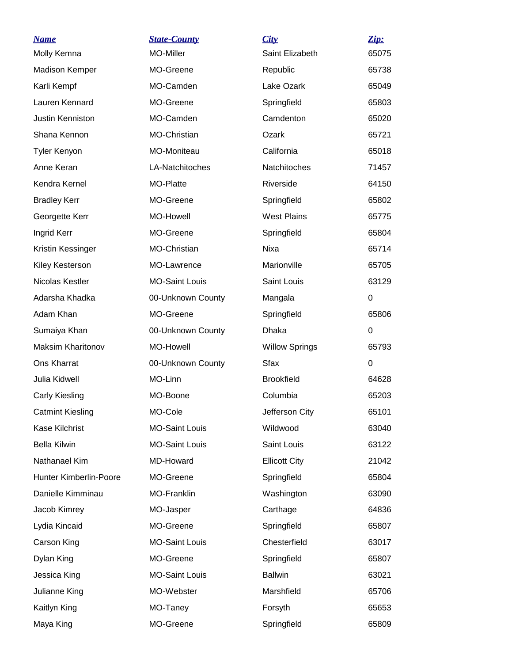| <b>Name</b>              | <b>State-County</b>   | City                  | Zip:        |
|--------------------------|-----------------------|-----------------------|-------------|
| Molly Kemna              | MO-Miller             | Saint Elizabeth       | 65075       |
| <b>Madison Kemper</b>    | MO-Greene             | Republic              | 65738       |
| Karli Kempf              | MO-Camden             | Lake Ozark            | 65049       |
| Lauren Kennard           | MO-Greene             | Springfield           | 65803       |
| Justin Kenniston         | MO-Camden             | Camdenton             | 65020       |
| Shana Kennon             | MO-Christian          | Ozark                 | 65721       |
| <b>Tyler Kenyon</b>      | MO-Moniteau           | California            | 65018       |
| Anne Keran               | LA-Natchitoches       | <b>Natchitoches</b>   | 71457       |
| Kendra Kernel            | MO-Platte             | Riverside             | 64150       |
| <b>Bradley Kerr</b>      | MO-Greene             | Springfield           | 65802       |
| Georgette Kerr           | <b>MO-Howell</b>      | <b>West Plains</b>    | 65775       |
| Ingrid Kerr              | MO-Greene             | Springfield           | 65804       |
| Kristin Kessinger        | MO-Christian          | <b>Nixa</b>           | 65714       |
| Kiley Kesterson          | MO-Lawrence           | Marionville           | 65705       |
| Nicolas Kestler          | <b>MO-Saint Louis</b> | Saint Louis           | 63129       |
| Adarsha Khadka           | 00-Unknown County     | Mangala               | 0           |
| Adam Khan                | MO-Greene             | Springfield           | 65806       |
| Sumaiya Khan             | 00-Unknown County     | Dhaka                 | 0           |
| <b>Maksim Kharitonov</b> | <b>MO-Howell</b>      | <b>Willow Springs</b> | 65793       |
| Ons Kharrat              | 00-Unknown County     | <b>Sfax</b>           | $\mathbf 0$ |
| Julia Kidwell            | MO-Linn               | <b>Brookfield</b>     | 64628       |
| Carly Kiesling           | MO-Boone              | Columbia              | 65203       |
| <b>Catmint Kiesling</b>  | MO-Cole               | Jefferson City        | 65101       |
| Kase Kilchrist           | <b>MO-Saint Louis</b> | Wildwood              | 63040       |
| <b>Bella Kilwin</b>      | <b>MO-Saint Louis</b> | Saint Louis           | 63122       |
| Nathanael Kim            | MD-Howard             | <b>Ellicott City</b>  | 21042       |
| Hunter Kimberlin-Poore   | MO-Greene             | Springfield           | 65804       |
| Danielle Kimminau        | <b>MO-Franklin</b>    | Washington            | 63090       |
| Jacob Kimrey             | MO-Jasper             | Carthage              | 64836       |
| Lydia Kincaid            | MO-Greene             | Springfield           | 65807       |
| Carson King              | <b>MO-Saint Louis</b> | Chesterfield          | 63017       |
| Dylan King               | MO-Greene             | Springfield           | 65807       |
| Jessica King             | <b>MO-Saint Louis</b> | <b>Ballwin</b>        | 63021       |
| Julianne King            | MO-Webster            | Marshfield            | 65706       |
| Kaitlyn King             | MO-Taney              | Forsyth               | 65653       |
| Maya King                | MO-Greene             | Springfield           | 65809       |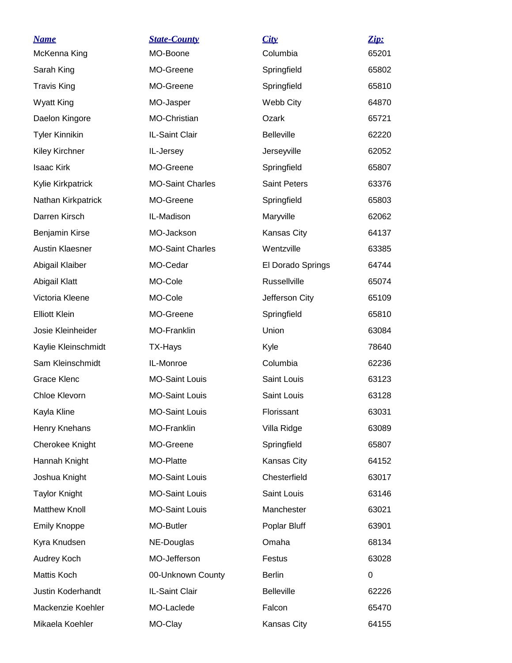| <u>Name</u>            | <b>State-County</b>     | City                | Zip:  |
|------------------------|-------------------------|---------------------|-------|
| McKenna King           | MO-Boone                | Columbia            | 65201 |
| Sarah King             | MO-Greene               | Springfield         | 65802 |
| <b>Travis King</b>     | MO-Greene               | Springfield         | 65810 |
| <b>Wyatt King</b>      | MO-Jasper               | Webb City           | 64870 |
| Daelon Kingore         | MO-Christian            | Ozark               | 65721 |
| <b>Tyler Kinnikin</b>  | IL-Saint Clair          | <b>Belleville</b>   | 62220 |
| Kiley Kirchner         | IL-Jersey               | Jerseyville         | 62052 |
| <b>Isaac Kirk</b>      | MO-Greene               | Springfield         | 65807 |
| Kylie Kirkpatrick      | <b>MO-Saint Charles</b> | <b>Saint Peters</b> | 63376 |
| Nathan Kirkpatrick     | MO-Greene               | Springfield         | 65803 |
| Darren Kirsch          | IL-Madison              | Maryville           | 62062 |
| Benjamin Kirse         | MO-Jackson              | Kansas City         | 64137 |
| <b>Austin Klaesner</b> | <b>MO-Saint Charles</b> | Wentzville          | 63385 |
| Abigail Klaiber        | MO-Cedar                | El Dorado Springs   | 64744 |
| Abigail Klatt          | MO-Cole                 | Russellville        | 65074 |
| Victoria Kleene        | MO-Cole                 | Jefferson City      | 65109 |
| <b>Elliott Klein</b>   | MO-Greene               | Springfield         | 65810 |
| Josie Kleinheider      | MO-Franklin             | Union               | 63084 |
| Kaylie Kleinschmidt    | TX-Hays                 | Kyle                | 78640 |
| Sam Kleinschmidt       | IL-Monroe               | Columbia            | 62236 |
| <b>Grace Klenc</b>     | <b>MO-Saint Louis</b>   | Saint Louis         | 63123 |
| Chloe Klevorn          | <b>MO-Saint Louis</b>   | Saint Louis         | 63128 |
| Kayla Kline            | <b>MO-Saint Louis</b>   | Florissant          | 63031 |
| Henry Knehans          | MO-Franklin             | Villa Ridge         | 63089 |
| Cherokee Knight        | MO-Greene               | Springfield         | 65807 |
| Hannah Knight          | MO-Platte               | Kansas City         | 64152 |
| Joshua Knight          | <b>MO-Saint Louis</b>   | Chesterfield        | 63017 |
| <b>Taylor Knight</b>   | <b>MO-Saint Louis</b>   | Saint Louis         | 63146 |
| <b>Matthew Knoll</b>   | <b>MO-Saint Louis</b>   | Manchester          | 63021 |
| <b>Emily Knoppe</b>    | MO-Butler               | Poplar Bluff        | 63901 |
| Kyra Knudsen           | NE-Douglas              | Omaha               | 68134 |
| Audrey Koch            | MO-Jefferson            | Festus              | 63028 |
| Mattis Koch            | 00-Unknown County       | <b>Berlin</b>       | 0     |
| Justin Koderhandt      | IL-Saint Clair          | <b>Belleville</b>   | 62226 |
| Mackenzie Koehler      | MO-Laclede              | Falcon              | 65470 |
| Mikaela Koehler        | MO-Clay                 | Kansas City         | 64155 |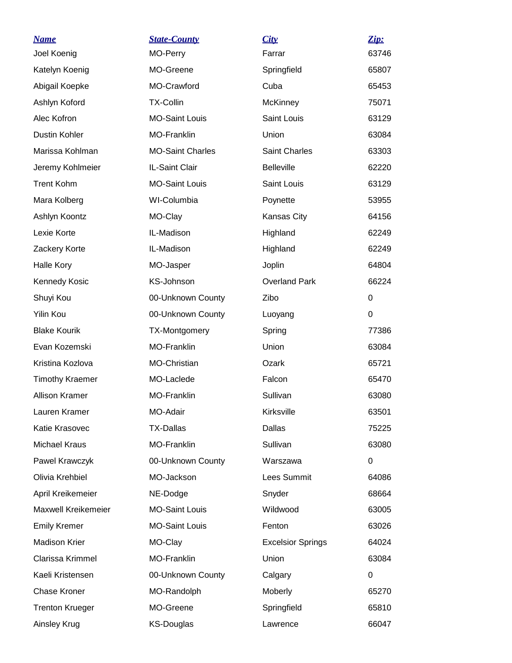| <b>Name</b><br>Joel Koenig | <b>State-County</b><br>MO-Perry | City<br>Farrar           | Zip:<br>63746 |
|----------------------------|---------------------------------|--------------------------|---------------|
| Katelyn Koenig             | MO-Greene                       | Springfield              | 65807         |
| Abigail Koepke             | MO-Crawford                     | Cuba                     | 65453         |
| Ashlyn Koford              | <b>TX-Collin</b>                | <b>McKinney</b>          | 75071         |
| Alec Kofron                | <b>MO-Saint Louis</b>           | Saint Louis              | 63129         |
| Dustin Kohler              | MO-Franklin                     | Union                    | 63084         |
| Marissa Kohlman            | <b>MO-Saint Charles</b>         | <b>Saint Charles</b>     | 63303         |
| Jeremy Kohlmeier           | IL-Saint Clair                  | <b>Belleville</b>        | 62220         |
| <b>Trent Kohm</b>          | <b>MO-Saint Louis</b>           | Saint Louis              | 63129         |
| Mara Kolberg               | WI-Columbia                     | Poynette                 | 53955         |
| Ashlyn Koontz              | MO-Clay                         | Kansas City              | 64156         |
| Lexie Korte                | IL-Madison                      | Highland                 | 62249         |
| Zackery Korte              | IL-Madison                      | Highland                 | 62249         |
| <b>Halle Kory</b>          | MO-Jasper                       | Joplin                   | 64804         |
| Kennedy Kosic              | KS-Johnson                      | <b>Overland Park</b>     | 66224         |
| Shuyi Kou                  | 00-Unknown County               | Zibo                     | 0             |
| Yilin Kou                  | 00-Unknown County               | Luoyang                  | $\mathbf 0$   |
| <b>Blake Kourik</b>        | TX-Montgomery                   | Spring                   | 77386         |
| Evan Kozemski              | <b>MO-Franklin</b>              | Union                    | 63084         |
| Kristina Kozlova           | MO-Christian                    | Ozark                    | 65721         |
| <b>Timothy Kraemer</b>     | MO-Laclede                      | Falcon                   | 65470         |
| <b>Allison Kramer</b>      | <b>MO-Franklin</b>              | Sullivan                 | 63080         |
| Lauren Kramer              | MO-Adair                        | Kirksville               | 63501         |
| Katie Krasovec             | <b>TX-Dallas</b>                | Dallas                   | 75225         |
| Michael Kraus              | MO-Franklin                     | Sullivan                 | 63080         |
| Pawel Krawczyk             | 00-Unknown County               | Warszawa                 | 0             |
| Olivia Krehbiel            | MO-Jackson                      | Lees Summit              | 64086         |
| April Kreikemeier          | NE-Dodge                        | Snyder                   | 68664         |
| Maxwell Kreikemeier        | <b>MO-Saint Louis</b>           | Wildwood                 | 63005         |
| <b>Emily Kremer</b>        | <b>MO-Saint Louis</b>           | Fenton                   | 63026         |
| <b>Madison Krier</b>       | MO-Clay                         | <b>Excelsior Springs</b> | 64024         |
| Clarissa Krimmel           | MO-Franklin                     | Union                    | 63084         |
| Kaeli Kristensen           | 00-Unknown County               | Calgary                  | 0             |
| <b>Chase Kroner</b>        | MO-Randolph                     | <b>Moberly</b>           | 65270         |
| <b>Trenton Krueger</b>     | MO-Greene                       | Springfield              | 65810         |
| Ainsley Krug               | <b>KS-Douglas</b>               | Lawrence                 | 66047         |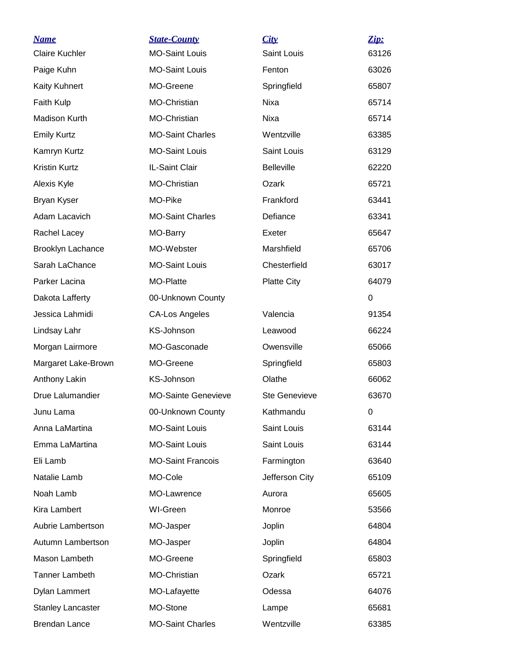| <b>Name</b>              | <b>State-County</b>        | City                 | Zip:     |
|--------------------------|----------------------------|----------------------|----------|
| <b>Claire Kuchler</b>    | <b>MO-Saint Louis</b>      | Saint Louis          | 63126    |
| Paige Kuhn               | <b>MO-Saint Louis</b>      | Fenton               | 63026    |
| <b>Kaity Kuhnert</b>     | MO-Greene                  | Springfield          | 65807    |
| Faith Kulp               | MO-Christian               | Nixa                 | 65714    |
| Madison Kurth            | MO-Christian               | Nixa                 | 65714    |
| <b>Emily Kurtz</b>       | <b>MO-Saint Charles</b>    | Wentzville           | 63385    |
| Kamryn Kurtz             | <b>MO-Saint Louis</b>      | <b>Saint Louis</b>   | 63129    |
| <b>Kristin Kurtz</b>     | IL-Saint Clair             | <b>Belleville</b>    | 62220    |
| Alexis Kyle              | MO-Christian               | Ozark                | 65721    |
| Bryan Kyser              | MO-Pike                    | Frankford            | 63441    |
| Adam Lacavich            | <b>MO-Saint Charles</b>    | Defiance             | 63341    |
| Rachel Lacey             | MO-Barry                   | Exeter               | 65647    |
| <b>Brooklyn Lachance</b> | MO-Webster                 | Marshfield           | 65706    |
| Sarah LaChance           | <b>MO-Saint Louis</b>      | Chesterfield         | 63017    |
| Parker Lacina            | MO-Platte                  | <b>Platte City</b>   | 64079    |
| Dakota Lafferty          | 00-Unknown County          |                      | $\Omega$ |
| Jessica Lahmidi          | <b>CA-Los Angeles</b>      | Valencia             | 91354    |
| Lindsay Lahr             | <b>KS-Johnson</b>          | Leawood              | 66224    |
| Morgan Lairmore          | MO-Gasconade               | Owensville           | 65066    |
| Margaret Lake-Brown      | MO-Greene                  | Springfield          | 65803    |
| Anthony Lakin            | KS-Johnson                 | Olathe               | 66062    |
| Drue Lalumandier         | <b>MO-Sainte Genevieve</b> | <b>Ste Genevieve</b> | 63670    |
| Junu Lama                | 00-Unknown County          | Kathmandu            | 0        |
| Anna LaMartina           | <b>MO-Saint Louis</b>      | Saint Louis          | 63144    |
| Emma LaMartina           | <b>MO-Saint Louis</b>      | Saint Louis          | 63144    |
| Eli Lamb                 | <b>MO-Saint Francois</b>   | Farmington           | 63640    |
| Natalie Lamb             | MO-Cole                    | Jefferson City       | 65109    |
| Noah Lamb                | MO-Lawrence                | Aurora               | 65605    |
| Kira Lambert             | WI-Green                   | Monroe               | 53566    |
| Aubrie Lambertson        | MO-Jasper                  | Joplin               | 64804    |
| Autumn Lambertson        | MO-Jasper                  | Joplin               | 64804    |
| Mason Lambeth            | MO-Greene                  | Springfield          | 65803    |
| <b>Tanner Lambeth</b>    | MO-Christian               | Ozark                | 65721    |
| Dylan Lammert            | MO-Lafayette               | Odessa               | 64076    |
| <b>Stanley Lancaster</b> | MO-Stone                   | Lampe                | 65681    |
| Brendan Lance            | <b>MO-Saint Charles</b>    | Wentzville           | 63385    |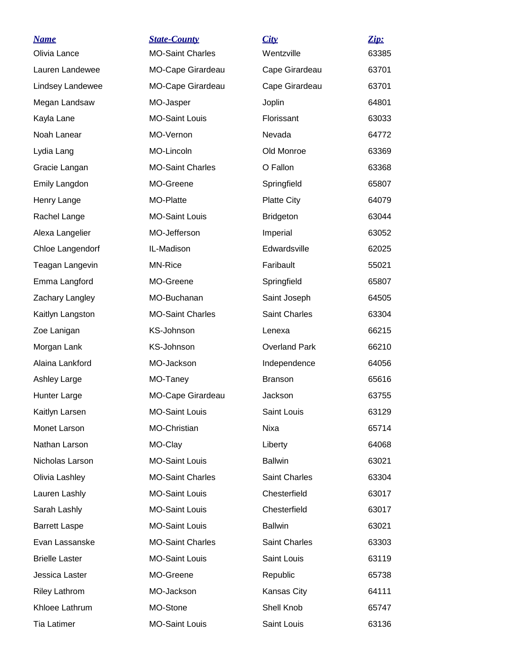| <u>Name</u>           | <b>State-County</b>     | City                 | Zip:  |
|-----------------------|-------------------------|----------------------|-------|
| Olivia Lance          | <b>MO-Saint Charles</b> | Wentzville           | 63385 |
| Lauren Landewee       | MO-Cape Girardeau       | Cape Girardeau       | 63701 |
| Lindsey Landewee      | MO-Cape Girardeau       | Cape Girardeau       | 63701 |
| Megan Landsaw         | MO-Jasper               | Joplin               | 64801 |
| Kayla Lane            | <b>MO-Saint Louis</b>   | Florissant           | 63033 |
| Noah Lanear           | MO-Vernon               | Nevada               | 64772 |
| Lydia Lang            | MO-Lincoln              | Old Monroe           | 63369 |
| Gracie Langan         | <b>MO-Saint Charles</b> | O Fallon             | 63368 |
| Emily Langdon         | MO-Greene               | Springfield          | 65807 |
| Henry Lange           | MO-Platte               | <b>Platte City</b>   | 64079 |
| Rachel Lange          | <b>MO-Saint Louis</b>   | <b>Bridgeton</b>     | 63044 |
| Alexa Langelier       | MO-Jefferson            | Imperial             | 63052 |
| Chloe Langendorf      | IL-Madison              | Edwardsville         | 62025 |
| Teagan Langevin       | MN-Rice                 | Faribault            | 55021 |
| Emma Langford         | MO-Greene               | Springfield          | 65807 |
| Zachary Langley       | MO-Buchanan             | Saint Joseph         | 64505 |
| Kaitlyn Langston      | <b>MO-Saint Charles</b> | Saint Charles        | 63304 |
| Zoe Lanigan           | KS-Johnson              | Lenexa               | 66215 |
| Morgan Lank           | KS-Johnson              | <b>Overland Park</b> | 66210 |
| Alaina Lankford       | MO-Jackson              | Independence         | 64056 |
| <b>Ashley Large</b>   | MO-Taney                | <b>Branson</b>       | 65616 |
| Hunter Large          | MO-Cape Girardeau       | Jackson              | 63755 |
| Kaitlyn Larsen        | <b>MO-Saint Louis</b>   | Saint Louis          | 63129 |
| Monet Larson          | MO-Christian            | Nixa                 | 65714 |
| Nathan Larson         | MO-Clay                 | Liberty              | 64068 |
| Nicholas Larson       | <b>MO-Saint Louis</b>   | <b>Ballwin</b>       | 63021 |
| Olivia Lashley        | <b>MO-Saint Charles</b> | <b>Saint Charles</b> | 63304 |
| Lauren Lashly         | <b>MO-Saint Louis</b>   | Chesterfield         | 63017 |
| Sarah Lashly          | <b>MO-Saint Louis</b>   | Chesterfield         | 63017 |
| <b>Barrett Laspe</b>  | <b>MO-Saint Louis</b>   | <b>Ballwin</b>       | 63021 |
| Evan Lassanske        | <b>MO-Saint Charles</b> | Saint Charles        | 63303 |
| <b>Brielle Laster</b> | <b>MO-Saint Louis</b>   | Saint Louis          | 63119 |
| Jessica Laster        | MO-Greene               | Republic             | 65738 |
| <b>Riley Lathrom</b>  | MO-Jackson              | Kansas City          | 64111 |
| Khloee Lathrum        | MO-Stone                | Shell Knob           | 65747 |
| Tia Latimer           | <b>MO-Saint Louis</b>   | Saint Louis          | 63136 |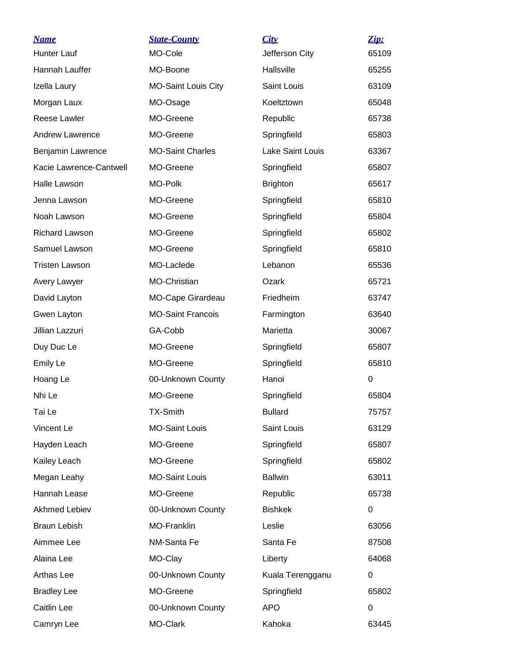| <b>Name</b>             | <b>State-County</b>        | City             | Zip:  |
|-------------------------|----------------------------|------------------|-------|
| <b>Hunter Lauf</b>      | MO-Cole                    | Jefferson City   | 65109 |
| Hannah Lauffer          | MO-Boone                   | Hallsville       | 65255 |
| Izella Laury            | <b>MO-Saint Louis City</b> | Saint Louis      | 63109 |
| Morgan Laux             | MO-Osage                   | Koeltztown       | 65048 |
| Reese Lawler            | MO-Greene                  | Republic         | 65738 |
| <b>Andrew Lawrence</b>  | MO-Greene                  | Springfield      | 65803 |
| Benjamin Lawrence       | <b>MO-Saint Charles</b>    | Lake Saint Louis | 63367 |
| Kacie Lawrence-Cantwell | MO-Greene                  | Springfield      | 65807 |
| Halle Lawson            | MO-Polk                    | <b>Brighton</b>  | 65617 |
| Jenna Lawson            | MO-Greene                  | Springfield      | 65810 |
| Noah Lawson             | MO-Greene                  | Springfield      | 65804 |
| <b>Richard Lawson</b>   | MO-Greene                  | Springfield      | 65802 |
| Samuel Lawson           | MO-Greene                  | Springfield      | 65810 |
| <b>Tristen Lawson</b>   | MO-Laclede                 | Lebanon          | 65536 |
| Avery Lawyer            | MO-Christian               | Ozark            | 65721 |
| David Layton            | MO-Cape Girardeau          | Friedheim        | 63747 |
| Gwen Layton             | <b>MO-Saint Francois</b>   | Farmington       | 63640 |
| Jillian Lazzuri         | GA-Cobb                    | Marietta         | 30067 |
| Duy Duc Le              | MO-Greene                  | Springfield      | 65807 |
| Emily Le                | MO-Greene                  | Springfield      | 65810 |
| Hoang Le                | 00-Unknown County          | Hanoi            | 0     |
| Nhi Le                  | MO-Greene                  | Springfield      | 65804 |
| Tai Le                  | <b>TX-Smith</b>            | <b>Bullard</b>   | 75757 |
| Vincent Le              | <b>MO-Saint Louis</b>      | Saint Louis      | 63129 |
| Hayden Leach            | MO-Greene                  | Springfield      | 65807 |
| Kailey Leach            | MO-Greene                  | Springfield      | 65802 |
| Megan Leahy             | <b>MO-Saint Louis</b>      | <b>Ballwin</b>   | 63011 |
| Hannah Lease            | MO-Greene                  | Republic         | 65738 |
| <b>Akhmed Lebiev</b>    | 00-Unknown County          | <b>Bishkek</b>   | 0     |
| Braun Lebish            | MO-Franklin                | Leslie           | 63056 |
| Aimmee Lee              | NM-Santa Fe                | Santa Fe         | 87508 |
| Alaina Lee              | MO-Clay                    | Liberty          | 64068 |
| Arthas Lee              | 00-Unknown County          | Kuala Terengganu | 0     |
| <b>Bradley Lee</b>      | MO-Greene                  | Springfield      | 65802 |
| Caitlin Lee             | 00-Unknown County          | <b>APO</b>       | 0     |
| Camryn Lee              | MO-Clark                   | Kahoka           | 63445 |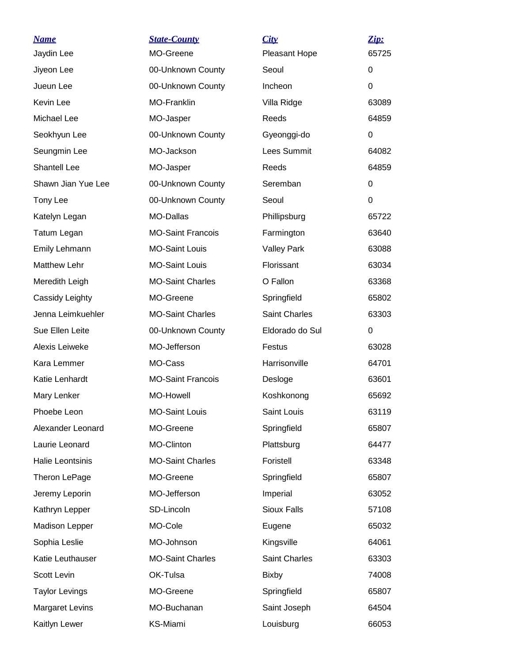| <u>Name</u><br>Jaydin Lee | <b>State-County</b><br>MO-Greene | City<br>Pleasant Hope | Zip:<br>65725 |
|---------------------------|----------------------------------|-----------------------|---------------|
| Jiyeon Lee                | 00-Unknown County                | Seoul                 | 0             |
| Jueun Lee                 | 00-Unknown County                | Incheon               | $\Omega$      |
| Kevin Lee                 | <b>MO-Franklin</b>               | Villa Ridge           | 63089         |
| Michael Lee               | MO-Jasper                        | Reeds                 | 64859         |
| Seokhyun Lee              | 00-Unknown County                | Gyeonggi-do           | 0             |
| Seungmin Lee              | MO-Jackson                       | Lees Summit           | 64082         |
| <b>Shantell Lee</b>       | MO-Jasper                        | Reeds                 | 64859         |
| Shawn Jian Yue Lee        | 00-Unknown County                | Seremban              | 0             |
| Tony Lee                  | 00-Unknown County                | Seoul                 | $\Omega$      |
| Katelyn Legan             | MO-Dallas                        | Phillipsburg          | 65722         |
| Tatum Legan               | <b>MO-Saint Francois</b>         | Farmington            | 63640         |
| Emily Lehmann             | <b>MO-Saint Louis</b>            | <b>Valley Park</b>    | 63088         |
| <b>Matthew Lehr</b>       | <b>MO-Saint Louis</b>            | Florissant            | 63034         |
| Meredith Leigh            | <b>MO-Saint Charles</b>          | O Fallon              | 63368         |
| Cassidy Leighty           | MO-Greene                        | Springfield           | 65802         |
| Jenna Leimkuehler         | <b>MO-Saint Charles</b>          | <b>Saint Charles</b>  | 63303         |
| Sue Ellen Leite           | 00-Unknown County                | Eldorado do Sul       | $\Omega$      |
| Alexis Leiweke            | MO-Jefferson                     | Festus                | 63028         |
| Kara Lemmer               | MO-Cass                          | Harrisonville         | 64701         |
| Katie Lenhardt            | <b>MO-Saint Francois</b>         | Desloge               | 63601         |
| Mary Lenker               | MO-Howell                        | Koshkonong            | 65692         |
| Phoebe Leon               | <b>MO-Saint Louis</b>            | Saint Louis           | 63119         |
| Alexander Leonard         | MO-Greene                        | Springfield           | 65807         |
| Laurie Leonard            | MO-Clinton                       | Plattsburg            | 64477         |
| Halie Leontsinis          | <b>MO-Saint Charles</b>          | Foristell             | 63348         |
| Theron LePage             | MO-Greene                        | Springfield           | 65807         |
| Jeremy Leporin            | MO-Jefferson                     | Imperial              | 63052         |
| Kathryn Lepper            | SD-Lincoln                       | <b>Sioux Falls</b>    | 57108         |
| <b>Madison Lepper</b>     | MO-Cole                          | Eugene                | 65032         |
| Sophia Leslie             | MO-Johnson                       | Kingsville            | 64061         |
| Katie Leuthauser          | <b>MO-Saint Charles</b>          | <b>Saint Charles</b>  | 63303         |
| Scott Levin               | OK-Tulsa                         | <b>Bixby</b>          | 74008         |
| <b>Taylor Levings</b>     | MO-Greene                        | Springfield           | 65807         |
| <b>Margaret Levins</b>    | MO-Buchanan                      | Saint Joseph          | 64504         |
| Kaitlyn Lewer             | KS-Miami                         | Louisburg             | 66053         |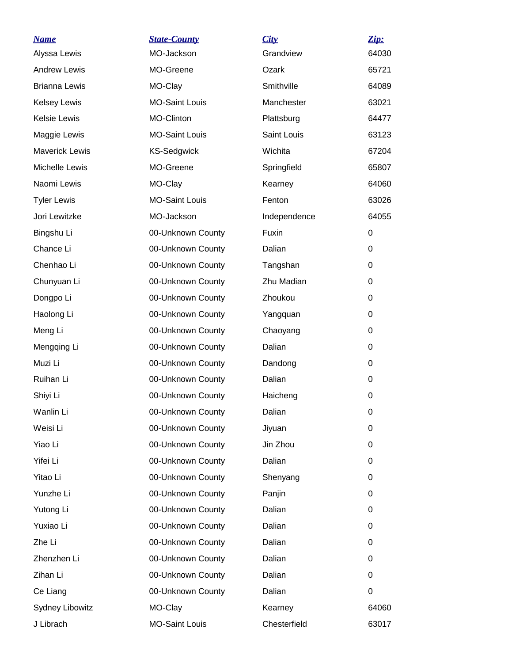| <b>Name</b>            | <b>State-County</b>   | City         | Zip:  |
|------------------------|-----------------------|--------------|-------|
| Alyssa Lewis           | MO-Jackson            | Grandview    | 64030 |
| <b>Andrew Lewis</b>    | MO-Greene             | Ozark        | 65721 |
| <b>Brianna Lewis</b>   | MO-Clay               | Smithville   | 64089 |
| <b>Kelsey Lewis</b>    | <b>MO-Saint Louis</b> | Manchester   | 63021 |
| <b>Kelsie Lewis</b>    | MO-Clinton            | Plattsburg   | 64477 |
| Maggie Lewis           | <b>MO-Saint Louis</b> | Saint Louis  | 63123 |
| <b>Maverick Lewis</b>  | <b>KS-Sedgwick</b>    | Wichita      | 67204 |
| Michelle Lewis         | MO-Greene             | Springfield  | 65807 |
| Naomi Lewis            | MO-Clay               | Kearney      | 64060 |
| <b>Tyler Lewis</b>     | <b>MO-Saint Louis</b> | Fenton       | 63026 |
| Jori Lewitzke          | MO-Jackson            | Independence | 64055 |
| Bingshu Li             | 00-Unknown County     | <b>Fuxin</b> | 0     |
| Chance Li              | 00-Unknown County     | Dalian       | 0     |
| Chenhao Li             | 00-Unknown County     | Tangshan     | 0     |
| Chunyuan Li            | 00-Unknown County     | Zhu Madian   | 0     |
| Dongpo Li              | 00-Unknown County     | Zhoukou      | 0     |
| Haolong Li             | 00-Unknown County     | Yangquan     | 0     |
| Meng Li                | 00-Unknown County     | Chaoyang     | 0     |
| Mengqing Li            | 00-Unknown County     | Dalian       | 0     |
| Muzi Li                | 00-Unknown County     | Dandong      | 0     |
| Ruihan Li              | 00-Unknown County     | Dalian       | 0     |
| Shiyi Li               | 00-Unknown County     | Haicheng     | 0     |
| Wanlin Li              | 00-Unknown County     | Dalian       | 0     |
| Weisi Li               | 00-Unknown County     | Jiyuan       | 0     |
| Yiao Li                | 00-Unknown County     | Jin Zhou     | 0     |
| Yifei Li               | 00-Unknown County     | Dalian       | 0     |
| Yitao Li               | 00-Unknown County     | Shenyang     | 0     |
| Yunzhe Li              | 00-Unknown County     | Panjin       | 0     |
| Yutong Li              | 00-Unknown County     | Dalian       | 0     |
| Yuxiao Li              | 00-Unknown County     | Dalian       | 0     |
| Zhe Li                 | 00-Unknown County     | Dalian       | 0     |
| Zhenzhen Li            | 00-Unknown County     | Dalian       | 0     |
| Zihan Li               | 00-Unknown County     | Dalian       | 0     |
| Ce Liang               | 00-Unknown County     | Dalian       | 0     |
| <b>Sydney Libowitz</b> | MO-Clay               | Kearney      | 64060 |
| J Librach              | <b>MO-Saint Louis</b> | Chesterfield | 63017 |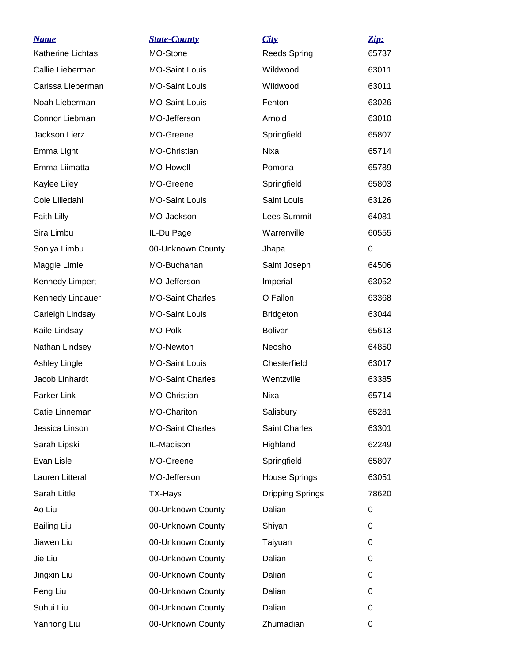| <b>Name</b>              | <b>State-County</b>     | City                    | Zip:     |
|--------------------------|-------------------------|-------------------------|----------|
| <b>Katherine Lichtas</b> | MO-Stone                | <b>Reeds Spring</b>     | 65737    |
| Callie Lieberman         | <b>MO-Saint Louis</b>   | Wildwood                | 63011    |
| Carissa Lieberman        | <b>MO-Saint Louis</b>   | Wildwood                | 63011    |
| Noah Lieberman           | <b>MO-Saint Louis</b>   | Fenton                  | 63026    |
| Connor Liebman           | MO-Jefferson            | Arnold                  | 63010    |
| Jackson Lierz            | MO-Greene               | Springfield             | 65807    |
| Emma Light               | MO-Christian            | Nixa                    | 65714    |
| Emma Liimatta            | MO-Howell               | Pomona                  | 65789    |
| Kaylee Liley             | MO-Greene               | Springfield             | 65803    |
| Cole Lilledahl           | <b>MO-Saint Louis</b>   | <b>Saint Louis</b>      | 63126    |
| Faith Lilly              | MO-Jackson              | <b>Lees Summit</b>      | 64081    |
| Sira Limbu               | IL-Du Page              | Warrenville             | 60555    |
| Soniya Limbu             | 00-Unknown County       | Jhapa                   | 0        |
| Maggie Limle             | MO-Buchanan             | Saint Joseph            | 64506    |
| <b>Kennedy Limpert</b>   | MO-Jefferson            | Imperial                | 63052    |
| Kennedy Lindauer         | <b>MO-Saint Charles</b> | O Fallon                | 63368    |
| Carleigh Lindsay         | <b>MO-Saint Louis</b>   | <b>Bridgeton</b>        | 63044    |
| Kaile Lindsay            | MO-Polk                 | <b>Bolivar</b>          | 65613    |
| Nathan Lindsey           | MO-Newton               | Neosho                  | 64850    |
| Ashley Lingle            | <b>MO-Saint Louis</b>   | Chesterfield            | 63017    |
| Jacob Linhardt           | <b>MO-Saint Charles</b> | Wentzville              | 63385    |
| Parker Link              | MO-Christian            | Nixa                    | 65714    |
| Catie Linneman           | MO-Chariton             | Salisbury               | 65281    |
| Jessica Linson           | <b>MO-Saint Charles</b> | Saint Charles           | 63301    |
| Sarah Lipski             | IL-Madison              | Highland                | 62249    |
| Evan Lisle               | MO-Greene               | Springfield             | 65807    |
| Lauren Litteral          | MO-Jefferson            | House Springs           | 63051    |
| Sarah Little             | TX-Hays                 | <b>Dripping Springs</b> | 78620    |
| Ao Liu                   | 00-Unknown County       | Dalian                  | 0        |
| <b>Bailing Liu</b>       | 00-Unknown County       | Shiyan                  | 0        |
| Jiawen Liu               | 00-Unknown County       | Taiyuan                 | 0        |
| Jie Liu                  | 00-Unknown County       | Dalian                  | 0        |
| Jingxin Liu              | 00-Unknown County       | Dalian                  | 0        |
| Peng Liu                 | 00-Unknown County       | Dalian                  | 0        |
| Suhui Liu                | 00-Unknown County       | Dalian                  | $\Omega$ |
| Yanhong Liu              | 00-Unknown County       | Zhumadian               | 0        |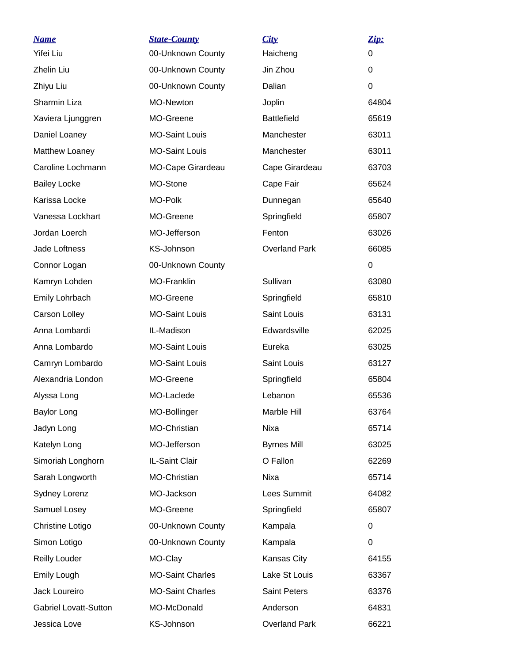| <b>Name</b>                  | <b>State-County</b>     | City                 | Zip:     |
|------------------------------|-------------------------|----------------------|----------|
| Yifei Liu                    | 00-Unknown County       | Haicheng             | $\Omega$ |
| Zhelin Liu                   | 00-Unknown County       | Jin Zhou             | 0        |
| Zhiyu Liu                    | 00-Unknown County       | Dalian               | 0        |
| Sharmin Liza                 | MO-Newton               | Joplin               | 64804    |
| Xaviera Ljunggren            | MO-Greene               | <b>Battlefield</b>   | 65619    |
| Daniel Loaney                | <b>MO-Saint Louis</b>   | Manchester           | 63011    |
| Matthew Loaney               | <b>MO-Saint Louis</b>   | Manchester           | 63011    |
| Caroline Lochmann            | MO-Cape Girardeau       | Cape Girardeau       | 63703    |
| <b>Bailey Locke</b>          | MO-Stone                | Cape Fair            | 65624    |
| Karissa Locke                | MO-Polk                 | Dunnegan             | 65640    |
| Vanessa Lockhart             | MO-Greene               | Springfield          | 65807    |
| Jordan Loerch                | MO-Jefferson            | Fenton               | 63026    |
| Jade Loftness                | <b>KS-Johnson</b>       | <b>Overland Park</b> | 66085    |
| Connor Logan                 | 00-Unknown County       |                      | 0        |
| Kamryn Lohden                | MO-Franklin             | Sullivan             | 63080    |
| Emily Lohrbach               | MO-Greene               | Springfield          | 65810    |
| Carson Lolley                | <b>MO-Saint Louis</b>   | Saint Louis          | 63131    |
| Anna Lombardi                | IL-Madison              | Edwardsville         | 62025    |
| Anna Lombardo                | <b>MO-Saint Louis</b>   | Eureka               | 63025    |
| Camryn Lombardo              | <b>MO-Saint Louis</b>   | Saint Louis          | 63127    |
| Alexandria London            | MO-Greene               | Springfield          | 65804    |
| Alyssa Long                  | MO-Laclede              | Lebanon              | 65536    |
| <b>Baylor Long</b>           | MO-Bollinger            | Marble Hill          | 63764    |
| Jadyn Long                   | MO-Christian            | Nixa                 | 65714    |
| Katelyn Long                 | MO-Jefferson            | <b>Byrnes Mill</b>   | 63025    |
| Simoriah Longhorn            | IL-Saint Clair          | O Fallon             | 62269    |
| Sarah Longworth              | MO-Christian            | Nixa                 | 65714    |
| <b>Sydney Lorenz</b>         | MO-Jackson              | Lees Summit          | 64082    |
| Samuel Losey                 | MO-Greene               | Springfield          | 65807    |
| Christine Lotigo             | 00-Unknown County       | Kampala              | 0        |
| Simon Lotigo                 | 00-Unknown County       | Kampala              | 0        |
| <b>Reilly Louder</b>         | MO-Clay                 | Kansas City          | 64155    |
| Emily Lough                  | <b>MO-Saint Charles</b> | Lake St Louis        | 63367    |
| Jack Loureiro                | <b>MO-Saint Charles</b> | Saint Peters         | 63376    |
| <b>Gabriel Lovatt-Sutton</b> | MO-McDonald             | Anderson             | 64831    |
| Jessica Love                 | KS-Johnson              | <b>Overland Park</b> | 66221    |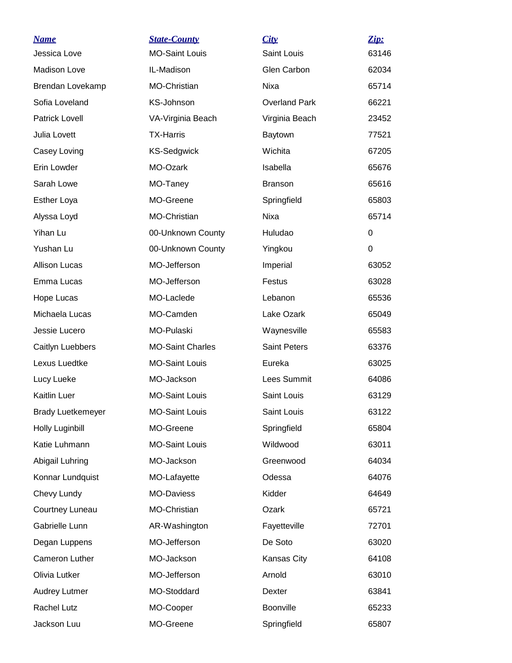| <b>Name</b>              | <b>State-County</b>     | City                 | <u>Zip:</u> |
|--------------------------|-------------------------|----------------------|-------------|
| Jessica Love             | <b>MO-Saint Louis</b>   | Saint Louis          | 63146       |
| Madison Love             | IL-Madison              | Glen Carbon          | 62034       |
| Brendan Lovekamp         | <b>MO-Christian</b>     | Nixa                 | 65714       |
| Sofia Loveland           | KS-Johnson              | <b>Overland Park</b> | 66221       |
| <b>Patrick Lovell</b>    | VA-Virginia Beach       | Virginia Beach       | 23452       |
| Julia Lovett             | <b>TX-Harris</b>        | Baytown              | 77521       |
| Casey Loving             | <b>KS-Sedgwick</b>      | Wichita              | 67205       |
| Erin Lowder              | MO-Ozark                | Isabella             | 65676       |
| Sarah Lowe               | MO-Taney                | <b>Branson</b>       | 65616       |
| <b>Esther Loya</b>       | MO-Greene               | Springfield          | 65803       |
| Alyssa Loyd              | <b>MO-Christian</b>     | Nixa                 | 65714       |
| Yihan Lu                 | 00-Unknown County       | Huludao              | 0           |
| Yushan Lu                | 00-Unknown County       | Yingkou              | $\Omega$    |
| <b>Allison Lucas</b>     | MO-Jefferson            | Imperial             | 63052       |
| Emma Lucas               | MO-Jefferson            | Festus               | 63028       |
| Hope Lucas               | MO-Laclede              | Lebanon              | 65536       |
| Michaela Lucas           | MO-Camden               | Lake Ozark           | 65049       |
| Jessie Lucero            | MO-Pulaski              | Waynesville          | 65583       |
| Caitlyn Luebbers         | <b>MO-Saint Charles</b> | <b>Saint Peters</b>  | 63376       |
| Lexus Luedtke            | <b>MO-Saint Louis</b>   | Eureka               | 63025       |
| Lucy Lueke               | MO-Jackson              | Lees Summit          | 64086       |
| Kaitlin Luer             | <b>MO-Saint Louis</b>   | Saint Louis          | 63129       |
| <b>Brady Luetkemeyer</b> | <b>MO-Saint Louis</b>   | Saint Louis          | 63122       |
| Holly Luginbill          | MO-Greene               | Springfield          | 65804       |
| Katie Luhmann            | <b>MO-Saint Louis</b>   | Wildwood             | 63011       |
| Abigail Luhring          | MO-Jackson              | Greenwood            | 64034       |
| Konnar Lundquist         | MO-Lafayette            | Odessa               | 64076       |
| Chevy Lundy              | MO-Daviess              | Kidder               | 64649       |
| Courtney Luneau          | MO-Christian            | Ozark                | 65721       |
| Gabrielle Lunn           | AR-Washington           | Fayetteville         | 72701       |
| Degan Luppens            | MO-Jefferson            | De Soto              | 63020       |
| Cameron Luther           | MO-Jackson              | Kansas City          | 64108       |
| Olivia Lutker            | MO-Jefferson            | Arnold               | 63010       |
| <b>Audrey Lutmer</b>     | MO-Stoddard             | Dexter               | 63841       |
| Rachel Lutz              | MO-Cooper               | Boonville            | 65233       |
| Jackson Luu              | MO-Greene               | Springfield          | 65807       |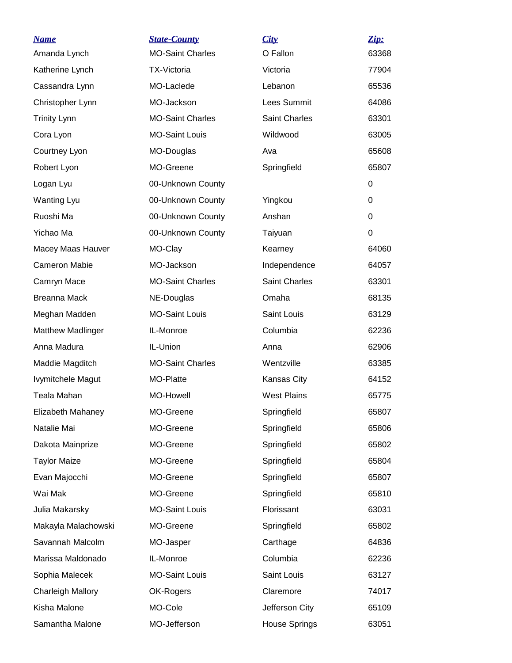| <b>Name</b>              | <b>State-County</b>     | City                 | Zip:     |
|--------------------------|-------------------------|----------------------|----------|
| Amanda Lynch             | <b>MO-Saint Charles</b> | O Fallon             | 63368    |
| Katherine Lynch          | <b>TX-Victoria</b>      | Victoria             | 77904    |
| Cassandra Lynn           | MO-Laclede              | Lebanon              | 65536    |
| Christopher Lynn         | MO-Jackson              | Lees Summit          | 64086    |
| <b>Trinity Lynn</b>      | <b>MO-Saint Charles</b> | <b>Saint Charles</b> | 63301    |
| Cora Lyon                | <b>MO-Saint Louis</b>   | Wildwood             | 63005    |
| Courtney Lyon            | MO-Douglas              | Ava                  | 65608    |
| Robert Lyon              | MO-Greene               | Springfield          | 65807    |
| Logan Lyu                | 00-Unknown County       |                      | 0        |
| <b>Wanting Lyu</b>       | 00-Unknown County       | Yingkou              | $\Omega$ |
| Ruoshi Ma                | 00-Unknown County       | Anshan               | 0        |
| Yichao Ma                | 00-Unknown County       | Taiyuan              | 0        |
| Macey Maas Hauver        | MO-Clay                 | Kearney              | 64060    |
| <b>Cameron Mabie</b>     | MO-Jackson              | Independence         | 64057    |
| Camryn Mace              | <b>MO-Saint Charles</b> | <b>Saint Charles</b> | 63301    |
| <b>Breanna Mack</b>      | NE-Douglas              | Omaha                | 68135    |
| Meghan Madden            | <b>MO-Saint Louis</b>   | Saint Louis          | 63129    |
| <b>Matthew Madlinger</b> | IL-Monroe               | Columbia             | 62236    |
| Anna Madura              | IL-Union                | Anna                 | 62906    |
| Maddie Magditch          | <b>MO-Saint Charles</b> | Wentzville           | 63385    |
| Ivymitchele Magut        | MO-Platte               | Kansas City          | 64152    |
| Teala Mahan              | MO-Howell               | <b>West Plains</b>   | 65775    |
| Elizabeth Mahaney        | MO-Greene               | Springfield          | 65807    |
| Natalie Mai              | MO-Greene               | Springfield          | 65806    |
| Dakota Mainprize         | MO-Greene               | Springfield          | 65802    |
| <b>Taylor Maize</b>      | MO-Greene               | Springfield          | 65804    |
| Evan Majocchi            | MO-Greene               | Springfield          | 65807    |
| Wai Mak                  | MO-Greene               | Springfield          | 65810    |
| Julia Makarsky           | <b>MO-Saint Louis</b>   | Florissant           | 63031    |
| Makayla Malachowski      | MO-Greene               | Springfield          | 65802    |
| Savannah Malcolm         | MO-Jasper               | Carthage             | 64836    |
| Marissa Maldonado        | IL-Monroe               | Columbia             | 62236    |
| Sophia Malecek           | <b>MO-Saint Louis</b>   | Saint Louis          | 63127    |
| <b>Charleigh Mallory</b> | OK-Rogers               | Claremore            | 74017    |
| Kisha Malone             | MO-Cole                 | Jefferson City       | 65109    |
| Samantha Malone          | MO-Jefferson            | House Springs        | 63051    |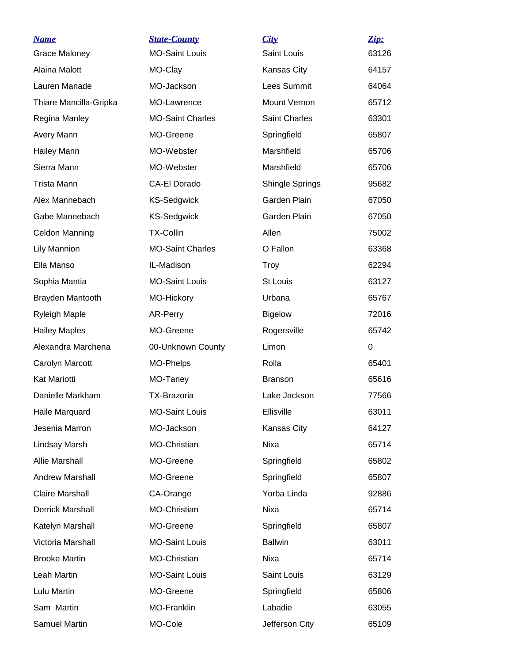| <b>Name</b>             | <b>State-County</b>     | City                   | Zip:     |
|-------------------------|-------------------------|------------------------|----------|
| <b>Grace Maloney</b>    | <b>MO-Saint Louis</b>   | Saint Louis            | 63126    |
| Alaina Malott           | MO-Clay                 | Kansas City            | 64157    |
| Lauren Manade           | MO-Jackson              | <b>Lees Summit</b>     | 64064    |
| Thiare Mancilla-Gripka  | MO-Lawrence             | Mount Vernon           | 65712    |
| Regina Manley           | <b>MO-Saint Charles</b> | Saint Charles          | 63301    |
| Avery Mann              | MO-Greene               | Springfield            | 65807    |
| <b>Hailey Mann</b>      | MO-Webster              | Marshfield             | 65706    |
| Sierra Mann             | MO-Webster              | Marshfield             | 65706    |
| <b>Trista Mann</b>      | <b>CA-El Dorado</b>     | <b>Shingle Springs</b> | 95682    |
| Alex Mannebach          | <b>KS-Sedgwick</b>      | Garden Plain           | 67050    |
| Gabe Mannebach          | <b>KS-Sedgwick</b>      | Garden Plain           | 67050    |
| Celdon Manning          | <b>TX-Collin</b>        | Allen                  | 75002    |
| <b>Lily Mannion</b>     | <b>MO-Saint Charles</b> | O Fallon               | 63368    |
| Ella Manso              | IL-Madison              | Troy                   | 62294    |
| Sophia Mantia           | <b>MO-Saint Louis</b>   | St Louis               | 63127    |
| Brayden Mantooth        | MO-Hickory              | Urbana                 | 65767    |
| Ryleigh Maple           | AR-Perry                | <b>Bigelow</b>         | 72016    |
| <b>Hailey Maples</b>    | MO-Greene               | Rogersville            | 65742    |
| Alexandra Marchena      | 00-Unknown County       | Limon                  | $\Omega$ |
| Carolyn Marcott         | MO-Phelps               | Rolla                  | 65401    |
| Kat Mariotti            | MO-Taney                | <b>Branson</b>         | 65616    |
| Danielle Markham        | <b>TX-Brazoria</b>      | Lake Jackson           | 77566    |
| Haile Marquard          | <b>MO-Saint Louis</b>   | Ellisville             | 63011    |
| Jesenia Marron          | MO-Jackson              | Kansas City            | 64127    |
| Lindsay Marsh           | <b>MO-Christian</b>     | Nixa                   | 65714    |
| <b>Allie Marshall</b>   | MO-Greene               | Springfield            | 65802    |
| <b>Andrew Marshall</b>  | MO-Greene               | Springfield            | 65807    |
| <b>Claire Marshall</b>  | CA-Orange               | Yorba Linda            | 92886    |
| <b>Derrick Marshall</b> | <b>MO-Christian</b>     | Nixa                   | 65714    |
| Katelyn Marshall        | MO-Greene               | Springfield            | 65807    |
| Victoria Marshall       | <b>MO-Saint Louis</b>   | <b>Ballwin</b>         | 63011    |
| <b>Brooke Martin</b>    | <b>MO-Christian</b>     | Nixa                   | 65714    |
| Leah Martin             | <b>MO-Saint Louis</b>   | Saint Louis            | 63129    |
| Lulu Martin             | MO-Greene               | Springfield            | 65806    |
| Sam Martin              | <b>MO-Franklin</b>      | Labadie                | 63055    |
| Samuel Martin           | MO-Cole                 | Jefferson City         | 65109    |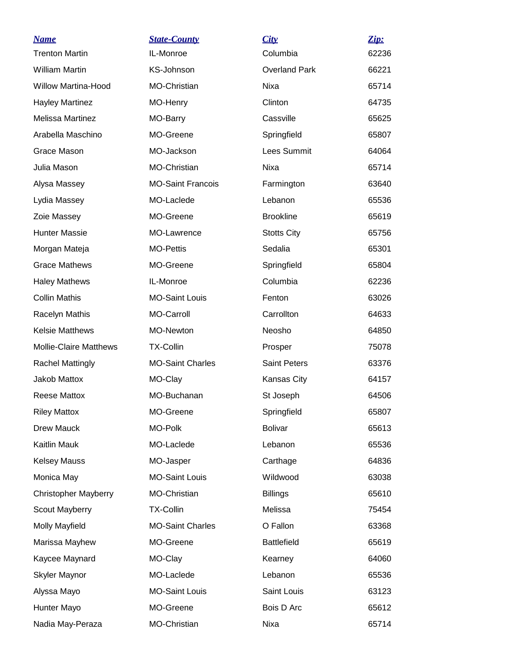| <b>Name</b>                   | <b>State-County</b>      | City                 | Zip:  |
|-------------------------------|--------------------------|----------------------|-------|
| <b>Trenton Martin</b>         | IL-Monroe                | Columbia             | 62236 |
| <b>William Martin</b>         | KS-Johnson               | <b>Overland Park</b> | 66221 |
| <b>Willow Martina-Hood</b>    | MO-Christian             | <b>Nixa</b>          | 65714 |
| <b>Hayley Martinez</b>        | MO-Henry                 | Clinton              | 64735 |
| Melissa Martinez              | MO-Barry                 | Cassville            | 65625 |
| Arabella Maschino             | MO-Greene                | Springfield          | 65807 |
| Grace Mason                   | MO-Jackson               | Lees Summit          | 64064 |
| Julia Mason                   | MO-Christian             | Nixa                 | 65714 |
| Alysa Massey                  | <b>MO-Saint Francois</b> | Farmington           | 63640 |
| Lydia Massey                  | MO-Laclede               | Lebanon              | 65536 |
| Zoie Massey                   | MO-Greene                | <b>Brookline</b>     | 65619 |
| <b>Hunter Massie</b>          | MO-Lawrence              | <b>Stotts City</b>   | 65756 |
| Morgan Mateja                 | <b>MO-Pettis</b>         | Sedalia              | 65301 |
| <b>Grace Mathews</b>          | MO-Greene                | Springfield          | 65804 |
| <b>Haley Mathews</b>          | IL-Monroe                | Columbia             | 62236 |
| <b>Collin Mathis</b>          | <b>MO-Saint Louis</b>    | Fenton               | 63026 |
| Racelyn Mathis                | <b>MO-Carroll</b>        | Carrollton           | 64633 |
| <b>Kelsie Matthews</b>        | MO-Newton                | Neosho               | 64850 |
| <b>Mollie-Claire Matthews</b> | <b>TX-Collin</b>         | Prosper              | 75078 |
| <b>Rachel Mattingly</b>       | <b>MO-Saint Charles</b>  | <b>Saint Peters</b>  | 63376 |
| Jakob Mattox                  | MO-Clay                  | Kansas City          | 64157 |
| <b>Reese Mattox</b>           | MO-Buchanan              | St Joseph            | 64506 |
| <b>Riley Mattox</b>           | MO-Greene                | Springfield          | 65807 |
| Drew Mauck                    | MO-Polk                  | <b>Bolivar</b>       | 65613 |
| Kaitlin Mauk                  | MO-Laclede               | Lebanon              | 65536 |
| <b>Kelsey Mauss</b>           | MO-Jasper                | Carthage             | 64836 |
| Monica May                    | <b>MO-Saint Louis</b>    | Wildwood             | 63038 |
| <b>Christopher Mayberry</b>   | MO-Christian             | <b>Billings</b>      | 65610 |
| Scout Mayberry                | <b>TX-Collin</b>         | Melissa              | 75454 |
| <b>Molly Mayfield</b>         | <b>MO-Saint Charles</b>  | O Fallon             | 63368 |
| Marissa Mayhew                | MO-Greene                | <b>Battlefield</b>   | 65619 |
| Kaycee Maynard                | MO-Clay                  | Kearney              | 64060 |
| <b>Skyler Maynor</b>          | MO-Laclede               | Lebanon              | 65536 |
| Alyssa Mayo                   | <b>MO-Saint Louis</b>    | Saint Louis          | 63123 |
| Hunter Mayo                   | MO-Greene                | Bois D Arc           | 65612 |
| Nadia May-Peraza              | MO-Christian             | Nixa                 | 65714 |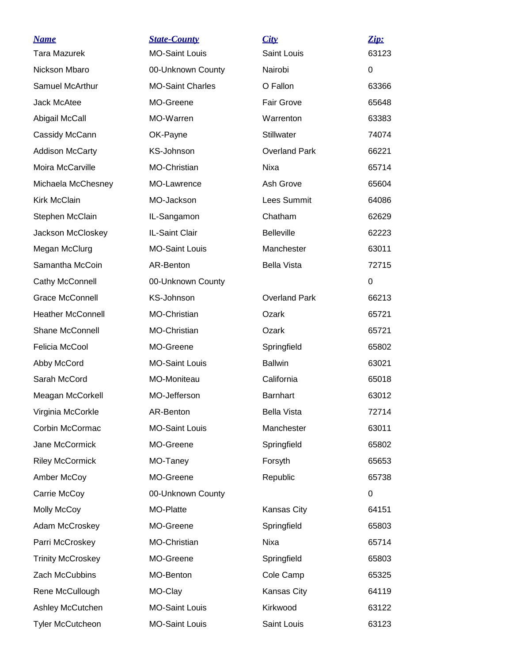| <b>Name</b>              | <b>State-County</b>     | City                 | Zip:  |
|--------------------------|-------------------------|----------------------|-------|
| <b>Tara Mazurek</b>      | <b>MO-Saint Louis</b>   | <b>Saint Louis</b>   | 63123 |
| Nickson Mbaro            | 00-Unknown County       | Nairobi              | 0     |
| Samuel McArthur          | <b>MO-Saint Charles</b> | O Fallon             | 63366 |
| Jack McAtee              | MO-Greene               | <b>Fair Grove</b>    | 65648 |
| Abigail McCall           | MO-Warren               | Warrenton            | 63383 |
| Cassidy McCann           | OK-Payne                | Stillwater           | 74074 |
| <b>Addison McCarty</b>   | <b>KS-Johnson</b>       | <b>Overland Park</b> | 66221 |
| Moira McCarville         | MO-Christian            | Nixa                 | 65714 |
| Michaela McChesney       | MO-Lawrence             | Ash Grove            | 65604 |
| <b>Kirk McClain</b>      | MO-Jackson              | Lees Summit          | 64086 |
| Stephen McClain          | IL-Sangamon             | Chatham              | 62629 |
| Jackson McCloskey        | IL-Saint Clair          | <b>Belleville</b>    | 62223 |
| Megan McClurg            | <b>MO-Saint Louis</b>   | Manchester           | 63011 |
| Samantha McCoin          | AR-Benton               | <b>Bella Vista</b>   | 72715 |
| Cathy McConnell          | 00-Unknown County       |                      | 0     |
| Grace McConnell          | KS-Johnson              | <b>Overland Park</b> | 66213 |
| <b>Heather McConnell</b> | MO-Christian            | Ozark                | 65721 |
| Shane McConnell          | MO-Christian            | Ozark                | 65721 |
| Felicia McCool           | MO-Greene               | Springfield          | 65802 |
| Abby McCord              | <b>MO-Saint Louis</b>   | <b>Ballwin</b>       | 63021 |
| Sarah McCord             | MO-Moniteau             | California           | 65018 |
| Meagan McCorkell         | MO-Jefferson            | <b>Barnhart</b>      | 63012 |
| Virginia McCorkle        | AR-Benton               | <b>Bella Vista</b>   | 72714 |
| Corbin McCormac          | <b>MO-Saint Louis</b>   | Manchester           | 63011 |
| Jane McCormick           | MO-Greene               | Springfield          | 65802 |
| <b>Riley McCormick</b>   | MO-Taney                | Forsyth              | 65653 |
| Amber McCoy              | MO-Greene               | Republic             | 65738 |
| Carrie McCoy             | 00-Unknown County       |                      | 0     |
| Molly McCoy              | MO-Platte               | Kansas City          | 64151 |
| Adam McCroskey           | MO-Greene               | Springfield          | 65803 |
| Parri McCroskey          | MO-Christian            | Nixa                 | 65714 |
| <b>Trinity McCroskey</b> | MO-Greene               | Springfield          | 65803 |
| Zach McCubbins           | MO-Benton               | Cole Camp            | 65325 |
| Rene McCullough          | MO-Clay                 | Kansas City          | 64119 |
| Ashley McCutchen         | <b>MO-Saint Louis</b>   | Kirkwood             | 63122 |
| <b>Tyler McCutcheon</b>  | <b>MO-Saint Louis</b>   | Saint Louis          | 63123 |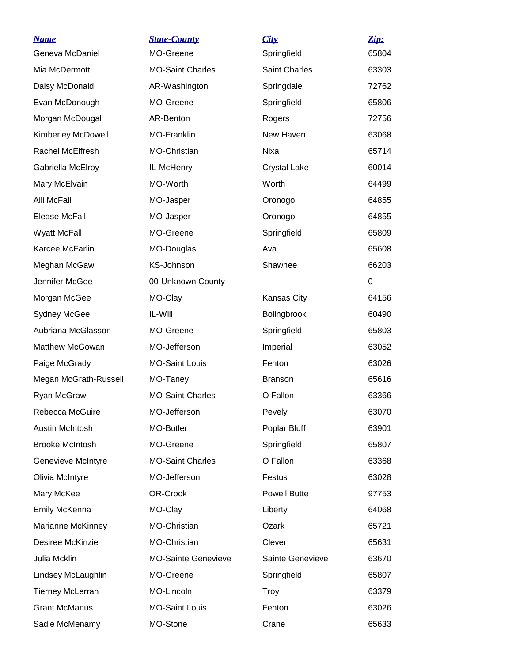| <b>Name</b>             | <b>State-County</b>        | City                 | Zip:  |
|-------------------------|----------------------------|----------------------|-------|
| Geneva McDaniel         | MO-Greene                  | Springfield          | 65804 |
| Mia McDermott           | <b>MO-Saint Charles</b>    | <b>Saint Charles</b> | 63303 |
| Daisy McDonald          | AR-Washington              | Springdale           | 72762 |
| Evan McDonough          | MO-Greene                  | Springfield          | 65806 |
| Morgan McDougal         | AR-Benton                  | Rogers               | 72756 |
| Kimberley McDowell      | MO-Franklin                | New Haven            | 63068 |
| Rachel McElfresh        | MO-Christian               | Nixa                 | 65714 |
| Gabriella McElroy       | IL-McHenry                 | <b>Crystal Lake</b>  | 60014 |
| Mary McElvain           | MO-Worth                   | Worth                | 64499 |
| Aili McFall             | MO-Jasper                  | Oronogo              | 64855 |
| Elease McFall           | MO-Jasper                  | Oronogo              | 64855 |
| <b>Wyatt McFall</b>     | MO-Greene                  | Springfield          | 65809 |
| Karcee McFarlin         | MO-Douglas                 | Ava                  | 65608 |
| Meghan McGaw            | KS-Johnson                 | Shawnee              | 66203 |
| Jennifer McGee          | 00-Unknown County          |                      | 0     |
| Morgan McGee            | MO-Clay                    | Kansas City          | 64156 |
| <b>Sydney McGee</b>     | IL-Will                    | Bolingbrook          | 60490 |
| Aubriana McGlasson      | MO-Greene                  | Springfield          | 65803 |
| Matthew McGowan         | MO-Jefferson               | Imperial             | 63052 |
| Paige McGrady           | <b>MO-Saint Louis</b>      | Fenton               | 63026 |
| Megan McGrath-Russell   | MO-Taney                   | <b>Branson</b>       | 65616 |
| Ryan McGraw             | <b>MO-Saint Charles</b>    | O Fallon             | 63366 |
| Rebecca McGuire         | MO-Jefferson               | Pevely               | 63070 |
| <b>Austin McIntosh</b>  | MO-Butler                  | Poplar Bluff         | 63901 |
| <b>Brooke McIntosh</b>  | MO-Greene                  | Springfield          | 65807 |
| Genevieve McIntyre      | <b>MO-Saint Charles</b>    | O Fallon             | 63368 |
| Olivia McIntyre         | MO-Jefferson               | Festus               | 63028 |
| Mary McKee              | OR-Crook                   | <b>Powell Butte</b>  | 97753 |
| Emily McKenna           | MO-Clay                    | Liberty              | 64068 |
| Marianne McKinney       | MO-Christian               | Ozark                | 65721 |
| Desiree McKinzie        | MO-Christian               | Clever               | 65631 |
| Julia Mcklin            | <b>MO-Sainte Genevieve</b> | Sainte Genevieve     | 63670 |
| Lindsey McLaughlin      | MO-Greene                  | Springfield          | 65807 |
| <b>Tierney McLerran</b> | MO-Lincoln                 | <b>Troy</b>          | 63379 |
| <b>Grant McManus</b>    | <b>MO-Saint Louis</b>      | Fenton               | 63026 |
| Sadie McMenamy          | MO-Stone                   | Crane                | 65633 |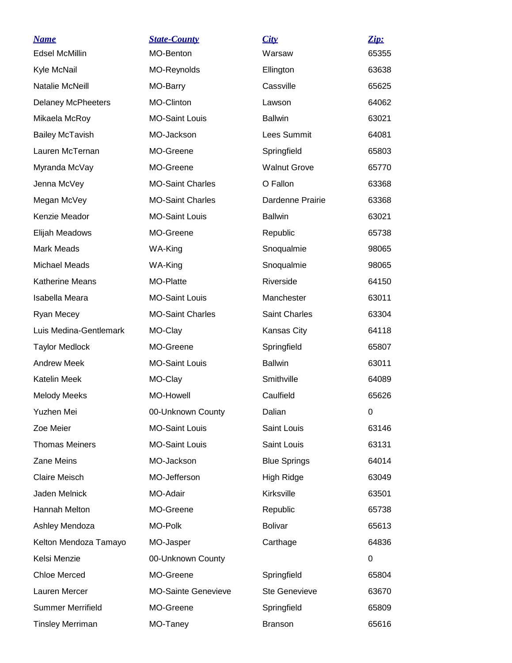| <b>Name</b>               | <b>State-County</b>        | City                 | Zip:  |
|---------------------------|----------------------------|----------------------|-------|
| <b>Edsel McMillin</b>     | MO-Benton                  | Warsaw               | 65355 |
| Kyle McNail               | MO-Reynolds                | Ellington            | 63638 |
| Natalie McNeill           | MO-Barry                   | Cassville            | 65625 |
| <b>Delaney McPheeters</b> | MO-Clinton                 | Lawson               | 64062 |
| Mikaela McRoy             | <b>MO-Saint Louis</b>      | <b>Ballwin</b>       | 63021 |
| <b>Bailey McTavish</b>    | MO-Jackson                 | <b>Lees Summit</b>   | 64081 |
| Lauren McTernan           | MO-Greene                  | Springfield          | 65803 |
| Myranda McVay             | MO-Greene                  | <b>Walnut Grove</b>  | 65770 |
| Jenna McVey               | <b>MO-Saint Charles</b>    | O Fallon             | 63368 |
| Megan McVey               | <b>MO-Saint Charles</b>    | Dardenne Prairie     | 63368 |
| Kenzie Meador             | <b>MO-Saint Louis</b>      | <b>Ballwin</b>       | 63021 |
| Elijah Meadows            | MO-Greene                  | Republic             | 65738 |
| <b>Mark Meads</b>         | WA-King                    | Snoqualmie           | 98065 |
| <b>Michael Meads</b>      | WA-King                    | Snoqualmie           | 98065 |
| Katherine Means           | MO-Platte                  | Riverside            | 64150 |
| Isabella Meara            | <b>MO-Saint Louis</b>      | Manchester           | 63011 |
| Ryan Mecey                | <b>MO-Saint Charles</b>    | Saint Charles        | 63304 |
| Luis Medina-Gentlemark    | MO-Clay                    | Kansas City          | 64118 |
| <b>Taylor Medlock</b>     | MO-Greene                  | Springfield          | 65807 |
| <b>Andrew Meek</b>        | <b>MO-Saint Louis</b>      | <b>Ballwin</b>       | 63011 |
| Katelin Meek              | MO-Clay                    | Smithville           | 64089 |
| <b>Melody Meeks</b>       | <b>MO-Howell</b>           | Caulfield            | 65626 |
| Yuzhen Mei                | 00-Unknown County          | Dalian               | 0     |
| Zoe Meier                 | <b>MO-Saint Louis</b>      | Saint Louis          | 63146 |
| <b>Thomas Meiners</b>     | <b>MO-Saint Louis</b>      | Saint Louis          | 63131 |
| Zane Meins                | MO-Jackson                 | <b>Blue Springs</b>  | 64014 |
| <b>Claire Meisch</b>      | MO-Jefferson               | High Ridge           | 63049 |
| Jaden Melnick             | MO-Adair                   | Kirksville           | 63501 |
| Hannah Melton             | MO-Greene                  | Republic             | 65738 |
| Ashley Mendoza            | MO-Polk                    | <b>Bolivar</b>       | 65613 |
| Kelton Mendoza Tamayo     | MO-Jasper                  | Carthage             | 64836 |
| Kelsi Menzie              | 00-Unknown County          |                      | 0     |
| <b>Chloe Merced</b>       | MO-Greene                  | Springfield          | 65804 |
| Lauren Mercer             | <b>MO-Sainte Genevieve</b> | <b>Ste Genevieve</b> | 63670 |
| <b>Summer Merrifield</b>  | MO-Greene                  | Springfield          | 65809 |
| <b>Tinsley Merriman</b>   | MO-Taney                   | <b>Branson</b>       | 65616 |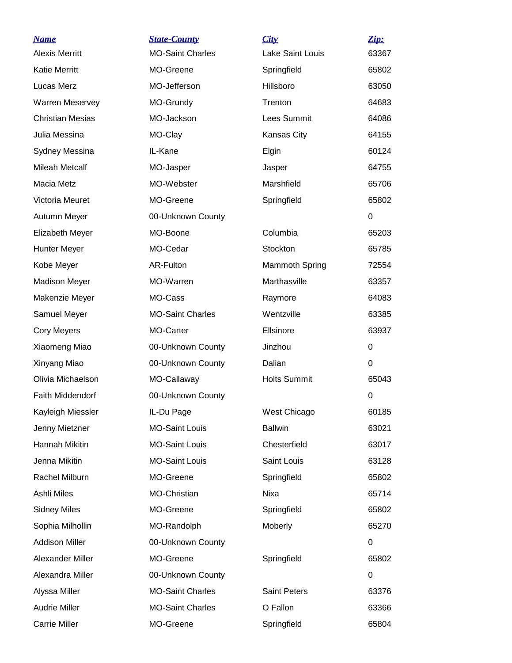| <b>Name</b>             | <b>State-County</b>     | City                  | Zip:        |
|-------------------------|-------------------------|-----------------------|-------------|
| <b>Alexis Merritt</b>   | <b>MO-Saint Charles</b> | Lake Saint Louis      | 63367       |
| <b>Katie Merritt</b>    | MO-Greene               | Springfield           | 65802       |
| Lucas Merz              | MO-Jefferson            | Hillsboro             | 63050       |
| <b>Warren Meservey</b>  | MO-Grundy               | Trenton               | 64683       |
| <b>Christian Mesias</b> | MO-Jackson              | Lees Summit           | 64086       |
| Julia Messina           | MO-Clay                 | Kansas City           | 64155       |
| Sydney Messina          | IL-Kane                 | Elgin                 | 60124       |
| <b>Mileah Metcalf</b>   | MO-Jasper               | Jasper                | 64755       |
| Macia Metz              | MO-Webster              | Marshfield            | 65706       |
| Victoria Meuret         | MO-Greene               | Springfield           | 65802       |
| Autumn Meyer            | 00-Unknown County       |                       | $\Omega$    |
| Elizabeth Meyer         | MO-Boone                | Columbia              | 65203       |
| <b>Hunter Meyer</b>     | MO-Cedar                | Stockton              | 65785       |
| Kobe Meyer              | AR-Fulton               | <b>Mammoth Spring</b> | 72554       |
| <b>Madison Meyer</b>    | MO-Warren               | Marthasville          | 63357       |
| Makenzie Meyer          | MO-Cass                 | Raymore               | 64083       |
| Samuel Meyer            | <b>MO-Saint Charles</b> | Wentzville            | 63385       |
| <b>Cory Meyers</b>      | MO-Carter               | Ellsinore             | 63937       |
| Xiaomeng Miao           | 00-Unknown County       | Jinzhou               | 0           |
| Xinyang Miao            | 00-Unknown County       | Dalian                | 0           |
| Olivia Michaelson       | MO-Callaway             | <b>Holts Summit</b>   | 65043       |
| <b>Faith Middendorf</b> | 00-Unknown County       |                       | $\mathbf 0$ |
| Kayleigh Miessler       | IL-Du Page              | West Chicago          | 60185       |
| Jenny Mietzner          | <b>MO-Saint Louis</b>   | <b>Ballwin</b>        | 63021       |
| Hannah Mikitin          | <b>MO-Saint Louis</b>   | Chesterfield          | 63017       |
| Jenna Mikitin           | <b>MO-Saint Louis</b>   | Saint Louis           | 63128       |
| Rachel Milburn          | MO-Greene               | Springfield           | 65802       |
| Ashli Miles             | <b>MO-Christian</b>     | Nixa                  | 65714       |
| <b>Sidney Miles</b>     | MO-Greene               | Springfield           | 65802       |
| Sophia Milhollin        | MO-Randolph             | Moberly               | 65270       |
| <b>Addison Miller</b>   | 00-Unknown County       |                       | 0           |
| Alexander Miller        | MO-Greene               | Springfield           | 65802       |
| Alexandra Miller        | 00-Unknown County       |                       | 0           |
| Alyssa Miller           | <b>MO-Saint Charles</b> | Saint Peters          | 63376       |
| <b>Audrie Miller</b>    | <b>MO-Saint Charles</b> | O Fallon              | 63366       |
| Carrie Miller           | MO-Greene               | Springfield           | 65804       |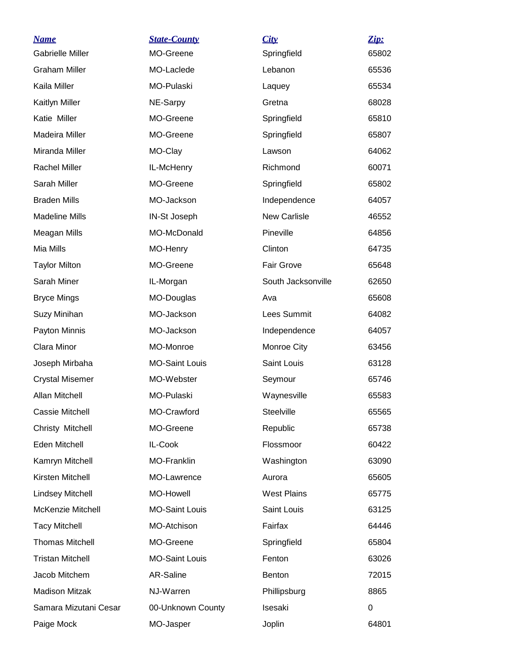| <b>Name</b>             | <b>State-County</b>   | City                | Zip:  |
|-------------------------|-----------------------|---------------------|-------|
| <b>Gabrielle Miller</b> | MO-Greene             | Springfield         | 65802 |
| <b>Graham Miller</b>    | MO-Laclede            | Lebanon             | 65536 |
| Kaila Miller            | MO-Pulaski            | Laquey              | 65534 |
| Kaitlyn Miller          | NE-Sarpy              | Gretna              | 68028 |
| Katie Miller            | MO-Greene             | Springfield         | 65810 |
| Madeira Miller          | MO-Greene             | Springfield         | 65807 |
| Miranda Miller          | MO-Clay               | Lawson              | 64062 |
| <b>Rachel Miller</b>    | IL-McHenry            | Richmond            | 60071 |
| Sarah Miller            | MO-Greene             | Springfield         | 65802 |
| <b>Braden Mills</b>     | MO-Jackson            | Independence        | 64057 |
| <b>Madeline Mills</b>   | IN-St Joseph          | <b>New Carlisle</b> | 46552 |
| Meagan Mills            | MO-McDonald           | Pineville           | 64856 |
| Mia Mills               | MO-Henry              | Clinton             | 64735 |
| <b>Taylor Milton</b>    | MO-Greene             | Fair Grove          | 65648 |
| Sarah Miner             | IL-Morgan             | South Jacksonville  | 62650 |
| <b>Bryce Mings</b>      | MO-Douglas            | Ava                 | 65608 |
| Suzy Minihan            | MO-Jackson            | Lees Summit         | 64082 |
| Payton Minnis           | MO-Jackson            | Independence        | 64057 |
| Clara Minor             | MO-Monroe             | Monroe City         | 63456 |
| Joseph Mirbaha          | <b>MO-Saint Louis</b> | Saint Louis         | 63128 |
| <b>Crystal Misemer</b>  | MO-Webster            | Seymour             | 65746 |
| <b>Allan Mitchell</b>   | MO-Pulaski            | Waynesville         | 65583 |
| <b>Cassie Mitchell</b>  | MO-Crawford           | Steelville          | 65565 |
| Christy Mitchell        | MO-Greene             | Republic            | 65738 |
| Eden Mitchell           | IL-Cook               | Flossmoor           | 60422 |
| Kamryn Mitchell         | MO-Franklin           | Washington          | 63090 |
| Kirsten Mitchell        | MO-Lawrence           | Aurora              | 65605 |
| <b>Lindsey Mitchell</b> | MO-Howell             | <b>West Plains</b>  | 65775 |
| McKenzie Mitchell       | <b>MO-Saint Louis</b> | Saint Louis         | 63125 |
| <b>Tacy Mitchell</b>    | MO-Atchison           | Fairfax             | 64446 |
| <b>Thomas Mitchell</b>  | MO-Greene             | Springfield         | 65804 |
| <b>Tristan Mitchell</b> | <b>MO-Saint Louis</b> | Fenton              | 63026 |
| Jacob Mitchem           | AR-Saline             | Benton              | 72015 |
| <b>Madison Mitzak</b>   | NJ-Warren             | Phillipsburg        | 8865  |
| Samara Mizutani Cesar   | 00-Unknown County     | Isesaki             | 0     |
| Paige Mock              | MO-Jasper             | Joplin              | 64801 |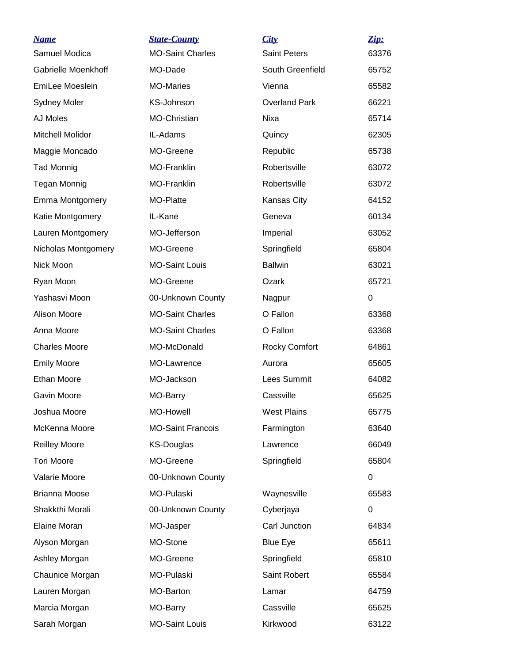| <u>Name</u>          | <b>State-County</b>      | City                 | Zip:  |
|----------------------|--------------------------|----------------------|-------|
| Samuel Modica        | <b>MO-Saint Charles</b>  | <b>Saint Peters</b>  | 63376 |
| Gabrielle Moenkhoff  | MO-Dade                  | South Greenfield     | 65752 |
| EmiLee Moeslein      | <b>MO-Maries</b>         | Vienna               | 65582 |
| <b>Sydney Moler</b>  | KS-Johnson               | <b>Overland Park</b> | 66221 |
| AJ Moles             | MO-Christian             | Nixa                 | 65714 |
| Mitchell Molidor     | IL-Adams                 | Quincy               | 62305 |
| Maggie Moncado       | MO-Greene                | Republic             | 65738 |
| <b>Tad Monnig</b>    | <b>MO-Franklin</b>       | Robertsville         | 63072 |
| <b>Tegan Monnig</b>  | <b>MO-Franklin</b>       | Robertsville         | 63072 |
| Emma Montgomery      | MO-Platte                | Kansas City          | 64152 |
| Katie Montgomery     | IL-Kane                  | Geneva               | 60134 |
| Lauren Montgomery    | MO-Jefferson             | Imperial             | 63052 |
| Nicholas Montgomery  | MO-Greene                | Springfield          | 65804 |
| Nick Moon            | <b>MO-Saint Louis</b>    | <b>Ballwin</b>       | 63021 |
| Ryan Moon            | MO-Greene                | Ozark                | 65721 |
| Yashasvi Moon        | 00-Unknown County        | Nagpur               | 0     |
| Alison Moore         | <b>MO-Saint Charles</b>  | O Fallon             | 63368 |
| Anna Moore           | <b>MO-Saint Charles</b>  | O Fallon             | 63368 |
| <b>Charles Moore</b> | MO-McDonald              | <b>Rocky Comfort</b> | 64861 |
| <b>Emily Moore</b>   | MO-Lawrence              | Aurora               | 65605 |
| <b>Ethan Moore</b>   | MO-Jackson               | Lees Summit          | 64082 |
| Gavin Moore          | MO-Barry                 | Cassville            | 65625 |
| Joshua Moore         | MO-Howell                | <b>West Plains</b>   | 65775 |
| McKenna Moore        | <b>MO-Saint Francois</b> | Farmington           | 63640 |
| <b>Reilley Moore</b> | <b>KS-Douglas</b>        | Lawrence             | 66049 |
| <b>Tori Moore</b>    | MO-Greene                | Springfield          | 65804 |
| Valarie Moore        | 00-Unknown County        |                      | 0     |
| <b>Brianna Moose</b> | MO-Pulaski               | Waynesville          | 65583 |
| Shakkthi Morali      | 00-Unknown County        | Cyberjaya            | 0     |
| <b>Elaine Moran</b>  | MO-Jasper                | Carl Junction        | 64834 |
| Alyson Morgan        | MO-Stone                 | <b>Blue Eye</b>      | 65611 |
| Ashley Morgan        | MO-Greene                | Springfield          | 65810 |
| Chaunice Morgan      | MO-Pulaski               | Saint Robert         | 65584 |
| Lauren Morgan        | MO-Barton                | Lamar                | 64759 |
| Marcia Morgan        | MO-Barry                 | Cassville            | 65625 |
| Sarah Morgan         | <b>MO-Saint Louis</b>    | Kirkwood             | 63122 |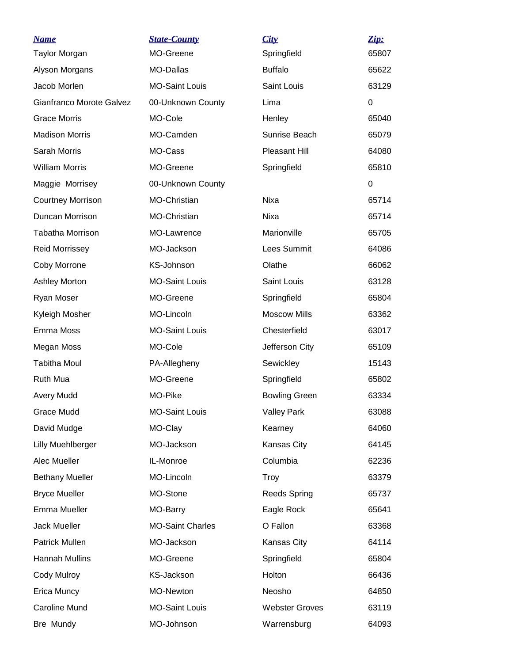| <b>Name</b>              | <b>State-County</b>     | City                          | Zip:  |
|--------------------------|-------------------------|-------------------------------|-------|
| <b>Taylor Morgan</b>     | MO-Greene               | Springfield<br><b>Buffalo</b> | 65807 |
| Alyson Morgans           | MO-Dallas               |                               | 65622 |
| Jacob Morlen             | <b>MO-Saint Louis</b>   | Saint Louis                   | 63129 |
| Gianfranco Morote Galvez | 00-Unknown County       | Lima                          | 0     |
| <b>Grace Morris</b>      | MO-Cole                 | Henley                        | 65040 |
| <b>Madison Morris</b>    | MO-Camden               | Sunrise Beach                 | 65079 |
| Sarah Morris             | MO-Cass                 | <b>Pleasant Hill</b>          | 64080 |
| <b>William Morris</b>    | MO-Greene               | Springfield                   | 65810 |
| Maggie Morrisey          | 00-Unknown County       |                               | 0     |
| <b>Courtney Morrison</b> | MO-Christian            | Nixa                          | 65714 |
| Duncan Morrison          | MO-Christian            | Nixa                          | 65714 |
| <b>Tabatha Morrison</b>  | MO-Lawrence             | Marionville                   | 65705 |
| <b>Reid Morrissey</b>    | MO-Jackson              | Lees Summit                   | 64086 |
| Coby Morrone             | KS-Johnson              | Olathe                        | 66062 |
| <b>Ashley Morton</b>     | <b>MO-Saint Louis</b>   | Saint Louis                   | 63128 |
| Ryan Moser               | MO-Greene               | Springfield                   | 65804 |
| Kyleigh Mosher           | MO-Lincoln              | <b>Moscow Mills</b>           | 63362 |
| Emma Moss                | <b>MO-Saint Louis</b>   | Chesterfield                  | 63017 |
| Megan Moss               | MO-Cole                 | Jefferson City                | 65109 |
| <b>Tabitha Moul</b>      | PA-Allegheny            | Sewickley                     | 15143 |
| Ruth Mua                 | MO-Greene               | Springfield                   | 65802 |
| <b>Avery Mudd</b>        | MO-Pike                 | <b>Bowling Green</b>          | 63334 |
| <b>Grace Mudd</b>        | <b>MO-Saint Louis</b>   | <b>Valley Park</b>            | 63088 |
| David Mudge              | MO-Clay                 | Kearney                       | 64060 |
| <b>Lilly Muehlberger</b> | MO-Jackson              | Kansas City                   | 64145 |
| Alec Mueller             | IL-Monroe               | Columbia                      | 62236 |
| <b>Bethany Mueller</b>   | MO-Lincoln              | <b>Troy</b>                   | 63379 |
| <b>Bryce Mueller</b>     | MO-Stone                | <b>Reeds Spring</b>           | 65737 |
| Emma Mueller             | MO-Barry                | Eagle Rock                    | 65641 |
| Jack Mueller             | <b>MO-Saint Charles</b> | O Fallon                      | 63368 |
| Patrick Mullen           | MO-Jackson              | Kansas City                   | 64114 |
| <b>Hannah Mullins</b>    | MO-Greene               | Springfield                   | 65804 |
| Cody Mulroy              | <b>KS-Jackson</b>       | Holton                        | 66436 |
| Erica Muncy              | MO-Newton               | Neosho                        | 64850 |
| <b>Caroline Mund</b>     | <b>MO-Saint Louis</b>   | <b>Webster Groves</b>         | 63119 |
| Bre Mundy                | MO-Johnson              | Warrensburg                   | 64093 |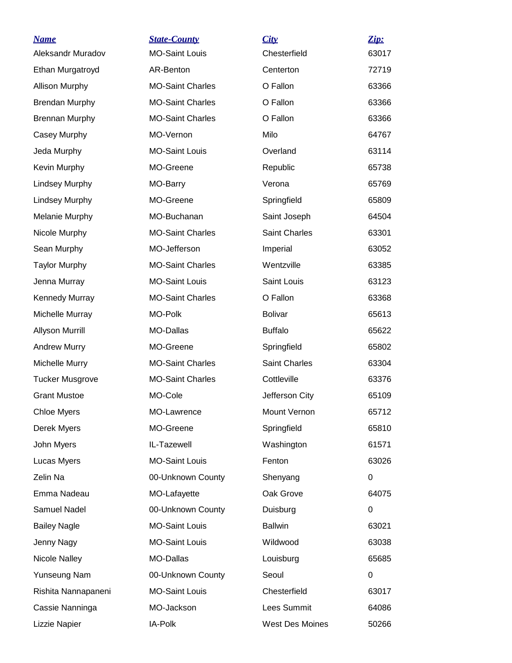| <b>Name</b>            | <b>State-County</b>     | City                 | Zip:  |
|------------------------|-------------------------|----------------------|-------|
| Aleksandr Muradov      | <b>MO-Saint Louis</b>   | Chesterfield         | 63017 |
| Ethan Murgatroyd       | AR-Benton               | Centerton            | 72719 |
| <b>Allison Murphy</b>  | <b>MO-Saint Charles</b> | O Fallon             | 63366 |
| <b>Brendan Murphy</b>  | <b>MO-Saint Charles</b> | O Fallon             | 63366 |
| <b>Brennan Murphy</b>  | <b>MO-Saint Charles</b> | O Fallon             | 63366 |
| Casey Murphy           | MO-Vernon               | Milo                 | 64767 |
| Jeda Murphy            | <b>MO-Saint Louis</b>   | Overland             | 63114 |
| Kevin Murphy           | MO-Greene               | Republic             | 65738 |
| <b>Lindsey Murphy</b>  | MO-Barry                | Verona               | 65769 |
| <b>Lindsey Murphy</b>  | MO-Greene               | Springfield          | 65809 |
| <b>Melanie Murphy</b>  | MO-Buchanan             | Saint Joseph         | 64504 |
| Nicole Murphy          | <b>MO-Saint Charles</b> | <b>Saint Charles</b> | 63301 |
| Sean Murphy            | MO-Jefferson            | Imperial             | 63052 |
| <b>Taylor Murphy</b>   | <b>MO-Saint Charles</b> | Wentzville           | 63385 |
| Jenna Murray           | <b>MO-Saint Louis</b>   | Saint Louis          | 63123 |
| Kennedy Murray         | <b>MO-Saint Charles</b> | O Fallon             | 63368 |
| Michelle Murray        | MO-Polk                 | <b>Bolivar</b>       | 65613 |
| Allyson Murrill        | MO-Dallas               | <b>Buffalo</b>       | 65622 |
| <b>Andrew Murry</b>    | MO-Greene               | Springfield          | 65802 |
| Michelle Murry         | <b>MO-Saint Charles</b> | Saint Charles        | 63304 |
| <b>Tucker Musgrove</b> | <b>MO-Saint Charles</b> | Cottleville          | 63376 |
| <b>Grant Mustoe</b>    | MO-Cole                 | Jefferson City       | 65109 |
| <b>Chloe Myers</b>     | MO-Lawrence             | Mount Vernon         | 65712 |
| Derek Myers            | MO-Greene               | Springfield          | 65810 |
| John Myers             | IL-Tazewell             | Washington           | 61571 |
| Lucas Myers            | <b>MO-Saint Louis</b>   | Fenton               | 63026 |
| Zelin Na               | 00-Unknown County       | Shenyang             | 0     |
| Emma Nadeau            | MO-Lafayette            | Oak Grove            | 64075 |
| Samuel Nadel           | 00-Unknown County       | Duisburg             | 0     |
| <b>Bailey Nagle</b>    | <b>MO-Saint Louis</b>   | <b>Ballwin</b>       | 63021 |
| Jenny Nagy             | <b>MO-Saint Louis</b>   | Wildwood             | 63038 |
| Nicole Nalley          | MO-Dallas               | Louisburg            | 65685 |
| Yunseung Nam           | 00-Unknown County       | Seoul                | 0     |
| Rishita Nannapaneni    | <b>MO-Saint Louis</b>   | Chesterfield         | 63017 |
| Cassie Nanninga        | MO-Jackson              | Lees Summit          | 64086 |
| Lizzie Napier          | IA-Polk                 | West Des Moines      | 50266 |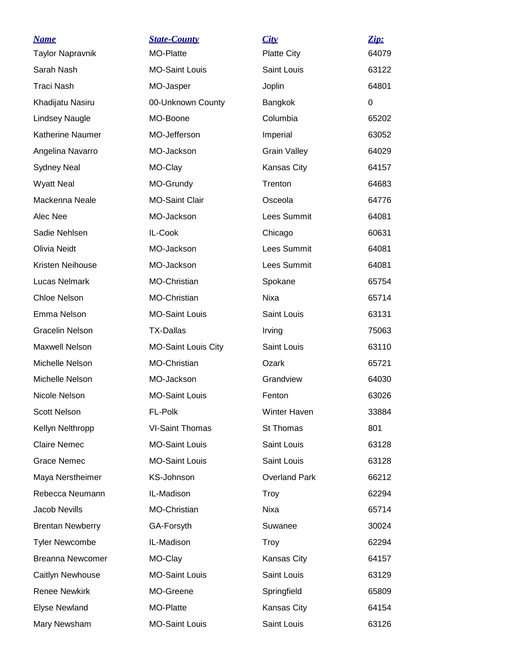| <b>Name</b><br><b>Taylor Napravnik</b> | <b>State-County</b><br><b>MO-Platte</b> | City<br><b>Platte City</b> | Zip:<br>64079 |
|----------------------------------------|-----------------------------------------|----------------------------|---------------|
| Sarah Nash                             | <b>MO-Saint Louis</b>                   | Saint Louis                | 63122         |
| <b>Traci Nash</b>                      | MO-Jasper                               | Joplin                     | 64801         |
| Khadijatu Nasiru                       | 00-Unknown County                       | Bangkok                    | 0             |
| <b>Lindsey Naugle</b>                  | MO-Boone                                | Columbia                   | 65202         |
| Katherine Naumer                       | MO-Jefferson                            | Imperial                   | 63052         |
| Angelina Navarro                       | MO-Jackson                              | <b>Grain Valley</b>        | 64029         |
| <b>Sydney Neal</b>                     | MO-Clay                                 | Kansas City                | 64157         |
| <b>Wyatt Neal</b>                      | MO-Grundy                               | Trenton                    | 64683         |
| Mackenna Neale                         | <b>MO-Saint Clair</b>                   | Osceola                    | 64776         |
| Alec Nee                               | MO-Jackson                              | Lees Summit                | 64081         |
| Sadie Nehlsen                          | IL-Cook                                 | Chicago                    | 60631         |
| Olivia Neidt                           | MO-Jackson                              | Lees Summit                | 64081         |
| Kristen Neihouse                       | MO-Jackson                              | Lees Summit                | 64081         |
| <b>Lucas Nelmark</b>                   | MO-Christian                            | Spokane                    | 65754         |
| <b>Chloe Nelson</b>                    | MO-Christian                            | Nixa                       | 65714         |
| Emma Nelson                            | <b>MO-Saint Louis</b>                   | Saint Louis                | 63131         |
| <b>Gracelin Nelson</b>                 | <b>TX-Dallas</b>                        | Irving                     | 75063         |
| <b>Maxwell Nelson</b>                  | <b>MO-Saint Louis City</b>              | Saint Louis                | 63110         |
| Michelle Nelson                        | MO-Christian                            | Ozark                      | 65721         |
| Michelle Nelson                        | MO-Jackson                              | Grandview                  | 64030         |
| Nicole Nelson                          | <b>MO-Saint Louis</b>                   | Fenton                     | 63026         |
| <b>Scott Nelson</b>                    | FL-Polk                                 | Winter Haven               | 33884         |
| Kellyn Nelthropp                       | <b>VI-Saint Thomas</b>                  | St Thomas                  | 801           |
| <b>Claire Nemec</b>                    | <b>MO-Saint Louis</b>                   | Saint Louis                | 63128         |
| <b>Grace Nemec</b>                     | <b>MO-Saint Louis</b>                   | Saint Louis                | 63128         |
| Maya Nerstheimer                       | KS-Johnson                              | <b>Overland Park</b>       | 66212         |
| Rebecca Neumann                        | IL-Madison                              | <b>Troy</b>                | 62294         |
| Jacob Nevills                          | MO-Christian                            | Nixa                       | 65714         |
| <b>Brentan Newberry</b>                | GA-Forsyth                              | Suwanee                    | 30024         |
| <b>Tyler Newcombe</b>                  | IL-Madison                              | Troy                       | 62294         |
| <b>Breanna Newcomer</b>                | MO-Clay                                 | Kansas City                | 64157         |
| Caitlyn Newhouse                       | <b>MO-Saint Louis</b>                   | Saint Louis                | 63129         |
| <b>Renee Newkirk</b>                   | MO-Greene                               | Springfield                | 65809         |
| <b>Elyse Newland</b>                   | MO-Platte                               | Kansas City                | 64154         |
| Mary Newsham                           | <b>MO-Saint Louis</b>                   | Saint Louis                | 63126         |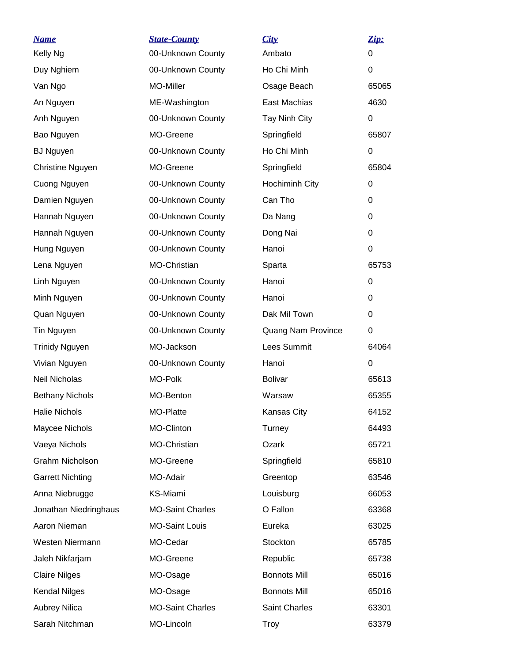| <b>Name</b>             | <b>State-County</b>     | City                | Zip:     |
|-------------------------|-------------------------|---------------------|----------|
| Kelly Ng                | 00-Unknown County       | Ambato              | 0        |
| Duy Nghiem              | 00-Unknown County       | Ho Chi Minh         | 0        |
| Van Ngo                 | MO-Miller               | Osage Beach         | 65065    |
| An Nguyen               | ME-Washington           | East Machias        | 4630     |
| Anh Nguyen              | 00-Unknown County       | Tay Ninh City       | 0        |
| Bao Nguyen              | MO-Greene               | Springfield         | 65807    |
| <b>BJ Nguyen</b>        | 00-Unknown County       | Ho Chi Minh         | 0        |
| Christine Nguyen        | MO-Greene               | Springfield         | 65804    |
| Cuong Nguyen            | 00-Unknown County       | Hochiminh City      | 0        |
| Damien Nguyen           | 00-Unknown County       | Can Tho             | 0        |
| Hannah Nguyen           | 00-Unknown County       | Da Nang             | 0        |
| Hannah Nguyen           | 00-Unknown County       | Dong Nai            | 0        |
| Hung Nguyen             | 00-Unknown County       | Hanoi               | $\Omega$ |
| Lena Nguyen             | MO-Christian            | Sparta              | 65753    |
| Linh Nguyen             | 00-Unknown County       | Hanoi               | 0        |
| Minh Nguyen             | 00-Unknown County       | Hanoi               | 0        |
| Quan Nguyen             | 00-Unknown County       | Dak Mil Town        | 0        |
| Tin Nguyen              | 00-Unknown County       | Quang Nam Province  | 0        |
| <b>Trinidy Nguyen</b>   | MO-Jackson              | Lees Summit         | 64064    |
| Vivian Nguyen           | 00-Unknown County       | Hanoi               | 0        |
| Neil Nicholas           | MO-Polk                 | <b>Bolivar</b>      | 65613    |
| <b>Bethany Nichols</b>  | MO-Benton               | Warsaw              | 65355    |
| <b>Halie Nichols</b>    | MO-Platte               | <b>Kansas City</b>  | 64152    |
| Maycee Nichols          | MO-Clinton              | Turney              | 64493    |
| Vaeya Nichols           | MO-Christian            | Ozark               | 65721    |
| Grahm Nicholson         | MO-Greene               | Springfield         | 65810    |
| <b>Garrett Nichting</b> | MO-Adair                | Greentop            | 63546    |
| Anna Niebrugge          | <b>KS-Miami</b>         | Louisburg           | 66053    |
| Jonathan Niedringhaus   | <b>MO-Saint Charles</b> | O Fallon            | 63368    |
| Aaron Nieman            | <b>MO-Saint Louis</b>   | Eureka              | 63025    |
| Westen Niermann         | MO-Cedar                | Stockton            | 65785    |
| Jaleh Nikfarjam         | MO-Greene               | Republic            | 65738    |
| <b>Claire Nilges</b>    | MO-Osage                | <b>Bonnots Mill</b> | 65016    |
| <b>Kendal Nilges</b>    | MO-Osage                | <b>Bonnots Mill</b> | 65016    |
| <b>Aubrey Nilica</b>    | <b>MO-Saint Charles</b> | Saint Charles       | 63301    |
| Sarah Nitchman          | MO-Lincoln              | <b>Troy</b>         | 63379    |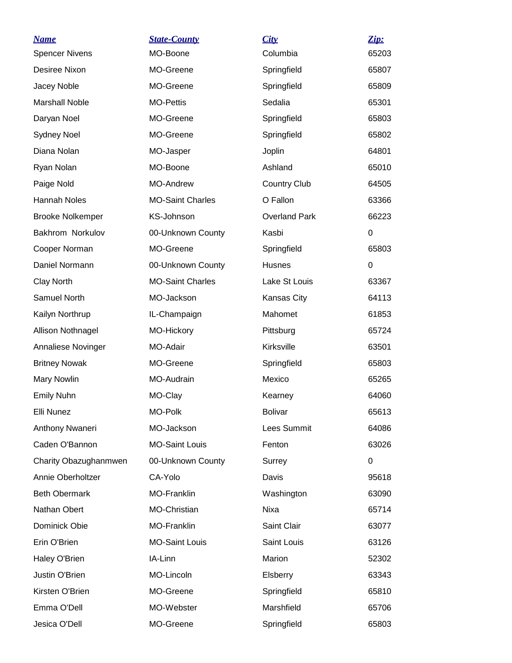| <b>Name</b>             | <b>State-County</b>     | City                 | Zip:  |
|-------------------------|-------------------------|----------------------|-------|
| <b>Spencer Nivens</b>   | MO-Boone                | Columbia             | 65203 |
| Desiree Nixon           | MO-Greene               | Springfield          | 65807 |
| Jacey Noble             | MO-Greene               | Springfield          | 65809 |
| <b>Marshall Noble</b>   | <b>MO-Pettis</b>        | Sedalia              | 65301 |
| Daryan Noel             | MO-Greene               | Springfield          | 65803 |
| <b>Sydney Noel</b>      | MO-Greene               | Springfield          | 65802 |
| Diana Nolan             | MO-Jasper               | Joplin               | 64801 |
| Ryan Nolan              | MO-Boone                | Ashland              | 65010 |
| Paige Nold              | <b>MO-Andrew</b>        | <b>Country Club</b>  | 64505 |
| <b>Hannah Noles</b>     | <b>MO-Saint Charles</b> | O Fallon             | 63366 |
| <b>Brooke Nolkemper</b> | KS-Johnson              | <b>Overland Park</b> | 66223 |
| Bakhrom Norkulov        | 00-Unknown County       | Kasbi                | 0     |
| Cooper Norman           | MO-Greene               | Springfield          | 65803 |
| Daniel Normann          | 00-Unknown County       | Husnes               | 0     |
| Clay North              | <b>MO-Saint Charles</b> | Lake St Louis        | 63367 |
| Samuel North            | MO-Jackson              | Kansas City          | 64113 |
| Kailyn Northrup         | IL-Champaign            | Mahomet              | 61853 |
| Allison Nothnagel       | MO-Hickory              | Pittsburg            | 65724 |
| Annaliese Novinger      | MO-Adair                | Kirksville           | 63501 |
| <b>Britney Nowak</b>    | MO-Greene               | Springfield          | 65803 |
| <b>Mary Nowlin</b>      | MO-Audrain              | Mexico               | 65265 |
| <b>Emily Nuhn</b>       | MO-Clay                 | Kearney              | 64060 |
| Elli Nunez              | MO-Polk                 | <b>Bolivar</b>       | 65613 |
| Anthony Nwaneri         | MO-Jackson              | Lees Summit          | 64086 |
| Caden O'Bannon          | <b>MO-Saint Louis</b>   | Fenton               | 63026 |
| Charity Obazughanmwen   | 00-Unknown County       | Surrey               | 0     |
| Annie Oberholtzer       | CA-Yolo                 | Davis                | 95618 |
| <b>Beth Obermark</b>    | MO-Franklin             | Washington           | 63090 |
| Nathan Obert            | MO-Christian            | Nixa                 | 65714 |
| Dominick Obie           | MO-Franklin             | Saint Clair          | 63077 |
| Erin O'Brien            | <b>MO-Saint Louis</b>   | Saint Louis          | 63126 |
| Haley O'Brien           | IA-Linn                 | Marion               | 52302 |
| Justin O'Brien          | MO-Lincoln              | Elsberry             | 63343 |
| Kirsten O'Brien         | MO-Greene               | Springfield          | 65810 |
| Emma O'Dell             | MO-Webster              | Marshfield           | 65706 |
| Jesica O'Dell           | MO-Greene               | Springfield          | 65803 |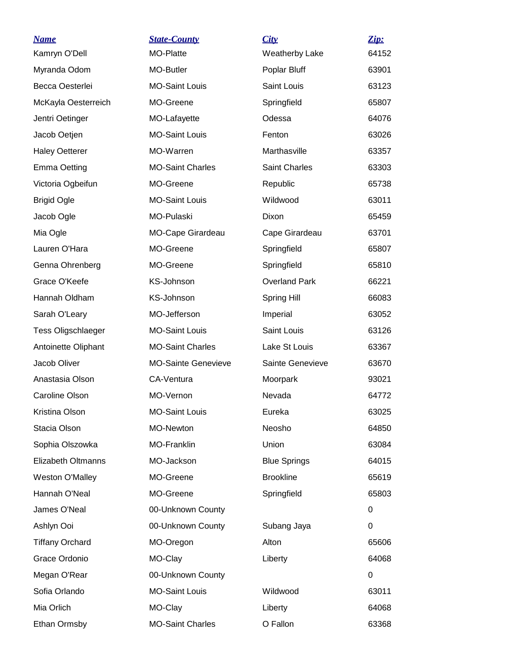| <b>Name</b>               | <b>State-County</b>        | City                 | Zip:     |
|---------------------------|----------------------------|----------------------|----------|
| Kamryn O'Dell             | MO-Platte                  | Weatherby Lake       | 64152    |
| Myranda Odom              | MO-Butler                  | Poplar Bluff         | 63901    |
| Becca Oesterlei           | <b>MO-Saint Louis</b>      | Saint Louis          | 63123    |
| McKayla Oesterreich       | MO-Greene                  | Springfield          | 65807    |
| Jentri Oetinger           | MO-Lafayette               | Odessa               | 64076    |
| Jacob Oetjen              | <b>MO-Saint Louis</b>      | Fenton               | 63026    |
| <b>Haley Oetterer</b>     | MO-Warren                  | Marthasville         | 63357    |
| <b>Emma Oetting</b>       | <b>MO-Saint Charles</b>    | <b>Saint Charles</b> | 63303    |
| Victoria Ogbeifun         | MO-Greene                  | Republic             | 65738    |
| <b>Brigid Ogle</b>        | <b>MO-Saint Louis</b>      | Wildwood             | 63011    |
| Jacob Ogle                | MO-Pulaski                 | Dixon                | 65459    |
| Mia Ogle                  | MO-Cape Girardeau          | Cape Girardeau       | 63701    |
| Lauren O'Hara             | MO-Greene                  | Springfield          | 65807    |
| Genna Ohrenberg           | MO-Greene                  | Springfield          | 65810    |
| Grace O'Keefe             | KS-Johnson                 | <b>Overland Park</b> | 66221    |
| Hannah Oldham             | <b>KS-Johnson</b>          | <b>Spring Hill</b>   | 66083    |
| Sarah O'Leary             | MO-Jefferson               | Imperial             | 63052    |
| <b>Tess Oligschlaeger</b> | <b>MO-Saint Louis</b>      | Saint Louis          | 63126    |
| Antoinette Oliphant       | <b>MO-Saint Charles</b>    | Lake St Louis        | 63367    |
| Jacob Oliver              | <b>MO-Sainte Genevieve</b> | Sainte Genevieve     | 63670    |
| Anastasia Olson           | CA-Ventura                 | Moorpark             | 93021    |
| Caroline Olson            | MO-Vernon                  | Nevada               | 64772    |
| Kristina Olson            | <b>MO-Saint Louis</b>      | Eureka               | 63025    |
| Stacia Olson              | MO-Newton                  | Neosho               | 64850    |
| Sophia Olszowka           | MO-Franklin                | Union                | 63084    |
| <b>Elizabeth Oltmanns</b> | MO-Jackson                 | <b>Blue Springs</b>  | 64015    |
| Weston O'Malley           | MO-Greene                  | <b>Brookline</b>     | 65619    |
| Hannah O'Neal             | MO-Greene                  | Springfield          | 65803    |
| James O'Neal              | 00-Unknown County          |                      | 0        |
| Ashlyn Ooi                | 00-Unknown County          | Subang Jaya          | $\Omega$ |
| <b>Tiffany Orchard</b>    | MO-Oregon                  | Alton                | 65606    |
| Grace Ordonio             | MO-Clay                    | Liberty              | 64068    |
| Megan O'Rear              | 00-Unknown County          |                      | 0        |
| Sofia Orlando             | <b>MO-Saint Louis</b>      | Wildwood             | 63011    |
| Mia Orlich                | MO-Clay                    | Liberty              | 64068    |
| Ethan Ormsby              | <b>MO-Saint Charles</b>    | O Fallon             | 63368    |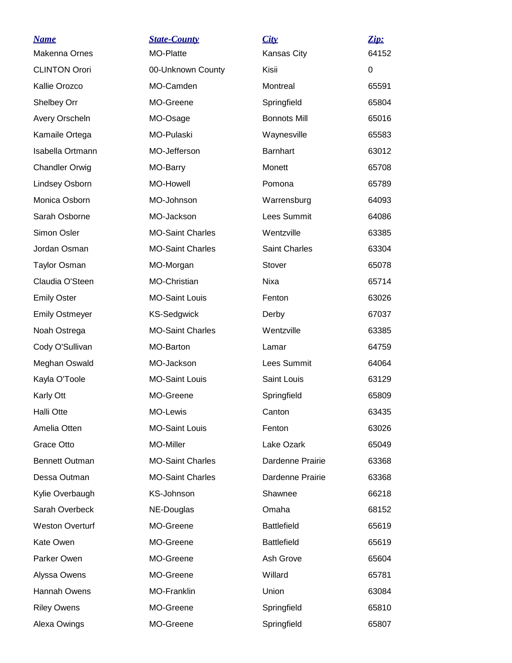| <u>Name</u>            | <b>State-County</b>     | City                 | Zip:     |
|------------------------|-------------------------|----------------------|----------|
| Makenna Ornes          | MO-Platte               | Kansas City          | 64152    |
| <b>CLINTON Orori</b>   | 00-Unknown County       | Kisii                | $\Omega$ |
| Kallie Orozco          | MO-Camden               | Montreal             | 65591    |
| Shelbey Orr            | MO-Greene               | Springfield          | 65804    |
| Avery Orscheln         | MO-Osage                | <b>Bonnots Mill</b>  | 65016    |
| Kamaile Ortega         | <b>MO-Pulaski</b>       | Waynesville          | 65583    |
| Isabella Ortmann       | MO-Jefferson            | <b>Barnhart</b>      | 63012    |
| <b>Chandler Orwig</b>  | MO-Barry                | Monett               | 65708    |
| Lindsey Osborn         | <b>MO-Howell</b>        | Pomona               | 65789    |
| Monica Osborn          | MO-Johnson              | Warrensburg          | 64093    |
| Sarah Osborne          | MO-Jackson              | Lees Summit          | 64086    |
| Simon Osler            | <b>MO-Saint Charles</b> | Wentzville           | 63385    |
| Jordan Osman           | <b>MO-Saint Charles</b> | <b>Saint Charles</b> | 63304    |
| <b>Taylor Osman</b>    | MO-Morgan               | Stover               | 65078    |
| Claudia O'Steen        | MO-Christian            | Nixa                 | 65714    |
| <b>Emily Oster</b>     | <b>MO-Saint Louis</b>   | Fenton               | 63026    |
| <b>Emily Ostmeyer</b>  | <b>KS-Sedgwick</b>      | Derby                | 67037    |
| Noah Ostrega           | <b>MO-Saint Charles</b> | Wentzville           | 63385    |
| Cody O'Sullivan        | MO-Barton               | Lamar                | 64759    |
| Meghan Oswald          | MO-Jackson              | Lees Summit          | 64064    |
| Kayla O'Toole          | <b>MO-Saint Louis</b>   | Saint Louis          | 63129    |
| Karly Ott              | MO-Greene               | Springfield          | 65809    |
| <b>Halli Otte</b>      | MO-Lewis                | Canton               | 63435    |
| Amelia Otten           | <b>MO-Saint Louis</b>   | Fenton               | 63026    |
| Grace Otto             | MO-Miller               | Lake Ozark           | 65049    |
| <b>Bennett Outman</b>  | <b>MO-Saint Charles</b> | Dardenne Prairie     | 63368    |
| Dessa Outman           | <b>MO-Saint Charles</b> | Dardenne Prairie     | 63368    |
| Kylie Overbaugh        | KS-Johnson              | Shawnee              | 66218    |
| Sarah Overbeck         | NE-Douglas              | Omaha                | 68152    |
| <b>Weston Overturf</b> | MO-Greene               | <b>Battlefield</b>   | 65619    |
| Kate Owen              | MO-Greene               | <b>Battlefield</b>   | 65619    |
| Parker Owen            | MO-Greene               | Ash Grove            | 65604    |
| Alyssa Owens           | MO-Greene               | Willard              | 65781    |
| Hannah Owens           | MO-Franklin             | Union                | 63084    |
| <b>Riley Owens</b>     | MO-Greene               | Springfield          | 65810    |
| Alexa Owings           | MO-Greene               | Springfield          | 65807    |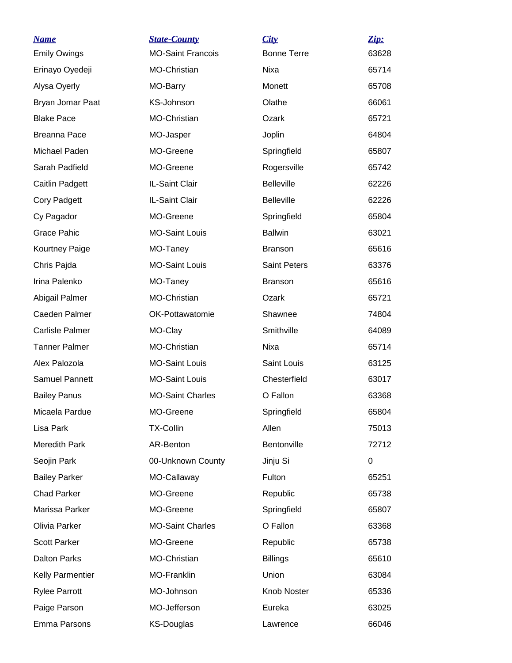| <u>Name</u>             | <b>State-County</b>      | City                | Zip:  |
|-------------------------|--------------------------|---------------------|-------|
| <b>Emily Owings</b>     | <b>MO-Saint Francois</b> | <b>Bonne Terre</b>  | 63628 |
| Erinayo Oyedeji         | MO-Christian             | Nixa                | 65714 |
| Alysa Oyerly            | MO-Barry                 | Monett              | 65708 |
| Bryan Jomar Paat        | KS-Johnson               | Olathe              | 66061 |
| <b>Blake Pace</b>       | <b>MO-Christian</b>      | Ozark               | 65721 |
| Breanna Pace            | MO-Jasper                | Joplin              | 64804 |
| Michael Paden           | MO-Greene                | Springfield         | 65807 |
| Sarah Padfield          | MO-Greene                | Rogersville         | 65742 |
| Caitlin Padgett         | IL-Saint Clair           | <b>Belleville</b>   | 62226 |
| <b>Cory Padgett</b>     | IL-Saint Clair           | <b>Belleville</b>   | 62226 |
| Cy Pagador              | MO-Greene                | Springfield         | 65804 |
| <b>Grace Pahic</b>      | <b>MO-Saint Louis</b>    | <b>Ballwin</b>      | 63021 |
| Kourtney Paige          | MO-Taney                 | <b>Branson</b>      | 65616 |
| Chris Pajda             | <b>MO-Saint Louis</b>    | <b>Saint Peters</b> | 63376 |
| Irina Palenko           | MO-Taney                 | <b>Branson</b>      | 65616 |
| Abigail Palmer          | <b>MO-Christian</b>      | Ozark               | 65721 |
| Caeden Palmer           | OK-Pottawatomie          | Shawnee             | 74804 |
| <b>Carlisle Palmer</b>  | MO-Clay                  | Smithville          | 64089 |
| <b>Tanner Palmer</b>    | <b>MO-Christian</b>      | Nixa                | 65714 |
| Alex Palozola           | <b>MO-Saint Louis</b>    | Saint Louis         | 63125 |
| <b>Samuel Pannett</b>   | <b>MO-Saint Louis</b>    | Chesterfield        | 63017 |
| <b>Bailey Panus</b>     | <b>MO-Saint Charles</b>  | O Fallon            | 63368 |
| Micaela Pardue          | MO-Greene                | Springfield         | 65804 |
| Lisa Park               | <b>TX-Collin</b>         | Allen               | 75013 |
| Meredith Park           | AR-Benton                | Bentonville         | 72712 |
| Seojin Park             | 00-Unknown County        | Jinju Si            | 0     |
| <b>Bailey Parker</b>    | MO-Callaway              | Fulton              | 65251 |
| <b>Chad Parker</b>      | MO-Greene                | Republic            | 65738 |
| Marissa Parker          | MO-Greene                | Springfield         | 65807 |
| Olivia Parker           | <b>MO-Saint Charles</b>  | O Fallon            | 63368 |
| <b>Scott Parker</b>     | MO-Greene                | Republic            | 65738 |
| <b>Dalton Parks</b>     | MO-Christian             | <b>Billings</b>     | 65610 |
| <b>Kelly Parmentier</b> | MO-Franklin              | Union               | 63084 |
| <b>Rylee Parrott</b>    | MO-Johnson               | Knob Noster         | 65336 |
| Paige Parson            | MO-Jefferson             | Eureka              | 63025 |
| Emma Parsons            | <b>KS-Douglas</b>        | Lawrence            | 66046 |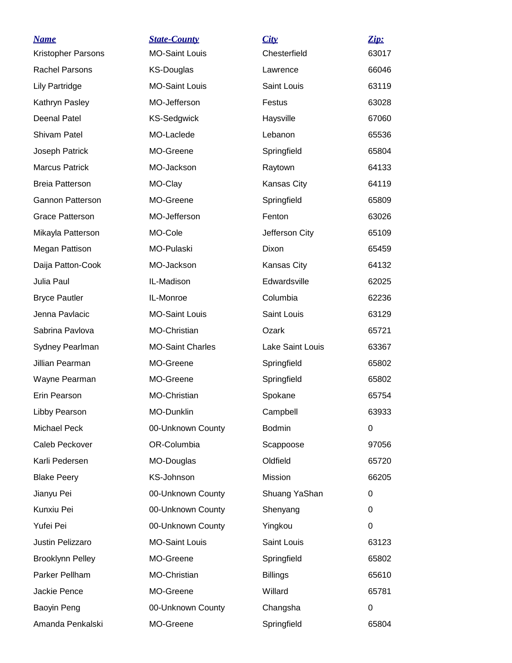| <b>Name</b><br>Kristopher Parsons | <b>State-County</b><br><b>MO-Saint Louis</b> | City<br>Chesterfield | Zip:<br>63017 |
|-----------------------------------|----------------------------------------------|----------------------|---------------|
| <b>Rachel Parsons</b>             | KS-Douglas                                   | Lawrence             | 66046         |
| <b>Lily Partridge</b>             | <b>MO-Saint Louis</b>                        | Saint Louis          | 63119         |
| Kathryn Pasley                    | MO-Jefferson                                 | Festus               | 63028         |
| <b>Deenal Patel</b>               | <b>KS-Sedgwick</b>                           | Haysville            | 67060         |
| Shivam Patel                      | MO-Laclede                                   | Lebanon              | 65536         |
| Joseph Patrick                    | MO-Greene                                    | Springfield          | 65804         |
| <b>Marcus Patrick</b>             | MO-Jackson                                   | Raytown              | 64133         |
| <b>Breia Patterson</b>            | MO-Clay                                      | Kansas City          | 64119         |
| <b>Gannon Patterson</b>           | MO-Greene                                    | Springfield          | 65809         |
| <b>Grace Patterson</b>            | MO-Jefferson                                 | Fenton               | 63026         |
| Mikayla Patterson                 | MO-Cole                                      | Jefferson City       | 65109         |
| Megan Pattison                    | MO-Pulaski                                   | Dixon                | 65459         |
| Daija Patton-Cook                 | MO-Jackson                                   | Kansas City          | 64132         |
| Julia Paul                        | IL-Madison                                   | Edwardsville         | 62025         |
| <b>Bryce Pautler</b>              | IL-Monroe                                    | Columbia             | 62236         |
| Jenna Pavlacic                    | <b>MO-Saint Louis</b>                        | Saint Louis          | 63129         |
| Sabrina Pavlova                   | MO-Christian                                 | Ozark                | 65721         |
| Sydney Pearlman                   | <b>MO-Saint Charles</b>                      | Lake Saint Louis     | 63367         |
| Jillian Pearman                   | MO-Greene                                    | Springfield          | 65802         |
| Wayne Pearman                     | MO-Greene                                    | Springfield          | 65802         |
| Erin Pearson                      | <b>MO-Christian</b>                          | Spokane              | 65754         |
| Libby Pearson                     | MO-Dunklin                                   | Campbell             | 63933         |
| Michael Peck                      | 00-Unknown County                            | <b>Bodmin</b>        | 0             |
| Caleb Peckover                    | OR-Columbia                                  | Scappoose            | 97056         |
| Karli Pedersen                    | MO-Douglas                                   | Oldfield             | 65720         |
| <b>Blake Peery</b>                | KS-Johnson                                   | Mission              | 66205         |
| Jianyu Pei                        | 00-Unknown County                            | Shuang YaShan        | 0             |
| Kunxiu Pei                        | 00-Unknown County                            | Shenyang             | 0             |
| Yufei Pei                         | 00-Unknown County                            | Yingkou              | $\Omega$      |
| Justin Pelizzaro                  | <b>MO-Saint Louis</b>                        | Saint Louis          | 63123         |
| <b>Brooklynn Pelley</b>           | MO-Greene                                    | Springfield          | 65802         |
| Parker Pellham                    | MO-Christian                                 | <b>Billings</b>      | 65610         |
| Jackie Pence                      | MO-Greene                                    | Willard              | 65781         |
| Baoyin Peng                       | 00-Unknown County                            | Changsha             | 0             |
| Amanda Penkalski                  | MO-Greene                                    | Springfield          | 65804         |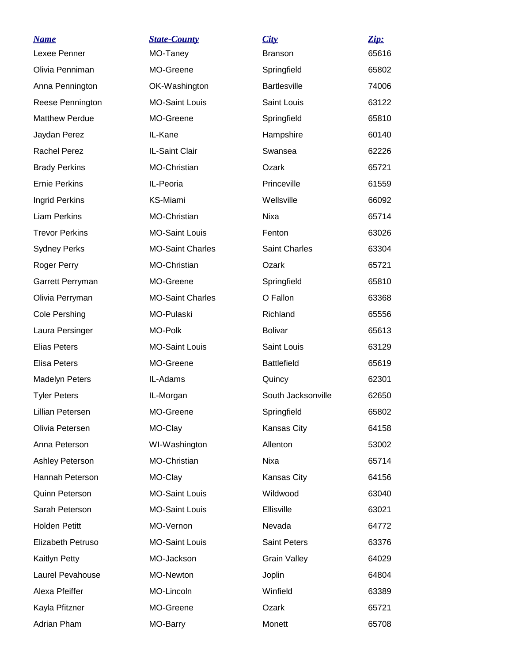| <b>Name</b>           | <b>State-County</b>     | City                 | Zip:  |
|-----------------------|-------------------------|----------------------|-------|
| Lexee Penner          | MO-Taney                | <b>Branson</b>       | 65616 |
| Olivia Penniman       | MO-Greene               | Springfield          | 65802 |
| Anna Pennington       | OK-Washington           | <b>Bartlesville</b>  | 74006 |
| Reese Pennington      | <b>MO-Saint Louis</b>   | Saint Louis          | 63122 |
| <b>Matthew Perdue</b> | MO-Greene               | Springfield          | 65810 |
| Jaydan Perez          | IL-Kane                 | Hampshire            | 60140 |
| <b>Rachel Perez</b>   | IL-Saint Clair          | Swansea              | 62226 |
| <b>Brady Perkins</b>  | MO-Christian            | Ozark                | 65721 |
| <b>Ernie Perkins</b>  | IL-Peoria               | Princeville          | 61559 |
| Ingrid Perkins        | KS-Miami                | Wellsville           | 66092 |
| <b>Liam Perkins</b>   | MO-Christian            | Nixa                 | 65714 |
| <b>Trevor Perkins</b> | <b>MO-Saint Louis</b>   | Fenton               | 63026 |
| <b>Sydney Perks</b>   | <b>MO-Saint Charles</b> | <b>Saint Charles</b> | 63304 |
| Roger Perry           | MO-Christian            | Ozark                | 65721 |
| Garrett Perryman      | MO-Greene               | Springfield          | 65810 |
| Olivia Perryman       | <b>MO-Saint Charles</b> | O Fallon             | 63368 |
| Cole Pershing         | MO-Pulaski              | Richland             | 65556 |
| Laura Persinger       | MO-Polk                 | <b>Bolivar</b>       | 65613 |
| <b>Elias Peters</b>   | <b>MO-Saint Louis</b>   | Saint Louis          | 63129 |
| <b>Elisa Peters</b>   | MO-Greene               | <b>Battlefield</b>   | 65619 |
| <b>Madelyn Peters</b> | IL-Adams                | Quincy               | 62301 |
| <b>Tyler Peters</b>   | IL-Morgan               | South Jacksonville   | 62650 |
| Lillian Petersen      | MO-Greene               | Springfield          | 65802 |
| Olivia Petersen       | MO-Clay                 | Kansas City          | 64158 |
| Anna Peterson         | WI-Washington           | Allenton             | 53002 |
| Ashley Peterson       | <b>MO-Christian</b>     | Nixa                 | 65714 |
| Hannah Peterson       | MO-Clay                 | Kansas City          | 64156 |
| <b>Quinn Peterson</b> | <b>MO-Saint Louis</b>   | Wildwood             | 63040 |
| Sarah Peterson        | <b>MO-Saint Louis</b>   | Ellisville           | 63021 |
| <b>Holden Petitt</b>  | MO-Vernon               | Nevada               | 64772 |
| Elizabeth Petruso     | <b>MO-Saint Louis</b>   | <b>Saint Peters</b>  | 63376 |
| Kaitlyn Petty         | MO-Jackson              | <b>Grain Valley</b>  | 64029 |
| Laurel Pevahouse      | <b>MO-Newton</b>        | Joplin               | 64804 |
| Alexa Pfeiffer        | MO-Lincoln              | Winfield             | 63389 |
| Kayla Pfitzner        | MO-Greene               | Ozark                | 65721 |
| Adrian Pham           | MO-Barry                | Monett               | 65708 |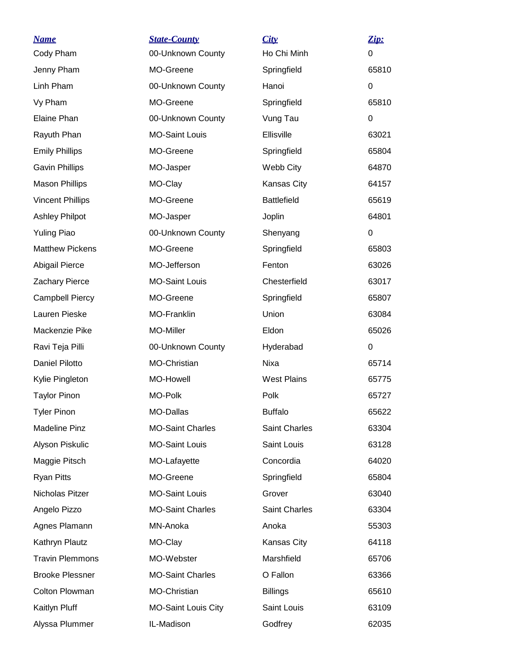| <b>Name</b>             | <b>State-County</b>        | City               | Zip:  |
|-------------------------|----------------------------|--------------------|-------|
| Cody Pham               | 00-Unknown County          | Ho Chi Minh        | 0     |
| Jenny Pham              | MO-Greene                  | Springfield        | 65810 |
| Linh Pham               | 00-Unknown County          | Hanoi              | 0     |
| Vy Pham                 | MO-Greene                  | Springfield        | 65810 |
| Elaine Phan             | 00-Unknown County          | Vung Tau           | 0     |
| Rayuth Phan             | <b>MO-Saint Louis</b>      | Ellisville         | 63021 |
| <b>Emily Phillips</b>   | MO-Greene                  | Springfield        | 65804 |
| <b>Gavin Phillips</b>   | MO-Jasper                  | Webb City          | 64870 |
| <b>Mason Phillips</b>   | MO-Clay                    | Kansas City        | 64157 |
| <b>Vincent Phillips</b> | MO-Greene                  | <b>Battlefield</b> | 65619 |
| <b>Ashley Philpot</b>   | MO-Jasper                  | Joplin             | 64801 |
| <b>Yuling Piao</b>      | 00-Unknown County          | Shenyang           | 0     |
| <b>Matthew Pickens</b>  | MO-Greene                  | Springfield        | 65803 |
| Abigail Pierce          | MO-Jefferson               | Fenton             | 63026 |
| <b>Zachary Pierce</b>   | <b>MO-Saint Louis</b>      | Chesterfield       | 63017 |
| <b>Campbell Piercy</b>  | MO-Greene                  | Springfield        | 65807 |
| Lauren Pieske           | MO-Franklin                | Union              | 63084 |
| Mackenzie Pike          | MO-Miller                  | Eldon              | 65026 |
| Ravi Teja Pilli         | 00-Unknown County          | Hyderabad          | 0     |
| <b>Daniel Pilotto</b>   | MO-Christian               | Nixa               | 65714 |
| Kylie Pingleton         | MO-Howell                  | <b>West Plains</b> | 65775 |
| <b>Taylor Pinon</b>     | MO-Polk                    | Polk               | 65727 |
| <b>Tyler Pinon</b>      | MO-Dallas                  | <b>Buffalo</b>     | 65622 |
| <b>Madeline Pinz</b>    | <b>MO-Saint Charles</b>    | Saint Charles      | 63304 |
| Alyson Piskulic         | <b>MO-Saint Louis</b>      | Saint Louis        | 63128 |
| Maggie Pitsch           | MO-Lafayette               | Concordia          | 64020 |
| <b>Ryan Pitts</b>       | MO-Greene                  | Springfield        | 65804 |
| Nicholas Pitzer         | <b>MO-Saint Louis</b>      | Grover             | 63040 |
| Angelo Pizzo            | <b>MO-Saint Charles</b>    | Saint Charles      | 63304 |
| Agnes Plamann           | MN-Anoka                   | Anoka              | 55303 |
| Kathryn Plautz          | MO-Clay                    | Kansas City        | 64118 |
| <b>Travin Plemmons</b>  | MO-Webster                 | Marshfield         | 65706 |
| <b>Brooke Plessner</b>  | <b>MO-Saint Charles</b>    | O Fallon           | 63366 |
| Colton Plowman          | MO-Christian               | <b>Billings</b>    | 65610 |
| Kaitlyn Pluff           | <b>MO-Saint Louis City</b> | Saint Louis        | 63109 |
| Alyssa Plummer          | IL-Madison                 | Godfrey            | 62035 |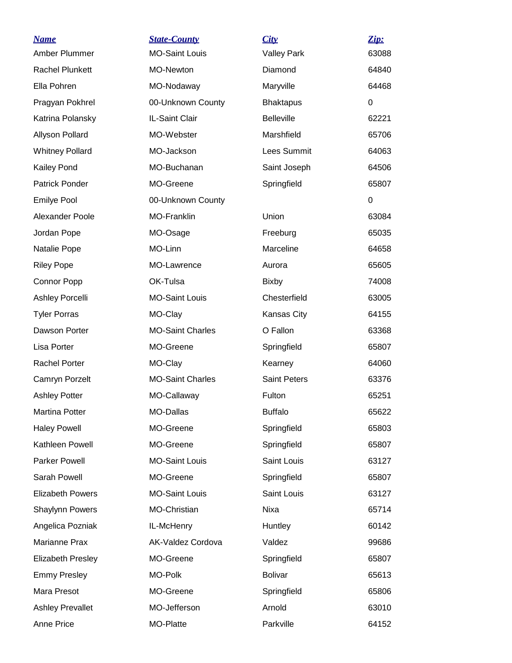| <b>Name</b><br>Amber Plummer | <b>State-County</b><br><b>MO-Saint Louis</b> | City<br><b>Valley Park</b> | Zip:<br>63088 |
|------------------------------|----------------------------------------------|----------------------------|---------------|
| <b>Rachel Plunkett</b>       | MO-Newton                                    | Diamond                    | 64840         |
| Ella Pohren                  | MO-Nodaway                                   | Maryville                  | 64468         |
| Pragyan Pokhrel              | 00-Unknown County                            | <b>Bhaktapus</b>           | 0             |
| Katrina Polansky             | IL-Saint Clair                               | <b>Belleville</b>          | 62221         |
| Allyson Pollard              | MO-Webster                                   | Marshfield                 | 65706         |
| <b>Whitney Pollard</b>       | MO-Jackson                                   | Lees Summit                | 64063         |
| <b>Kailey Pond</b>           | MO-Buchanan                                  | Saint Joseph               | 64506         |
| <b>Patrick Ponder</b>        | MO-Greene                                    | Springfield                | 65807         |
| <b>Emilye Pool</b>           | 00-Unknown County                            |                            | $\mathbf 0$   |
| Alexander Poole              | MO-Franklin                                  | Union                      | 63084         |
| Jordan Pope                  | MO-Osage                                     | Freeburg                   | 65035         |
| Natalie Pope                 | MO-Linn                                      | Marceline                  | 64658         |
| <b>Riley Pope</b>            | MO-Lawrence                                  | Aurora                     | 65605         |
| Connor Popp                  | OK-Tulsa                                     | <b>Bixby</b>               | 74008         |
| Ashley Porcelli              | <b>MO-Saint Louis</b>                        | Chesterfield               | 63005         |
| <b>Tyler Porras</b>          | MO-Clay                                      | Kansas City                | 64155         |
| Dawson Porter                | <b>MO-Saint Charles</b>                      | O Fallon                   | 63368         |
| Lisa Porter                  | MO-Greene                                    | Springfield                | 65807         |
| <b>Rachel Porter</b>         | MO-Clay                                      | Kearney                    | 64060         |
| Camryn Porzelt               | <b>MO-Saint Charles</b>                      | <b>Saint Peters</b>        | 63376         |
| <b>Ashley Potter</b>         | MO-Callaway                                  | Fulton                     | 65251         |
| <b>Martina Potter</b>        | MO-Dallas                                    | <b>Buffalo</b>             | 65622         |
| <b>Haley Powell</b>          | MO-Greene                                    | Springfield                | 65803         |
| Kathleen Powell              | MO-Greene                                    | Springfield                | 65807         |
| <b>Parker Powell</b>         | <b>MO-Saint Louis</b>                        | Saint Louis                | 63127         |
| Sarah Powell                 | MO-Greene                                    | Springfield                | 65807         |
| <b>Elizabeth Powers</b>      | <b>MO-Saint Louis</b>                        | Saint Louis                | 63127         |
| Shaylynn Powers              | MO-Christian                                 | Nixa                       | 65714         |
| Angelica Pozniak             | IL-McHenry                                   | Huntley                    | 60142         |
| Marianne Prax                | AK-Valdez Cordova                            | Valdez                     | 99686         |
| Elizabeth Presley            | MO-Greene                                    | Springfield                | 65807         |
| <b>Emmy Presley</b>          | MO-Polk                                      | <b>Bolivar</b>             | 65613         |
| Mara Presot                  | MO-Greene                                    | Springfield                | 65806         |
| <b>Ashley Prevallet</b>      | MO-Jefferson                                 | Arnold                     | 63010         |
| Anne Price                   | MO-Platte                                    | Parkville                  | 64152         |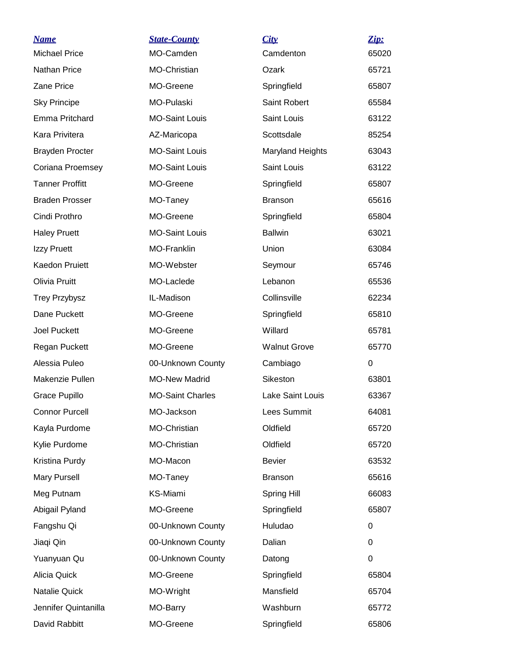| <u>Name</u><br><b>Michael Price</b> | <b>State-County</b><br>MO-Camden | <u>City</u><br>Camdenton | Zip:<br>65020 |
|-------------------------------------|----------------------------------|--------------------------|---------------|
| Nathan Price                        | MO-Christian                     | Ozark                    | 65721         |
| Zane Price                          | MO-Greene                        | Springfield              | 65807         |
| <b>Sky Principe</b>                 | MO-Pulaski                       | Saint Robert             | 65584         |
| Emma Pritchard                      | <b>MO-Saint Louis</b>            | Saint Louis              | 63122         |
| Kara Privitera                      | AZ-Maricopa                      | Scottsdale               | 85254         |
| <b>Brayden Procter</b>              | <b>MO-Saint Louis</b>            | Maryland Heights         | 63043         |
| Coriana Proemsey                    | <b>MO-Saint Louis</b>            | Saint Louis              | 63122         |
| <b>Tanner Proffitt</b>              | MO-Greene                        | Springfield              | 65807         |
| <b>Braden Prosser</b>               | MO-Taney                         | <b>Branson</b>           | 65616         |
| Cindi Prothro                       | MO-Greene                        | Springfield              | 65804         |
| <b>Haley Pruett</b>                 | <b>MO-Saint Louis</b>            | <b>Ballwin</b>           | 63021         |
| Izzy Pruett                         | MO-Franklin                      | Union                    | 63084         |
| Kaedon Pruiett                      | MO-Webster                       | Seymour                  | 65746         |
| Olivia Pruitt                       | MO-Laclede                       | Lebanon                  | 65536         |
| <b>Trey Przybysz</b>                | IL-Madison                       | Collinsville             | 62234         |
| Dane Puckett                        | MO-Greene                        | Springfield              | 65810         |
| <b>Joel Puckett</b>                 | MO-Greene                        | Willard                  | 65781         |
| Regan Puckett                       | MO-Greene                        | <b>Walnut Grove</b>      | 65770         |
| Alessia Puleo                       | 00-Unknown County                | Cambiago                 | 0             |
| Makenzie Pullen                     | <b>MO-New Madrid</b>             | Sikeston                 | 63801         |
| Grace Pupillo                       | <b>MO-Saint Charles</b>          | Lake Saint Louis         | 63367         |
| <b>Connor Purcell</b>               | MO-Jackson                       | Lees Summit              | 64081         |
| Kayla Purdome                       | MO-Christian                     | Oldfield                 | 65720         |
| Kylie Purdome                       | MO-Christian                     | Oldfield                 | 65720         |
| Kristina Purdy                      | MO-Macon                         | <b>Bevier</b>            | 63532         |
| <b>Mary Pursell</b>                 | MO-Taney                         | <b>Branson</b>           | 65616         |
| Meg Putnam                          | KS-Miami                         | Spring Hill              | 66083         |
| Abigail Pyland                      | MO-Greene                        | Springfield              | 65807         |
| Fangshu Qi                          | 00-Unknown County                | Huludao                  | 0             |
| Jiaqi Qin                           | 00-Unknown County                | Dalian                   | 0             |
| Yuanyuan Qu                         | 00-Unknown County                | Datong                   | 0             |
| Alicia Quick                        | MO-Greene                        | Springfield              | 65804         |
| Natalie Quick                       | MO-Wright                        | Mansfield                | 65704         |
| Jennifer Quintanilla                | MO-Barry                         | Washburn                 | 65772         |
| David Rabbitt                       | MO-Greene                        | Springfield              | 65806         |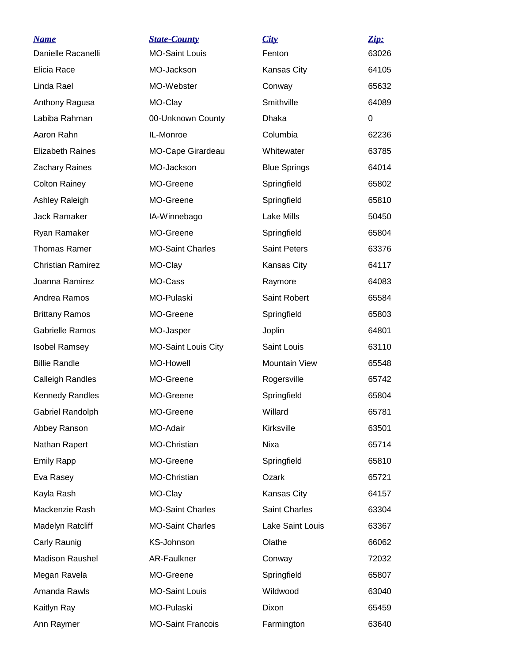| <b>Name</b>              | <b>State-County</b>        | City                | Zip:     |
|--------------------------|----------------------------|---------------------|----------|
| Danielle Racanelli       | <b>MO-Saint Louis</b>      | Fenton              | 63026    |
| Elicia Race              | MO-Jackson                 | Kansas City         | 64105    |
| Linda Rael               | MO-Webster                 | Conway              | 65632    |
| Anthony Ragusa           | MO-Clay                    | Smithville          | 64089    |
| Labiba Rahman            | 00-Unknown County          | Dhaka               | $\Omega$ |
| Aaron Rahn               | IL-Monroe                  | Columbia            | 62236    |
| <b>Elizabeth Raines</b>  | MO-Cape Girardeau          | Whitewater          | 63785    |
| <b>Zachary Raines</b>    | MO-Jackson                 | <b>Blue Springs</b> | 64014    |
| <b>Colton Rainey</b>     | MO-Greene                  | Springfield         | 65802    |
| Ashley Raleigh           | MO-Greene                  | Springfield         | 65810    |
| <b>Jack Ramaker</b>      | IA-Winnebago               | Lake Mills          | 50450    |
| Ryan Ramaker             | MO-Greene                  | Springfield         | 65804    |
| <b>Thomas Ramer</b>      | <b>MO-Saint Charles</b>    | <b>Saint Peters</b> | 63376    |
| <b>Christian Ramirez</b> | MO-Clay                    | Kansas City         | 64117    |
| Joanna Ramirez           | MO-Cass                    | Raymore             | 64083    |
| Andrea Ramos             | MO-Pulaski                 | Saint Robert        | 65584    |
| <b>Brittany Ramos</b>    | MO-Greene                  | Springfield         | 65803    |
| <b>Gabrielle Ramos</b>   | MO-Jasper                  | Joplin              | 64801    |
| <b>Isobel Ramsey</b>     | <b>MO-Saint Louis City</b> | Saint Louis         | 63110    |
| <b>Billie Randle</b>     | MO-Howell                  | Mountain View       | 65548    |
| <b>Calleigh Randles</b>  | MO-Greene                  | Rogersville         | 65742    |
| <b>Kennedy Randles</b>   | MO-Greene                  | Springfield         | 65804    |
| Gabriel Randolph         | MO-Greene                  | Willard             | 65781    |
| Abbey Ranson             | MO-Adair                   | Kirksville          | 63501    |
| Nathan Rapert            | MO-Christian               | Nixa                | 65714    |
| <b>Emily Rapp</b>        | MO-Greene                  | Springfield         | 65810    |
| Eva Rasey                | MO-Christian               | Ozark               | 65721    |
| Kayla Rash               | MO-Clay                    | Kansas City         | 64157    |
| Mackenzie Rash           | <b>MO-Saint Charles</b>    | Saint Charles       | 63304    |
| Madelyn Ratcliff         | <b>MO-Saint Charles</b>    | Lake Saint Louis    | 63367    |
| Carly Raunig             | KS-Johnson                 | Olathe              | 66062    |
| <b>Madison Raushel</b>   | AR-Faulkner                | Conway              | 72032    |
| Megan Ravela             | MO-Greene                  | Springfield         | 65807    |
| Amanda Rawls             | <b>MO-Saint Louis</b>      | Wildwood            | 63040    |
| Kaitlyn Ray              | MO-Pulaski                 | Dixon               | 65459    |
| Ann Raymer               | <b>MO-Saint Francois</b>   | Farmington          | 63640    |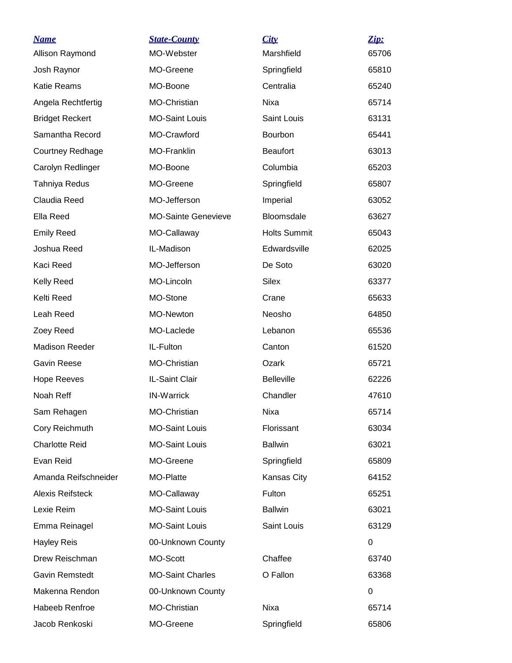| <u>Name</u>             | <b>State-County</b>        | City                | Zip:  |
|-------------------------|----------------------------|---------------------|-------|
| Allison Raymond         | MO-Webster                 | Marshfield          | 65706 |
| Josh Raynor             | MO-Greene                  | Springfield         | 65810 |
| Katie Reams             | MO-Boone                   | Centralia           | 65240 |
| Angela Rechtfertig      | MO-Christian               | Nixa                | 65714 |
| <b>Bridget Reckert</b>  | <b>MO-Saint Louis</b>      | Saint Louis         | 63131 |
| Samantha Record         | MO-Crawford                | Bourbon             | 65441 |
| <b>Courtney Redhage</b> | <b>MO-Franklin</b>         | <b>Beaufort</b>     | 63013 |
| Carolyn Redlinger       | MO-Boone                   | Columbia            | 65203 |
| Tahniya Redus           | MO-Greene                  | Springfield         | 65807 |
| Claudia Reed            | MO-Jefferson               | Imperial            | 63052 |
| Ella Reed               | <b>MO-Sainte Genevieve</b> | <b>Bloomsdale</b>   | 63627 |
| <b>Emily Reed</b>       | MO-Callaway                | <b>Holts Summit</b> | 65043 |
| Joshua Reed             | IL-Madison                 | Edwardsville        | 62025 |
| Kaci Reed               | MO-Jefferson               | De Soto             | 63020 |
| Kelly Reed              | MO-Lincoln                 | Silex               | 63377 |
| Kelti Reed              | MO-Stone                   | Crane               | 65633 |
| Leah Reed               | MO-Newton                  | Neosho              | 64850 |
| Zoey Reed               | MO-Laclede                 | Lebanon             | 65536 |
| <b>Madison Reeder</b>   | IL-Fulton                  | Canton              | 61520 |
| <b>Gavin Reese</b>      | MO-Christian               | Ozark               | 65721 |
| <b>Hope Reeves</b>      | IL-Saint Clair             | <b>Belleville</b>   | 62226 |
| Noah Reff               | <b>IN-Warrick</b>          | Chandler            | 47610 |
| Sam Rehagen             | MO-Christian               | Nixa                | 65714 |
| Cory Reichmuth          | <b>MO-Saint Louis</b>      | Florissant          | 63034 |
| <b>Charlotte Reid</b>   | <b>MO-Saint Louis</b>      | <b>Ballwin</b>      | 63021 |
| Evan Reid               | MO-Greene                  | Springfield         | 65809 |
| Amanda Reifschneider    | MO-Platte                  | Kansas City         | 64152 |
| <b>Alexis Reifsteck</b> | MO-Callaway                | Fulton              | 65251 |
| Lexie Reim              | <b>MO-Saint Louis</b>      | <b>Ballwin</b>      | 63021 |
| Emma Reinagel           | <b>MO-Saint Louis</b>      | Saint Louis         | 63129 |
| <b>Hayley Reis</b>      | 00-Unknown County          |                     | 0     |
| Drew Reischman          | MO-Scott                   | Chaffee             | 63740 |
| Gavin Remstedt          | <b>MO-Saint Charles</b>    | O Fallon            | 63368 |
| Makenna Rendon          | 00-Unknown County          |                     | 0     |
| Habeeb Renfroe          | MO-Christian               | Nixa                | 65714 |
| Jacob Renkoski          | MO-Greene                  | Springfield         | 65806 |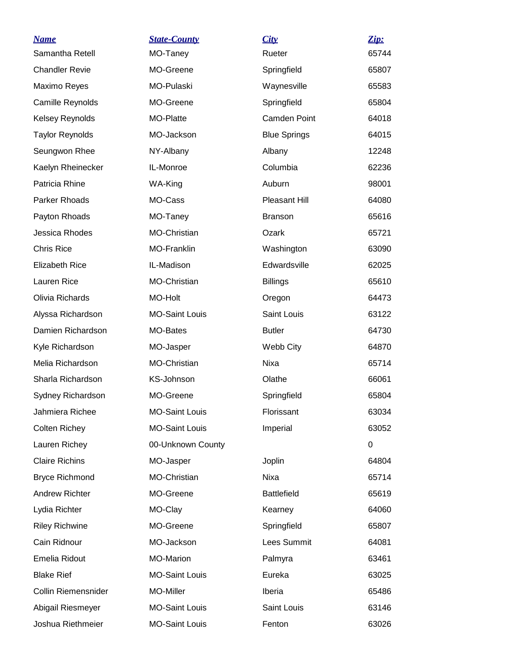| <b>Name</b>                | <b>State-County</b>   | City                | Zip:  |
|----------------------------|-----------------------|---------------------|-------|
| Samantha Retell            | MO-Taney              | Rueter              | 65744 |
| <b>Chandler Revie</b>      | MO-Greene             | Springfield         | 65807 |
| Maximo Reyes               | MO-Pulaski            | Waynesville         | 65583 |
| Camille Reynolds           | MO-Greene             | Springfield         | 65804 |
| Kelsey Reynolds            | MO-Platte             | Camden Point        | 64018 |
| <b>Taylor Reynolds</b>     | MO-Jackson            | <b>Blue Springs</b> | 64015 |
| Seungwon Rhee              | NY-Albany             | Albany              | 12248 |
| Kaelyn Rheinecker          | IL-Monroe             | Columbia            | 62236 |
| Patricia Rhine             | WA-King               | Auburn              | 98001 |
| Parker Rhoads              | MO-Cass               | Pleasant Hill       | 64080 |
| Payton Rhoads              | MO-Taney              | <b>Branson</b>      | 65616 |
| Jessica Rhodes             | MO-Christian          | Ozark               | 65721 |
| <b>Chris Rice</b>          | MO-Franklin           | Washington          | 63090 |
| <b>Elizabeth Rice</b>      | IL-Madison            | Edwardsville        | 62025 |
| Lauren Rice                | MO-Christian          | <b>Billings</b>     | 65610 |
| Olivia Richards            | MO-Holt               | Oregon              | 64473 |
| Alyssa Richardson          | <b>MO-Saint Louis</b> | Saint Louis         | 63122 |
| Damien Richardson          | MO-Bates              | <b>Butler</b>       | 64730 |
| Kyle Richardson            | MO-Jasper             | Webb City           | 64870 |
| Melia Richardson           | MO-Christian          | Nixa                | 65714 |
| Sharla Richardson          | KS-Johnson            | Olathe              | 66061 |
| Sydney Richardson          | MO-Greene             | Springfield         | 65804 |
| Jahmiera Richee            | <b>MO-Saint Louis</b> | Florissant          | 63034 |
| Colten Richey              | <b>MO-Saint Louis</b> | Imperial            | 63052 |
| Lauren Richey              | 00-Unknown County     |                     | 0     |
| <b>Claire Richins</b>      | MO-Jasper             | Joplin              | 64804 |
| <b>Bryce Richmond</b>      | <b>MO-Christian</b>   | Nixa                | 65714 |
| <b>Andrew Richter</b>      | MO-Greene             | <b>Battlefield</b>  | 65619 |
| Lydia Richter              | MO-Clay               | Kearney             | 64060 |
| <b>Riley Richwine</b>      | MO-Greene             | Springfield         | 65807 |
| Cain Ridnour               | MO-Jackson            | Lees Summit         | 64081 |
| Emelia Ridout              | <b>MO-Marion</b>      | Palmyra             | 63461 |
| <b>Blake Rief</b>          | <b>MO-Saint Louis</b> | Eureka              | 63025 |
| <b>Collin Riemensnider</b> | MO-Miller             | Iberia              | 65486 |
| Abigail Riesmeyer          | <b>MO-Saint Louis</b> | Saint Louis         | 63146 |
| Joshua Riethmeier          | <b>MO-Saint Louis</b> | Fenton              | 63026 |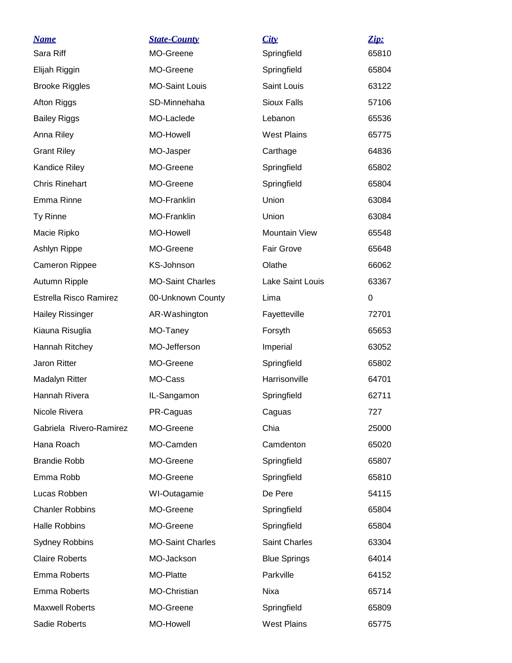| <b>Name</b>             | <b>State-County</b>     | City                 | Zip:     |
|-------------------------|-------------------------|----------------------|----------|
| Sara Riff               | MO-Greene               | Springfield          | 65810    |
| Elijah Riggin           | MO-Greene               | Springfield          | 65804    |
| <b>Brooke Riggles</b>   | <b>MO-Saint Louis</b>   | Saint Louis          | 63122    |
| Afton Riggs             | SD-Minnehaha            | Sioux Falls          | 57106    |
| <b>Bailey Riggs</b>     | MO-Laclede              | Lebanon              | 65536    |
| Anna Riley              | MO-Howell               | <b>West Plains</b>   | 65775    |
| <b>Grant Riley</b>      | MO-Jasper               | Carthage             | 64836    |
| Kandice Riley           | MO-Greene               | Springfield          | 65802    |
| <b>Chris Rinehart</b>   | MO-Greene               | Springfield          | 65804    |
| Emma Rinne              | <b>MO-Franklin</b>      | Union                | 63084    |
| Ty Rinne                | MO-Franklin             | Union                | 63084    |
| Macie Ripko             | MO-Howell               | <b>Mountain View</b> | 65548    |
| Ashlyn Rippe            | MO-Greene               | Fair Grove           | 65648    |
| <b>Cameron Rippee</b>   | KS-Johnson              | Olathe               | 66062    |
| Autumn Ripple           | <b>MO-Saint Charles</b> | Lake Saint Louis     | 63367    |
| Estrella Risco Ramirez  | 00-Unknown County       | Lima                 | $\Omega$ |
| <b>Hailey Rissinger</b> | AR-Washington           | Fayetteville         | 72701    |
| Kiauna Risuglia         | MO-Taney                | Forsyth              | 65653    |
| Hannah Ritchey          | MO-Jefferson            | Imperial             | 63052    |
| Jaron Ritter            | MO-Greene               | Springfield          | 65802    |
| Madalyn Ritter          | MO-Cass                 | Harrisonville        | 64701    |
| Hannah Rivera           | IL-Sangamon             | Springfield          | 62711    |
| Nicole Rivera           | PR-Caguas               | Caguas               | 727      |
| Gabriela Rivero-Ramirez | MO-Greene               | Chia                 | 25000    |
| Hana Roach              | MO-Camden               | Camdenton            | 65020    |
| <b>Brandie Robb</b>     | MO-Greene               | Springfield          | 65807    |
| Emma Robb               | MO-Greene               | Springfield          | 65810    |
| Lucas Robben            | WI-Outagamie            | De Pere              | 54115    |
| <b>Chanler Robbins</b>  | MO-Greene               | Springfield          | 65804    |
| <b>Halle Robbins</b>    | MO-Greene               | Springfield          | 65804    |
| <b>Sydney Robbins</b>   | <b>MO-Saint Charles</b> | <b>Saint Charles</b> | 63304    |
| <b>Claire Roberts</b>   | MO-Jackson              | <b>Blue Springs</b>  | 64014    |
| <b>Emma Roberts</b>     | MO-Platte               | Parkville            | 64152    |
| <b>Emma Roberts</b>     | MO-Christian            | Nixa                 | 65714    |
| <b>Maxwell Roberts</b>  | MO-Greene               | Springfield          | 65809    |
| Sadie Roberts           | MO-Howell               | <b>West Plains</b>   | 65775    |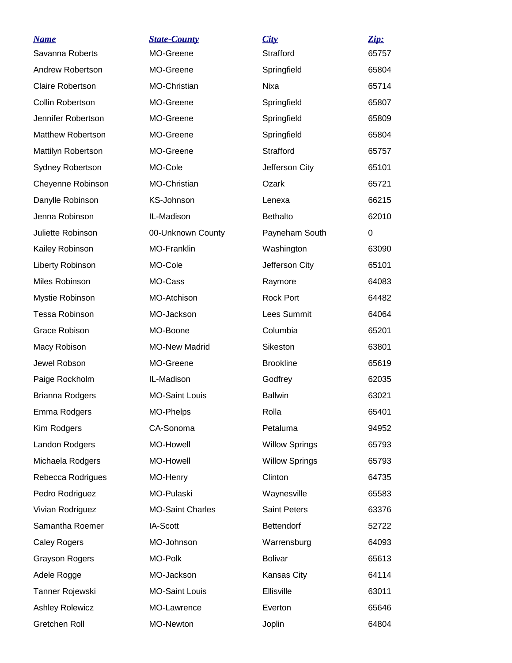| <b>Name</b>              | <b>State-County</b>     | City                  | Zip:  |
|--------------------------|-------------------------|-----------------------|-------|
| Savanna Roberts          | MO-Greene               | Strafford             | 65757 |
| Andrew Robertson         | MO-Greene               | Springfield           | 65804 |
| <b>Claire Robertson</b>  | MO-Christian            | <b>Nixa</b>           | 65714 |
| <b>Collin Robertson</b>  | MO-Greene               | Springfield           | 65807 |
| Jennifer Robertson       | MO-Greene               | Springfield           | 65809 |
| <b>Matthew Robertson</b> | MO-Greene               | Springfield           | 65804 |
| Mattilyn Robertson       | MO-Greene               | Strafford             | 65757 |
| <b>Sydney Robertson</b>  | MO-Cole                 | Jefferson City        | 65101 |
| Cheyenne Robinson        | MO-Christian            | Ozark                 | 65721 |
| Danylle Robinson         | KS-Johnson              | Lenexa                | 66215 |
| Jenna Robinson           | IL-Madison              | <b>Bethalto</b>       | 62010 |
| Juliette Robinson        | 00-Unknown County       | Payneham South        | 0     |
| Kailey Robinson          | <b>MO-Franklin</b>      | Washington            | 63090 |
| Liberty Robinson         | MO-Cole                 | Jefferson City        | 65101 |
| Miles Robinson           | MO-Cass                 | Raymore               | 64083 |
| Mystie Robinson          | MO-Atchison             | Rock Port             | 64482 |
| <b>Tessa Robinson</b>    | MO-Jackson              | Lees Summit           | 64064 |
| Grace Robison            | MO-Boone                | Columbia              | 65201 |
| Macy Robison             | <b>MO-New Madrid</b>    | Sikeston              | 63801 |
| Jewel Robson             | MO-Greene               | <b>Brookline</b>      | 65619 |
| Paige Rockholm           | IL-Madison              | Godfrey               | 62035 |
| <b>Brianna Rodgers</b>   | <b>MO-Saint Louis</b>   | <b>Ballwin</b>        | 63021 |
| Emma Rodgers             | <b>MO-Phelps</b>        | Rolla                 | 65401 |
| Kim Rodgers              | CA-Sonoma               | Petaluma              | 94952 |
| Landon Rodgers           | MO-Howell               | <b>Willow Springs</b> | 65793 |
| Michaela Rodgers         | MO-Howell               | <b>Willow Springs</b> | 65793 |
| Rebecca Rodrigues        | MO-Henry                | Clinton               | 64735 |
| Pedro Rodriguez          | MO-Pulaski              | Waynesville           | 65583 |
| Vivian Rodriguez         | <b>MO-Saint Charles</b> | <b>Saint Peters</b>   | 63376 |
| Samantha Roemer          | IA-Scott                | Bettendorf            | 52722 |
| <b>Caley Rogers</b>      | MO-Johnson              | Warrensburg           | 64093 |
| <b>Grayson Rogers</b>    | MO-Polk                 | <b>Bolivar</b>        | 65613 |
| Adele Rogge              | MO-Jackson              | Kansas City           | 64114 |
| Tanner Rojewski          | <b>MO-Saint Louis</b>   | Ellisville            | 63011 |
| <b>Ashley Rolewicz</b>   | MO-Lawrence             | Everton               | 65646 |
| Gretchen Roll            | MO-Newton               | Joplin                | 64804 |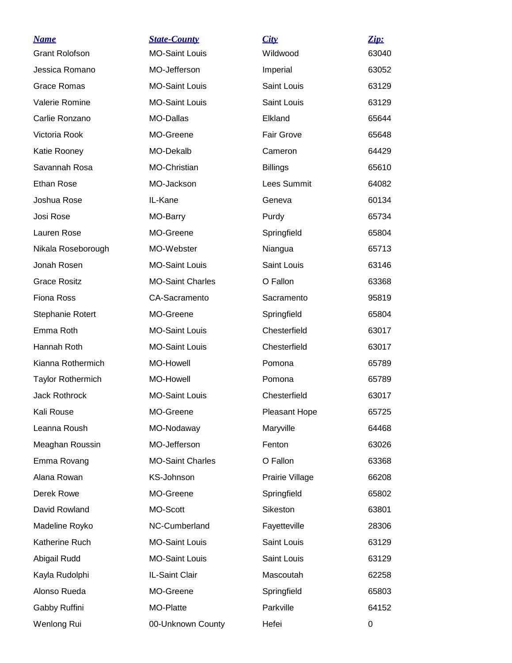| <u>Name</u>              | <b>State-County</b>     | City              | Zip:  |
|--------------------------|-------------------------|-------------------|-------|
| <b>Grant Rolofson</b>    | <b>MO-Saint Louis</b>   | Wildwood          | 63040 |
| Jessica Romano           | MO-Jefferson            | Imperial          | 63052 |
| Grace Romas              | <b>MO-Saint Louis</b>   | Saint Louis       | 63129 |
| Valerie Romine           | <b>MO-Saint Louis</b>   | Saint Louis       | 63129 |
| Carlie Ronzano           | MO-Dallas               | Elkland           | 65644 |
| Victoria Rook            | MO-Greene               | <b>Fair Grove</b> | 65648 |
| Katie Rooney             | MO-Dekalb               | Cameron           | 64429 |
| Savannah Rosa            | MO-Christian            | <b>Billings</b>   | 65610 |
| <b>Ethan Rose</b>        | MO-Jackson              | Lees Summit       | 64082 |
| Joshua Rose              | IL-Kane                 | Geneva            | 60134 |
| Josi Rose                | MO-Barry                | Purdy             | 65734 |
| Lauren Rose              | MO-Greene               | Springfield       | 65804 |
| Nikala Roseborough       | MO-Webster              | Niangua           | 65713 |
| Jonah Rosen              | <b>MO-Saint Louis</b>   | Saint Louis       | 63146 |
| <b>Grace Rositz</b>      | <b>MO-Saint Charles</b> | O Fallon          | 63368 |
| <b>Fiona Ross</b>        | CA-Sacramento           | Sacramento        | 95819 |
| Stephanie Rotert         | MO-Greene               | Springfield       | 65804 |
| Emma Roth                | <b>MO-Saint Louis</b>   | Chesterfield      | 63017 |
| Hannah Roth              | <b>MO-Saint Louis</b>   | Chesterfield      | 63017 |
| Kianna Rothermich        | MO-Howell               | Pomona            | 65789 |
| <b>Taylor Rothermich</b> | MO-Howell               | Pomona            | 65789 |
| <b>Jack Rothrock</b>     | <b>MO-Saint Louis</b>   | Chesterfield      | 63017 |
| Kali Rouse               | MO-Greene               | Pleasant Hope     | 65725 |
| Leanna Roush             | MO-Nodaway              | Maryville         | 64468 |
| Meaghan Roussin          | MO-Jefferson            | Fenton            | 63026 |
| Emma Rovang              | <b>MO-Saint Charles</b> | O Fallon          | 63368 |
| Alana Rowan              | KS-Johnson              | Prairie Village   | 66208 |
| Derek Rowe               | MO-Greene               | Springfield       | 65802 |
| David Rowland            | MO-Scott                | Sikeston          | 63801 |
| Madeline Royko           | NC-Cumberland           | Fayetteville      | 28306 |
| Katherine Ruch           | <b>MO-Saint Louis</b>   | Saint Louis       | 63129 |
| Abigail Rudd             | <b>MO-Saint Louis</b>   | Saint Louis       | 63129 |
| Kayla Rudolphi           | IL-Saint Clair          | Mascoutah         | 62258 |
| Alonso Rueda             | MO-Greene               | Springfield       | 65803 |
| Gabby Ruffini            | MO-Platte               | Parkville         | 64152 |
| Wenlong Rui              | 00-Unknown County       | Hefei             | 0     |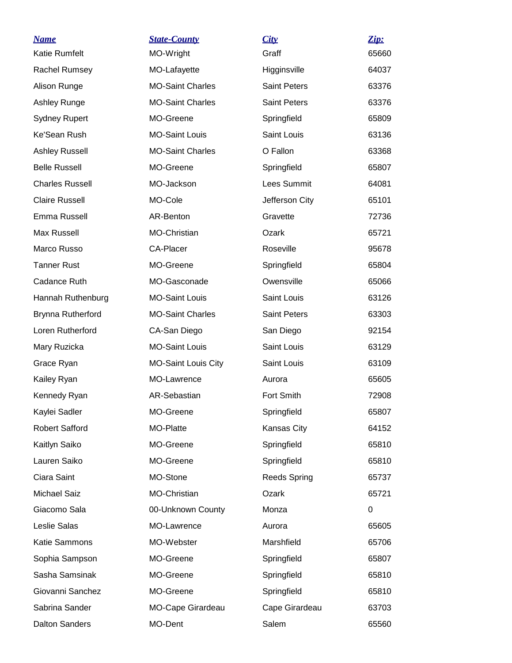| <b>Name</b>            | <b>State-County</b>        | City                | $\mathbf{Zip:}$ |
|------------------------|----------------------------|---------------------|-----------------|
| <b>Katie Rumfelt</b>   | MO-Wright                  | Graff               | 65660           |
| Rachel Rumsey          | MO-Lafayette               | Higginsville        | 64037           |
| Alison Runge           | <b>MO-Saint Charles</b>    | <b>Saint Peters</b> | 63376           |
| Ashley Runge           | <b>MO-Saint Charles</b>    | <b>Saint Peters</b> | 63376           |
| <b>Sydney Rupert</b>   | MO-Greene                  | Springfield         | 65809           |
| Ke'Sean Rush           | <b>MO-Saint Louis</b>      | Saint Louis         | 63136           |
| <b>Ashley Russell</b>  | <b>MO-Saint Charles</b>    | O Fallon            | 63368           |
| <b>Belle Russell</b>   | MO-Greene                  | Springfield         | 65807           |
| <b>Charles Russell</b> | MO-Jackson                 | Lees Summit         | 64081           |
| <b>Claire Russell</b>  | MO-Cole                    | Jefferson City      | 65101           |
| Emma Russell           | AR-Benton                  | Gravette            | 72736           |
| <b>Max Russell</b>     | MO-Christian               | Ozark               | 65721           |
| Marco Russo            | <b>CA-Placer</b>           | Roseville           | 95678           |
| <b>Tanner Rust</b>     | MO-Greene                  | Springfield         | 65804           |
| Cadance Ruth           | MO-Gasconade               | Owensville          | 65066           |
| Hannah Ruthenburg      | <b>MO-Saint Louis</b>      | Saint Louis         | 63126           |
| Brynna Rutherford      | <b>MO-Saint Charles</b>    | <b>Saint Peters</b> | 63303           |
| Loren Rutherford       | CA-San Diego               | San Diego           | 92154           |
| Mary Ruzicka           | <b>MO-Saint Louis</b>      | Saint Louis         | 63129           |
| Grace Ryan             | <b>MO-Saint Louis City</b> | Saint Louis         | 63109           |
| Kailey Ryan            | MO-Lawrence                | Aurora              | 65605           |
| Kennedy Ryan           | AR-Sebastian               | Fort Smith          | 72908           |
| Kaylei Sadler          | MO-Greene                  | Springfield         | 65807           |
| <b>Robert Safford</b>  | MO-Platte                  | Kansas City         | 64152           |
| Kaitlyn Saiko          | MO-Greene                  | Springfield         | 65810           |
| Lauren Saiko           | MO-Greene                  | Springfield         | 65810           |
| Ciara Saint            | MO-Stone                   | <b>Reeds Spring</b> | 65737           |
| Michael Saiz           | MO-Christian               | Ozark               | 65721           |
| Giacomo Sala           | 00-Unknown County          | Monza               | 0               |
| Leslie Salas           | MO-Lawrence                | Aurora              | 65605           |
| Katie Sammons          | MO-Webster                 | Marshfield          | 65706           |
| Sophia Sampson         | MO-Greene                  | Springfield         | 65807           |
| Sasha Samsinak         | MO-Greene                  | Springfield         | 65810           |
| Giovanni Sanchez       | MO-Greene                  | Springfield         | 65810           |
| Sabrina Sander         | MO-Cape Girardeau          | Cape Girardeau      | 63703           |
| <b>Dalton Sanders</b>  | MO-Dent                    | Salem               | 65560           |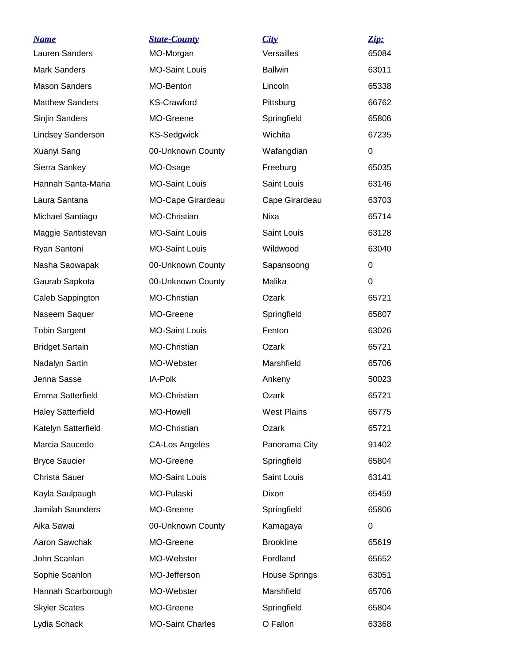| <b>Name</b>              | <b>State-County</b>     | City                 | Zip:     |
|--------------------------|-------------------------|----------------------|----------|
| Lauren Sanders           | MO-Morgan               | Versailles           | 65084    |
| <b>Mark Sanders</b>      | <b>MO-Saint Louis</b>   | <b>Ballwin</b>       | 63011    |
| <b>Mason Sanders</b>     | MO-Benton               | Lincoln              | 65338    |
| <b>Matthew Sanders</b>   | <b>KS-Crawford</b>      | Pittsburg            | 66762    |
| Sinjin Sanders           | MO-Greene               | Springfield          | 65806    |
| Lindsey Sanderson        | <b>KS-Sedgwick</b>      | Wichita              | 67235    |
| Xuanyi Sang              | 00-Unknown County       | Wafangdian           | 0        |
| Sierra Sankey            | MO-Osage                | Freeburg             | 65035    |
| Hannah Santa-Maria       | <b>MO-Saint Louis</b>   | Saint Louis          | 63146    |
| Laura Santana            | MO-Cape Girardeau       | Cape Girardeau       | 63703    |
| Michael Santiago         | MO-Christian            | Nixa                 | 65714    |
| Maggie Santistevan       | <b>MO-Saint Louis</b>   | Saint Louis          | 63128    |
| Ryan Santoni             | <b>MO-Saint Louis</b>   | Wildwood             | 63040    |
| Nasha Saowapak           | 00-Unknown County       | Sapansoong           | 0        |
| Gaurab Sapkota           | 00-Unknown County       | Malika               | $\Omega$ |
| Caleb Sappington         | <b>MO-Christian</b>     | Ozark                | 65721    |
| Naseem Saquer            | MO-Greene               | Springfield          | 65807    |
| <b>Tobin Sargent</b>     | <b>MO-Saint Louis</b>   | Fenton               | 63026    |
| <b>Bridget Sartain</b>   | MO-Christian            | Ozark                | 65721    |
| Nadalyn Sartin           | MO-Webster              | Marshfield           | 65706    |
| Jenna Sasse              | IA-Polk                 | Ankeny               | 50023    |
| Emma Satterfield         | <b>MO-Christian</b>     | Ozark                | 65721    |
| <b>Haley Satterfield</b> | MO-Howell               | <b>West Plains</b>   | 65775    |
| Katelyn Satterfield      | MO-Christian            | Ozark                | 65721    |
| Marcia Saucedo           | <b>CA-Los Angeles</b>   | Panorama City        | 91402    |
| <b>Bryce Saucier</b>     | MO-Greene               | Springfield          | 65804    |
| Christa Sauer            | <b>MO-Saint Louis</b>   | Saint Louis          | 63141    |
| Kayla Saulpaugh          | MO-Pulaski              | Dixon                | 65459    |
| Jamilah Saunders         | MO-Greene               | Springfield          | 65806    |
| Aika Sawai               | 00-Unknown County       | Kamagaya             | 0        |
| Aaron Sawchak            | MO-Greene               | <b>Brookline</b>     | 65619    |
| John Scanlan             | MO-Webster              | Fordland             | 65652    |
| Sophie Scanlon           | MO-Jefferson            | <b>House Springs</b> | 63051    |
| Hannah Scarborough       | MO-Webster              | Marshfield           | 65706    |
| <b>Skyler Scates</b>     | MO-Greene               | Springfield          | 65804    |
| Lydia Schack             | <b>MO-Saint Charles</b> | O Fallon             | 63368    |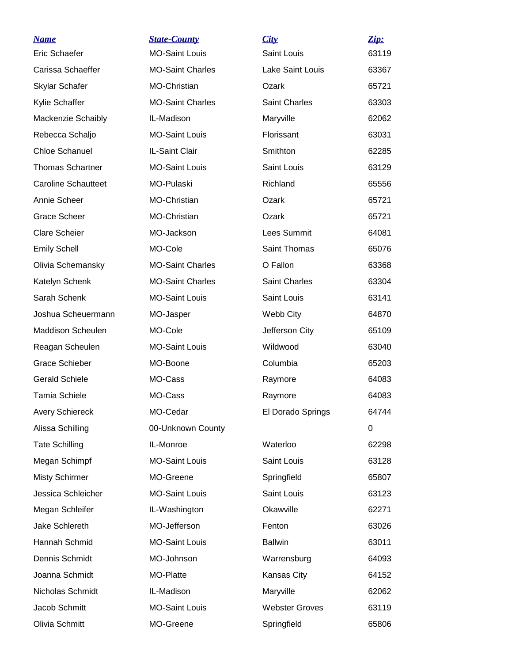| <u>Name</u>                | <b>State-County</b>     | City                  | Zip:  |
|----------------------------|-------------------------|-----------------------|-------|
| Eric Schaefer              | <b>MO-Saint Louis</b>   | <b>Saint Louis</b>    | 63119 |
| Carissa Schaeffer          | <b>MO-Saint Charles</b> | Lake Saint Louis      | 63367 |
| Skylar Schafer             | MO-Christian            | Ozark                 | 65721 |
| Kylie Schaffer             | <b>MO-Saint Charles</b> | <b>Saint Charles</b>  | 63303 |
| Mackenzie Schaibly         | IL-Madison              | Maryville             | 62062 |
| Rebecca Schaljo            | <b>MO-Saint Louis</b>   | Florissant            | 63031 |
| <b>Chloe Schanuel</b>      | IL-Saint Clair          | Smithton              | 62285 |
| <b>Thomas Schartner</b>    | <b>MO-Saint Louis</b>   | Saint Louis           | 63129 |
| <b>Caroline Schautteet</b> | MO-Pulaski              | Richland              | 65556 |
| Annie Scheer               | MO-Christian            | Ozark                 | 65721 |
| <b>Grace Scheer</b>        | MO-Christian            | Ozark                 | 65721 |
| <b>Clare Scheier</b>       | MO-Jackson              | Lees Summit           | 64081 |
| <b>Emily Schell</b>        | MO-Cole                 | Saint Thomas          | 65076 |
| Olivia Schemansky          | <b>MO-Saint Charles</b> | O Fallon              | 63368 |
| Katelyn Schenk             | <b>MO-Saint Charles</b> | <b>Saint Charles</b>  | 63304 |
| Sarah Schenk               | <b>MO-Saint Louis</b>   | Saint Louis           | 63141 |
| Joshua Scheuermann         | MO-Jasper               | Webb City             | 64870 |
| <b>Maddison Scheulen</b>   | MO-Cole                 | Jefferson City        | 65109 |
| Reagan Scheulen            | <b>MO-Saint Louis</b>   | Wildwood              | 63040 |
| <b>Grace Schieber</b>      | MO-Boone                | Columbia              | 65203 |
| <b>Gerald Schiele</b>      | MO-Cass                 | Raymore               | 64083 |
| <b>Tamia Schiele</b>       | MO-Cass                 | Raymore               | 64083 |
| <b>Avery Schiereck</b>     | MO-Cedar                | El Dorado Springs     | 64744 |
| Alissa Schilling           | 00-Unknown County       |                       | 0     |
| <b>Tate Schilling</b>      | IL-Monroe               | Waterloo              | 62298 |
| Megan Schimpf              | <b>MO-Saint Louis</b>   | Saint Louis           | 63128 |
| <b>Misty Schirmer</b>      | MO-Greene               | Springfield           | 65807 |
| Jessica Schleicher         | <b>MO-Saint Louis</b>   | Saint Louis           | 63123 |
| Megan Schleifer            | IL-Washington           | Okawville             | 62271 |
| Jake Schlereth             | MO-Jefferson            | Fenton                | 63026 |
| Hannah Schmid              | <b>MO-Saint Louis</b>   | <b>Ballwin</b>        | 63011 |
| Dennis Schmidt             | MO-Johnson              | Warrensburg           | 64093 |
| Joanna Schmidt             | MO-Platte               | Kansas City           | 64152 |
| Nicholas Schmidt           | IL-Madison              | Maryville             | 62062 |
| Jacob Schmitt              | <b>MO-Saint Louis</b>   | <b>Webster Groves</b> | 63119 |
| Olivia Schmitt             | MO-Greene               | Springfield           | 65806 |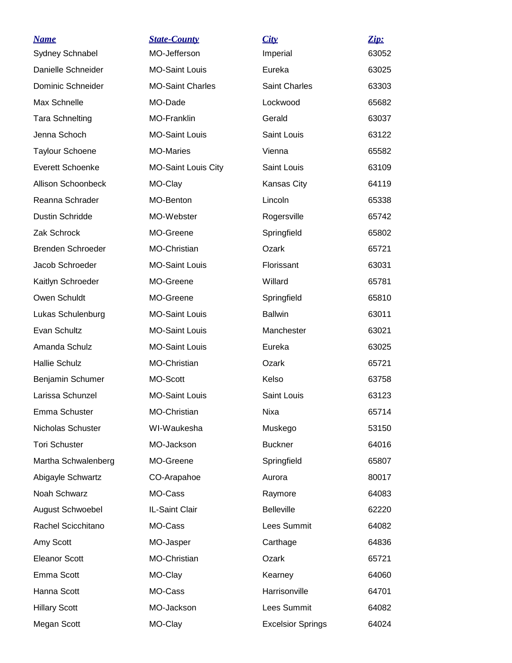| <b>Name</b>               | <b>State-County</b>        | City                     | Zip:  |
|---------------------------|----------------------------|--------------------------|-------|
| Sydney Schnabel           | MO-Jefferson               | Imperial                 | 63052 |
| Danielle Schneider        | <b>MO-Saint Louis</b>      | Eureka                   | 63025 |
| Dominic Schneider         | <b>MO-Saint Charles</b>    | <b>Saint Charles</b>     | 63303 |
| Max Schnelle              | MO-Dade                    | Lockwood                 | 65682 |
| <b>Tara Schnelting</b>    | MO-Franklin                | Gerald                   | 63037 |
| Jenna Schoch              | <b>MO-Saint Louis</b>      | Saint Louis              | 63122 |
| <b>Taylour Schoene</b>    | <b>MO-Maries</b>           | Vienna                   | 65582 |
| <b>Everett Schoenke</b>   | <b>MO-Saint Louis City</b> | Saint Louis              | 63109 |
| <b>Allison Schoonbeck</b> | MO-Clay                    | Kansas City              | 64119 |
| Reanna Schrader           | <b>MO-Benton</b>           | Lincoln                  | 65338 |
| <b>Dustin Schridde</b>    | MO-Webster                 | Rogersville              | 65742 |
| Zak Schrock               | MO-Greene                  | Springfield              | 65802 |
| Brenden Schroeder         | MO-Christian               | Ozark                    | 65721 |
| Jacob Schroeder           | <b>MO-Saint Louis</b>      | Florissant               | 63031 |
| Kaitlyn Schroeder         | MO-Greene                  | Willard                  | 65781 |
| Owen Schuldt              | MO-Greene                  | Springfield              | 65810 |
| Lukas Schulenburg         | <b>MO-Saint Louis</b>      | <b>Ballwin</b>           | 63011 |
| Evan Schultz              | <b>MO-Saint Louis</b>      | Manchester               | 63021 |
| Amanda Schulz             | <b>MO-Saint Louis</b>      | Eureka                   | 63025 |
| <b>Hallie Schulz</b>      | MO-Christian               | Ozark                    | 65721 |
| Benjamin Schumer          | MO-Scott                   | Kelso                    | 63758 |
| Larissa Schunzel          | <b>MO-Saint Louis</b>      | Saint Louis              | 63123 |
| Emma Schuster             | MO-Christian               | Nixa                     | 65714 |
| Nicholas Schuster         | WI-Waukesha                | Muskego                  | 53150 |
| <b>Tori Schuster</b>      | MO-Jackson                 | <b>Buckner</b>           | 64016 |
| Martha Schwalenberg       | MO-Greene                  | Springfield              | 65807 |
| Abigayle Schwartz         | CO-Arapahoe                | Aurora                   | 80017 |
| Noah Schwarz              | MO-Cass                    | Raymore                  | 64083 |
| August Schwoebel          | IL-Saint Clair             | <b>Belleville</b>        | 62220 |
| Rachel Scicchitano        | MO-Cass                    | Lees Summit              | 64082 |
| Amy Scott                 | MO-Jasper                  | Carthage                 | 64836 |
| <b>Eleanor Scott</b>      | MO-Christian               | Ozark                    | 65721 |
| Emma Scott                | MO-Clay                    | Kearney                  | 64060 |
| Hanna Scott               | MO-Cass                    | Harrisonville            | 64701 |
| <b>Hillary Scott</b>      | MO-Jackson                 | Lees Summit              | 64082 |
| Megan Scott               | MO-Clay                    | <b>Excelsior Springs</b> | 64024 |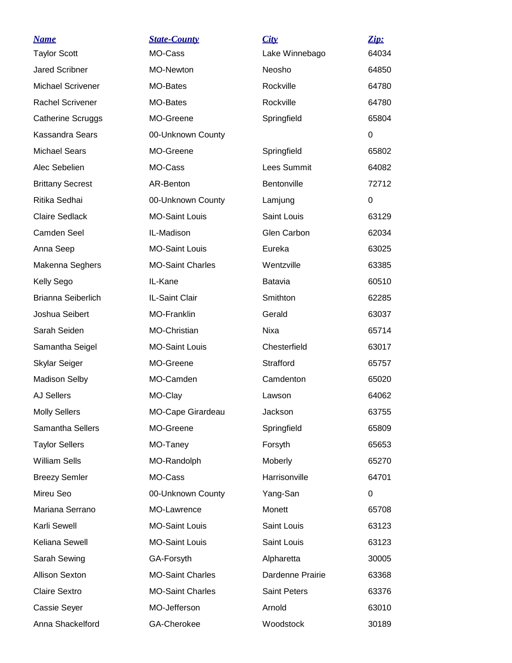| <b>Name</b>               | <b>State-County</b>     | City                | Zip:     |
|---------------------------|-------------------------|---------------------|----------|
| <b>Taylor Scott</b>       | MO-Cass                 | Lake Winnebago      | 64034    |
| <b>Jared Scribner</b>     | MO-Newton               | Neosho              | 64850    |
| <b>Michael Scrivener</b>  | <b>MO-Bates</b>         | Rockville           | 64780    |
| <b>Rachel Scrivener</b>   | MO-Bates                | Rockville           | 64780    |
| <b>Catherine Scruggs</b>  | MO-Greene               | Springfield         | 65804    |
| Kassandra Sears           | 00-Unknown County       |                     | 0        |
| <b>Michael Sears</b>      | MO-Greene               | Springfield         | 65802    |
| Alec Sebelien             | MO-Cass                 | Lees Summit         | 64082    |
| <b>Brittany Secrest</b>   | AR-Benton               | Bentonville         | 72712    |
| Ritika Sedhai             | 00-Unknown County       | Lamjung             | $\Omega$ |
| <b>Claire Sedlack</b>     | <b>MO-Saint Louis</b>   | Saint Louis         | 63129    |
| <b>Camden Seel</b>        | IL-Madison              | Glen Carbon         | 62034    |
| Anna Seep                 | <b>MO-Saint Louis</b>   | Eureka              | 63025    |
| Makenna Seghers           | <b>MO-Saint Charles</b> | Wentzville          | 63385    |
| Kelly Sego                | IL-Kane                 | <b>Batavia</b>      | 60510    |
| <b>Brianna Seiberlich</b> | IL-Saint Clair          | Smithton            | 62285    |
| Joshua Seibert            | <b>MO-Franklin</b>      | Gerald              | 63037    |
| Sarah Seiden              | MO-Christian            | Nixa                | 65714    |
| Samantha Seigel           | <b>MO-Saint Louis</b>   | Chesterfield        | 63017    |
| Skylar Seiger             | MO-Greene               | Strafford           | 65757    |
| <b>Madison Selby</b>      | MO-Camden               | Camdenton           | 65020    |
| <b>AJ Sellers</b>         | MO-Clay                 | Lawson              | 64062    |
| <b>Molly Sellers</b>      | MO-Cape Girardeau       | Jackson             | 63755    |
| Samantha Sellers          | MO-Greene               | Springfield         | 65809    |
| <b>Taylor Sellers</b>     | MO-Taney                | Forsyth             | 65653    |
| <b>William Sells</b>      | MO-Randolph             | Moberly             | 65270    |
| <b>Breezy Semler</b>      | MO-Cass                 | Harrisonville       | 64701    |
| Mireu Seo                 | 00-Unknown County       | Yang-San            | 0        |
| Mariana Serrano           | MO-Lawrence             | Monett              | 65708    |
| Karli Sewell              | <b>MO-Saint Louis</b>   | Saint Louis         | 63123    |
| Keliana Sewell            | <b>MO-Saint Louis</b>   | Saint Louis         | 63123    |
| Sarah Sewing              | GA-Forsyth              | Alpharetta          | 30005    |
| <b>Allison Sexton</b>     | <b>MO-Saint Charles</b> | Dardenne Prairie    | 63368    |
| <b>Claire Sextro</b>      | <b>MO-Saint Charles</b> | <b>Saint Peters</b> | 63376    |
| Cassie Seyer              | MO-Jefferson            | Arnold              | 63010    |
| Anna Shackelford          | GA-Cherokee             | Woodstock           | 30189    |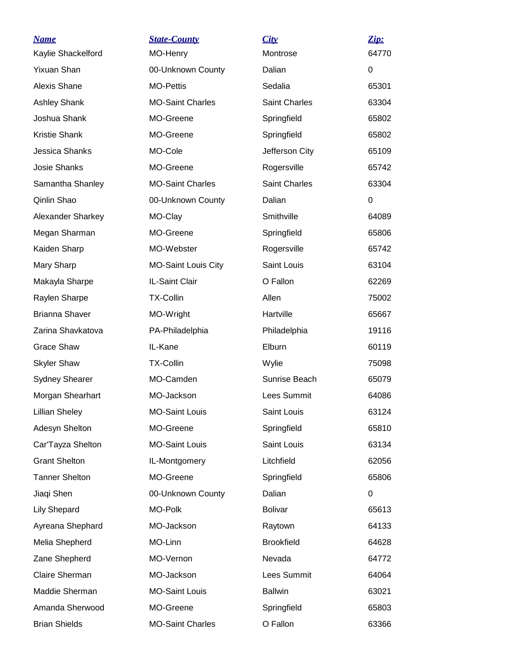| <b>Name</b>           | <b>State-County</b>        | City                 | $\mathbf{Zip:}$ |
|-----------------------|----------------------------|----------------------|-----------------|
| Kaylie Shackelford    | MO-Henry                   | Montrose             | 64770           |
| <b>Yixuan Shan</b>    | 00-Unknown County          | Dalian               | 0               |
| Alexis Shane          | <b>MO-Pettis</b>           | Sedalia              | 65301           |
| <b>Ashley Shank</b>   | <b>MO-Saint Charles</b>    | <b>Saint Charles</b> | 63304           |
| Joshua Shank          | MO-Greene                  | Springfield          | 65802           |
| <b>Kristie Shank</b>  | MO-Greene                  | Springfield          | 65802           |
| Jessica Shanks        | MO-Cole                    | Jefferson City       | 65109           |
| Josie Shanks          | MO-Greene                  | Rogersville          | 65742           |
| Samantha Shanley      | <b>MO-Saint Charles</b>    | <b>Saint Charles</b> | 63304           |
| Qinlin Shao           | 00-Unknown County          | Dalian               | $\Omega$        |
| Alexander Sharkey     | MO-Clay                    | Smithville           | 64089           |
| Megan Sharman         | MO-Greene                  | Springfield          | 65806           |
| Kaiden Sharp          | MO-Webster                 | Rogersville          | 65742           |
| Mary Sharp            | <b>MO-Saint Louis City</b> | Saint Louis          | 63104           |
| Makayla Sharpe        | IL-Saint Clair             | O Fallon             | 62269           |
| Raylen Sharpe         | <b>TX-Collin</b>           | Allen                | 75002           |
| <b>Brianna Shaver</b> | MO-Wright                  | Hartville            | 65667           |
| Zarina Shavkatova     | PA-Philadelphia            | Philadelphia         | 19116           |
| <b>Grace Shaw</b>     | IL-Kane                    | Elburn               | 60119           |
| <b>Skyler Shaw</b>    | <b>TX-Collin</b>           | Wylie                | 75098           |
| <b>Sydney Shearer</b> | MO-Camden                  | Sunrise Beach        | 65079           |
| Morgan Shearhart      | MO-Jackson                 | Lees Summit          | 64086           |
| <b>Lillian Sheley</b> | <b>MO-Saint Louis</b>      | Saint Louis          | 63124           |
| Adesyn Shelton        | MO-Greene                  | Springfield          | 65810           |
| Car'Tayza Shelton     | <b>MO-Saint Louis</b>      | Saint Louis          | 63134           |
| <b>Grant Shelton</b>  | IL-Montgomery              | Litchfield           | 62056           |
| <b>Tanner Shelton</b> | MO-Greene                  | Springfield          | 65806           |
| Jiaqi Shen            | 00-Unknown County          | Dalian               | 0               |
| <b>Lily Shepard</b>   | MO-Polk                    | <b>Bolivar</b>       | 65613           |
| Ayreana Shephard      | MO-Jackson                 | Raytown              | 64133           |
| Melia Shepherd        | MO-Linn                    | <b>Brookfield</b>    | 64628           |
| Zane Shepherd         | MO-Vernon                  | Nevada               | 64772           |
| Claire Sherman        | MO-Jackson                 | <b>Lees Summit</b>   | 64064           |
| Maddie Sherman        | <b>MO-Saint Louis</b>      | <b>Ballwin</b>       | 63021           |
| Amanda Sherwood       | MO-Greene                  | Springfield          | 65803           |
| <b>Brian Shields</b>  | <b>MO-Saint Charles</b>    | O Fallon             | 63366           |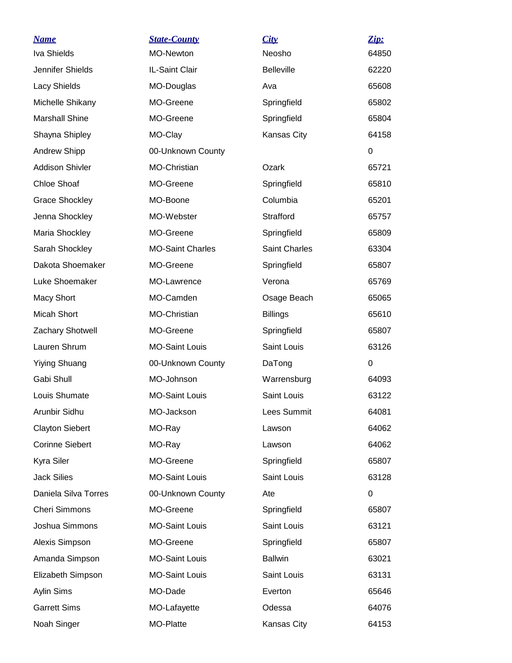| <b>Name</b>            | <b>State-County</b>     | City                 | Zip:     |
|------------------------|-------------------------|----------------------|----------|
| <b>Iva Shields</b>     | MO-Newton               | Neosho               | 64850    |
| Jennifer Shields       | IL-Saint Clair          | <b>Belleville</b>    | 62220    |
| Lacy Shields           | MO-Douglas              | Ava                  | 65608    |
| Michelle Shikany       | MO-Greene               | Springfield          | 65802    |
| <b>Marshall Shine</b>  | MO-Greene               | Springfield          | 65804    |
| Shayna Shipley         | MO-Clay                 | Kansas City          | 64158    |
| <b>Andrew Shipp</b>    | 00-Unknown County       |                      | $\Omega$ |
| <b>Addison Shivler</b> | MO-Christian            | Ozark                | 65721    |
| <b>Chloe Shoaf</b>     | MO-Greene               | Springfield          | 65810    |
| <b>Grace Shockley</b>  | MO-Boone                | Columbia             | 65201    |
| Jenna Shockley         | MO-Webster              | Strafford            | 65757    |
| Maria Shockley         | MO-Greene               | Springfield          | 65809    |
| Sarah Shockley         | <b>MO-Saint Charles</b> | <b>Saint Charles</b> | 63304    |
| Dakota Shoemaker       | MO-Greene               | Springfield          | 65807    |
| Luke Shoemaker         | MO-Lawrence             | Verona               | 65769    |
| <b>Macy Short</b>      | MO-Camden               | Osage Beach          | 65065    |
| Micah Short            | MO-Christian            | <b>Billings</b>      | 65610    |
| Zachary Shotwell       | MO-Greene               | Springfield          | 65807    |
| Lauren Shrum           | <b>MO-Saint Louis</b>   | Saint Louis          | 63126    |
| <b>Yiying Shuang</b>   | 00-Unknown County       | DaTong               | 0        |
| Gabi Shull             | MO-Johnson              | Warrensburg          | 64093    |
| Louis Shumate          | <b>MO-Saint Louis</b>   | Saint Louis          | 63122    |
| Arunbir Sidhu          | MO-Jackson              | Lees Summit          | 64081    |
| <b>Clayton Siebert</b> | MO-Ray                  | Lawson               | 64062    |
| <b>Corinne Siebert</b> | MO-Ray                  | Lawson               | 64062    |
| Kyra Siler             | MO-Greene               | Springfield          | 65807    |
| <b>Jack Silies</b>     | <b>MO-Saint Louis</b>   | Saint Louis          | 63128    |
| Daniela Silva Torres   | 00-Unknown County       | Ate                  | 0        |
| <b>Cheri Simmons</b>   | MO-Greene               | Springfield          | 65807    |
| Joshua Simmons         | <b>MO-Saint Louis</b>   | Saint Louis          | 63121    |
| Alexis Simpson         | MO-Greene               | Springfield          | 65807    |
| Amanda Simpson         | <b>MO-Saint Louis</b>   | <b>Ballwin</b>       | 63021    |
| Elizabeth Simpson      | <b>MO-Saint Louis</b>   | Saint Louis          | 63131    |
| Aylin Sims             | MO-Dade                 | Everton              | 65646    |
| <b>Garrett Sims</b>    | MO-Lafayette            | Odessa               | 64076    |
| Noah Singer            | MO-Platte               | Kansas City          | 64153    |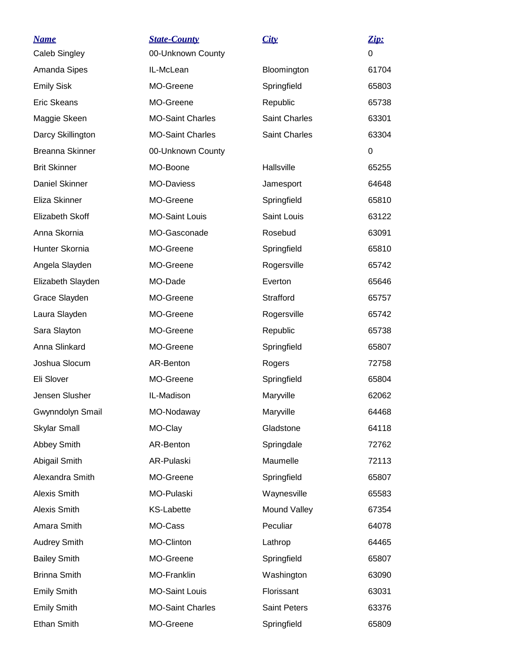| <u>Name</u><br><b>Caleb Singley</b> | <b>State-County</b><br>00-Unknown County | City                 | Zip:<br>$\Omega$ |
|-------------------------------------|------------------------------------------|----------------------|------------------|
| Amanda Sipes                        | IL-McLean                                | Bloomington          | 61704            |
| <b>Emily Sisk</b>                   | MO-Greene                                | Springfield          | 65803            |
| <b>Eric Skeans</b>                  | MO-Greene                                | Republic             | 65738            |
| Maggie Skeen                        | <b>MO-Saint Charles</b>                  | <b>Saint Charles</b> | 63301            |
| Darcy Skillington                   | <b>MO-Saint Charles</b>                  | Saint Charles        | 63304            |
| <b>Breanna Skinner</b>              | 00-Unknown County                        |                      | 0                |
| <b>Brit Skinner</b>                 | MO-Boone                                 | Hallsville           | 65255            |
| Daniel Skinner                      | <b>MO-Daviess</b>                        | Jamesport            | 64648            |
| Eliza Skinner                       | MO-Greene                                | Springfield          | 65810            |
| Elizabeth Skoff                     | <b>MO-Saint Louis</b>                    | Saint Louis          | 63122            |
| Anna Skornia                        | MO-Gasconade                             | Rosebud              | 63091            |
| Hunter Skornia                      | MO-Greene                                | Springfield          | 65810            |
| Angela Slayden                      | MO-Greene                                | Rogersville          | 65742            |
| Elizabeth Slayden                   | MO-Dade                                  | Everton              | 65646            |
| Grace Slayden                       | MO-Greene                                | Strafford            | 65757            |
| Laura Slayden                       | MO-Greene                                | Rogersville          | 65742            |
| Sara Slayton                        | MO-Greene                                | Republic             | 65738            |
| Anna Slinkard                       | MO-Greene                                | Springfield          | 65807            |
| Joshua Slocum                       | AR-Benton                                | Rogers               | 72758            |
| Eli Slover                          | MO-Greene                                | Springfield          | 65804            |
| Jensen Slusher                      | IL-Madison                               | Maryville            | 62062            |
| Gwynndolyn Smail                    | MO-Nodaway                               | Maryville            | 64468            |
| <b>Skylar Small</b>                 | MO-Clay                                  | Gladstone            | 64118            |
| Abbey Smith                         | AR-Benton                                | Springdale           | 72762            |
| Abigail Smith                       | AR-Pulaski                               | Maumelle             | 72113            |
| Alexandra Smith                     | MO-Greene                                | Springfield          | 65807            |
| <b>Alexis Smith</b>                 | MO-Pulaski                               | Waynesville          | 65583            |
| Alexis Smith                        | <b>KS-Labette</b>                        | Mound Valley         | 67354            |
| Amara Smith                         | MO-Cass                                  | Peculiar             | 64078            |
| <b>Audrey Smith</b>                 | MO-Clinton                               | Lathrop              | 64465            |
| <b>Bailey Smith</b>                 | MO-Greene                                | Springfield          | 65807            |
| <b>Brinna Smith</b>                 | MO-Franklin                              | Washington           | 63090            |
| <b>Emily Smith</b>                  | <b>MO-Saint Louis</b>                    | Florissant           | 63031            |
| <b>Emily Smith</b>                  | <b>MO-Saint Charles</b>                  | <b>Saint Peters</b>  | 63376            |
| Ethan Smith                         | MO-Greene                                | Springfield          | 65809            |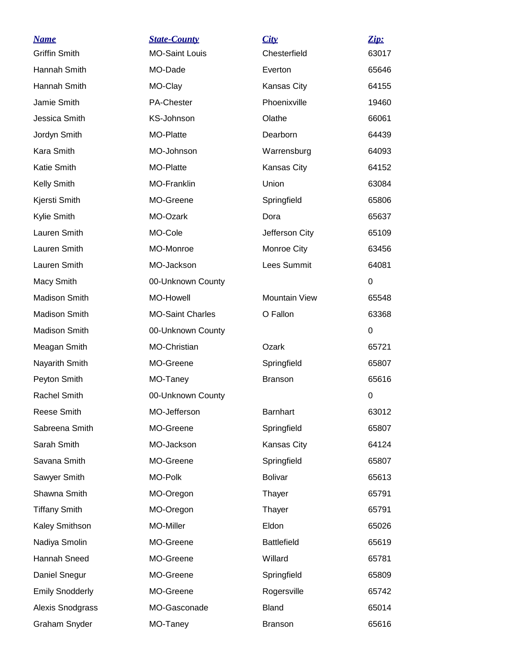| <u>Name</u>            | <b>State-County</b>     | <u>City</u>          | Zip:     |
|------------------------|-------------------------|----------------------|----------|
| <b>Griffin Smith</b>   | <b>MO-Saint Louis</b>   | Chesterfield         | 63017    |
| Hannah Smith           | MO-Dade                 | Everton              | 65646    |
| Hannah Smith           | MO-Clay                 | Kansas City          | 64155    |
| Jamie Smith            | <b>PA-Chester</b>       | Phoenixville         | 19460    |
| Jessica Smith          | KS-Johnson              | Olathe               | 66061    |
| Jordyn Smith           | MO-Platte               | Dearborn             | 64439    |
| Kara Smith             | MO-Johnson              | Warrensburg          | 64093    |
| <b>Katie Smith</b>     | MO-Platte               | Kansas City          | 64152    |
| Kelly Smith            | <b>MO-Franklin</b>      | Union                | 63084    |
| Kjersti Smith          | MO-Greene               | Springfield          | 65806    |
| Kylie Smith            | MO-Ozark                | Dora                 | 65637    |
| Lauren Smith           | MO-Cole                 | Jefferson City       | 65109    |
| Lauren Smith           | MO-Monroe               | Monroe City          | 63456    |
| Lauren Smith           | MO-Jackson              | Lees Summit          | 64081    |
| Macy Smith             | 00-Unknown County       |                      | 0        |
| <b>Madison Smith</b>   | <b>MO-Howell</b>        | <b>Mountain View</b> | 65548    |
| Madison Smith          | <b>MO-Saint Charles</b> | O Fallon             | 63368    |
| Madison Smith          | 00-Unknown County       |                      | $\Omega$ |
| Meagan Smith           | MO-Christian            | Ozark                | 65721    |
| Nayarith Smith         | MO-Greene               | Springfield          | 65807    |
| Peyton Smith           | MO-Taney                | <b>Branson</b>       | 65616    |
| <b>Rachel Smith</b>    | 00-Unknown County       |                      | 0        |
| Reese Smith            | MO-Jefferson            | <b>Barnhart</b>      | 63012    |
| Sabreena Smith         | MO-Greene               | Springfield          | 65807    |
| Sarah Smith            | MO-Jackson              | Kansas City          | 64124    |
| Savana Smith           | MO-Greene               | Springfield          | 65807    |
| Sawyer Smith           | MO-Polk                 | <b>Bolivar</b>       | 65613    |
| Shawna Smith           | MO-Oregon               | Thayer               | 65791    |
| <b>Tiffany Smith</b>   | MO-Oregon               | Thayer               | 65791    |
| Kaley Smithson         | MO-Miller               | Eldon                | 65026    |
| Nadiya Smolin          | MO-Greene               | <b>Battlefield</b>   | 65619    |
| Hannah Sneed           | MO-Greene               | Willard              | 65781    |
| Daniel Snegur          | MO-Greene               | Springfield          | 65809    |
| <b>Emily Snodderly</b> | MO-Greene               | Rogersville          | 65742    |
| Alexis Snodgrass       | MO-Gasconade            | <b>Bland</b>         | 65014    |
| Graham Snyder          | MO-Taney                | <b>Branson</b>       | 65616    |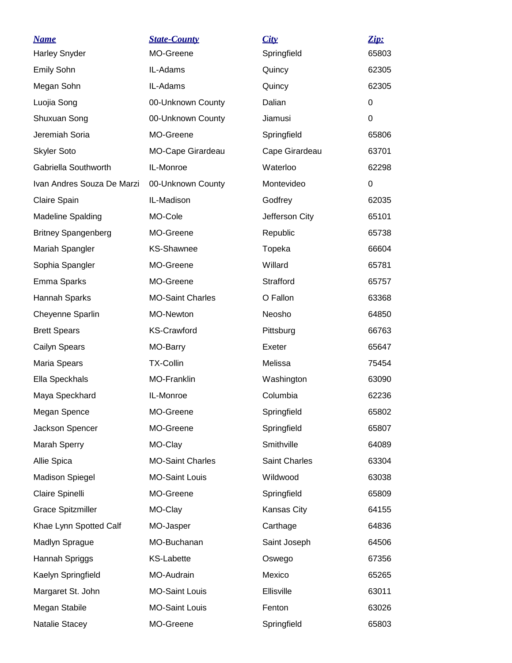| <u>Name</u>                | <b>State-County</b>      | City           | Zip:  |
|----------------------------|--------------------------|----------------|-------|
| <b>Harley Snyder</b>       | MO-Greene                | Springfield    | 65803 |
| Emily Sohn                 | IL-Adams                 | Quincy         | 62305 |
| Megan Sohn                 | IL-Adams                 | Quincy         | 62305 |
| Luojia Song                | 00-Unknown County        | Dalian         | 0     |
| Shuxuan Song               | 00-Unknown County        | Jiamusi        | 0     |
| Jeremiah Soria             | MO-Greene                | Springfield    | 65806 |
| <b>Skyler Soto</b>         | <b>MO-Cape Girardeau</b> | Cape Girardeau | 63701 |
| Gabriella Southworth       | IL-Monroe                | Waterloo       | 62298 |
| Ivan Andres Souza De Marzi | 00-Unknown County        | Montevideo     | 0     |
| Claire Spain               | IL-Madison               | Godfrey        | 62035 |
| <b>Madeline Spalding</b>   | MO-Cole                  | Jefferson City | 65101 |
| <b>Britney Spangenberg</b> | MO-Greene                | Republic       | 65738 |
| Mariah Spangler            | <b>KS-Shawnee</b>        | Topeka         | 66604 |
| Sophia Spangler            | MO-Greene                | Willard        | 65781 |
| Emma Sparks                | MO-Greene                | Strafford      | 65757 |
| Hannah Sparks              | <b>MO-Saint Charles</b>  | O Fallon       | 63368 |
| Cheyenne Sparlin           | MO-Newton                | Neosho         | 64850 |
| <b>Brett Spears</b>        | <b>KS-Crawford</b>       | Pittsburg      | 66763 |
| Cailyn Spears              | MO-Barry                 | Exeter         | 65647 |
| Maria Spears               | <b>TX-Collin</b>         | Melissa        | 75454 |
| Ella Speckhals             | MO-Franklin              | Washington     | 63090 |
| Maya Speckhard             | IL-Monroe                | Columbia       | 62236 |
| Megan Spence               | MO-Greene                | Springfield    | 65802 |
| Jackson Spencer            | MO-Greene                | Springfield    | 65807 |
| Marah Sperry               | MO-Clay                  | Smithville     | 64089 |
| Allie Spica                | <b>MO-Saint Charles</b>  | Saint Charles  | 63304 |
| <b>Madison Spiegel</b>     | <b>MO-Saint Louis</b>    | Wildwood       | 63038 |
| Claire Spinelli            | MO-Greene                | Springfield    | 65809 |
| <b>Grace Spitzmiller</b>   | MO-Clay                  | Kansas City    | 64155 |
| Khae Lynn Spotted Calf     | MO-Jasper                | Carthage       | 64836 |
| Madlyn Sprague             | MO-Buchanan              | Saint Joseph   | 64506 |
| Hannah Spriggs             | <b>KS-Labette</b>        | Oswego         | 67356 |
| Kaelyn Springfield         | MO-Audrain               | Mexico         | 65265 |
| Margaret St. John          | <b>MO-Saint Louis</b>    | Ellisville     | 63011 |
| Megan Stabile              | <b>MO-Saint Louis</b>    | Fenton         | 63026 |
| Natalie Stacey             | MO-Greene                | Springfield    | 65803 |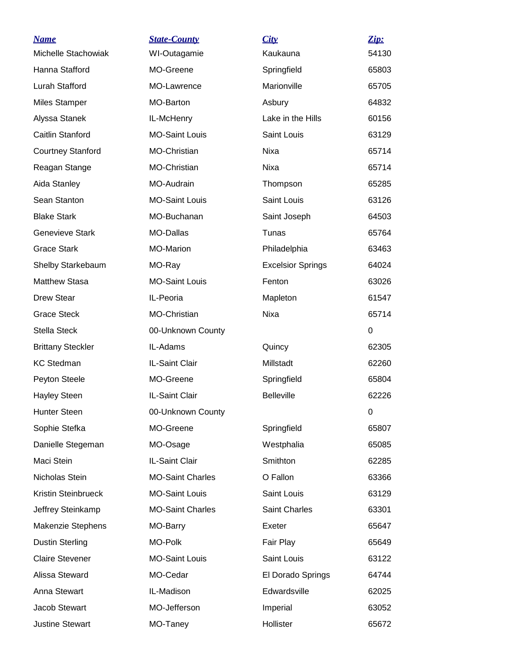| <b>Name</b>              | <b>State-County</b>     | City                     | Zip:     |
|--------------------------|-------------------------|--------------------------|----------|
| Michelle Stachowiak      | WI-Outagamie            | Kaukauna                 | 54130    |
| Hanna Stafford           | MO-Greene               | Springfield              | 65803    |
| Lurah Stafford           | MO-Lawrence             | Marionville              | 65705    |
| <b>Miles Stamper</b>     | MO-Barton               | Asbury                   | 64832    |
| Alyssa Stanek            | IL-McHenry              | Lake in the Hills        | 60156    |
| Caitlin Stanford         | <b>MO-Saint Louis</b>   | Saint Louis              | 63129    |
| <b>Courtney Stanford</b> | MO-Christian            | <b>Nixa</b>              | 65714    |
| Reagan Stange            | MO-Christian            | Nixa                     | 65714    |
| Aida Stanley             | MO-Audrain              | Thompson                 | 65285    |
| Sean Stanton             | <b>MO-Saint Louis</b>   | Saint Louis              | 63126    |
| <b>Blake Stark</b>       | MO-Buchanan             | Saint Joseph             | 64503    |
| <b>Genevieve Stark</b>   | <b>MO-Dallas</b>        | Tunas                    | 65764    |
| <b>Grace Stark</b>       | <b>MO-Marion</b>        | Philadelphia             | 63463    |
| Shelby Starkebaum        | MO-Ray                  | <b>Excelsior Springs</b> | 64024    |
| <b>Matthew Stasa</b>     | <b>MO-Saint Louis</b>   | Fenton                   | 63026    |
| <b>Drew Stear</b>        | IL-Peoria               | Mapleton                 | 61547    |
| <b>Grace Steck</b>       | MO-Christian            | Nixa                     | 65714    |
| Stella Steck             | 00-Unknown County       |                          | $\Omega$ |
| <b>Brittany Steckler</b> | IL-Adams                | Quincy                   | 62305    |
| <b>KC Stedman</b>        | IL-Saint Clair          | Millstadt                | 62260    |
| Peyton Steele            | MO-Greene               | Springfield              | 65804    |
| <b>Hayley Steen</b>      | IL-Saint Clair          | <b>Belleville</b>        | 62226    |
| <b>Hunter Steen</b>      | 00-Unknown County       |                          | 0        |
| Sophie Stefka            | MO-Greene               | Springfield              | 65807    |
| Danielle Stegeman        | MO-Osage                | Westphalia               | 65085    |
| Maci Stein               | IL-Saint Clair          | Smithton                 | 62285    |
| Nicholas Stein           | <b>MO-Saint Charles</b> | O Fallon                 | 63366    |
| Kristin Steinbrueck      | <b>MO-Saint Louis</b>   | Saint Louis              | 63129    |
| Jeffrey Steinkamp        | <b>MO-Saint Charles</b> | Saint Charles            | 63301    |
| Makenzie Stephens        | MO-Barry                | Exeter                   | 65647    |
| <b>Dustin Sterling</b>   | MO-Polk                 | Fair Play                | 65649    |
| <b>Claire Stevener</b>   | <b>MO-Saint Louis</b>   | Saint Louis              | 63122    |
| Alissa Steward           | MO-Cedar                | El Dorado Springs        | 64744    |
| Anna Stewart             | IL-Madison              | Edwardsville             | 62025    |
| Jacob Stewart            | MO-Jefferson            | Imperial                 | 63052    |
| Justine Stewart          | MO-Taney                | Hollister                | 65672    |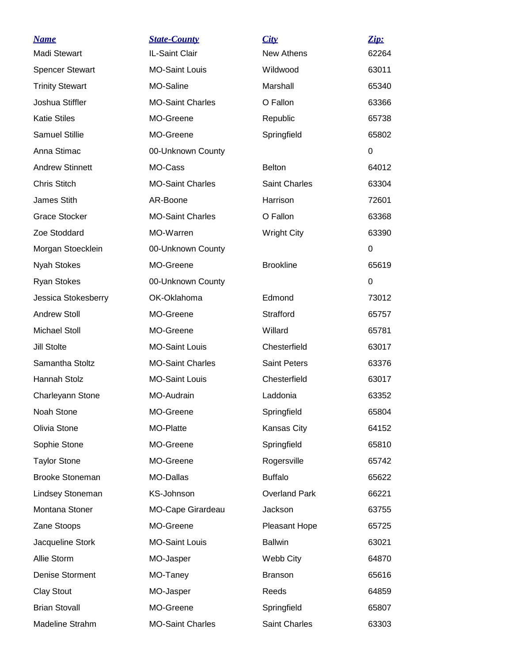| <u>Name</u>            | <b>State-County</b>     | City                 | <u>Zip:</u> |
|------------------------|-------------------------|----------------------|-------------|
| Madi Stewart           | IL-Saint Clair          | <b>New Athens</b>    | 62264       |
| <b>Spencer Stewart</b> | <b>MO-Saint Louis</b>   | Wildwood             | 63011       |
| <b>Trinity Stewart</b> | MO-Saline               | Marshall             | 65340       |
| Joshua Stiffler        | <b>MO-Saint Charles</b> | O Fallon             | 63366       |
| <b>Katie Stiles</b>    | MO-Greene               | Republic             | 65738       |
| <b>Samuel Stillie</b>  | MO-Greene               | Springfield          | 65802       |
| Anna Stimac            | 00-Unknown County       |                      | $\Omega$    |
| <b>Andrew Stinnett</b> | MO-Cass                 | <b>Belton</b>        | 64012       |
| <b>Chris Stitch</b>    | <b>MO-Saint Charles</b> | Saint Charles        | 63304       |
| James Stith            | AR-Boone                | Harrison             | 72601       |
| <b>Grace Stocker</b>   | <b>MO-Saint Charles</b> | O Fallon             | 63368       |
| Zoe Stoddard           | MO-Warren               | <b>Wright City</b>   | 63390       |
| Morgan Stoecklein      | 00-Unknown County       |                      | $\Omega$    |
| Nyah Stokes            | MO-Greene               | <b>Brookline</b>     | 65619       |
| <b>Ryan Stokes</b>     | 00-Unknown County       |                      | $\Omega$    |
| Jessica Stokesberry    | OK-Oklahoma             | Edmond               | 73012       |
| <b>Andrew Stoll</b>    | MO-Greene               | Strafford            | 65757       |
| Michael Stoll          | MO-Greene               | Willard              | 65781       |
| <b>Jill Stolte</b>     | <b>MO-Saint Louis</b>   | Chesterfield         | 63017       |
| Samantha Stoltz        | <b>MO-Saint Charles</b> | <b>Saint Peters</b>  | 63376       |
| Hannah Stolz           | <b>MO-Saint Louis</b>   | Chesterfield         | 63017       |
| Charleyann Stone       | MO-Audrain              | Laddonia             | 63352       |
| Noah Stone             | MO-Greene               | Springfield          | 65804       |
| Olivia Stone           | MO-Platte               | Kansas City          | 64152       |
| Sophie Stone           | MO-Greene               | Springfield          | 65810       |
| <b>Taylor Stone</b>    | MO-Greene               | Rogersville          | 65742       |
| <b>Brooke Stoneman</b> | <b>MO-Dallas</b>        | <b>Buffalo</b>       | 65622       |
| Lindsey Stoneman       | KS-Johnson              | <b>Overland Park</b> | 66221       |
| Montana Stoner         | MO-Cape Girardeau       | Jackson              | 63755       |
| Zane Stoops            | MO-Greene               | Pleasant Hope        | 65725       |
| Jacqueline Stork       | <b>MO-Saint Louis</b>   | <b>Ballwin</b>       | 63021       |
| Allie Storm            | MO-Jasper               | Webb City            | 64870       |
| Denise Storment        | MO-Taney                | <b>Branson</b>       | 65616       |
| <b>Clay Stout</b>      | MO-Jasper               | Reeds                | 64859       |
| <b>Brian Stovall</b>   | MO-Greene               | Springfield          | 65807       |
| Madeline Strahm        | <b>MO-Saint Charles</b> | Saint Charles        | 63303       |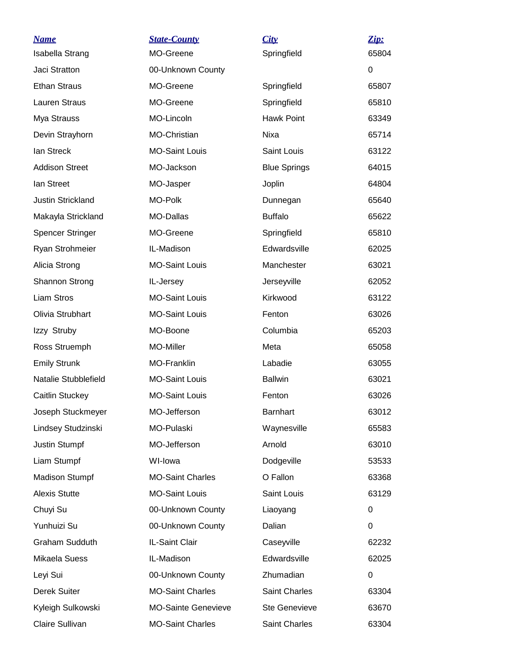| <b>Name</b>              | <b>State-County</b>        | City                 | Zip:     |
|--------------------------|----------------------------|----------------------|----------|
| <b>Isabella Strang</b>   | MO-Greene                  | Springfield          | 65804    |
| Jaci Stratton            | 00-Unknown County          |                      | $\Omega$ |
| <b>Ethan Straus</b>      | MO-Greene                  | Springfield          | 65807    |
| Lauren Straus            | MO-Greene                  | Springfield          | 65810    |
| Mya Strauss              | MO-Lincoln                 | <b>Hawk Point</b>    | 63349    |
| Devin Strayhorn          | MO-Christian               | Nixa                 | 65714    |
| lan Streck               | <b>MO-Saint Louis</b>      | Saint Louis          | 63122    |
| <b>Addison Street</b>    | MO-Jackson                 | <b>Blue Springs</b>  | 64015    |
| lan Street               | MO-Jasper                  | Joplin               | 64804    |
| <b>Justin Strickland</b> | MO-Polk                    | Dunnegan             | 65640    |
| Makayla Strickland       | MO-Dallas                  | <b>Buffalo</b>       | 65622    |
| <b>Spencer Stringer</b>  | MO-Greene                  | Springfield          | 65810    |
| Ryan Strohmeier          | IL-Madison                 | Edwardsville         | 62025    |
| Alicia Strong            | <b>MO-Saint Louis</b>      | Manchester           | 63021    |
| Shannon Strong           | IL-Jersey                  | Jerseyville          | 62052    |
| <b>Liam Stros</b>        | <b>MO-Saint Louis</b>      | Kirkwood             | 63122    |
| Olivia Strubhart         | <b>MO-Saint Louis</b>      | Fenton               | 63026    |
| Izzy Struby              | MO-Boone                   | Columbia             | 65203    |
| Ross Struemph            | MO-Miller                  | Meta                 | 65058    |
| <b>Emily Strunk</b>      | <b>MO-Franklin</b>         | Labadie              | 63055    |
| Natalie Stubblefield     | <b>MO-Saint Louis</b>      | <b>Ballwin</b>       | 63021    |
| Caitlin Stuckey          | <b>MO-Saint Louis</b>      | Fenton               | 63026    |
| Joseph Stuckmeyer        | MO-Jefferson               | <b>Barnhart</b>      | 63012    |
| Lindsey Studzinski       | MO-Pulaski                 | Waynesville          | 65583    |
| <b>Justin Stumpf</b>     | MO-Jefferson               | Arnold               | 63010    |
| Liam Stumpf              | WI-lowa                    | Dodgeville           | 53533    |
| <b>Madison Stumpf</b>    | <b>MO-Saint Charles</b>    | O Fallon             | 63368    |
| <b>Alexis Stutte</b>     | <b>MO-Saint Louis</b>      | Saint Louis          | 63129    |
| Chuyi Su                 | 00-Unknown County          | Liaoyang             | 0        |
| Yunhuizi Su              | 00-Unknown County          | Dalian               | $\Omega$ |
| Graham Sudduth           | IL-Saint Clair             | Caseyville           | 62232    |
| Mikaela Suess            | IL-Madison                 | Edwardsville         | 62025    |
| Leyi Sui                 | 00-Unknown County          | Zhumadian            | 0        |
| Derek Suiter             | <b>MO-Saint Charles</b>    | Saint Charles        | 63304    |
| Kyleigh Sulkowski        | <b>MO-Sainte Genevieve</b> | <b>Ste Genevieve</b> | 63670    |
| Claire Sullivan          | <b>MO-Saint Charles</b>    | Saint Charles        | 63304    |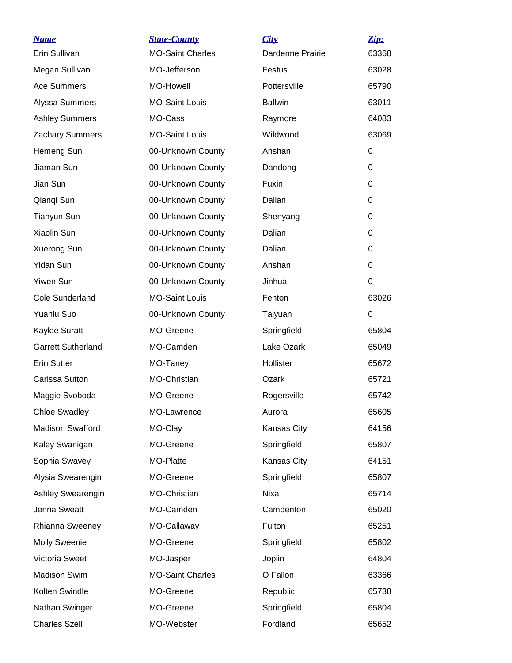| <u>Name</u>               | <b>State-County</b>     | City             | Zip:     |
|---------------------------|-------------------------|------------------|----------|
| Erin Sullivan             | <b>MO-Saint Charles</b> | Dardenne Prairie | 63368    |
| Megan Sullivan            | MO-Jefferson            | Festus           | 63028    |
| Ace Summers               | <b>MO-Howell</b>        | Pottersville     | 65790    |
| Alyssa Summers            | <b>MO-Saint Louis</b>   | <b>Ballwin</b>   | 63011    |
| <b>Ashley Summers</b>     | MO-Cass                 | Raymore          | 64083    |
| Zachary Summers           | <b>MO-Saint Louis</b>   | Wildwood         | 63069    |
| Hemeng Sun                | 00-Unknown County       | Anshan           | 0        |
| Jiaman Sun                | 00-Unknown County       | Dandong          | $\Omega$ |
| Jian Sun                  | 00-Unknown County       | Fuxin            | 0        |
| Qianqi Sun                | 00-Unknown County       | Dalian           | $\Omega$ |
| Tianyun Sun               | 00-Unknown County       | Shenyang         | 0        |
| Xiaolin Sun               | 00-Unknown County       | Dalian           | 0        |
| Xuerong Sun               | 00-Unknown County       | Dalian           | $\Omega$ |
| <b>Yidan Sun</b>          | 00-Unknown County       | Anshan           | $\Omega$ |
| <b>Yiwen Sun</b>          | 00-Unknown County       | Jinhua           | 0        |
| <b>Cole Sunderland</b>    | <b>MO-Saint Louis</b>   | Fenton           | 63026    |
| Yuanlu Suo                | 00-Unknown County       | Taiyuan          | $\Omega$ |
| Kaylee Suratt             | MO-Greene               | Springfield      | 65804    |
| <b>Garrett Sutherland</b> | MO-Camden               | Lake Ozark       | 65049    |
| <b>Erin Sutter</b>        | MO-Taney                | Hollister        | 65672    |
| Carissa Sutton            | MO-Christian            | Ozark            | 65721    |
| Maggie Svoboda            | MO-Greene               | Rogersville      | 65742    |
| <b>Chloe Swadley</b>      | MO-Lawrence             | Aurora           | 65605    |
| <b>Madison Swafford</b>   | MO-Clay                 | Kansas City      | 64156    |
| Kaley Swanigan            | MO-Greene               | Springfield      | 65807    |
| Sophia Swavey             | MO-Platte               | Kansas City      | 64151    |
| Alysia Swearengin         | MO-Greene               | Springfield      | 65807    |
| Ashley Swearengin         | MO-Christian            | Nixa             | 65714    |
| Jenna Sweatt              | MO-Camden               | Camdenton        | 65020    |
| Rhianna Sweeney           | MO-Callaway             | Fulton           | 65251    |
| <b>Molly Sweenie</b>      | MO-Greene               | Springfield      | 65802    |
| Victoria Sweet            | MO-Jasper               | Joplin           | 64804    |
| <b>Madison Swim</b>       | <b>MO-Saint Charles</b> | O Fallon         | 63366    |
| Kolten Swindle            | MO-Greene               | Republic         | 65738    |
| Nathan Swinger            | MO-Greene               | Springfield      | 65804    |
| <b>Charles Szell</b>      | MO-Webster              | Fordland         | 65652    |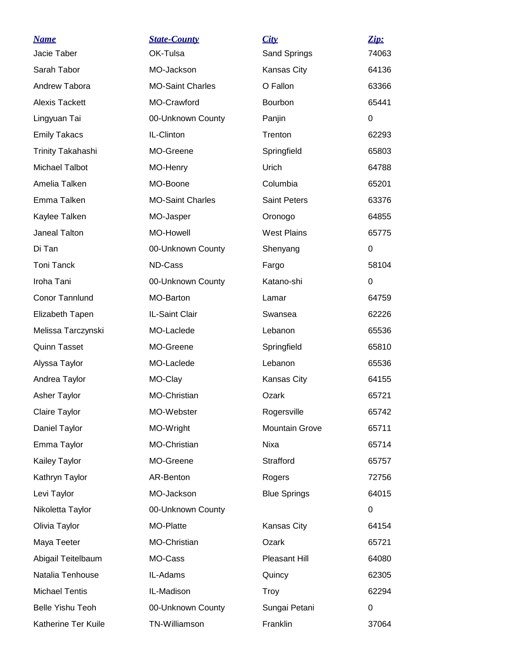| <b>Name</b>              | <b>State-County</b>     | City                  | Zip:        |
|--------------------------|-------------------------|-----------------------|-------------|
| Jacie Taber              | OK-Tulsa                | Sand Springs          | 74063       |
| Sarah Tabor              | MO-Jackson              | Kansas City           | 64136       |
| Andrew Tabora            | <b>MO-Saint Charles</b> | O Fallon              | 63366       |
| <b>Alexis Tackett</b>    | MO-Crawford             | Bourbon               | 65441       |
| Lingyuan Tai             | 00-Unknown County       | Panjin                | $\Omega$    |
| <b>Emily Takacs</b>      | IL-Clinton              | Trenton               | 62293       |
| <b>Trinity Takahashi</b> | MO-Greene               | Springfield           | 65803       |
| Michael Talbot           | MO-Henry                | Urich                 | 64788       |
| Amelia Talken            | MO-Boone                | Columbia              | 65201       |
| Emma Talken              | <b>MO-Saint Charles</b> | <b>Saint Peters</b>   | 63376       |
| Kaylee Talken            | MO-Jasper               | Oronogo               | 64855       |
| Janeal Talton            | MO-Howell               | <b>West Plains</b>    | 65775       |
| Di Tan                   | 00-Unknown County       | Shenyang              | 0           |
| <b>Toni Tanck</b>        | ND-Cass                 | Fargo                 | 58104       |
| Iroha Tani               | 00-Unknown County       | Katano-shi            | 0           |
| Conor Tannlund           | MO-Barton               | Lamar                 | 64759       |
| Elizabeth Tapen          | IL-Saint Clair          | Swansea               | 62226       |
| Melissa Tarczynski       | MO-Laclede              | Lebanon               | 65536       |
| <b>Quinn Tasset</b>      | MO-Greene               | Springfield           | 65810       |
| Alyssa Taylor            | MO-Laclede              | Lebanon               | 65536       |
| Andrea Taylor            | MO-Clay                 | Kansas City           | 64155       |
| <b>Asher Taylor</b>      | MO-Christian            | Ozark                 | 65721       |
| <b>Claire Taylor</b>     | MO-Webster              | Rogersville           | 65742       |
| Daniel Taylor            | MO-Wright               | <b>Mountain Grove</b> | 65711       |
| Emma Taylor              | MO-Christian            | Nixa                  | 65714       |
| Kailey Taylor            | MO-Greene               | Strafford             | 65757       |
| Kathryn Taylor           | AR-Benton               | Rogers                | 72756       |
| Levi Taylor              | MO-Jackson              | <b>Blue Springs</b>   | 64015       |
| Nikoletta Taylor         | 00-Unknown County       |                       | 0           |
| Olivia Taylor            | MO-Platte               | Kansas City           | 64154       |
| Maya Teeter              | MO-Christian            | Ozark                 | 65721       |
| Abigail Teitelbaum       | MO-Cass                 | Pleasant Hill         | 64080       |
| Natalia Tenhouse         | IL-Adams                | Quincy                | 62305       |
| <b>Michael Tentis</b>    | IL-Madison              | Troy                  | 62294       |
| <b>Belle Yishu Teoh</b>  | 00-Unknown County       | Sungai Petani         | $\mathbf 0$ |
| Katherine Ter Kuile      | TN-Williamson           | Franklin              | 37064       |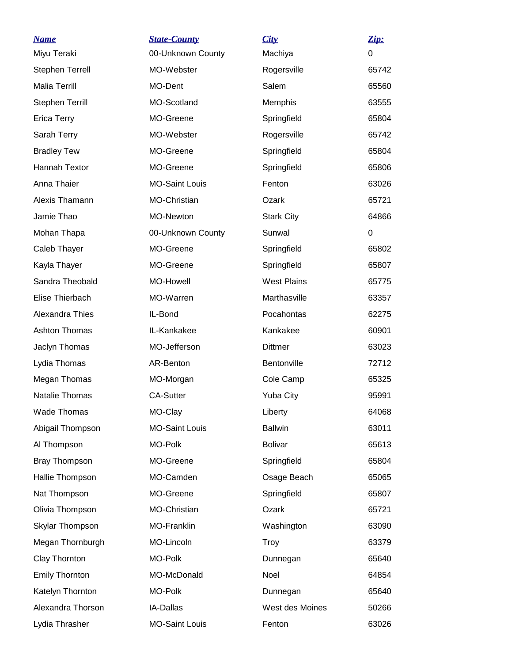| <b>Name</b>            | <b>State-County</b>   | City               | Zip:  |
|------------------------|-----------------------|--------------------|-------|
| Miyu Teraki            | 00-Unknown County     | Machiya            | 0     |
| <b>Stephen Terrell</b> | MO-Webster            | Rogersville        | 65742 |
| <b>Malia Terrill</b>   | MO-Dent               | Salem              | 65560 |
| <b>Stephen Terrill</b> | MO-Scotland           | Memphis            | 63555 |
| <b>Erica Terry</b>     | MO-Greene             | Springfield        | 65804 |
| Sarah Terry            | MO-Webster            | Rogersville        | 65742 |
| <b>Bradley Tew</b>     | MO-Greene             | Springfield        | 65804 |
| Hannah Textor          | MO-Greene             | Springfield        | 65806 |
| Anna Thaier            | <b>MO-Saint Louis</b> | Fenton             | 63026 |
| Alexis Thamann         | MO-Christian          | Ozark              | 65721 |
| Jamie Thao             | <b>MO-Newton</b>      | <b>Stark City</b>  | 64866 |
| Mohan Thapa            | 00-Unknown County     | Sunwal             | 0     |
| Caleb Thayer           | MO-Greene             | Springfield        | 65802 |
| Kayla Thayer           | MO-Greene             | Springfield        | 65807 |
| Sandra Theobald        | <b>MO-Howell</b>      | <b>West Plains</b> | 65775 |
| Elise Thierbach        | MO-Warren             | Marthasville       | 63357 |
| Alexandra Thies        | IL-Bond               | Pocahontas         | 62275 |
| <b>Ashton Thomas</b>   | IL-Kankakee           | Kankakee           | 60901 |
| Jaclyn Thomas          | MO-Jefferson          | <b>Dittmer</b>     | 63023 |
| Lydia Thomas           | AR-Benton             | Bentonville        | 72712 |
| Megan Thomas           | MO-Morgan             | Cole Camp          | 65325 |
| Natalie Thomas         | <b>CA-Sutter</b>      | <b>Yuba City</b>   | 95991 |
| <b>Wade Thomas</b>     | MO-Clay               | Liberty            | 64068 |
| Abigail Thompson       | <b>MO-Saint Louis</b> | <b>Ballwin</b>     | 63011 |
| Al Thompson            | MO-Polk               | <b>Bolivar</b>     | 65613 |
| <b>Bray Thompson</b>   | MO-Greene             | Springfield        | 65804 |
| Hallie Thompson        | MO-Camden             | Osage Beach        | 65065 |
| Nat Thompson           | MO-Greene             | Springfield        | 65807 |
| Olivia Thompson        | MO-Christian          | Ozark              | 65721 |
| Skylar Thompson        | MO-Franklin           | Washington         | 63090 |
| Megan Thornburgh       | MO-Lincoln            | Troy               | 63379 |
| Clay Thornton          | MO-Polk               | Dunnegan           | 65640 |
| <b>Emily Thornton</b>  | MO-McDonald           | Noel               | 64854 |
| Katelyn Thornton       | MO-Polk               | Dunnegan           | 65640 |
| Alexandra Thorson      | IA-Dallas             | West des Moines    | 50266 |
| Lydia Thrasher         | <b>MO-Saint Louis</b> | Fenton             | 63026 |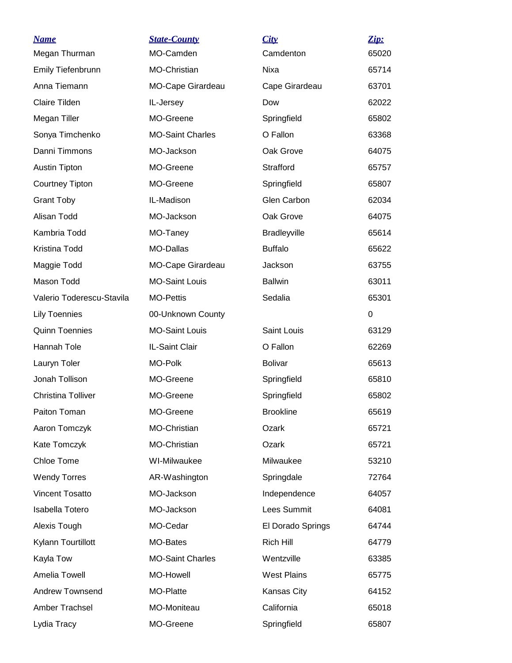| <b>Name</b>               | <b>State-County</b>      | City                | Zip:  |
|---------------------------|--------------------------|---------------------|-------|
| Megan Thurman             | MO-Camden                | Camdenton           | 65020 |
| Emily Tiefenbrunn         | MO-Christian             | Nixa                | 65714 |
| Anna Tiemann              | <b>MO-Cape Girardeau</b> | Cape Girardeau      | 63701 |
| <b>Claire Tilden</b>      | IL-Jersey                | Dow                 | 62022 |
| Megan Tiller              | MO-Greene                | Springfield         | 65802 |
| Sonya Timchenko           | <b>MO-Saint Charles</b>  | O Fallon            | 63368 |
| Danni Timmons             | MO-Jackson               | Oak Grove           | 64075 |
| Austin Tipton             | MO-Greene                | Strafford           | 65757 |
| Courtney Tipton           | MO-Greene                | Springfield         | 65807 |
| <b>Grant Toby</b>         | IL-Madison               | Glen Carbon         | 62034 |
| Alisan Todd               | MO-Jackson               | Oak Grove           | 64075 |
| Kambria Todd              | MO-Taney                 | <b>Bradleyville</b> | 65614 |
| Kristina Todd             | MO-Dallas                | <b>Buffalo</b>      | 65622 |
| Maggie Todd               | <b>MO-Cape Girardeau</b> | Jackson             | 63755 |
| Mason Todd                | <b>MO-Saint Louis</b>    | <b>Ballwin</b>      | 63011 |
| Valerio Toderescu-Stavila | <b>MO-Pettis</b>         | Sedalia             | 65301 |
| <b>Lily Toennies</b>      | 00-Unknown County        |                     | 0     |
| <b>Quinn Toennies</b>     | <b>MO-Saint Louis</b>    | Saint Louis         | 63129 |
| Hannah Tole               | IL-Saint Clair           | O Fallon            | 62269 |
| Lauryn Toler              | MO-Polk                  | <b>Bolivar</b>      | 65613 |
| Jonah Tollison            | MO-Greene                | Springfield         | 65810 |
| <b>Christina Tolliver</b> | MO-Greene                | Springfield         | 65802 |
| Paiton Toman              | MO-Greene                | <b>Brookline</b>    | 65619 |
| Aaron Tomczyk             | MO-Christian             | Ozark               | 65721 |
| Kate Tomczyk              | MO-Christian             | Ozark               | 65721 |
| Chloe Tome                | WI-Milwaukee             | Milwaukee           | 53210 |
| <b>Wendy Torres</b>       | AR-Washington            | Springdale          | 72764 |
| <b>Vincent Tosatto</b>    | MO-Jackson               | Independence        | 64057 |
| <b>Isabella Totero</b>    | MO-Jackson               | Lees Summit         | 64081 |
| Alexis Tough              | MO-Cedar                 | El Dorado Springs   | 64744 |
| Kylann Tourtillott        | MO-Bates                 | <b>Rich Hill</b>    | 64779 |
| Kayla Tow                 | <b>MO-Saint Charles</b>  | Wentzville          | 63385 |
| Amelia Towell             | MO-Howell                | <b>West Plains</b>  | 65775 |
| <b>Andrew Townsend</b>    | MO-Platte                | Kansas City         | 64152 |
| Amber Trachsel            | MO-Moniteau              | California          | 65018 |
| Lydia Tracy               | MO-Greene                | Springfield         | 65807 |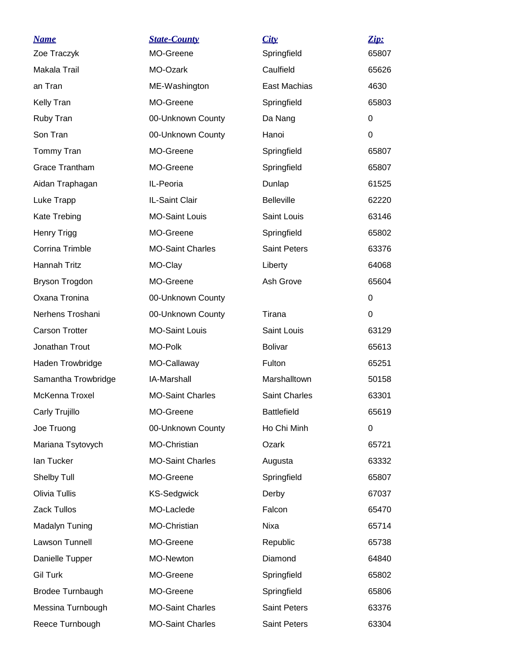| <u>Name</u>             | <b>State-County</b>     | City                 | Zip:     |
|-------------------------|-------------------------|----------------------|----------|
| Zoe Traczyk             | MO-Greene               | Springfield          | 65807    |
| Makala Trail            | MO-Ozark                | Caulfield            | 65626    |
| an Tran                 | ME-Washington           | East Machias         | 4630     |
| <b>Kelly Tran</b>       | MO-Greene               | Springfield          | 65803    |
| Ruby Tran               | 00-Unknown County       | Da Nang              | 0        |
| Son Tran                | 00-Unknown County       | Hanoi                | $\Omega$ |
| Tommy Tran              | MO-Greene               | Springfield          | 65807    |
| <b>Grace Trantham</b>   | MO-Greene               | Springfield          | 65807    |
| Aidan Traphagan         | IL-Peoria               | Dunlap               | 61525    |
| Luke Trapp              | IL-Saint Clair          | <b>Belleville</b>    | 62220    |
| Kate Trebing            | <b>MO-Saint Louis</b>   | Saint Louis          | 63146    |
| <b>Henry Trigg</b>      | MO-Greene               | Springfield          | 65802    |
| Corrina Trimble         | <b>MO-Saint Charles</b> | <b>Saint Peters</b>  | 63376    |
| <b>Hannah Tritz</b>     | MO-Clay                 | Liberty              | 64068    |
| Bryson Trogdon          | MO-Greene               | Ash Grove            | 65604    |
| Oxana Tronina           | 00-Unknown County       |                      | 0        |
| Nerhens Troshani        | 00-Unknown County       | Tirana               | 0        |
| <b>Carson Trotter</b>   | <b>MO-Saint Louis</b>   | Saint Louis          | 63129    |
| Jonathan Trout          | MO-Polk                 | <b>Bolivar</b>       | 65613    |
| Haden Trowbridge        | MO-Callaway             | Fulton               | 65251    |
| Samantha Trowbridge     | <b>IA-Marshall</b>      | Marshalltown         | 50158    |
| McKenna Troxel          | <b>MO-Saint Charles</b> | <b>Saint Charles</b> | 63301    |
| Carly Trujillo          | MO-Greene               | <b>Battlefield</b>   | 65619    |
| Joe Truong              | 00-Unknown County       | Ho Chi Minh          | 0        |
| Mariana Tsytovych       | MO-Christian            | Ozark                | 65721    |
| lan Tucker              | <b>MO-Saint Charles</b> | Augusta              | 63332    |
| Shelby Tull             | MO-Greene               | Springfield          | 65807    |
| Olivia Tullis           | <b>KS-Sedgwick</b>      | Derby                | 67037    |
| Zack Tullos             | MO-Laclede              | Falcon               | 65470    |
| Madalyn Tuning          | MO-Christian            | Nixa                 | 65714    |
| Lawson Tunnell          | MO-Greene               | Republic             | 65738    |
| Danielle Tupper         | MO-Newton               | Diamond              | 64840    |
| <b>Gil Turk</b>         | MO-Greene               | Springfield          | 65802    |
| <b>Brodee Turnbaugh</b> | MO-Greene               | Springfield          | 65806    |
| Messina Turnbough       | <b>MO-Saint Charles</b> | <b>Saint Peters</b>  | 63376    |
| Reece Turnbough         | <b>MO-Saint Charles</b> | Saint Peters         | 63304    |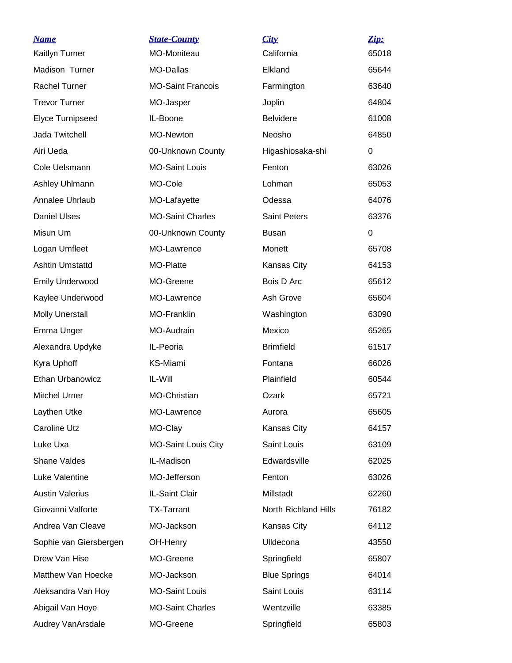| <b>Name</b>            | <b>State-County</b>        | City                 | Zip:  |
|------------------------|----------------------------|----------------------|-------|
| Kaitlyn Turner         | MO-Moniteau                | California           | 65018 |
| Madison Turner         | <b>MO-Dallas</b>           | Elkland              | 65644 |
| <b>Rachel Turner</b>   | <b>MO-Saint Francois</b>   | Farmington           | 63640 |
| <b>Trevor Turner</b>   | MO-Jasper                  | Joplin               | 64804 |
| Elyce Turnipseed       | IL-Boone                   | <b>Belvidere</b>     | 61008 |
| Jada Twitchell         | MO-Newton                  | Neosho               | 64850 |
| Airi Ueda              | 00-Unknown County          | Higashiosaka-shi     | 0     |
| Cole Uelsmann          | <b>MO-Saint Louis</b>      | Fenton               | 63026 |
| Ashley Uhlmann         | MO-Cole                    | Lohman               | 65053 |
| Annalee Uhrlaub        | MO-Lafayette               | Odessa               | 64076 |
| <b>Daniel Ulses</b>    | <b>MO-Saint Charles</b>    | <b>Saint Peters</b>  | 63376 |
| Misun Um               | 00-Unknown County          | Busan                | 0     |
| Logan Umfleet          | MO-Lawrence                | Monett               | 65708 |
| <b>Ashtin Umstattd</b> | MO-Platte                  | Kansas City          | 64153 |
| <b>Emily Underwood</b> | MO-Greene                  | Bois D Arc           | 65612 |
| Kaylee Underwood       | MO-Lawrence                | Ash Grove            | 65604 |
| <b>Molly Unerstall</b> | <b>MO-Franklin</b>         | Washington           | 63090 |
| Emma Unger             | MO-Audrain                 | Mexico               | 65265 |
| Alexandra Updyke       | IL-Peoria                  | <b>Brimfield</b>     | 61517 |
| Kyra Uphoff            | KS-Miami                   | Fontana              | 66026 |
| Ethan Urbanowicz       | IL-Will                    | Plainfield           | 60544 |
| <b>Mitchel Urner</b>   | MO-Christian               | Ozark                | 65721 |
| Laythen Utke           | MO-Lawrence                | Aurora               | 65605 |
| <b>Caroline Utz</b>    | MO-Clay                    | Kansas City          | 64157 |
| Luke Uxa               | <b>MO-Saint Louis City</b> | Saint Louis          | 63109 |
| <b>Shane Valdes</b>    | IL-Madison                 | Edwardsville         | 62025 |
| Luke Valentine         | MO-Jefferson               | Fenton               | 63026 |
| <b>Austin Valerius</b> | IL-Saint Clair             | Millstadt            | 62260 |
| Giovanni Valforte      | <b>TX-Tarrant</b>          | North Richland Hills | 76182 |
| Andrea Van Cleave      | MO-Jackson                 | Kansas City          | 64112 |
| Sophie van Giersbergen | OH-Henry                   | Ulldecona            | 43550 |
| Drew Van Hise          | MO-Greene                  | Springfield          | 65807 |
| Matthew Van Hoecke     | MO-Jackson                 | <b>Blue Springs</b>  | 64014 |
| Aleksandra Van Hoy     | <b>MO-Saint Louis</b>      | Saint Louis          | 63114 |
| Abigail Van Hoye       | <b>MO-Saint Charles</b>    | Wentzville           | 63385 |
| Audrey VanArsdale      | MO-Greene                  | Springfield          | 65803 |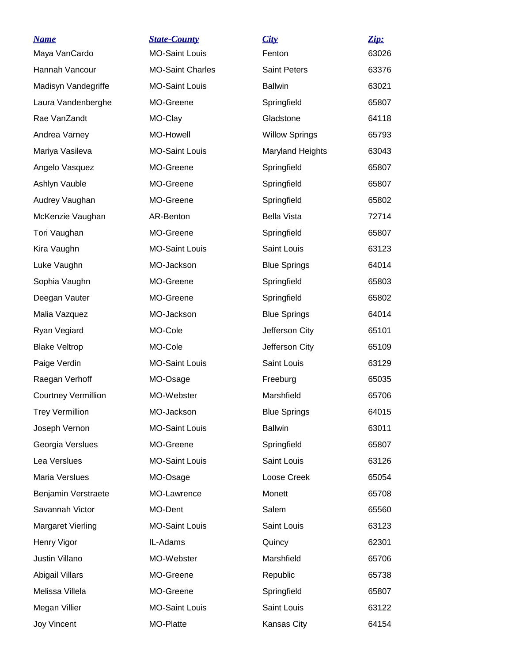| <u>Name</u>                | <b>State-County</b>     | City                    | Zip:  |
|----------------------------|-------------------------|-------------------------|-------|
| Maya VanCardo              | <b>MO-Saint Louis</b>   | Fenton                  | 63026 |
| Hannah Vancour             | <b>MO-Saint Charles</b> | <b>Saint Peters</b>     | 63376 |
| Madisyn Vandegriffe        | <b>MO-Saint Louis</b>   | <b>Ballwin</b>          | 63021 |
| Laura Vandenberghe         | MO-Greene               | Springfield             | 65807 |
| Rae VanZandt               | MO-Clay                 | Gladstone               | 64118 |
| Andrea Varney              | MO-Howell               | <b>Willow Springs</b>   | 65793 |
| Mariya Vasileva            | <b>MO-Saint Louis</b>   | <b>Maryland Heights</b> | 63043 |
| Angelo Vasquez             | MO-Greene               | Springfield             | 65807 |
| Ashlyn Vauble              | MO-Greene               | Springfield             | 65807 |
| Audrey Vaughan             | MO-Greene               | Springfield             | 65802 |
| McKenzie Vaughan           | AR-Benton               | <b>Bella Vista</b>      | 72714 |
| Tori Vaughan               | MO-Greene               | Springfield             | 65807 |
| Kira Vaughn                | <b>MO-Saint Louis</b>   | Saint Louis             | 63123 |
| Luke Vaughn                | MO-Jackson              | <b>Blue Springs</b>     | 64014 |
| Sophia Vaughn              | MO-Greene               | Springfield             | 65803 |
| Deegan Vauter              | MO-Greene               | Springfield             | 65802 |
| Malia Vazquez              | MO-Jackson              | <b>Blue Springs</b>     | 64014 |
| Ryan Vegiard               | MO-Cole                 | Jefferson City          | 65101 |
| <b>Blake Veltrop</b>       | MO-Cole                 | Jefferson City          | 65109 |
| Paige Verdin               | <b>MO-Saint Louis</b>   | Saint Louis             | 63129 |
| Raegan Verhoff             | MO-Osage                | Freeburg                | 65035 |
| <b>Courtney Vermillion</b> | MO-Webster              | Marshfield              | 65706 |
| <b>Trey Vermillion</b>     | MO-Jackson              | <b>Blue Springs</b>     | 64015 |
| Joseph Vernon              | <b>MO-Saint Louis</b>   | <b>Ballwin</b>          | 63011 |
| Georgia Verslues           | MO-Greene               | Springfield             | 65807 |
| Lea Verslues               | <b>MO-Saint Louis</b>   | Saint Louis             | 63126 |
| Maria Verslues             | MO-Osage                | Loose Creek             | 65054 |
| Benjamin Verstraete        | MO-Lawrence             | Monett                  | 65708 |
| Savannah Victor            | MO-Dent                 | Salem                   | 65560 |
| Margaret Vierling          | <b>MO-Saint Louis</b>   | Saint Louis             | 63123 |
| Henry Vigor                | IL-Adams                | Quincy                  | 62301 |
| Justin Villano             | MO-Webster              | Marshfield              | 65706 |
| Abigail Villars            | MO-Greene               | Republic                | 65738 |
| Melissa Villela            | MO-Greene               | Springfield             | 65807 |
| Megan Villier              | <b>MO-Saint Louis</b>   | Saint Louis             | 63122 |
| Joy Vincent                | MO-Platte               | Kansas City             | 64154 |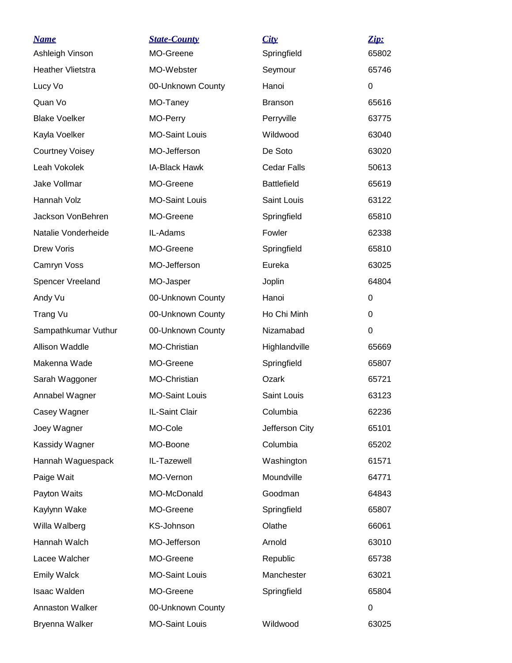| <u>Name</u>              | <b>State-County</b>   | City               | Zip:        |
|--------------------------|-----------------------|--------------------|-------------|
| Ashleigh Vinson          | MO-Greene             | Springfield        | 65802       |
| <b>Heather Vlietstra</b> | MO-Webster            | Seymour            | 65746       |
| Lucy Vo                  | 00-Unknown County     | Hanoi              | 0           |
| Quan Vo                  | MO-Taney              | <b>Branson</b>     | 65616       |
| <b>Blake Voelker</b>     | MO-Perry              | Perryville         | 63775       |
| Kayla Voelker            | <b>MO-Saint Louis</b> | Wildwood           | 63040       |
| <b>Courtney Voisey</b>   | MO-Jefferson          | De Soto            | 63020       |
| Leah Vokolek             | <b>IA-Black Hawk</b>  | Cedar Falls        | 50613       |
| Jake Vollmar             | MO-Greene             | <b>Battlefield</b> | 65619       |
| Hannah Volz              | <b>MO-Saint Louis</b> | Saint Louis        | 63122       |
| Jackson VonBehren        | MO-Greene             | Springfield        | 65810       |
| Natalie Vonderheide      | IL-Adams              | Fowler             | 62338       |
| <b>Drew Voris</b>        | MO-Greene             | Springfield        | 65810       |
| Camryn Voss              | MO-Jefferson          | Eureka             | 63025       |
| Spencer Vreeland         | MO-Jasper             | Joplin             | 64804       |
| Andy Vu                  | 00-Unknown County     | Hanoi              | 0           |
| Trang Vu                 | 00-Unknown County     | Ho Chi Minh        | 0           |
| Sampathkumar Vuthur      | 00-Unknown County     | Nizamabad          | $\mathbf 0$ |
| Allison Waddle           | MO-Christian          | Highlandville      | 65669       |
| Makenna Wade             | MO-Greene             | Springfield        | 65807       |
| Sarah Waggoner           | <b>MO-Christian</b>   | Ozark              | 65721       |
| Annabel Wagner           | <b>MO-Saint Louis</b> | Saint Louis        | 63123       |
| Casey Wagner             | IL-Saint Clair        | Columbia           | 62236       |
| Joey Wagner              | MO-Cole               | Jefferson City     | 65101       |
| Kassidy Wagner           | MO-Boone              | Columbia           | 65202       |
| Hannah Waguespack        | IL-Tazewell           | Washington         | 61571       |
| Paige Wait               | MO-Vernon             | Moundville         | 64771       |
| Payton Waits             | MO-McDonald           | Goodman            | 64843       |
| Kaylynn Wake             | MO-Greene             | Springfield        | 65807       |
| Willa Walberg            | KS-Johnson            | Olathe             | 66061       |
| Hannah Walch             | MO-Jefferson          | Arnold             | 63010       |
| Lacee Walcher            | MO-Greene             | Republic           | 65738       |
| <b>Emily Walck</b>       | <b>MO-Saint Louis</b> | Manchester         | 63021       |
| Isaac Walden             | MO-Greene             | Springfield        | 65804       |
| Annaston Walker          | 00-Unknown County     |                    | 0           |
| Bryenna Walker           | <b>MO-Saint Louis</b> | Wildwood           | 63025       |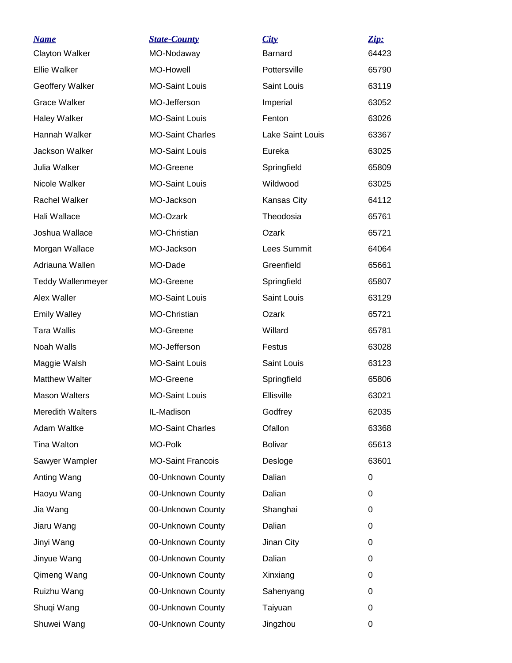| <u>Name</u>              | <b>State-County</b>      | City                    | Zip:  |
|--------------------------|--------------------------|-------------------------|-------|
| <b>Clayton Walker</b>    | MO-Nodaway               | <b>Barnard</b>          | 64423 |
| Ellie Walker             | MO-Howell                | Pottersville            | 65790 |
| Geoffery Walker          | <b>MO-Saint Louis</b>    | Saint Louis             | 63119 |
| <b>Grace Walker</b>      | MO-Jefferson             | Imperial                | 63052 |
| <b>Haley Walker</b>      | <b>MO-Saint Louis</b>    | Fenton                  | 63026 |
| Hannah Walker            | <b>MO-Saint Charles</b>  | <b>Lake Saint Louis</b> | 63367 |
| Jackson Walker           | <b>MO-Saint Louis</b>    | Eureka                  | 63025 |
| Julia Walker             | MO-Greene                | Springfield             | 65809 |
| Nicole Walker            | <b>MO-Saint Louis</b>    | Wildwood                | 63025 |
| <b>Rachel Walker</b>     | MO-Jackson               | Kansas City             | 64112 |
| Hali Wallace             | MO-Ozark                 | Theodosia               | 65761 |
| Joshua Wallace           | MO-Christian             | Ozark                   | 65721 |
| Morgan Wallace           | MO-Jackson               | Lees Summit             | 64064 |
| Adriauna Wallen          | MO-Dade                  | Greenfield              | 65661 |
| <b>Teddy Wallenmeyer</b> | MO-Greene                | Springfield             | 65807 |
| Alex Waller              | <b>MO-Saint Louis</b>    | Saint Louis             | 63129 |
| <b>Emily Walley</b>      | MO-Christian             | Ozark                   | 65721 |
| <b>Tara Wallis</b>       | MO-Greene                | Willard                 | 65781 |
| Noah Walls               | MO-Jefferson             | Festus                  | 63028 |
| Maggie Walsh             | <b>MO-Saint Louis</b>    | Saint Louis             | 63123 |
| <b>Matthew Walter</b>    | MO-Greene                | Springfield             | 65806 |
| <b>Mason Walters</b>     | <b>MO-Saint Louis</b>    | Ellisville              | 63021 |
| <b>Meredith Walters</b>  | IL-Madison               | Godfrey                 | 62035 |
| Adam Waltke              | <b>MO-Saint Charles</b>  | Ofallon                 | 63368 |
| Tina Walton              | MO-Polk                  | <b>Bolivar</b>          | 65613 |
| Sawyer Wampler           | <b>MO-Saint Francois</b> | Desloge                 | 63601 |
| Anting Wang              | 00-Unknown County        | Dalian                  | 0     |
| Haoyu Wang               | 00-Unknown County        | Dalian                  | 0     |
| Jia Wang                 | 00-Unknown County        | Shanghai                | 0     |
| Jiaru Wang               | 00-Unknown County        | Dalian                  | 0     |
| Jinyi Wang               | 00-Unknown County        | Jinan City              | 0     |
| Jinyue Wang              | 00-Unknown County        | Dalian                  | 0     |
| Qimeng Wang              | 00-Unknown County        | Xinxiang                | 0     |
| Ruizhu Wang              | 00-Unknown County        | Sahenyang               | 0     |
| Shuqi Wang               | 00-Unknown County        | Taiyuan                 | 0     |
| Shuwei Wang              | 00-Unknown County        | Jingzhou                | 0     |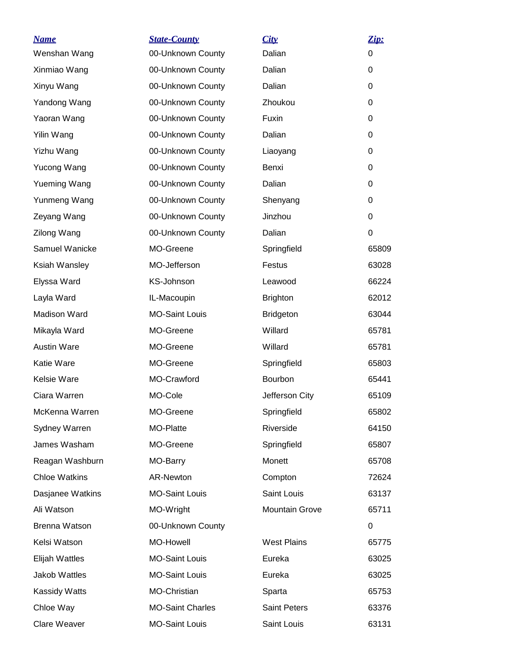| <b>Name</b>          | <b>State-County</b>     | City                | Zip:  |
|----------------------|-------------------------|---------------------|-------|
| Wenshan Wang         | 00-Unknown County       | Dalian              | 0     |
| Xinmiao Wang         | 00-Unknown County       | Dalian              | 0     |
| Xinyu Wang           | 00-Unknown County       | Dalian              | 0     |
| Yandong Wang         | 00-Unknown County       | Zhoukou             | 0     |
| Yaoran Wang          | 00-Unknown County       | Fuxin               | 0     |
| Yilin Wang           | 00-Unknown County       | Dalian              | 0     |
| Yizhu Wang           | 00-Unknown County       | Liaoyang            | 0     |
| Yucong Wang          | 00-Unknown County       | Benxi               | 0     |
| Yueming Wang         | 00-Unknown County       | Dalian              | 0     |
| Yunmeng Wang         | 00-Unknown County       | Shenyang            | 0     |
| Zeyang Wang          | 00-Unknown County       | Jinzhou             | 0     |
| Zilong Wang          | 00-Unknown County       | Dalian              | 0     |
| Samuel Wanicke       | MO-Greene               | Springfield         | 65809 |
| Ksiah Wansley        | MO-Jefferson            | Festus              | 63028 |
| Elyssa Ward          | KS-Johnson              | Leawood             | 66224 |
| Layla Ward           | IL-Macoupin             | <b>Brighton</b>     | 62012 |
| Madison Ward         | <b>MO-Saint Louis</b>   | <b>Bridgeton</b>    | 63044 |
| Mikayla Ward         | MO-Greene               | Willard             | 65781 |
| <b>Austin Ware</b>   | MO-Greene               | Willard             | 65781 |
| Katie Ware           | MO-Greene               | Springfield         | 65803 |
| Kelsie Ware          | MO-Crawford             | Bourbon             | 65441 |
| Ciara Warren         | MO-Cole                 | Jefferson City      | 65109 |
| McKenna Warren       | MO-Greene               | Springfield         | 65802 |
| Sydney Warren        | MO-Platte               | Riverside           | 64150 |
| James Washam         | MO-Greene               | Springfield         | 65807 |
| Reagan Washburn      | MO-Barry                | Monett              | 65708 |
| <b>Chloe Watkins</b> | AR-Newton               | Compton             | 72624 |
| Dasjanee Watkins     | <b>MO-Saint Louis</b>   | Saint Louis         | 63137 |
| Ali Watson           | MO-Wright               | Mountain Grove      | 65711 |
| Brenna Watson        | 00-Unknown County       |                     | 0     |
| Kelsi Watson         | MO-Howell               | <b>West Plains</b>  | 65775 |
| Elijah Wattles       | <b>MO-Saint Louis</b>   | Eureka              | 63025 |
| Jakob Wattles        | <b>MO-Saint Louis</b>   | Eureka              | 63025 |
| Kassidy Watts        | MO-Christian            | Sparta              | 65753 |
| Chloe Way            | <b>MO-Saint Charles</b> | <b>Saint Peters</b> | 63376 |
| Clare Weaver         | <b>MO-Saint Louis</b>   | Saint Louis         | 63131 |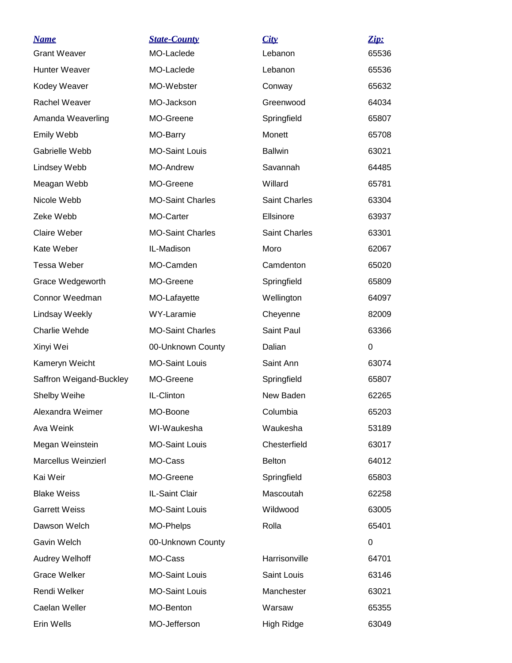| <b>Name</b>             | <b>State-County</b>     | City                 | Zip:  |
|-------------------------|-------------------------|----------------------|-------|
| <b>Grant Weaver</b>     | MO-Laclede              | Lebanon              | 65536 |
| Hunter Weaver           | MO-Laclede              | Lebanon              | 65536 |
| Kodey Weaver            | MO-Webster              | Conway               | 65632 |
| Rachel Weaver           | MO-Jackson              | Greenwood            | 64034 |
| Amanda Weaverling       | MO-Greene               | Springfield          | 65807 |
| Emily Webb              | MO-Barry                | Monett               | 65708 |
| Gabrielle Webb          | <b>MO-Saint Louis</b>   | <b>Ballwin</b>       | 63021 |
| Lindsey Webb            | <b>MO-Andrew</b>        | Savannah             | 64485 |
| Meagan Webb             | MO-Greene               | Willard              | 65781 |
| Nicole Webb             | <b>MO-Saint Charles</b> | <b>Saint Charles</b> | 63304 |
| Zeke Webb               | MO-Carter               | Ellsinore            | 63937 |
| <b>Claire Weber</b>     | <b>MO-Saint Charles</b> | <b>Saint Charles</b> | 63301 |
| Kate Weber              | IL-Madison              | Moro                 | 62067 |
| <b>Tessa Weber</b>      | MO-Camden               | Camdenton            | 65020 |
| Grace Wedgeworth        | MO-Greene               | Springfield          | 65809 |
| Connor Weedman          | MO-Lafayette            | Wellington           | 64097 |
| Lindsay Weekly          | WY-Laramie              | Cheyenne             | 82009 |
| Charlie Wehde           | <b>MO-Saint Charles</b> | Saint Paul           | 63366 |
| Xinyi Wei               | 00-Unknown County       | Dalian               | 0     |
| Kameryn Weicht          | <b>MO-Saint Louis</b>   | Saint Ann            | 63074 |
| Saffron Weigand-Buckley | MO-Greene               | Springfield          | 65807 |
| Shelby Weihe            | IL-Clinton              | New Baden            | 62265 |
| Alexandra Weimer        | MO-Boone                | Columbia             | 65203 |
| Ava Weink               | WI-Waukesha             | Waukesha             | 53189 |
| Megan Weinstein         | <b>MO-Saint Louis</b>   | Chesterfield         | 63017 |
| Marcellus Weinzierl     | MO-Cass                 | <b>Belton</b>        | 64012 |
| Kai Weir                | MO-Greene               | Springfield          | 65803 |
| <b>Blake Weiss</b>      | IL-Saint Clair          | Mascoutah            | 62258 |
| <b>Garrett Weiss</b>    | <b>MO-Saint Louis</b>   | Wildwood             | 63005 |
| Dawson Welch            | MO-Phelps               | Rolla                | 65401 |
| Gavin Welch             | 00-Unknown County       |                      | 0     |
| Audrey Welhoff          | MO-Cass                 | Harrisonville        | 64701 |
| <b>Grace Welker</b>     | <b>MO-Saint Louis</b>   | Saint Louis          | 63146 |
| Rendi Welker            | <b>MO-Saint Louis</b>   | Manchester           | 63021 |
| Caelan Weller           | MO-Benton               | Warsaw               | 65355 |
| Erin Wells              | MO-Jefferson            | High Ridge           | 63049 |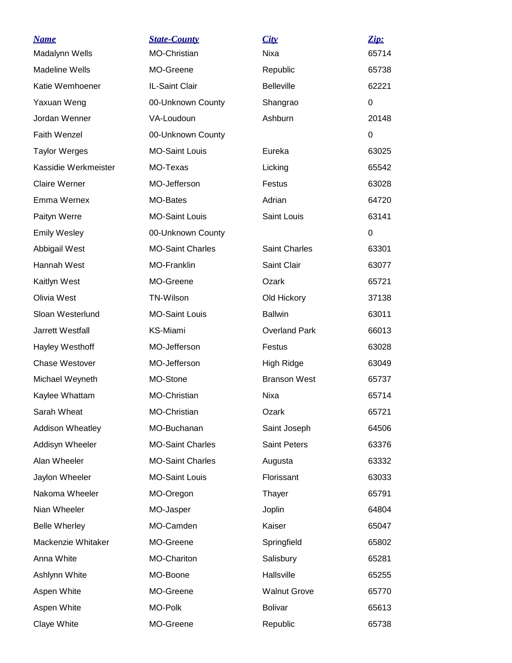| <b>Name</b><br>Madalynn Wells | <b>State-County</b><br><b>MO-Christian</b> | City<br>Nixa         | Zip:<br>65714 |
|-------------------------------|--------------------------------------------|----------------------|---------------|
| <b>Madeline Wells</b>         | MO-Greene                                  | Republic             | 65738         |
| Katie Wemhoener               | IL-Saint Clair                             | <b>Belleville</b>    | 62221         |
| Yaxuan Weng                   | 00-Unknown County                          | Shangrao             | 0             |
| Jordan Wenner                 | VA-Loudoun                                 | Ashburn              | 20148         |
| <b>Faith Wenzel</b>           | 00-Unknown County                          |                      | 0             |
| <b>Taylor Werges</b>          | <b>MO-Saint Louis</b>                      | Eureka               | 63025         |
| Kassidie Werkmeister          | MO-Texas                                   | Licking              | 65542         |
| <b>Claire Werner</b>          | MO-Jefferson                               | Festus               | 63028         |
| Emma Wernex                   | MO-Bates                                   | Adrian               | 64720         |
| Paityn Werre                  | <b>MO-Saint Louis</b>                      | Saint Louis          | 63141         |
| <b>Emily Wesley</b>           | 00-Unknown County                          |                      | 0             |
| Abbigail West                 | <b>MO-Saint Charles</b>                    | <b>Saint Charles</b> | 63301         |
| Hannah West                   | MO-Franklin                                | Saint Clair          | 63077         |
| Kaitlyn West                  | MO-Greene                                  | Ozark                | 65721         |
| Olivia West                   | TN-Wilson                                  | Old Hickory          | 37138         |
| Sloan Westerlund              | <b>MO-Saint Louis</b>                      | <b>Ballwin</b>       | 63011         |
| Jarrett Westfall              | <b>KS-Miami</b>                            | <b>Overland Park</b> | 66013         |
| Hayley Westhoff               | MO-Jefferson                               | Festus               | 63028         |
| <b>Chase Westover</b>         | MO-Jefferson                               | High Ridge           | 63049         |
| Michael Weyneth               | MO-Stone                                   | <b>Branson West</b>  | 65737         |
| Kaylee Whattam                | MO-Christian                               | Nixa                 | 65714         |
| Sarah Wheat                   | MO-Christian                               | Ozark                | 65721         |
| <b>Addison Wheatley</b>       | MO-Buchanan                                | Saint Joseph         | 64506         |
| Addisyn Wheeler               | <b>MO-Saint Charles</b>                    | <b>Saint Peters</b>  | 63376         |
| Alan Wheeler                  | <b>MO-Saint Charles</b>                    | Augusta              | 63332         |
| Jaylon Wheeler                | <b>MO-Saint Louis</b>                      | Florissant           | 63033         |
| Nakoma Wheeler                | MO-Oregon                                  | Thayer               | 65791         |
| Nian Wheeler                  | MO-Jasper                                  | Joplin               | 64804         |
| <b>Belle Wherley</b>          | MO-Camden                                  | Kaiser               | 65047         |
| Mackenzie Whitaker            | MO-Greene                                  | Springfield          | 65802         |
| Anna White                    | <b>MO-Chariton</b>                         | Salisbury            | 65281         |
| Ashlynn White                 | MO-Boone                                   | Hallsville           | 65255         |
| Aspen White                   | MO-Greene                                  | <b>Walnut Grove</b>  | 65770         |
| Aspen White                   | MO-Polk                                    | <b>Bolivar</b>       | 65613         |
| Claye White                   | MO-Greene                                  | Republic             | 65738         |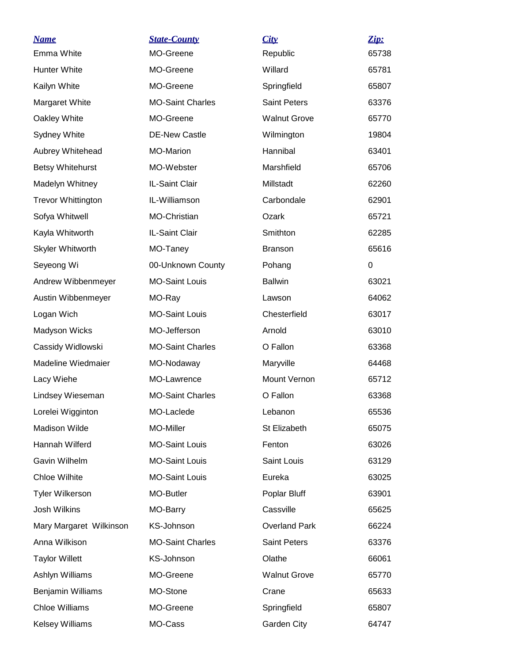| <u>Name</u>               | <b>State-County</b>     | City                 | Zip:  |
|---------------------------|-------------------------|----------------------|-------|
| Emma White                | MO-Greene               | Republic             | 65738 |
| <b>Hunter White</b>       | MO-Greene               | Willard              | 65781 |
| Kailyn White              | MO-Greene               | Springfield          | 65807 |
| Margaret White            | <b>MO-Saint Charles</b> | <b>Saint Peters</b>  | 63376 |
| Oakley White              | MO-Greene               | <b>Walnut Grove</b>  | 65770 |
| Sydney White              | <b>DE-New Castle</b>    | Wilmington           | 19804 |
| Aubrey Whitehead          | <b>MO-Marion</b>        | Hannibal             | 63401 |
| <b>Betsy Whitehurst</b>   | MO-Webster              | Marshfield           | 65706 |
| Madelyn Whitney           | IL-Saint Clair          | Millstadt            | 62260 |
| <b>Trevor Whittington</b> | IL-Williamson           | Carbondale           | 62901 |
| Sofya Whitwell            | MO-Christian            | Ozark                | 65721 |
| Kayla Whitworth           | IL-Saint Clair          | Smithton             | 62285 |
| Skyler Whitworth          | MO-Taney                | <b>Branson</b>       | 65616 |
| Seyeong Wi                | 00-Unknown County       | Pohang               | 0     |
| Andrew Wibbenmeyer        | <b>MO-Saint Louis</b>   | <b>Ballwin</b>       | 63021 |
| Austin Wibbenmeyer        | MO-Ray                  | Lawson               | 64062 |
| Logan Wich                | <b>MO-Saint Louis</b>   | Chesterfield         | 63017 |
| <b>Madyson Wicks</b>      | MO-Jefferson            | Arnold               | 63010 |
| Cassidy Widlowski         | <b>MO-Saint Charles</b> | O Fallon             | 63368 |
| Madeline Wiedmaier        | MO-Nodaway              | Maryville            | 64468 |
| Lacy Wiehe                | MO-Lawrence             | Mount Vernon         | 65712 |
| Lindsey Wieseman          | <b>MO-Saint Charles</b> | O Fallon             | 63368 |
| Lorelei Wigginton         | MO-Laclede              | Lebanon              | 65536 |
| <b>Madison Wilde</b>      | MO-Miller               | St Elizabeth         | 65075 |
| Hannah Wilferd            | <b>MO-Saint Louis</b>   | Fenton               | 63026 |
| Gavin Wilhelm             | <b>MO-Saint Louis</b>   | Saint Louis          | 63129 |
| <b>Chloe Wilhite</b>      | <b>MO-Saint Louis</b>   | Eureka               | 63025 |
| <b>Tyler Wilkerson</b>    | MO-Butler               | Poplar Bluff         | 63901 |
| Josh Wilkins              | MO-Barry                | Cassville            | 65625 |
| Mary Margaret Wilkinson   | KS-Johnson              | <b>Overland Park</b> | 66224 |
| Anna Wilkison             | <b>MO-Saint Charles</b> | <b>Saint Peters</b>  | 63376 |
| <b>Taylor Willett</b>     | KS-Johnson              | Olathe               | 66061 |
| Ashlyn Williams           | MO-Greene               | <b>Walnut Grove</b>  | 65770 |
| Benjamin Williams         | MO-Stone                | Crane                | 65633 |
| <b>Chloe Williams</b>     | MO-Greene               | Springfield          | 65807 |
| <b>Kelsey Williams</b>    | MO-Cass                 | Garden City          | 64747 |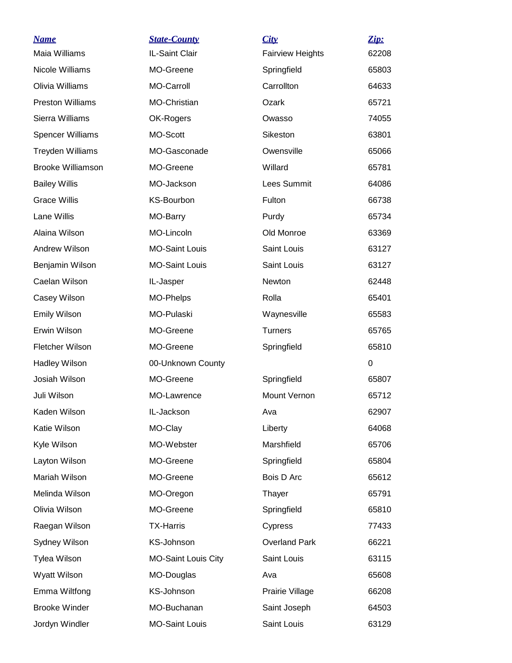| <b>Name</b>              | <b>State-County</b>        | City                    | Zip:  |
|--------------------------|----------------------------|-------------------------|-------|
| Maia Williams            | IL-Saint Clair             | <b>Fairview Heights</b> | 62208 |
| Nicole Williams          | MO-Greene                  | Springfield             | 65803 |
| Olivia Williams          | <b>MO-Carroll</b>          | Carrollton              | 64633 |
| <b>Preston Williams</b>  | MO-Christian               | Ozark                   | 65721 |
| Sierra Williams          | OK-Rogers                  | Owasso                  | 74055 |
| <b>Spencer Williams</b>  | MO-Scott                   | Sikeston                | 63801 |
| <b>Treyden Williams</b>  | MO-Gasconade               | Owensville              | 65066 |
| <b>Brooke Williamson</b> | MO-Greene                  | Willard                 | 65781 |
| <b>Bailey Willis</b>     | MO-Jackson                 | Lees Summit             | 64086 |
| <b>Grace Willis</b>      | <b>KS-Bourbon</b>          | Fulton                  | 66738 |
| Lane Willis              | MO-Barry                   | Purdy                   | 65734 |
| Alaina Wilson            | MO-Lincoln                 | Old Monroe              | 63369 |
| Andrew Wilson            | <b>MO-Saint Louis</b>      | Saint Louis             | 63127 |
| Benjamin Wilson          | <b>MO-Saint Louis</b>      | Saint Louis             | 63127 |
| Caelan Wilson            | IL-Jasper                  | Newton                  | 62448 |
| Casey Wilson             | MO-Phelps                  | Rolla                   | 65401 |
| <b>Emily Wilson</b>      | MO-Pulaski                 | Waynesville             | 65583 |
| Erwin Wilson             | MO-Greene                  | <b>Turners</b>          | 65765 |
| Fletcher Wilson          | MO-Greene                  | Springfield             | 65810 |
| <b>Hadley Wilson</b>     | 00-Unknown County          |                         | 0     |
| Josiah Wilson            | MO-Greene                  | Springfield             | 65807 |
| Juli Wilson              | MO-Lawrence                | Mount Vernon            | 65712 |
| Kaden Wilson             | IL-Jackson                 | Ava                     | 62907 |
| Katie Wilson             | MO-Clay                    | Liberty                 | 64068 |
| Kyle Wilson              | MO-Webster                 | Marshfield              | 65706 |
| Layton Wilson            | MO-Greene                  | Springfield             | 65804 |
| Mariah Wilson            | MO-Greene                  | Bois D Arc              | 65612 |
| Melinda Wilson           | MO-Oregon                  | Thayer                  | 65791 |
| Olivia Wilson            | MO-Greene                  | Springfield             | 65810 |
| Raegan Wilson            | <b>TX-Harris</b>           | Cypress                 | 77433 |
| Sydney Wilson            | KS-Johnson                 | <b>Overland Park</b>    | 66221 |
| Tylea Wilson             | <b>MO-Saint Louis City</b> | Saint Louis             | 63115 |
| Wyatt Wilson             | MO-Douglas                 | Ava                     | 65608 |
| Emma Wiltfong            | KS-Johnson                 | Prairie Village         | 66208 |
| <b>Brooke Winder</b>     | MO-Buchanan                | Saint Joseph            | 64503 |
| Jordyn Windler           | <b>MO-Saint Louis</b>      | Saint Louis             | 63129 |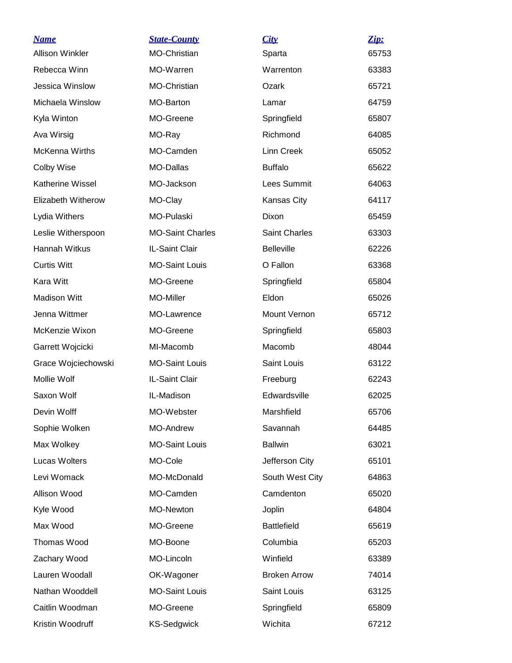| <b>Name</b>            | <b>State-County</b>     | City                 | Zip:  |
|------------------------|-------------------------|----------------------|-------|
| <b>Allison Winkler</b> | <b>MO-Christian</b>     | Sparta               | 65753 |
| Rebecca Winn           | MO-Warren               | Warrenton            | 63383 |
| Jessica Winslow        | <b>MO-Christian</b>     | Ozark                | 65721 |
| Michaela Winslow       | MO-Barton               | Lamar                | 64759 |
| Kyla Winton            | MO-Greene               | Springfield          | 65807 |
| Ava Wirsig             | MO-Ray                  | Richmond             | 64085 |
| <b>McKenna Wirths</b>  | MO-Camden               | <b>Linn Creek</b>    | 65052 |
| Colby Wise             | MO-Dallas               | <b>Buffalo</b>       | 65622 |
| Katherine Wissel       | MO-Jackson              | Lees Summit          | 64063 |
| Elizabeth Witherow     | MO-Clay                 | Kansas City          | 64117 |
| Lydia Withers          | <b>MO-Pulaski</b>       | Dixon                | 65459 |
| Leslie Witherspoon     | <b>MO-Saint Charles</b> | <b>Saint Charles</b> | 63303 |
| Hannah Witkus          | IL-Saint Clair          | <b>Belleville</b>    | 62226 |
| <b>Curtis Witt</b>     | <b>MO-Saint Louis</b>   | O Fallon             | 63368 |
| Kara Witt              | MO-Greene               | Springfield          | 65804 |
| <b>Madison Witt</b>    | MO-Miller               | Eldon                | 65026 |
| Jenna Wittmer          | MO-Lawrence             | Mount Vernon         | 65712 |
| McKenzie Wixon         | MO-Greene               | Springfield          | 65803 |
| Garrett Wojcicki       | MI-Macomb               | Macomb               | 48044 |
| Grace Wojciechowski    | <b>MO-Saint Louis</b>   | Saint Louis          | 63122 |
| Mollie Wolf            | IL-Saint Clair          | Freeburg             | 62243 |
| Saxon Wolf             | IL-Madison              | Edwardsville         | 62025 |
| Devin Wolff            | MO-Webster              | Marshfield           | 65706 |
| Sophie Wolken          | <b>MO-Andrew</b>        | Savannah             | 64485 |
| Max Wolkey             | <b>MO-Saint Louis</b>   | <b>Ballwin</b>       | 63021 |
| Lucas Wolters          | MO-Cole                 | Jefferson City       | 65101 |
| Levi Womack            | MO-McDonald             | South West City      | 64863 |
| Allison Wood           | MO-Camden               | Camdenton            | 65020 |
| Kyle Wood              | MO-Newton               | Joplin               | 64804 |
| Max Wood               | MO-Greene               | <b>Battlefield</b>   | 65619 |
| Thomas Wood            | MO-Boone                | Columbia             | 65203 |
| Zachary Wood           | MO-Lincoln              | Winfield             | 63389 |
| Lauren Woodall         | OK-Wagoner              | <b>Broken Arrow</b>  | 74014 |
| Nathan Wooddell        | <b>MO-Saint Louis</b>   | Saint Louis          | 63125 |
| Caitlin Woodman        | MO-Greene               | Springfield          | 65809 |
| Kristin Woodruff       | <b>KS-Sedgwick</b>      | Wichita              | 67212 |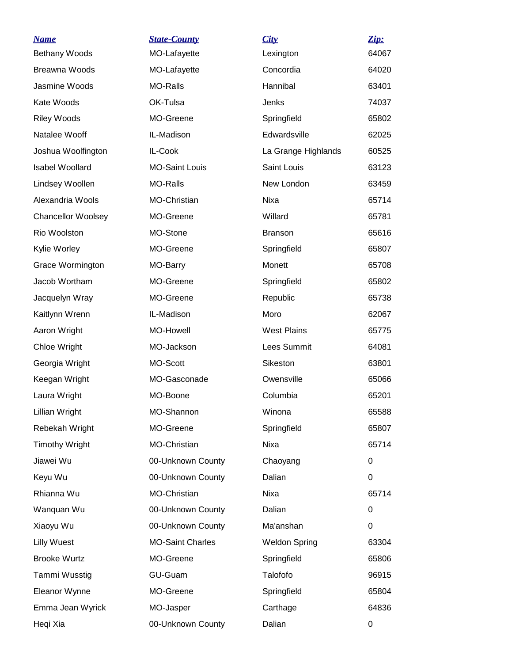| <u>Name</u>               | <b>State-County</b>     | City                 | Zip:  |
|---------------------------|-------------------------|----------------------|-------|
| Bethany Woods             | MO-Lafayette            | Lexington            | 64067 |
| Breawna Woods             | MO-Lafayette            | Concordia            | 64020 |
| Jasmine Woods             | <b>MO-Ralls</b>         | Hannibal             | 63401 |
| Kate Woods                | OK-Tulsa                | Jenks                | 74037 |
| <b>Riley Woods</b>        | MO-Greene               | Springfield          | 65802 |
| Natalee Wooff             | IL-Madison              | Edwardsville         | 62025 |
| Joshua Woolfington        | IL-Cook                 | La Grange Highlands  | 60525 |
| <b>Isabel Woollard</b>    | <b>MO-Saint Louis</b>   | Saint Louis          | 63123 |
| Lindsey Woollen           | <b>MO-Ralls</b>         | New London           | 63459 |
| Alexandria Wools          | MO-Christian            | Nixa                 | 65714 |
| <b>Chancellor Woolsey</b> | MO-Greene               | Willard              | 65781 |
| Rio Woolston              | MO-Stone                | <b>Branson</b>       | 65616 |
| Kylie Worley              | MO-Greene               | Springfield          | 65807 |
| Grace Wormington          | MO-Barry                | Monett               | 65708 |
| Jacob Wortham             | MO-Greene               | Springfield          | 65802 |
| Jacquelyn Wray            | MO-Greene               | Republic             | 65738 |
| Kaitlynn Wrenn            | IL-Madison              | Moro                 | 62067 |
| Aaron Wright              | <b>MO-Howell</b>        | <b>West Plains</b>   | 65775 |
| Chloe Wright              | MO-Jackson              | Lees Summit          | 64081 |
| Georgia Wright            | MO-Scott                | Sikeston             | 63801 |
| Keegan Wright             | MO-Gasconade            | Owensville           | 65066 |
| Laura Wright              | MO-Boone                | Columbia             | 65201 |
| Lillian Wright            | MO-Shannon              | Winona               | 65588 |
| Rebekah Wright            | MO-Greene               | Springfield          | 65807 |
| <b>Timothy Wright</b>     | MO-Christian            | Nixa                 | 65714 |
| Jiawei Wu                 | 00-Unknown County       | Chaoyang             | 0     |
| Keyu Wu                   | 00-Unknown County       | Dalian               | 0     |
| Rhianna Wu                | MO-Christian            | Nixa                 | 65714 |
| Wanquan Wu                | 00-Unknown County       | Dalian               | 0     |
| Xiaoyu Wu                 | 00-Unknown County       | Ma'anshan            | 0     |
| <b>Lilly Wuest</b>        | <b>MO-Saint Charles</b> | <b>Weldon Spring</b> | 63304 |
| <b>Brooke Wurtz</b>       | MO-Greene               | Springfield          | 65806 |
| Tammi Wusstig             | <b>GU-Guam</b>          | Talofofo             | 96915 |
| Eleanor Wynne             | MO-Greene               | Springfield          | 65804 |
| Emma Jean Wyrick          | MO-Jasper               | Carthage             | 64836 |
| Heqi Xia                  | 00-Unknown County       | Dalian               | 0     |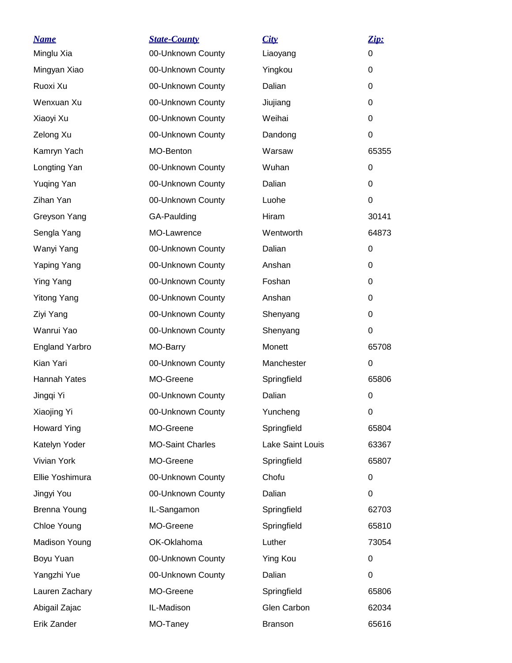| <b>Name</b><br>Minglu Xia | <b>State-County</b><br>00-Unknown County | City<br>Liaoyang   | Zip:<br>0   |
|---------------------------|------------------------------------------|--------------------|-------------|
| Mingyan Xiao              | 00-Unknown County                        | Yingkou            | 0           |
| Ruoxi Xu                  | 00-Unknown County                        | Dalian             | 0           |
| Wenxuan Xu                | 00-Unknown County                        |                    | 0           |
| Xiaoyi Xu                 | 00-Unknown County                        | Jiujiang<br>Weihai | 0           |
|                           |                                          |                    |             |
| Zelong Xu                 | 00-Unknown County                        | Dandong            | 0           |
| Kamryn Yach               | MO-Benton                                | Warsaw             | 65355       |
| Longting Yan              | 00-Unknown County                        | Wuhan              | 0           |
| <b>Yuqing Yan</b>         | 00-Unknown County                        | Dalian             | 0           |
| Zihan Yan                 | 00-Unknown County                        | Luohe              | 0           |
| Greyson Yang              | GA-Paulding                              | Hiram              | 30141       |
| Sengla Yang               | MO-Lawrence                              | Wentworth          | 64873       |
| Wanyi Yang                | 00-Unknown County                        | Dalian             | 0           |
| Yaping Yang               | 00-Unknown County                        | Anshan             | 0           |
| Ying Yang                 | 00-Unknown County                        | Foshan             | 0           |
| <b>Yitong Yang</b>        | 00-Unknown County                        | Anshan             | 0           |
| Ziyi Yang                 | 00-Unknown County                        | Shenyang           | 0           |
| Wanrui Yao                | 00-Unknown County                        | Shenyang           | 0           |
| <b>England Yarbro</b>     | MO-Barry                                 | Monett             | 65708       |
| Kian Yari                 | 00-Unknown County                        | Manchester         | 0           |
| Hannah Yates              | MO-Greene                                | Springfield        | 65806       |
| Jingqi Yi                 | 00-Unknown County                        | Dalian             | $\mathbf 0$ |
| Xiaojing Yi               | 00-Unknown County                        | Yuncheng           | 0           |
| <b>Howard Ying</b>        | MO-Greene                                | Springfield        | 65804       |
| Katelyn Yoder             | <b>MO-Saint Charles</b>                  | Lake Saint Louis   | 63367       |
| Vivian York               | MO-Greene                                | Springfield        | 65807       |
| Ellie Yoshimura           | 00-Unknown County                        | Chofu              | $\mathbf 0$ |
| Jingyi You                | 00-Unknown County                        | Dalian             | $\Omega$    |
| <b>Brenna Young</b>       | IL-Sangamon                              | Springfield        | 62703       |
| Chloe Young               | MO-Greene                                | Springfield        | 65810       |
| <b>Madison Young</b>      | OK-Oklahoma                              | Luther             | 73054       |
| Boyu Yuan                 | 00-Unknown County                        | <b>Ying Kou</b>    | 0           |
| Yangzhi Yue               | 00-Unknown County                        | Dalian             | $\Omega$    |
| Lauren Zachary            | MO-Greene                                | Springfield        | 65806       |
| Abigail Zajac             | IL-Madison                               | Glen Carbon        | 62034       |
| Erik Zander               | MO-Taney                                 | <b>Branson</b>     | 65616       |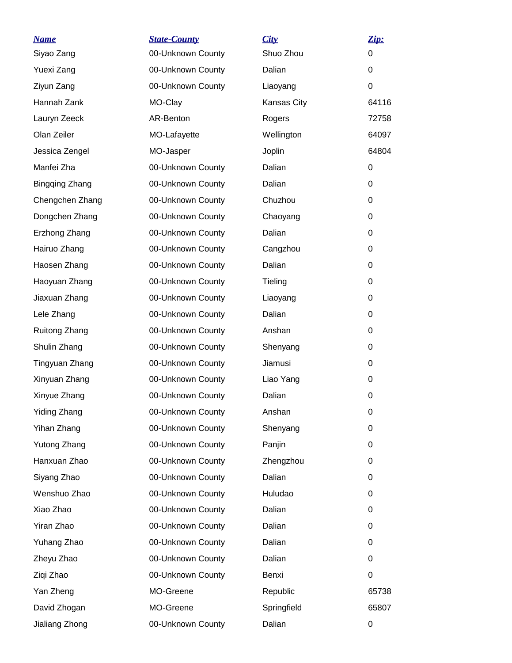| <b>Name</b>           | <b>State-County</b> | City        | Zip:  |
|-----------------------|---------------------|-------------|-------|
| Siyao Zang            | 00-Unknown County   | Shuo Zhou   | 0     |
| Yuexi Zang            | 00-Unknown County   | Dalian      | 0     |
| Ziyun Zang            | 00-Unknown County   | Liaoyang    | 0     |
| Hannah Zank           | MO-Clay             | Kansas City | 64116 |
| Lauryn Zeeck          | AR-Benton           | Rogers      | 72758 |
| Olan Zeiler           | MO-Lafayette        | Wellington  | 64097 |
| Jessica Zengel        | MO-Jasper           | Joplin      | 64804 |
| Manfei Zha            | 00-Unknown County   | Dalian      | 0     |
| <b>Bingqing Zhang</b> | 00-Unknown County   | Dalian      | 0     |
| Chengchen Zhang       | 00-Unknown County   | Chuzhou     | 0     |
| Dongchen Zhang        | 00-Unknown County   | Chaoyang    | 0     |
| Erzhong Zhang         | 00-Unknown County   | Dalian      | 0     |
| Hairuo Zhang          | 00-Unknown County   | Cangzhou    | 0     |
| Haosen Zhang          | 00-Unknown County   | Dalian      | 0     |
| Haoyuan Zhang         | 00-Unknown County   | Tieling     | 0     |
| Jiaxuan Zhang         | 00-Unknown County   | Liaoyang    | 0     |
| Lele Zhang            | 00-Unknown County   | Dalian      | 0     |
| Ruitong Zhang         | 00-Unknown County   | Anshan      | 0     |
| Shulin Zhang          | 00-Unknown County   | Shenyang    | 0     |
| Tingyuan Zhang        | 00-Unknown County   | Jiamusi     | 0     |
| Xinyuan Zhang         | 00-Unknown County   | Liao Yang   | 0     |
| Xinyue Zhang          | 00-Unknown County   | Dalian      | 0     |
| <b>Yiding Zhang</b>   | 00-Unknown County   | Anshan      | 0     |
| Yihan Zhang           | 00-Unknown County   | Shenyang    | 0     |
| <b>Yutong Zhang</b>   | 00-Unknown County   | Panjin      | 0     |
| Hanxuan Zhao          | 00-Unknown County   | Zhengzhou   | 0     |
| Siyang Zhao           | 00-Unknown County   | Dalian      | 0     |
| Wenshuo Zhao          | 00-Unknown County   | Huludao     | 0     |
| Xiao Zhao             | 00-Unknown County   | Dalian      | 0     |
| Yiran Zhao            | 00-Unknown County   | Dalian      | 0     |
| Yuhang Zhao           | 00-Unknown County   | Dalian      | 0     |
| Zheyu Zhao            | 00-Unknown County   | Dalian      | 0     |
| Ziqi Zhao             | 00-Unknown County   | Benxi       | 0     |
| Yan Zheng             | MO-Greene           | Republic    | 65738 |
| David Zhogan          | MO-Greene           | Springfield | 65807 |
| Jialiang Zhong        | 00-Unknown County   | Dalian      | 0     |